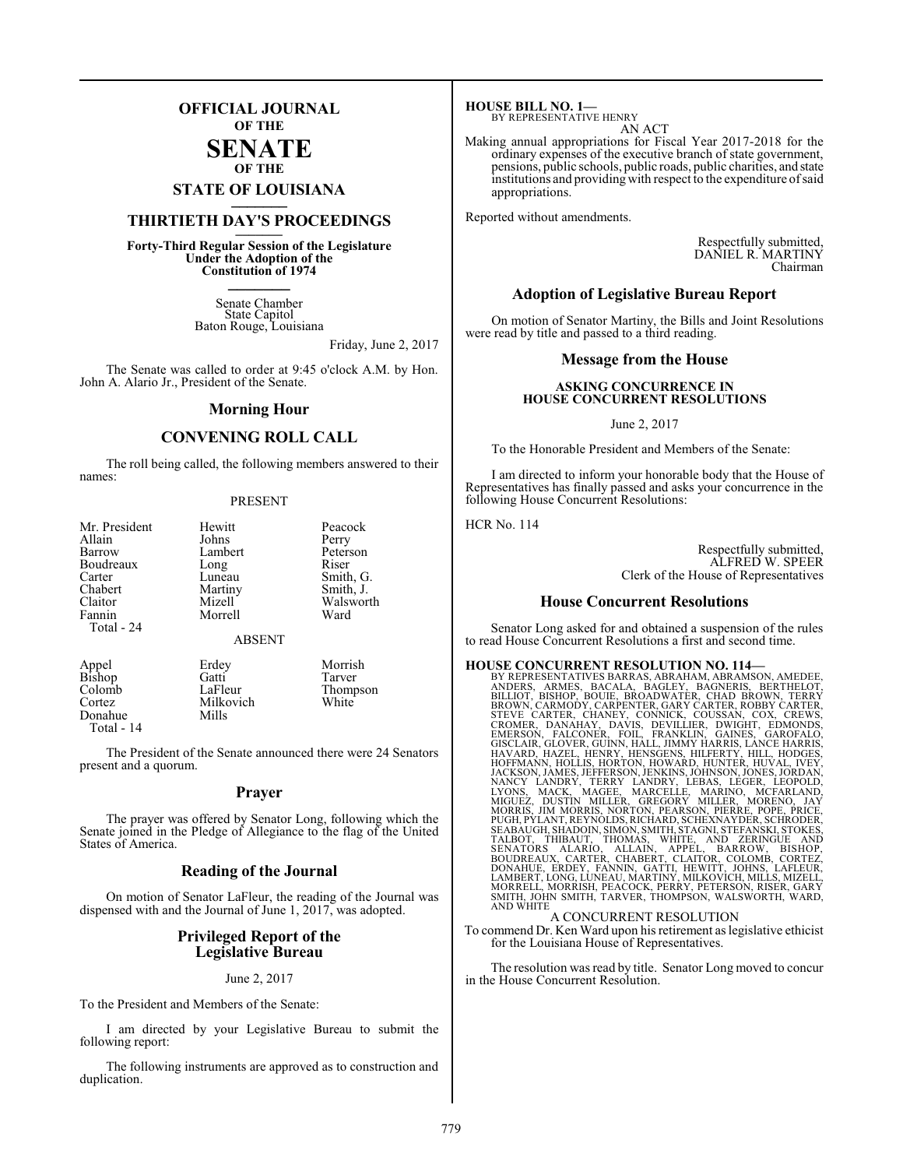## **OFFICIAL JOURNAL OF THE**

#### **SENATE OF THE**

# **STATE OF LOUISIANA \_\_\_\_\_\_\_**

## **THIRTIETH DAY'S PROCEEDINGS \_\_\_\_\_\_\_**

**Forty-Third Regular Session of the Legislature Under the Adoption of the Constitution of 1974 \_\_\_\_\_\_\_**

> Senate Chamber State Capitol Baton Rouge, Louisiana

> > Friday, June 2, 2017

The Senate was called to order at 9:45 o'clock A.M. by Hon. John A. Alario Jr., President of the Senate.

#### **Morning Hour**

#### **CONVENING ROLL CALL**

The roll being called, the following members answered to their names:

#### PRESENT

| Mr. President                              | Hewitt                       | Peacock                        |
|--------------------------------------------|------------------------------|--------------------------------|
| Allain                                     | Johns                        | Perry                          |
| Barrow                                     | Lambert                      | Peterson                       |
| Boudreaux                                  | Long                         | Riser                          |
| Carter                                     | Luneau                       | Smith, G.                      |
| Chabert<br>Claitor<br>Fannin<br>Total - 24 | Martiny<br>Mizell<br>Morrell | Smith, J.<br>Walsworth<br>Ward |
|                                            | <b>ABSENT</b>                |                                |
| Appel                                      | Erdey                        | Morrish                        |
| Bishop                                     | Gatti                        | Tarver                         |
| Colomb                                     | LaFleur                      | Thompson                       |
| Cortez                                     | Milkovich                    | White                          |

Milkovich<br>Mills Donahue Total - 14

The President of the Senate announced there were 24 Senators present and a quorum.

#### **Prayer**

The prayer was offered by Senator Long, following which the Senate joined in the Pledge of Allegiance to the flag of the United States of America.

#### **Reading of the Journal**

On motion of Senator LaFleur, the reading of the Journal was dispensed with and the Journal of June 1, 2017, was adopted.

#### **Privileged Report of the Legislative Bureau**

#### June 2, 2017

To the President and Members of the Senate:

I am directed by your Legislative Bureau to submit the following report:

The following instruments are approved as to construction and duplication.

**HOUSE BILL NO. 1—** BY REPRESENTATIVE HENRY AN ACT

Making annual appropriations for Fiscal Year 2017-2018 for the ordinary expenses of the executive branch of state government, pensions, public schools, public roads, public charities, and state institutions and providing with respect to the expenditure of said appropriations.

Reported without amendments.

Respectfully submitted, DANIEL R. MARTINY Chairman

#### **Adoption of Legislative Bureau Report**

On motion of Senator Martiny, the Bills and Joint Resolutions were read by title and passed to a third reading.

#### **Message from the House**

#### **ASKING CONCURRENCE IN HOUSE CONCURRENT RESOLUTIONS**

June 2, 2017

To the Honorable President and Members of the Senate:

I am directed to inform your honorable body that the House of Representatives has finally passed and asks your concurrence in the following House Concurrent Resolutions:

HCR No. 114

Respectfully submitted, ALFRED W. SPEER Clerk of the House of Representatives

#### **House Concurrent Resolutions**

Senator Long asked for and obtained a suspension of the rules to read House Concurrent Resolutions a first and second time.

HOUSE CONCURRENT RESOLUTION NO. 114-<br>BY REPRESENTATIVES BARRAS, ABRAHAM, ABRAMSON, AMEDEE,<br>ANDERS, ARMES, BACALA, BAGLEY, BAGNENIS, BERTHELOT,<br>BILLIOT, BISHOP, BOUIE, BROADWATER, CHAD BROWN, TERRY<br>BROWN, CARMOP, CARPENTER, AND WHITE A CONCURRENT RESOLUTION

To commend Dr. Ken Ward upon his retirement as legislative ethicist for the Louisiana House of Representatives.

The resolution was read by title. Senator Long moved to concur in the House Concurrent Resolution.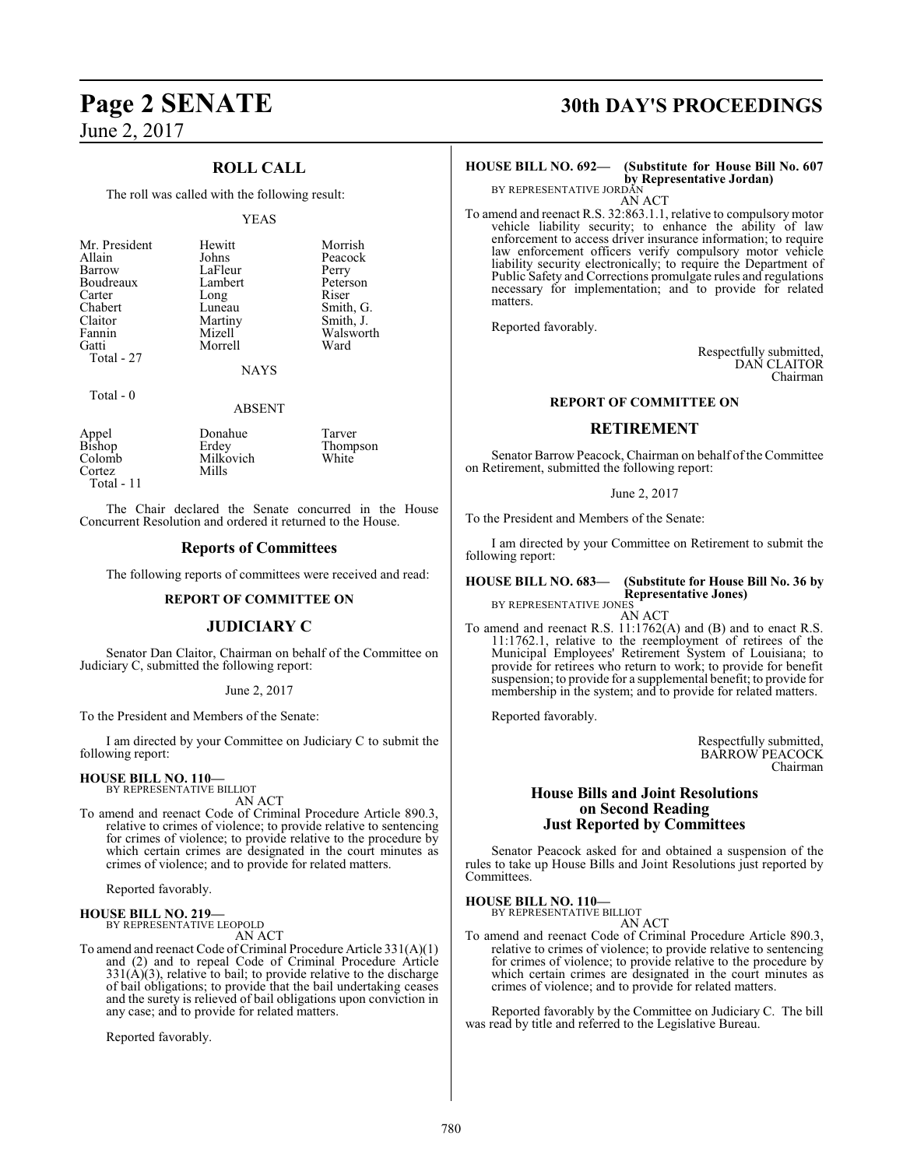## **ROLL CALL**

The roll was called with the following result:

#### YEAS

| Mr. President | Hewitt  | Morrish   |
|---------------|---------|-----------|
| Allain        | Johns   | Peacock   |
| Barrow        | LaFleur | Perry     |
| Boudreaux     | Lambert | Peterson  |
| Carter        | Long    | Riser     |
| Chabert       | Luneau  | Smith, G. |
| Claitor       | Martiny | Smith, J. |
| Fannin        | Mizell  | Walsworth |
| Gatti         | Morrell | Ward      |
| Total - 27    |         |           |
|               | NAYS    |           |

#### Total - 0

ABSENT

|                 | Donahue   | Tarver   |
|-----------------|-----------|----------|
| Appel<br>Bishop | Erdey     | Thompson |
| Colomb          | Milkovich | White    |
| Cortez          | Mills     |          |
| Total - 11      |           |          |

The Chair declared the Senate concurred in the House Concurrent Resolution and ordered it returned to the House.

#### **Reports of Committees**

The following reports of committees were received and read:

#### **REPORT OF COMMITTEE ON**

#### **JUDICIARY C**

Senator Dan Claitor, Chairman on behalf of the Committee on Judiciary C, submitted the following report:

#### June 2, 2017

To the President and Members of the Senate:

I am directed by your Committee on Judiciary C to submit the following report:

#### **HOUSE BILL NO. 110—** BY REPRESENTATIVE BILLIOT

AN ACT

To amend and reenact Code of Criminal Procedure Article 890.3, relative to crimes of violence; to provide relative to sentencing for crimes of violence; to provide relative to the procedure by which certain crimes are designated in the court minutes as crimes of violence; and to provide for related matters.

Reported favorably.

#### **HOUSE BILL NO. 219—** BY REPRESENTATIVE LEOPOLD

AN ACT

To amend and reenact Code of Criminal Procedure Article 331(A)(1) and (2) and to repeal Code of Criminal Procedure Article  $331(\text{\AA})(3)$ , relative to bail; to provide relative to the discharge of bail obligations; to provide that the bail undertaking ceases and the surety is relieved of bail obligations upon conviction in any case; and to provide for related matters.

Reported favorably.

# **Page 2 SENATE 30th DAY'S PROCEEDINGS**

#### **HOUSE BILL NO. 692— (Substitute for House Bill No. 607 by Representative Jordan)** BY REPRESENTATIVE JORDAN

AN ACT

To amend and reenact R.S. 32:863.1.1, relative to compulsory motor vehicle liability security; to enhance the ability of law enforcement to access driver insurance information; to require law enforcement officers verify compulsory motor vehicle liability security electronically; to require the Department of Public Safety and Corrections promulgate rules and regulations necessary for implementation; and to provide for related matters.

Reported favorably.

Respectfully submitted, DAN CLAITOR Chairman

#### **REPORT OF COMMITTEE ON**

#### **RETIREMENT**

Senator Barrow Peacock, Chairman on behalf of the Committee on Retirement, submitted the following report:

June 2, 2017

To the President and Members of the Senate:

I am directed by your Committee on Retirement to submit the following report:

#### **HOUSE BILL NO. 683— (Substitute for House Bill No. 36 by Representative Jones)** BY REPRESENTATIVE JONES

AN ACT

To amend and reenact R.S. 11:1762(A) and (B) and to enact R.S. 11:1762.1, relative to the reemployment of retirees of the Municipal Employees' Retirement System of Louisiana; to provide for retirees who return to work; to provide for benefit suspension; to provide for a supplemental benefit; to provide for membership in the system; and to provide for related matters.

Reported favorably.

Respectfully submitted, BARROW PEACOCK Chairman

#### **House Bills and Joint Resolutions on Second Reading Just Reported by Committees**

Senator Peacock asked for and obtained a suspension of the rules to take up House Bills and Joint Resolutions just reported by Committees.

**HOUSE BILL NO. 110—**

BY REPRESENTATIVE BILLIOT AN ACT

To amend and reenact Code of Criminal Procedure Article 890.3, relative to crimes of violence; to provide relative to sentencing for crimes of violence; to provide relative to the procedure by which certain crimes are designated in the court minutes as crimes of violence; and to provide for related matters.

Reported favorably by the Committee on Judiciary C. The bill was read by title and referred to the Legislative Bureau.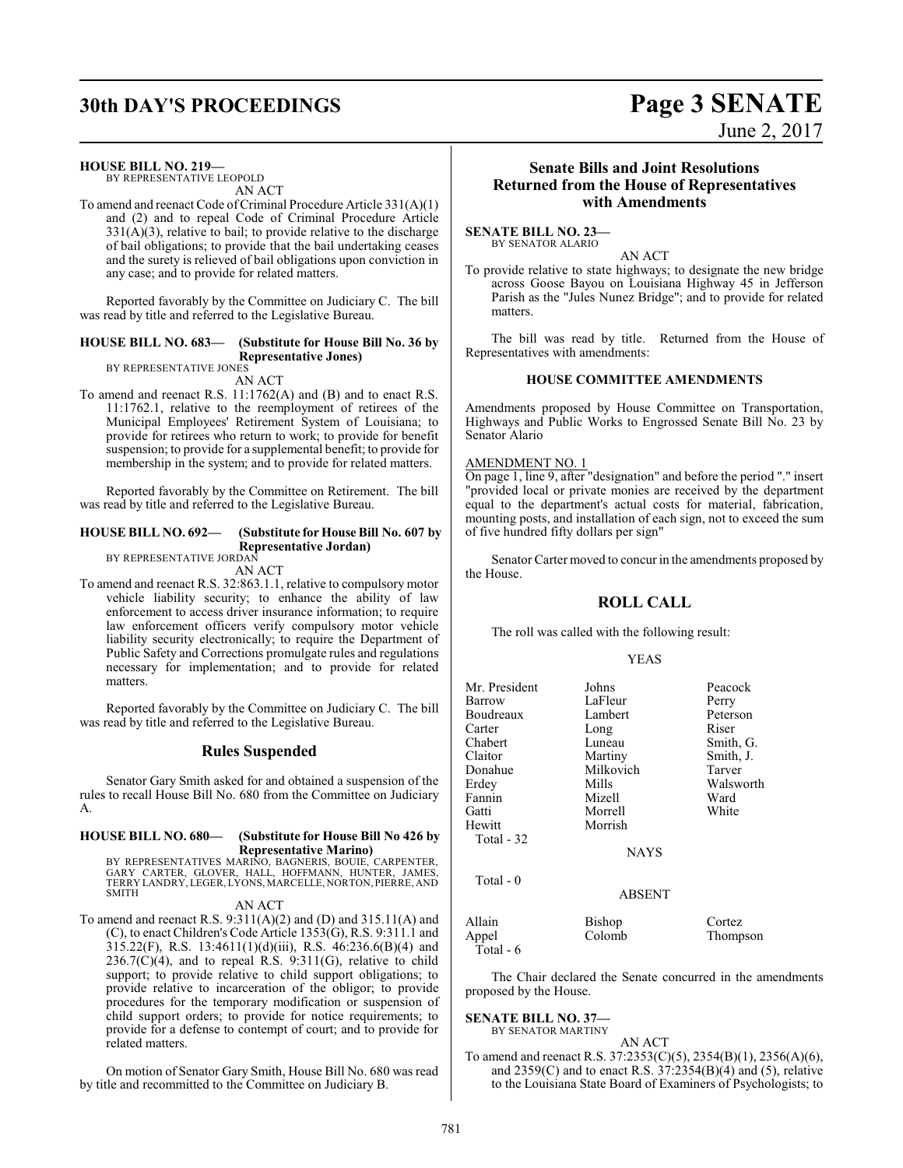# **30th DAY'S PROCEEDINGS Page 3 SENATE**

#### **HOUSE BILL NO. 219—**

BY REPRESENTATIVE LEOPOLD AN ACT

To amend and reenact Code of Criminal Procedure Article 331(A)(1) and (2) and to repeal Code of Criminal Procedure Article 331(A)(3), relative to bail; to provide relative to the discharge of bail obligations; to provide that the bail undertaking ceases and the surety is relieved of bail obligations upon conviction in any case; and to provide for related matters.

Reported favorably by the Committee on Judiciary C. The bill was read by title and referred to the Legislative Bureau.

#### **HOUSE BILL NO. 683— (Substitute for House Bill No. 36 by Representative Jones)** BY REPRESENTATIVE JONES

AN ACT

To amend and reenact R.S. 11:1762(A) and (B) and to enact R.S. 11:1762.1, relative to the reemployment of retirees of the Municipal Employees' Retirement System of Louisiana; to provide for retirees who return to work; to provide for benefit suspension; to provide for a supplemental benefit; to provide for membership in the system; and to provide for related matters.

Reported favorably by the Committee on Retirement. The bill was read by title and referred to the Legislative Bureau.

#### **HOUSE BILL NO. 692— (Substitute for House Bill No. 607 by Representative Jordan)**

BY REPRESENTATIVE JORDAN AN ACT

To amend and reenact R.S. 32:863.1.1, relative to compulsory motor vehicle liability security; to enhance the ability of law enforcement to access driver insurance information; to require law enforcement officers verify compulsory motor vehicle liability security electronically; to require the Department of Public Safety and Corrections promulgate rules and regulations necessary for implementation; and to provide for related matters.

Reported favorably by the Committee on Judiciary C. The bill was read by title and referred to the Legislative Bureau.

#### **Rules Suspended**

Senator Gary Smith asked for and obtained a suspension of the rules to recall House Bill No. 680 from the Committee on Judiciary A.

#### **HOUSE BILL NO. 680— (Substitute for House Bill No 426 by Representative Marino)**

BY REPRESENTATIVES MARINO, BAGNERIS, BOUIE, CARPENTER,<br>GARY CARTER, GLOVER, HALL, HOFFMANN, HUNTER, JAMES,<br>TERRYLANDRY,LEGER,LYONS,MARCELLE,NORTON,PIERRE,AND SMITH

AN ACT

To amend and reenact R.S.  $9:311(A)(2)$  and (D) and  $315.11(A)$  and (C), to enact Children's Code Article 1353(G), R.S. 9:311.1 and 315.22(F), R.S. 13:4611(1)(d)(iii), R.S. 46:236.6(B)(4) and  $236.7(\dot{C})(4)$ , and to repeal R.S.  $9:311(G)$ , relative to child support; to provide relative to child support obligations; to provide relative to incarceration of the obligor; to provide procedures for the temporary modification or suspension of child support orders; to provide for notice requirements; to provide for a defense to contempt of court; and to provide for related matters.

On motion of Senator Gary Smith, House Bill No. 680 was read by title and recommitted to the Committee on Judiciary B.

#### **Senate Bills and Joint Resolutions Returned from the House of Representatives with Amendments**

#### **SENATE BILL NO. 23—** BY SENATOR ALARIO

AN ACT

To provide relative to state highways; to designate the new bridge across Goose Bayou on Louisiana Highway 45 in Jefferson Parish as the "Jules Nunez Bridge"; and to provide for related matters.

The bill was read by title. Returned from the House of Representatives with amendments:

#### **HOUSE COMMITTEE AMENDMENTS**

Amendments proposed by House Committee on Transportation, Highways and Public Works to Engrossed Senate Bill No. 23 by Senator Alario

#### AMENDMENT NO. 1

On page 1, line 9, after "designation" and before the period "." insert "provided local or private monies are received by the department equal to the department's actual costs for material, fabrication, mounting posts, and installation of each sign, not to exceed the sum of five hundred fifty dollars per sign"

Senator Carter moved to concur in the amendments proposed by the House.

#### **ROLL CALL**

The roll was called with the following result:

#### YEAS

| Mr. President<br>Barrow<br>Boudreaux<br>Carter<br>Chabert | Johns<br>LaFleur<br>Lambert<br>Long<br>Luneau | Peacock<br>Perry<br>Peterson<br>Riser<br>Smith, G. |
|-----------------------------------------------------------|-----------------------------------------------|----------------------------------------------------|
| Claitor                                                   | Martiny                                       | Smith, J.                                          |
| Donahue                                                   | Milkovich                                     | Tarver                                             |
| Erdey                                                     | Mills                                         | Walsworth                                          |
| Fannin                                                    | Mizell                                        | Ward                                               |
| Gatti                                                     | Morrell                                       | White                                              |
| Hewitt                                                    | Morrish                                       |                                                    |
| Total - 32                                                |                                               |                                                    |
|                                                           | <b>NAYS</b>                                   |                                                    |
| Total - 0                                                 | <b>ABSENT</b>                                 |                                                    |
|                                                           |                                               |                                                    |
| Allain<br>Appel<br>Total - 6                              | Bishop<br>Colomb                              | Cortez<br>Thompson                                 |

The Chair declared the Senate concurred in the amendments proposed by the House.

#### **SENATE BILL NO. 37—**

BY SENATOR MARTINY AN ACT

To amend and reenact R.S. 37:2353(C)(5), 2354(B)(1), 2356(A)(6), and 2359(C) and to enact R.S. 37:2354(B)(4) and (5), relative to the Louisiana State Board of Examiners of Psychologists; to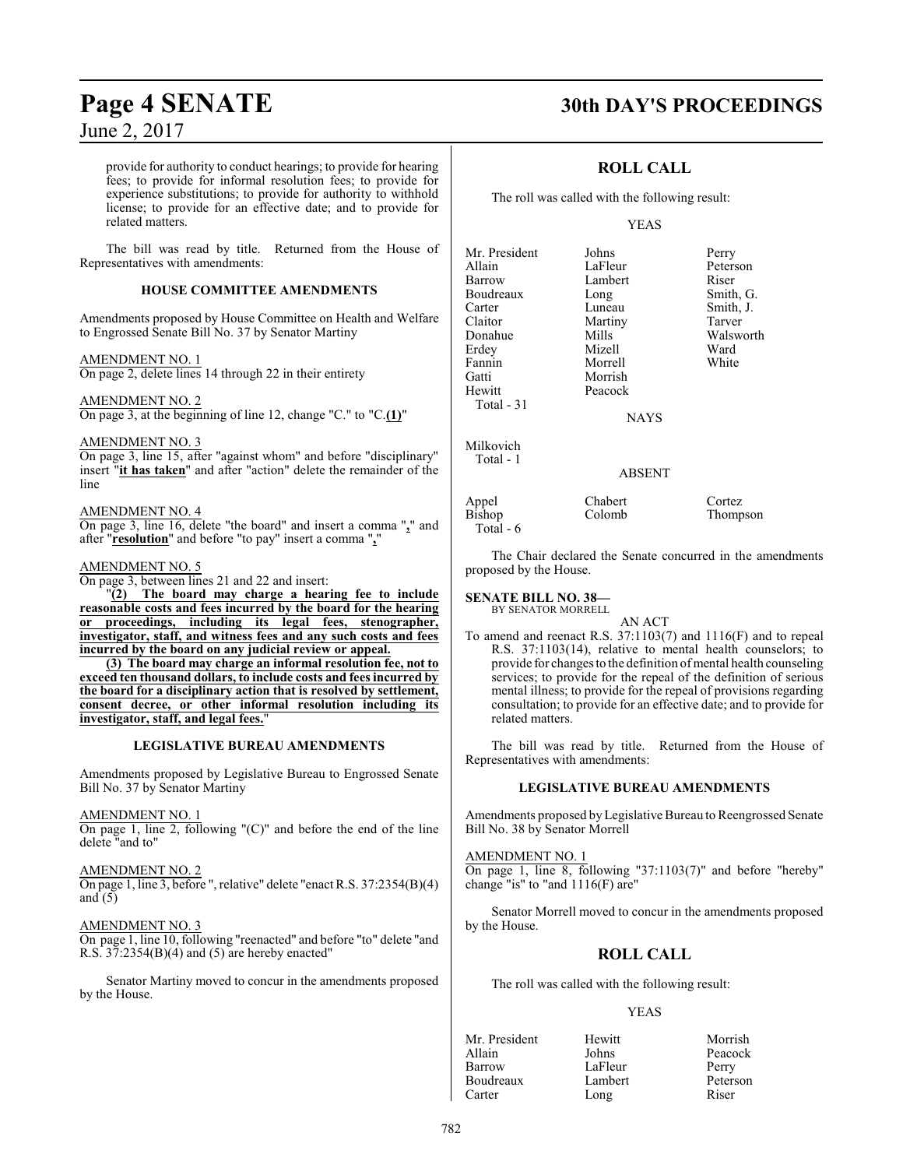provide for authority to conduct hearings; to provide for hearing fees; to provide for informal resolution fees; to provide for experience substitutions; to provide for authority to withhold license; to provide for an effective date; and to provide for related matters.

The bill was read by title. Returned from the House of Representatives with amendments:

#### **HOUSE COMMITTEE AMENDMENTS**

Amendments proposed by House Committee on Health and Welfare to Engrossed Senate Bill No. 37 by Senator Martiny

#### AMENDMENT NO. 1

On page 2, delete lines 14 through 22 in their entirety

AMENDMENT NO. 2 On page 3, at the beginning of line 12, change "C." to "C.**(1)**"

#### AMENDMENT NO. 3

On page 3, line 15, after "against whom" and before "disciplinary" insert "**it has taken**" and after "action" delete the remainder of the line

#### AMENDMENT NO. 4

On page 3, line 16, delete "the board" and insert a comma "**,**" and after "**resolution**" and before "to pay" insert a comma "**,**"

#### AMENDMENT NO. 5

On page 3, between lines 21 and 22 and insert:

"**(2) The board may charge a hearing fee to include reasonable costs and fees incurred by the board for the hearing or proceedings, including its legal fees, stenographer, investigator, staff, and witness fees and any such costs and fees incurred by the board on any judicial review or appeal.**

**(3) The board may charge an informal resolution fee, not to exceed ten thousand dollars, to include costs and fees incurred by the board for a disciplinary action that is resolved by settlement, consent decree, or other informal resolution including its investigator, staff, and legal fees.**"

#### **LEGISLATIVE BUREAU AMENDMENTS**

Amendments proposed by Legislative Bureau to Engrossed Senate Bill No. 37 by Senator Martiny

#### AMENDMENT NO. 1

On page 1, line 2, following "(C)" and before the end of the line delete "and to"

#### AMENDMENT NO. 2

On page 1, line 3, before ", relative" delete "enact R.S. 37:2354(B)(4) and  $(5)$ 

#### AMENDMENT NO. 3

On page 1, line 10, following "reenacted" and before "to" delete "and R.S. 37:2354(B)(4) and (5) are hereby enacted"

Senator Martiny moved to concur in the amendments proposed by the House.

## **Page 4 SENATE 30th DAY'S PROCEEDINGS**

## **ROLL CALL**

The roll was called with the following result:

#### YEAS

| Mr. President | Johns         | Perry     |
|---------------|---------------|-----------|
| Allain        | LaFleur       | Peterson  |
| Barrow        | Lambert       | Riser     |
| Boudreaux     | Long          | Smith, G. |
| Carter        | Luneau        | Smith, J. |
| Claitor       | Martiny       | Tarver    |
| Donahue       | Mills         | Walsworth |
| Erdey         | Mizell        | Ward      |
| Fannin        | Morrell       | White     |
| Gatti         | Morrish       |           |
| Hewitt        | Peacock       |           |
| Total - 31    |               |           |
|               | <b>NAYS</b>   |           |
| Milkovich     |               |           |
| Total - 1     |               |           |
|               | <b>ABSENT</b> |           |
| Appel         | Chabert       | Cortez    |
| Bishop        | Colomb        | Thompson  |

The Chair declared the Senate concurred in the amendments proposed by the House.

#### **SENATE BILL NO. 38—**

Total - 6

BY SENATOR MORRELL

AN ACT To amend and reenact R.S. 37:1103(7) and 1116(F) and to repeal R.S. 37:1103(14), relative to mental health counselors; to provide for changes to the definition of mental health counseling services; to provide for the repeal of the definition of serious mental illness; to provide for the repeal of provisions regarding consultation; to provide for an effective date; and to provide for related matters.

The bill was read by title. Returned from the House of Representatives with amendments:

#### **LEGISLATIVE BUREAU AMENDMENTS**

Amendments proposed byLegislative Bureau to Reengrossed Senate Bill No. 38 by Senator Morrell

#### AMENDMENT NO. 1

On page 1, line 8, following "37:1103(7)" and before "hereby" change "is" to "and 1116(F) are"

Senator Morrell moved to concur in the amendments proposed by the House.

#### **ROLL CALL**

The roll was called with the following result:

#### YEAS

| Mr. President | Hewitt  | Morrish  |
|---------------|---------|----------|
| Allain        | Johns   | Peacock  |
| Barrow        | LaFleur | Perry    |
| Boudreaux     | Lambert | Peterson |
| Carter        | Long    | Riser    |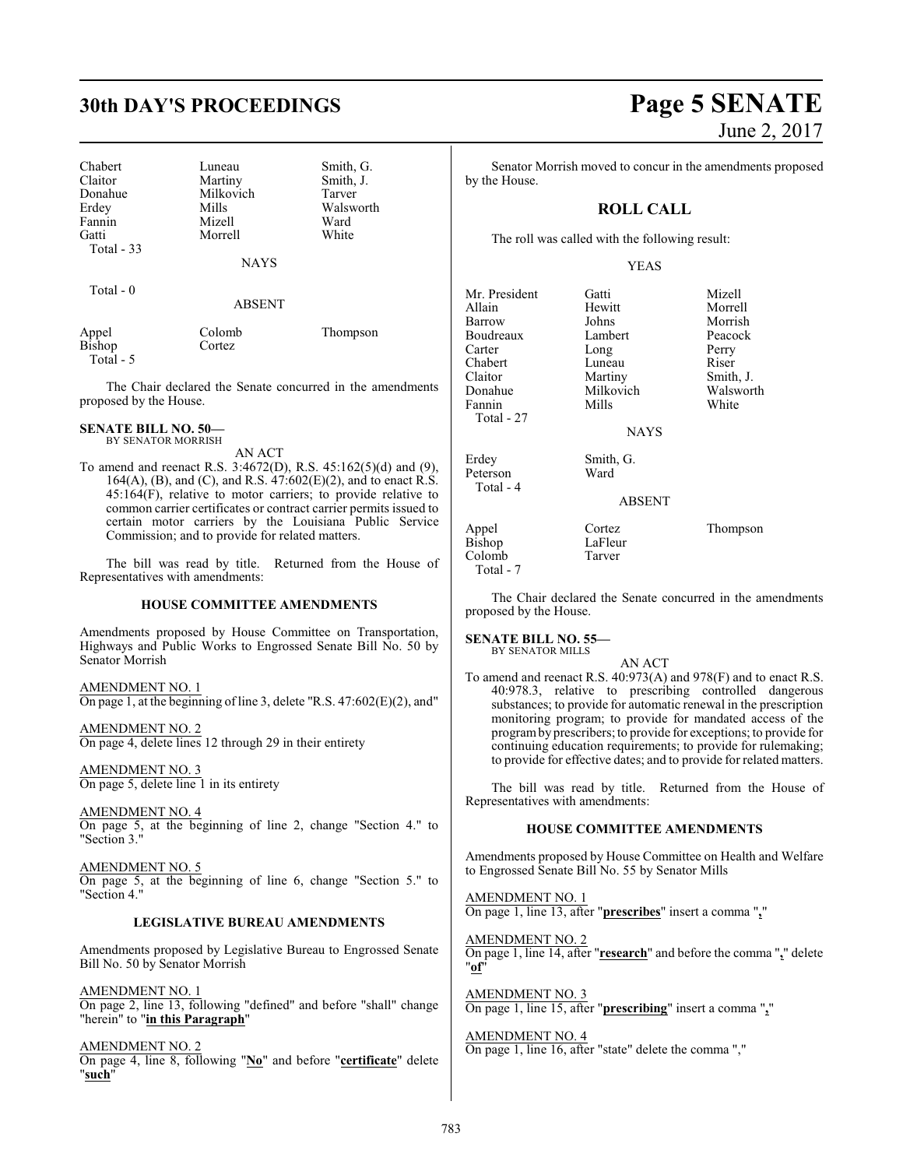Chabert Luneau Smith, G.<br>
Claitor Martiny Smith, J. Claitor Martiny Smith, J.<br>
Donahue Milkovich Tarver Donahue Milkovich<br>Frdev Mills Fannin Mizell Ward<br>Gatti Morrell White Gatti Morrell Total - 33

Mills Walsworth<br>
Mizell Ward

NAYS

Total - 0

ABSENT

| Appel     | Colomb | Thompson |
|-----------|--------|----------|
| Bishop    | Cortez |          |
| Total - 5 |        |          |

The Chair declared the Senate concurred in the amendments proposed by the House.

#### **SENATE BILL NO. 50—** BY SENATOR MORRISH

AN ACT

To amend and reenact R.S. 3:4672(D), R.S. 45:162(5)(d) and (9), 164(A), (B), and (C), and R.S.  $47:602(E)(2)$ , and to enact R.S. 45:164(F), relative to motor carriers; to provide relative to common carrier certificates or contract carrier permits issued to certain motor carriers by the Louisiana Public Service Commission; and to provide for related matters.

The bill was read by title. Returned from the House of Representatives with amendments:

### **HOUSE COMMITTEE AMENDMENTS**

Amendments proposed by House Committee on Transportation, Highways and Public Works to Engrossed Senate Bill No. 50 by Senator Morrish

AMENDMENT NO. 1 On page 1, at the beginning of line 3, delete "R.S. 47:602(E)(2), and"

AMENDMENT NO. 2 On page 4, delete lines 12 through 29 in their entirety

AMENDMENT NO. 3 On page 5, delete line 1 in its entirety

AMENDMENT NO. 4 On page 5, at the beginning of line 2, change "Section 4." to "Section 3."

AMENDMENT NO. 5 On page 5, at the beginning of line 6, change "Section 5." to "Section 4."

#### **LEGISLATIVE BUREAU AMENDMENTS**

Amendments proposed by Legislative Bureau to Engrossed Senate Bill No. 50 by Senator Morrish

AMENDMENT NO. 1 On page 2, line 13, following "defined" and before "shall" change "herein" to "**in this Paragraph**"

AMENDMENT NO. 2 On page 4, line 8, following "**No**" and before "**certificate**" delete "**such**"

# **30th DAY'S PROCEEDINGS Page 5 SENATE** June 2, 2017

Senator Morrish moved to concur in the amendments proposed by the House.

## **ROLL CALL**

The roll was called with the following result:

#### YEAS

Mr. President Gatti Gatti Mizell<br>Allain Hewitt Morrell Allain Hewitt Morrell Barrow Johns Morrish<br>Boudreaux Lambert Peacock Boudreaux Lambert Peaco<br>Carter Long Perry Carter Long Perry<br>Chabert Luneau Riser Chabert Luneau Riser<br>
Claitor Martiny Smith, J. Claitor Martiny<br>
Donahue Milkovich Fannin Mills Total - 27 Erdey Smith, G. Peterson Ward Total - 4

NAYS

ABSENT

Appel Cortez Thompson<br>Bishop LaFleur Bishop LaFleu<br>Colomb Tarver Colomb Total - 7

Walsworth<br>White

The Chair declared the Senate concurred in the amendments proposed by the House.

**SENATE BILL NO. 55—** BY SENATOR MILLS

AN ACT

To amend and reenact R.S. 40:973(A) and 978(F) and to enact R.S. 40:978.3, relative to prescribing controlled dangerous substances; to provide for automatic renewal in the prescription monitoring program; to provide for mandated access of the programby prescribers; to provide for exceptions; to provide for continuing education requirements; to provide for rulemaking; to provide for effective dates; and to provide for related matters.

The bill was read by title. Returned from the House of Representatives with amendments:

#### **HOUSE COMMITTEE AMENDMENTS**

Amendments proposed by House Committee on Health and Welfare to Engrossed Senate Bill No. 55 by Senator Mills

AMENDMENT NO. 1 On page 1, line 13, after "**prescribes**" insert a comma "**,**"

AMENDMENT NO. 2 On page 1, line 14, after "**research**" and before the comma "**,**" delete "**of**"

AMENDMENT NO. 3 On page 1, line 15, after "**prescribing**" insert a comma "**,**"

AMENDMENT NO. 4 On page 1, line 16, after "state" delete the comma ","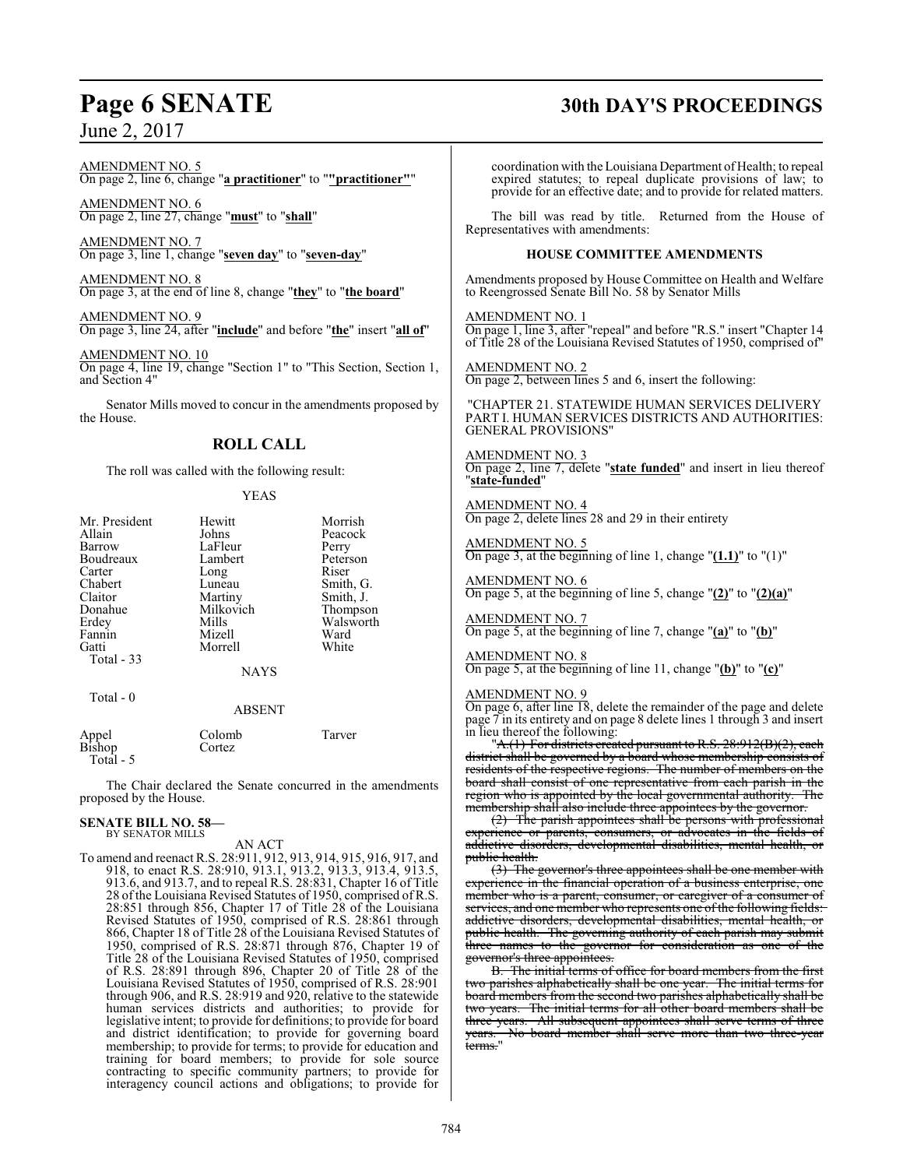AMENDMENT NO. 5 On page 2, line 6, change "**a practitioner**" to "**"practitioner"**"

AMENDMENT NO. 6 On page 2, line 27, change "**must**" to "**shall**"

AMENDMENT NO. 7 On page 3, line 1, change "**seven day**" to "**seven-day**"

AMENDMENT NO. 8 On page 3, at the end of line 8, change "**they**" to "**the board**"

AMENDMENT NO. 9 On page 3, line 24, after "**include**" and before "**the**" insert "**all of**"

AMENDMENT NO. 10 On page 4, line 19, change "Section 1" to "This Section, Section 1, and Section 4"

Senator Mills moved to concur in the amendments proposed by the House.

#### **ROLL CALL**

The roll was called with the following result:

|  | ٠ |
|--|---|
|--|---|

| Mr. President<br>Allain<br>Barrow<br>Boudreaux<br>Carter<br>Chabert<br>Claitor<br>Donahue<br>Erdey<br>Fannin<br>Gatti<br>Total $-33$ | Hewitt<br>Johns<br>LaFleur<br>Lambert<br>Long<br>Luneau<br>Martiny<br>Milkovich<br>Mills<br>Mizell<br>Morrell<br><b>NAYS</b> | Morrish<br>Peacock<br>Perry<br>Peterson<br>Riser<br>Smith, G.<br>Smith, J.<br>Thompson<br>Walsworth<br>Ward<br>White |
|--------------------------------------------------------------------------------------------------------------------------------------|------------------------------------------------------------------------------------------------------------------------------|----------------------------------------------------------------------------------------------------------------------|
| Total - 0                                                                                                                            | <b>ABSENT</b>                                                                                                                |                                                                                                                      |
| Appel                                                                                                                                | Colomb                                                                                                                       | Tarver                                                                                                               |

| Appel<br>Bishop | Colomb | Tarver |
|-----------------|--------|--------|
|                 | Cortez |        |
| Total - 5       |        |        |

The Chair declared the Senate concurred in the amendments proposed by the House.

#### **SENATE BILL NO. 58—** BY SENATOR MILLS

AN ACT

To amend and reenact R.S. 28:911, 912, 913, 914, 915, 916, 917, and 918, to enact R.S. 28:910, 913.1, 913.2, 913.3, 913.4, 913.5, 913.6, and 913.7, and to repeal R.S. 28:831, Chapter 16 of Title 28 of the Louisiana Revised Statutes of 1950, comprised of R.S. 28:851 through 856, Chapter 17 of Title 28 of the Louisiana Revised Statutes of 1950, comprised of R.S. 28:861 through 866, Chapter 18 of Title 28 of the Louisiana Revised Statutes of 1950, comprised of R.S. 28:871 through 876, Chapter 19 of Title 28 of the Louisiana Revised Statutes of 1950, comprised of R.S. 28:891 through 896, Chapter 20 of Title 28 of the Louisiana Revised Statutes of 1950, comprised of R.S. 28:901 through 906, and R.S. 28:919 and 920, relative to the statewide human services districts and authorities; to provide for legislative intent; to provide for definitions; to provide for board and district identification; to provide for governing board membership; to provide for terms; to provide for education and training for board members; to provide for sole source contracting to specific community partners; to provide for interagency council actions and obligations; to provide for

# **Page 6 SENATE 30th DAY'S PROCEEDINGS**

coordination with the Louisiana Department of Health; to repeal expired statutes; to repeal duplicate provisions of law; to provide for an effective date; and to provide for related matters.

The bill was read by title. Returned from the House of Representatives with amendments:

#### **HOUSE COMMITTEE AMENDMENTS**

Amendments proposed by House Committee on Health and Welfare to Reengrossed Senate Bill No. 58 by Senator Mills

AMENDMENT NO. 1

On page 1, line 3, after "repeal" and before "R.S." insert "Chapter 14 of Title 28 of the Louisiana Revised Statutes of 1950, comprised of"

AMENDMENT NO. 2 On page 2, between lines 5 and 6, insert the following:

"CHAPTER 21. STATEWIDE HUMAN SERVICES DELIVERY PART I. HUMAN SERVICES DISTRICTS AND AUTHORITIES: GENERAL PROVISIONS"

AMENDMENT NO. 3 On page 2, line 7, delete "**state funded**" and insert in lieu thereof "**state-funded**"

AMENDMENT NO. 4 On page 2, delete lines 28 and 29 in their entirety

AMENDMENT NO. 5 On page 3, at the beginning of line 1, change "**(1.1)**" to "(1)"

## AMENDMENT NO. 6

On page 5, at the beginning of line 5, change "**(2)**" to "**(2)(a)**"

## AMENDMENT NO. 7

On page 5, at the beginning of line 7, change "**(a)**" to "**(b)**"

AMENDMENT NO. 8

On page 5, at the beginning of line 11, change "**(b)**" to "**(c)**"

#### AMENDMENT NO. 9

On page 6, after line 18, delete the remainder of the page and delete page 7 in its entirety and on page 8 delete lines 1 through 3 and insert in lieu thereof the following:

"A.(1) For districts created pursuant to R.S. 28:912(B)(2), each district shall be governed by a board whose membership consists of residents of the respective regions. The number of members on the board shall consist of one representative from each parish in the<br>region who is appointed by the local governmental authority. The region who is appointed by the local governmental authority. membership shall also include three appointees by the governor.

(2) The parish appointees shall be persons with professional experience or parents, consumers, or advocates in the fields of addictive disorders, developmental disabilities, mental health, or public health.

(3) The governor's three appointees shall be one member with experience in the financial operation of a business enterprise, one member who is a parent, consumer, or caregiver of a consumer of services, and one member who represents one of the following fields: addictive disorders, developmental disabilities, mental health, or public health. The governing authority of each parish may submit three names to the governor for consideration as one of the governor's three appointees.

B. The initial terms of office for board members from the first two parishes alphabetically shall be one year. The initial terms for board members from the second two parishes alphabetically shall be two years. The initial terms for all other board members shall be three years. All subsequent appointees shall serve terms of three three years. All subsequent appointees shall serve terms of three years. No board member shall serve more than two three-year terms."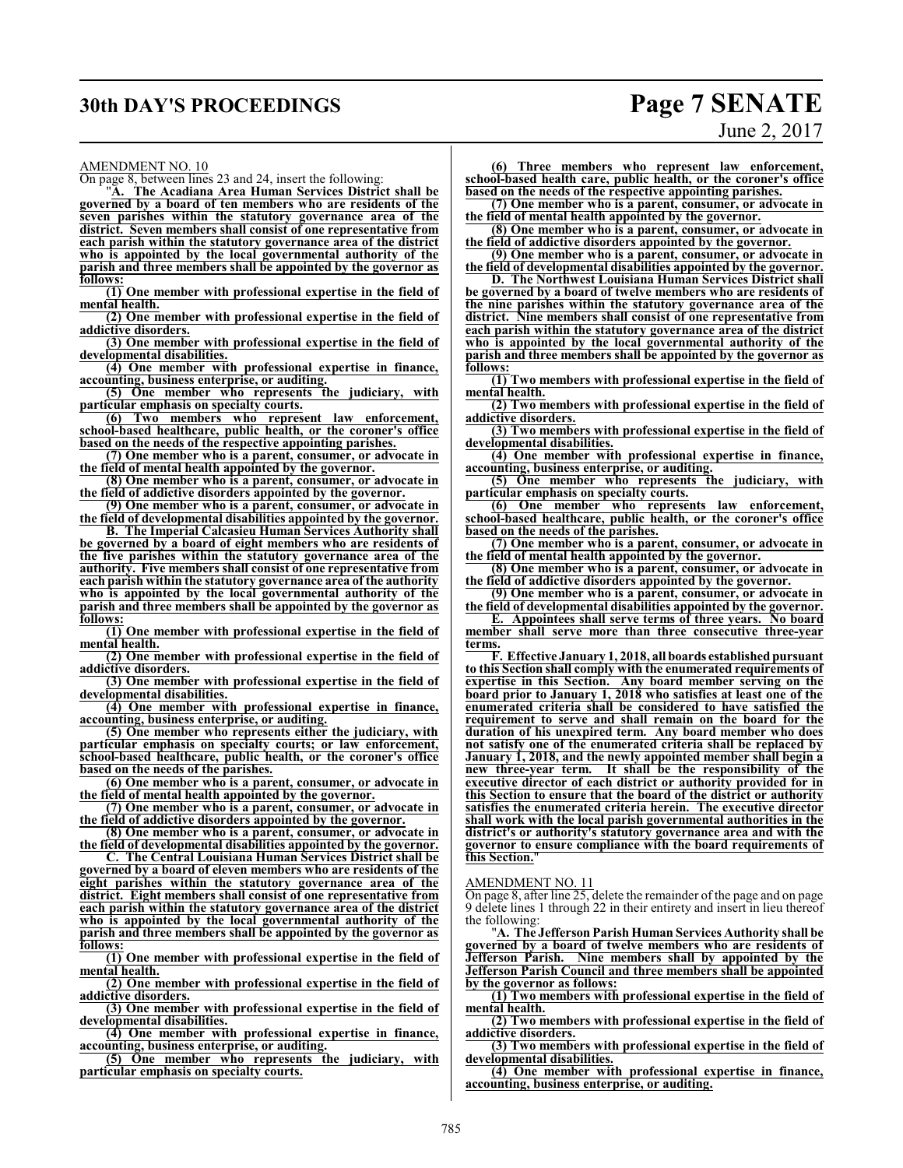# **30th DAY'S PROCEEDINGS Page 7 SENATE**

#### AMENDMENT NO. 10

On page 8, between lines 23 and 24, insert the following:

"**A. The Acadiana Area Human Services District shall be governed by a board of ten members who are residents of the seven parishes within the statutory governance area of the district. Seven members shall consist of one representative from each parish within the statutory governance area of the district who is appointed by the local governmental authority of the parish and three members shall be appointed by the governor as follows:**

**(1) One member with professional expertise in the field of mental health.**

**(2) One member with professional expertise in the field of addictive disorders.**

**(3) One member with professional expertise in the field of developmental disabilities.**

**(4) One member with professional expertise in finance, accounting, business enterprise, or auditing.**

**(5) One member who represents the judiciary, with particular emphasis on specialty courts.**

**(6) Two members who represent law enforcement, school-based healthcare, public health, or the coroner's office based on the needs of the respective appointing parishes.**

**(7) One member who is a parent, consumer, or advocate in the field of mental health appointed by the governor.**

**(8) One member who is a parent, consumer, or advocate in the field of addictive disorders appointed by the governor.**

**(9) One member who is a parent, consumer, or advocate in the field of developmental disabilities appointed by the governor.**

**B. The Imperial Calcasieu Human Services Authority shall be governed by a board of eight members who are residents of the five parishes within the statutory governance area of the authority. Five members shall consist of one representative from each parish within the statutory governance area of the authority who is appointed by the local governmental authority of the parish and three members shall be appointed by the governor as follows:**

**(1) One member with professional expertise in the field of mental health.**

**(2) One member with professional expertise in the field of addictive disorders.**

**(3) One member with professional expertise in the field of developmental disabilities.**

**(4) One member with professional expertise in finance, accounting, business enterprise, or auditing.**

**(5) One member who represents either the judiciary, with particular emphasis on specialty courts; or law enforcement, school-based healthcare, public health, or the coroner's office based on the needs of the parishes.**

**(6) One member who is a parent, consumer, or advocate in the field of mental health appointed by the governor.**

**(7) One member who is a parent, consumer, or advocate in the field of addictive disorders appointed by the governor.**

**(8) One member who is a parent, consumer, or advocate in the field of developmental disabilities appointed by the governor.**

**C. The Central Louisiana Human Services District shall be governed by a board of eleven members who are residents of the eight parishes within the statutory governance area of the district. Eight members shall consist of one representative from each parish within the statutory governance area of the district who is appointed by the local governmental authority of the parish and three members shall be appointed by the governor as follows:**

**(1) One member with professional expertise in the field of mental health.**

**(2) One member with professional expertise in the field of addictive disorders.**

**(3) One member with professional expertise in the field of** developmental disabilities.<br>
(4) One member with professional expertise in finance,

**(4) One member with professional expertise in finance, accounting, business enterprise, or auditing.**

**(5) One member who represents the judiciary, with particular emphasis on specialty courts.** 

# June 2, 2017

**(6) Three members who represent law enforcement, school-based health care, public health, or the coroner's office based on the needs of the respective appointing parishes.**

**(7) One member who is a parent, consumer, or advocate in the field of mental health appointed by the governor.**

**(8) One member who is a parent, consumer, or advocate in the field of addictive disorders appointed by the governor.**

**(9) One member who is a parent, consumer, or advocate in the field of developmental disabilities appointed by the governor.**

**D. The Northwest Louisiana Human Services District shall be governed by a board of twelve members who are residents of the nine parishes within the statutory governance area of the district. Nine members shall consist of one representative from each parish within the statutory governance area of the district who is appointed by the local governmental authority of the parish and three members shall be appointed by the governor as follows:**

**(1) Two members with professional expertise in the field of mental health.**

**(2) Two members with professional expertise in the field of addictive disorders.**

**(3) Two members with professional expertise in the field of developmental disabilities.**

**(4) One member with professional expertise in finance, accounting, business enterprise, or auditing.**

**(5) One member who represents the judiciary, with particular emphasis on specialty courts.**

**(6) One member who represents law enforcement, school-based healthcare, public health, or the coroner's office based on the needs of the parishes.**

**(7) One member who is a parent, consumer, or advocate in the field of mental health appointed by the governor.**

**(8) One member who is a parent, consumer, or advocate in the field of addictive disorders appointed by the governor.**

**(9) One member who is a parent, consumer, or advocate in the field of developmental disabilities appointed by the governor.**

**E. Appointees shall serve terms of three years. No board member shall serve more than three consecutive three-year terms.**

**F. Effective January 1, 2018, all boards established pursuant to this Section shall comply with the enumerated requirements of expertise in this Section. Any board member serving on the board prior to January 1, 2018 who satisfies at least one of the enumerated criteria shall be considered to have satisfied the requirement to serve and shall remain on the board for the duration of his unexpired term. Any board member who does not satisfy one of the enumerated criteria shall be replaced by January 1, 2018, and the newly appointed member shall begin a** It shall be the responsibility of the **executive director of each district or authority provided for in this Section to ensure that the board of the district or authority satisfies the enumerated criteria herein. The executive director shall work with the local parish governmental authorities in the district's or authority's statutory governance area and with the governor to ensure compliance with the board requirements of this Section.**"

#### AMENDMENT NO. 11

On page 8, after line 25, delete the remainder of the page and on page 9 delete lines 1 through 22 in their entirety and insert in lieu thereof the following:

"**A. The Jefferson Parish Human Services Authority shall be governed by a board of twelve members who are residents of Jefferson Parish. Nine members shall by appointed by the Jefferson Parish Council and three members shall be appointed by the governor as follows:**

**(1) Two members with professional expertise in the field of mental health.**

**(2) Two members with professional expertise in the field of addictive disorders.**

**(3) Two members with professional expertise in the field of developmental disabilities.**

**(4) One member with professional expertise in finance, accounting, business enterprise, or auditing.**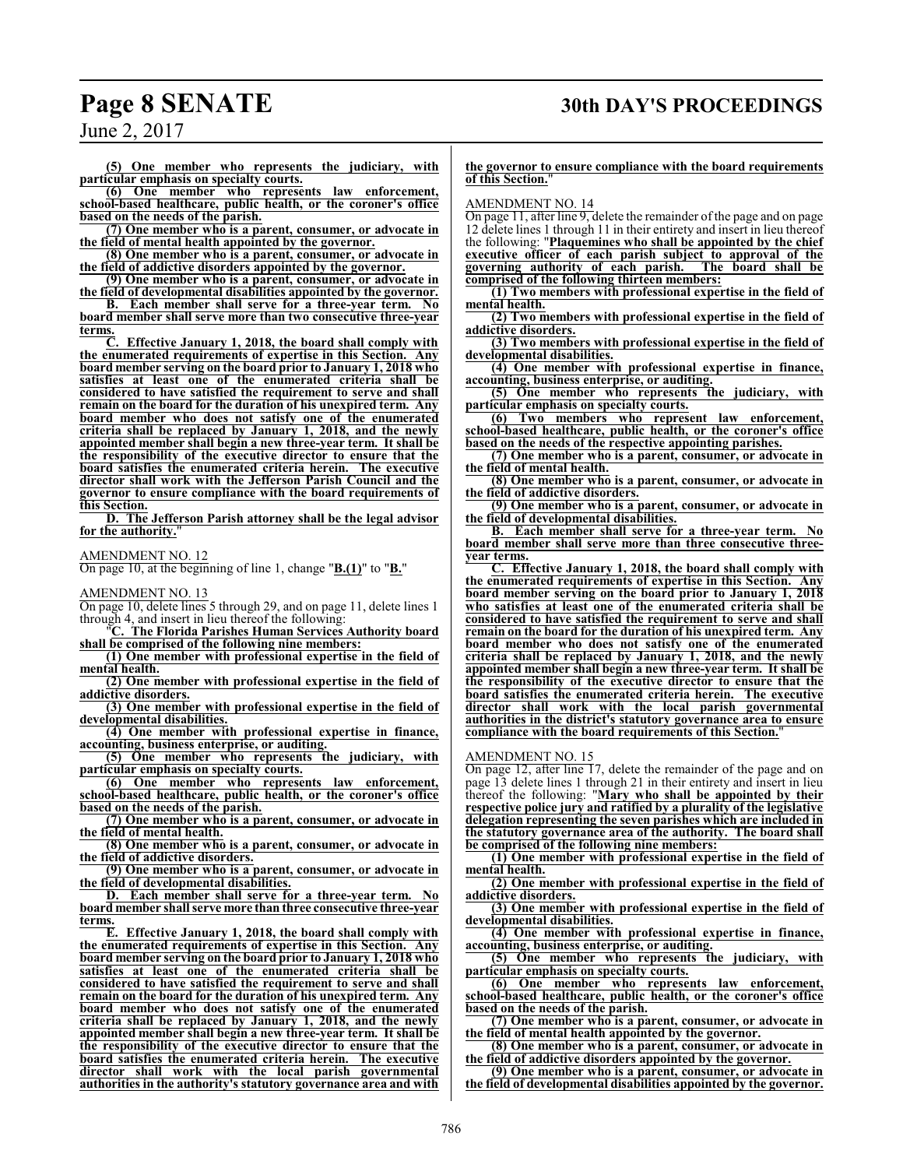# **Page 8 SENATE 30th DAY'S PROCEEDINGS**

**(5) One member who represents the judiciary, with particular emphasis on specialty courts.**

**(6) One member who represents law enforcement, school-based healthcare, public health, or the coroner's office based on the needs of the parish.**

**(7) One member who is a parent, consumer, or advocate in the field of mental health appointed by the governor.**

**(8) One member who is a parent, consumer, or advocate in the field of addictive disorders appointed by the governor.**

**(9) One member who is a parent, consumer, or advocate in the field of developmental disabilities appointed by the governor.**

**B. Each member shall serve for a three-year term. No board member shall serve more than two consecutive three-year terms.**

**C. Effective January 1, 2018, the board shall comply with the enumerated requirements of expertise in this Section. Any board member serving on the board prior to January 1, 2018 who satisfies at least one of the enumerated criteria shall be considered to have satisfied the requirement to serve and shall remain on the board for the duration of his unexpired term. Any board member who does not satisfy one of the enumerated criteria shall be replaced by January 1, 2018, and the newly appointed member shall begin a new three-year term. It shall be the responsibility of the executive director to ensure that the board satisfies the enumerated criteria herein. The executive director shall work with the Jefferson Parish Council and the governor to ensure compliance with the board requirements of this Section.**

**D. The Jefferson Parish attorney shall be the legal advisor** for the authority.

#### AMENDMENT NO. 12

On page 10, at the beginning of line 1, change "**B.(1)**" to "**B.**"

AMENDMENT NO. 13

On page 10, delete lines 5 through 29, and on page 11, delete lines 1 through 4, and insert in lieu thereof the following:

"**C. The Florida Parishes Human Services Authority board shall be comprised of the following nine members:**

**(1) One member with professional expertise in the field of mental health.**

**(2) One member with professional expertise in the field of addictive disorders.**

**(3) One member with professional expertise in the field of developmental disabilities.**

**(4) One member with professional expertise in finance, accounting, business enterprise, or auditing.**

**(5) One member who represents the judiciary, with particular emphasis on specialty courts.**

**(6) One member who represents law enforcement, school-based healthcare, public health, or the coroner's office based on the needs of the parish.**

**(7) One member who is a parent, consumer, or advocate in the field of mental health.**

**(8) One member who is a parent, consumer, or advocate in the field of addictive disorders.**

**(9) One member who is a parent, consumer, or advocate in the field of developmental disabilities.**

**D. Each member shall serve for a three-year term. No board member shall serve more than three consecutive three-year terms.**

**E. Effective January 1, 2018, the board shall comply with the enumerated requirements of expertise in this Section. Any board member serving on the board prior to January 1, 2018 who satisfies at least one of the enumerated criteria shall be considered to have satisfied the requirement to serve and shall remain on the board for the duration of his unexpired term. Any board member who does not satisfy one of the enumerated criteria shall be replaced by January 1, 2018, and the newly appointed member shall begin a new three-year term. It shall be the responsibility of the executive director to ensure that the board satisfies the enumerated criteria herein. The executive director shall work with the local parish governmental authorities in the authority's statutory governance area and with**

#### **the governor to ensure compliance with the board requirements of this Section.**"

#### AMENDMENT NO. 14

On page 11, after line 9, delete the remainder of the page and on page 12 delete lines 1 through 11 in their entirety and insert in lieu thereof the following: "**Plaquemines who shall be appointed by the chief executive officer of each parish subject to approval of the governing authority of each parish. The board shall be comprised of the following thirteen members:**

**(1) Two members with professional expertise in the field of mental health.**

**(2) Two members with professional expertise in the field of addictive disorders.**

**(3) Two members with professional expertise in the field of developmental disabilities.**

**(4) One member with professional expertise in finance, accounting, business enterprise, or auditing.**

**(5) One member who represents the judiciary, with particular emphasis on specialty courts.**

**(6) Two members who represent law enforcement, school-based healthcare, public health, or the coroner's office based on the needs of the respective appointing parishes.**

**(7) One member who is a parent, consumer, or advocate in the field of mental health.**

**(8) One member who is a parent, consumer, or advocate in the field of addictive disorders.**

**(9) One member who is a parent, consumer, or advocate in the field of developmental disabilities.**

**B. Each member shall serve for a three-year term. No board member shall serve more than three consecutive threeyear terms.**

**C. Effective January 1, 2018, the board shall comply with the enumerated requirements of expertise in this Section. Any board member serving on the board prior to January 1, 2018 who satisfies at least one of the enumerated criteria shall be considered to have satisfied the requirement to serve and shall remain on the board for the duration of his unexpired term. Any board member who does not satisfy one of the enumerated criteria shall be replaced by January 1, 2018, and the newly appointed member shall begin a new three-year term. It shall be the responsibility of the executive director to ensure that the board satisfies the enumerated criteria herein. The executive director shall work with the local parish governmental authorities in the district's statutory governance area to ensure compliance with the board requirements of this Section.**"

AMENDMENT NO. 15

On page 12, after line 17, delete the remainder of the page and on page 13 delete lines 1 through 21 in their entirety and insert in lieu thereof the following: "**Mary who shall be appointed by their respective police jury and ratified by a plurality of the legislative delegation representing the seven parishes which are included in the statutory governance area of the authority. The board shall be comprised of the following nine members:**

**(1) One member with professional expertise in the field of mental health.**

**(2) One member with professional expertise in the field of addictive disorders.**

**(3) One member with professional expertise in the field of developmental disabilities.**

**(4) One member with professional expertise in finance, accounting, business enterprise, or auditing.**

**(5) One member who represents the judiciary, with particular emphasis on specialty courts.**

**(6) One member who represents law enforcement, school-based healthcare, public health, or the coroner's office based on the needs of the parish.**

**(7) One member who is a parent, consumer, or advocate in the field of mental health appointed by the governor.**

**(8) One member who is a parent, consumer, or advocate in the field of addictive disorders appointed by the governor.**

**(9) One member who is a parent, consumer, or advocate in the field of developmental disabilities appointed by the governor.**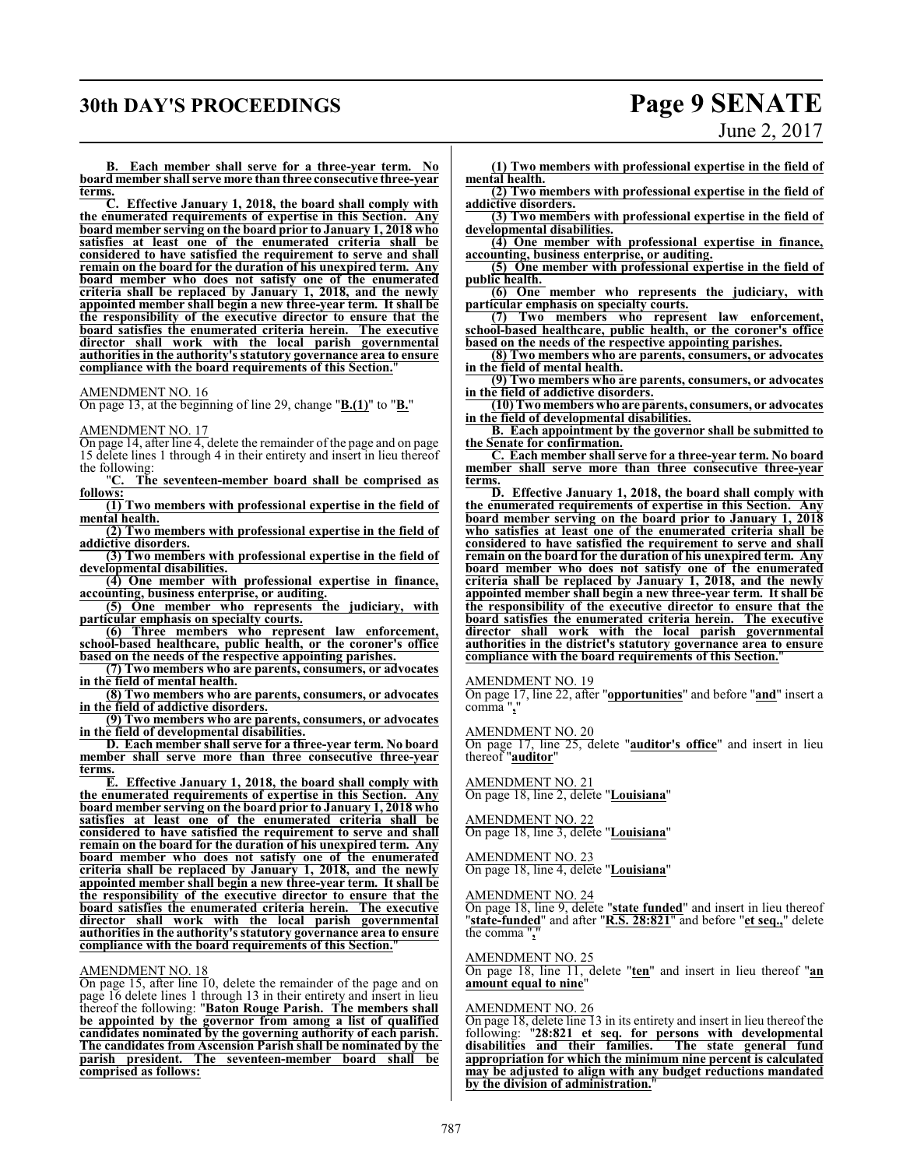## **30th DAY'S PROCEEDINGS Page 9 SENATE**

# June 2, 2017

**B. Each member shall serve for a three-year term. No board member shall serve more than three consecutive three-year**

terms.<br>C. **C. Effective January 1, 2018, the board shall comply with the enumerated requirements of expertise in this Section. Any board member serving on the board prior to January 1, 2018 who satisfies at least one of the enumerated criteria shall be considered to have satisfied the requirement to serve and shall remain on the board for the duration of his unexpired term. Any board member who does not satisfy one of the enumerated criteria shall be replaced by January 1, 2018, and the newly appointed member shall begin a new three-year term. It shall be the responsibility of the executive director to ensure that the board satisfies the enumerated criteria herein. The executive director shall work with the local parish governmental authorities in the authority's statutory governance area to ensure compliance with the board requirements of this Section.**"

#### AMENDMENT NO. 16

On page 13, at the beginning of line 29, change "**B.(1)**" to "**B.**"

#### AMENDMENT NO. 17

On page 14, after line 4, delete the remainder of the page and on page 15 delete lines 1 through 4 in their entirety and insert in lieu thereof the following:

"**C. The seventeen-member board shall be comprised as follows:**

**(1) Two members with professional expertise in the field of mental health.**

**(2) Two members with professional expertise in the field of addictive disorders.**

**(3) Two members with professional expertise in the field of developmental disabilities.**

**(4) One member with professional expertise in finance, accounting, business enterprise, or auditing.**

**(5) One member who represents the judiciary, with particular emphasis on specialty courts.**

**(6) Three members who represent law enforcement, school-based healthcare, public health, or the coroner's office based on the needs of the respective appointing parishes.**

**(7) Two members who are parents, consumers, or advocates in the field of mental health.**

**(8) Two members who are parents, consumers, or advocates in the field of addictive disorders.**

**(9) Two members who are parents, consumers, or advocates in the field of developmental disabilities.**

**D. Each member shall serve for a three-year term. No board member shall serve more than three consecutive three-year terms.**

**E. Effective January 1, 2018, the board shall comply with the enumerated requirements of expertise in this Section. Any board member serving on the board prior to January 1, 2018 who satisfies at least one of the enumerated criteria shall be considered to have satisfied the requirement to serve and shall remain on the board for the duration of his unexpired term. Any board member who does not satisfy one of the enumerated criteria shall be replaced by January 1, 2018, and the newly appointed member shall begin a new three-year term. It shall be the responsibility of the executive director to ensure that the board satisfies the enumerated criteria herein. The executive director shall work with the local parish governmental authorities in the authority's statutory governance area to ensure compliance with the board requirements of this Section.**"

#### AMENDMENT NO. 18

On page 15, after line 10, delete the remainder of the page and on page 16 delete lines 1 through 13 in their entirety and insert in lieu thereof the following: "**Baton Rouge Parish. The members shall be appointed by the governor from among a list of qualified candidates nominated by the governing authority of each parish. The candidates from Ascension Parish shall be nominated by the parish president. The seventeen-member board shall be comprised as follows:**

**(1) Two members with professional expertise in the field of**

**mental health. (2) Two members with professional expertise in the field of addictive disorders.**

**(3) Two members with professional expertise in the field of developmental disabilities.**

**(4) One member with professional expertise in finance, accounting, business enterprise, or auditing.**

**(5) One member with professional expertise in the field of public health.** 

**(6) One member who represents the judiciary, with particular emphasis on specialty courts.**

**(7) Two members who represent law enforcement, school-based healthcare, public health, or the coroner's office based on the needs of the respective appointing parishes.**

**(8) Two members who are parents, consumers, or advocates in the field of mental health.**

**(9) Two members who are parents, consumers, or advocates in the field of addictive disorders.**

**(10)Two members who are parents, consumers, or advocates in the field of developmental disabilities.**

**B. Each appointment by the governor shall be submitted to the Senate for confirmation.**

**C. Each member shall serve for a three-year term. No board member shall serve more than three consecutive three-year terms.**

**D. Effective January 1, 2018, the board shall comply with the enumerated requirements of expertise in this Section. Any board member serving on the board prior to January 1, 2018 who satisfies at least one of the enumerated criteria shall be considered to have satisfied the requirement to serve and shall remain on the board for the duration of his unexpired term. Any board member who does not satisfy one of the enumerated criteria shall be replaced by January 1, 2018, and the newly appointed member shall begin a new three-year term. It shall be the responsibility of the executive director to ensure that the board satisfies the enumerated criteria herein. The executive director shall work with the local parish governmental authorities in the district's statutory governance area to ensure compliance with the board requirements of this Section.**"

AMENDMENT NO. 19

On page 17, line 22, after "**opportunities**" and before "**and**" insert a comma "**,**"

AMENDMENT NO. 20

On page 17, line 25, delete "**auditor's office**" and insert in lieu thereof "**auditor**"

AMENDMENT NO. 21 On page 18, line 2, delete "**Louisiana**"

AMENDMENT NO. 22 On page 18, line 3, delete "**Louisiana**"

AMENDMENT NO. 23 On page 18, line 4, delete "**Louisiana**"

AMENDMENT NO. 24

On page 18, line 9, delete "**state funded**" and insert in lieu thereof "**state-funded**" and after "**R.S. 28:821**" and before "**et seq.,**" delete the comma "**,**"

#### AMENDMENT NO. 25

On page 18, line 11, delete "**ten**" and insert in lieu thereof "**an amount equal to nine**"

#### AMENDMENT NO. 26

On page 18, delete line 13 in its entirety and insert in lieu thereof the following: "**28:821 et seq. for persons with developmental disabilities and their families. The state general fund appropriation for which the minimum nine percent is calculated may be adjusted to align with any budget reductions mandated** by the division of administration.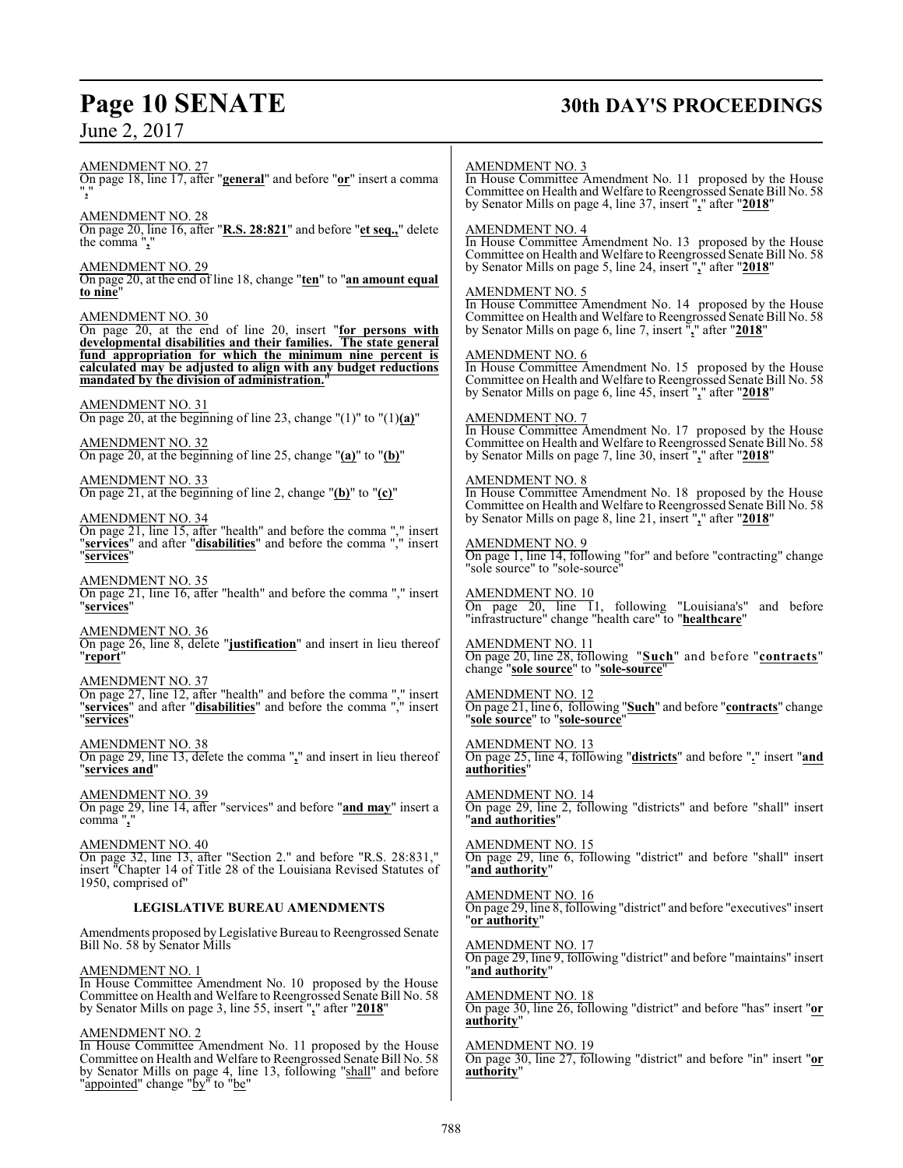# **Page 10 SENATE 30th DAY'S PROCEEDINGS**

AMENDMENT NO. 27 On page 18, line 17, after "**general**" and before "**or**" insert a comma "**,**" AMENDMENT NO. 28 On page 20, line 16, after "**R.S. 28:821**" and before "**et seq.,**" delete the comma "**,**" AMENDMENT NO. 29 On page 20, at the end of line 18, change "**ten**" to "**an amount equal to nine**" AMENDMENT NO. 30 On page 20, at the end of line 20, insert "**for persons with developmental disabilities and their families. The state general fund appropriation for which the minimum nine percent is calculated may be adjusted to align with any budget reductions mandated by the division of administration.**" AMENDMENT NO. 31 On page 20, at the beginning of line 23, change "(1)" to "(1)**(a)**" AMENDMENT NO. 32 On page 20, at the beginning of line 25, change "**(a)**" to "**(b)**" AMENDMENT NO. 33 On page 21, at the beginning of line 2, change "**(b)**" to "**(c)**" AMENDMENT NO. 34 On page 21, line 15, after "health" and before the comma "," insert "**services**" and after "**disabilities**" and before the comma "," insert "**services**" AMENDMENT NO. 35 On page 21, line 16, after "health" and before the comma "," insert "**services**" AMENDMENT NO. 36 On page 26, line 8, delete "**justification**" and insert in lieu thereof "**report**" AMENDMENT NO. 37 On page 27, line 12, after "health" and before the comma "," insert "**services**" and after "**disabilities**" and before the comma "," insert "**services**" AMENDMENT NO. 38 On page 29, line 13, delete the comma "**,**" and insert in lieu thereof "**services and**" AMENDMENT NO. 39 On page 29, line 14, after "services" and before "**and may**" insert a comma "**,**" AMENDMENT NO. 40 On page 32, line 13, after "Section 2." and before "R.S. 28:831," insert "Chapter 14 of Title 28 of the Louisiana Revised Statutes of 1950, comprised of" **LEGISLATIVE BUREAU AMENDMENTS** Amendments proposed by Legislative Bureau to Reengrossed Senate Bill No. 58 by Senator Mills AMENDMENT NO. 3 AMENDMENT NO. 4 AMENDMENT NO. 5 AMENDMENT NO. 6 AMENDMENT NO. 7 AMENDMENT NO. 8 AMENDMENT NO. 9 "sole source" to "sole-source" AMENDMENT NO. 10 "infrastructure" change "health care" to "**healthcare**" AMENDMENT NO. 11 change "**sole source**" to "**sole-source**" AMENDMENT NO. 12 "**sole source**" to "**sole-source**" AMENDMENT NO. 13 **authorities**" AMENDMENT NO. 14 "**and authorities**" AMENDMENT NO. 15 "**and authority**" AMENDMENT NO. 16 "**or authority**" AMENDMENT NO. 17

#### AMENDMENT NO. 1

In House Committee Amendment No. 10 proposed by the House Committee on Health and Welfare to Reengrossed Senate Bill No. 58 by Senator Mills on page 3, line 55, insert "**,**" after "**2018**"

#### AMENDMENT NO. 2

In House Committee Amendment No. 11 proposed by the House Committee on Health and Welfare to Reengrossed Senate Bill No. 58 by Senator Mills on page 4, line 13, following "shall" and before "appointed" change "by" to "be"

In House Committee Amendment No. 11 proposed by the House Committee on Health and Welfare to Reengrossed Senate Bill No. 58 by Senator Mills on page 4, line 37, insert "**,**" after "**2018**"

In House Committee Amendment No. 13 proposed by the House Committee on Health and Welfare to Reengrossed Senate Bill No. 58 by Senator Mills on page 5, line 24, insert "**,**" after "**2018**"

In House Committee Amendment No. 14 proposed by the House Committee on Health and Welfare to Reengrossed Senate Bill No. 58 by Senator Mills on page 6, line 7, insert "**,**" after "**2018**"

In House Committee Amendment No. 15 proposed by the House Committee on Health and Welfare to Reengrossed Senate Bill No. 58 by Senator Mills on page 6, line 45, insert "**,**" after "**2018**"

In House Committee Amendment No. 17 proposed by the House Committee on Health and Welfare to Reengrossed Senate Bill No. 58 by Senator Mills on page 7, line 30, insert "**,**" after "**2018**"

In House Committee Amendment No. 18 proposed by the House Committee on Health and Welfare to Reengrossed Senate Bill No. 58 by Senator Mills on page 8, line 21, insert "**,**" after "**2018**"

# On page 1, line 14, following "for" and before "contracting" change

On page 20, line 11, following "Louisiana's" and before

On page 20, line 28, following "**Such**" and before "**contracts**"

On page 21, line 6, following "**Such**" and before "**contracts**" change

On page 25, line 4, following "**districts**" and before "**.**" insert "**and**

On page 29, line 2, following "districts" and before "shall" insert

On page 29, line 6, following "district" and before "shall" insert

On page 29, line 8, following "district" and before "executives" insert

On page 29, line 9, following "district" and before "maintains" insert "**and authority**"

AMENDMENT NO. 18 On page 30, line 26, following "district" and before "has" insert "**or authority**"

AMENDMENT NO. 19 On page 30, line 27, following "district" and before "in" insert "**or authority**"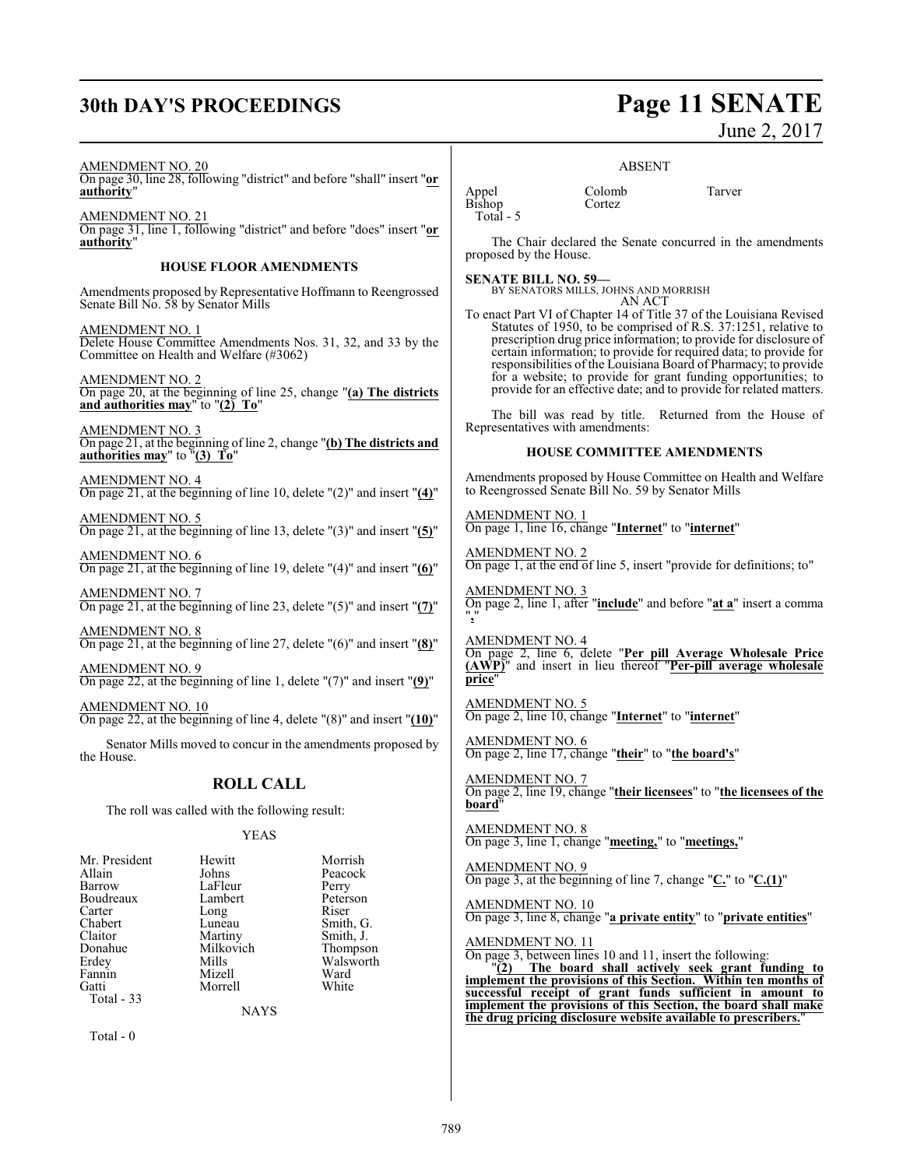# **30th DAY'S PROCEEDINGS Page 11 SENATE**

June 2, 2017

AMENDMENT NO. 20

On page 30, line 28, following "district" and before "shall" insert "**or authority**"

AMENDMENT NO. 21 On page 31, line 1, following "district" and before "does" insert "**or authority**"

#### **HOUSE FLOOR AMENDMENTS**

Amendments proposed by Representative Hoffmann to Reengrossed Senate Bill No. 58 by Senator Mills

AMENDMENT NO. 1 Delete House Committee Amendments Nos. 31, 32, and 33 by the Committee on Health and Welfare (#3062)

AMENDMENT NO. 2 On page 20, at the beginning of line 25, change "**(a) The districts and authorities may**" to "**(2) To**"

AMENDMENT NO. 3 On page 21, at the beginning of line 2, change "**(b) The districts and authorities may**" to "**(3) To**"

AMENDMENT NO. 4 On page 21, at the beginning of line 10, delete "(2)" and insert "**(4)**"

AMENDMENT NO. 5 On page 21, at the beginning of line 13, delete "(3)" and insert "**(5)**"

AMENDMENT NO. 6 On page 21, at the beginning of line 19, delete "(4)" and insert "**(6)**"

AMENDMENT NO. 7 On page 21, at the beginning of line 23, delete "(5)" and insert "**(7)**"

AMENDMENT NO. 8 On page 21, at the beginning of line 27, delete "(6)" and insert "**(8)**"

AMENDMENT NO. 9 On page 22, at the beginning of line 1, delete "(7)" and insert "**(9)**"

AMENDMENT NO. 10 On page 22, at the beginning of line 4, delete "(8)" and insert "**(10)**"

Senator Mills moved to concur in the amendments proposed by the House.

#### **ROLL CALL**

The roll was called with the following result:

#### YEAS

| Mr. President | Hewitt    | Morrish   |
|---------------|-----------|-----------|
| Allain        | Johns     | Peacock   |
| Barrow        | LaFleur   | Perry     |
| Boudreaux     | Lambert   | Peterson  |
| Carter        | Long      | Riser     |
| Chabert       | Luneau    | Smith, G. |
| Claitor       | Martiny   | Smith, J. |
| Donahue       | Milkovich | Thompson  |
| Erdey         | Mills     | Walsworth |
| Fannin        | Mizell    | Ward      |
| Gatti         | Morrell   | White     |
| Total - 33    |           |           |

**NAYS** 

Total - 0

#### ABSENT

Appel Colomb Tarver Bishop Cortez Total - 5

The Chair declared the Senate concurred in the amendments proposed by the House.

**SENATE BILL NO. 59—** BY SENATORS MILLS, JOHNS AND MORRISH AN ACT

To enact Part VI of Chapter 14 of Title 37 of the Louisiana Revised Statutes of 1950, to be comprised of R.S. 37:1251, relative to prescription drug price information; to provide for disclosure of certain information; to provide for required data; to provide for responsibilities of the Louisiana Board of Pharmacy; to provide for a website; to provide for grant funding opportunities; to provide for an effective date; and to provide for related matters.

The bill was read by title. Returned from the House of Representatives with amendments:

#### **HOUSE COMMITTEE AMENDMENTS**

Amendments proposed by House Committee on Health and Welfare to Reengrossed Senate Bill No. 59 by Senator Mills

AMENDMENT NO. 1 On page 1, line 16, change "**Internet**" to "**internet**"

AMENDMENT NO. 2 On page 1, at the end of line 5, insert "provide for definitions; to"

AMENDMENT NO. 3 On page 2, line 1, after "**include**" and before "**at a**" insert a comma "**,**"

AMENDMENT NO. 4 On page 2, line 6, delete "**Per pill Average Wholesale Price (AWP)**" and insert in lieu thereof "**Per-pill average wholesale price**"

AMENDMENT NO. 5 On page 2, line 10, change "**Internet**" to "**internet**"

AMENDMENT NO. 6 On page 2, line 17, change "**their**" to "**the board's**"

AMENDMENT NO. 7 On page 2, line 19, change "**their licensees**" to "**the licensees of the board**"

AMENDMENT NO. 8 On page 3, line 1, change "**meeting,**" to "**meetings,**"

AMENDMENT NO. 9 On page 3, at the beginning of line 7, change "**C.**" to "**C.(1)**"

AMENDMENT NO. 10 On page 3, line 8, change "**a private entity**" to "**private entities**"

AMENDMENT NO. 11 On page 3, between lines 10 and 11, insert the following:<br>"(2) The board shall actively seek grant fu "**(2) The board shall actively seek grant funding to implement the provisions of this Section. Within ten months of successful receipt of grant funds sufficient in amount to implement the provisions of this Section, the board shall make the drug pricing disclosure website available to prescribers.**"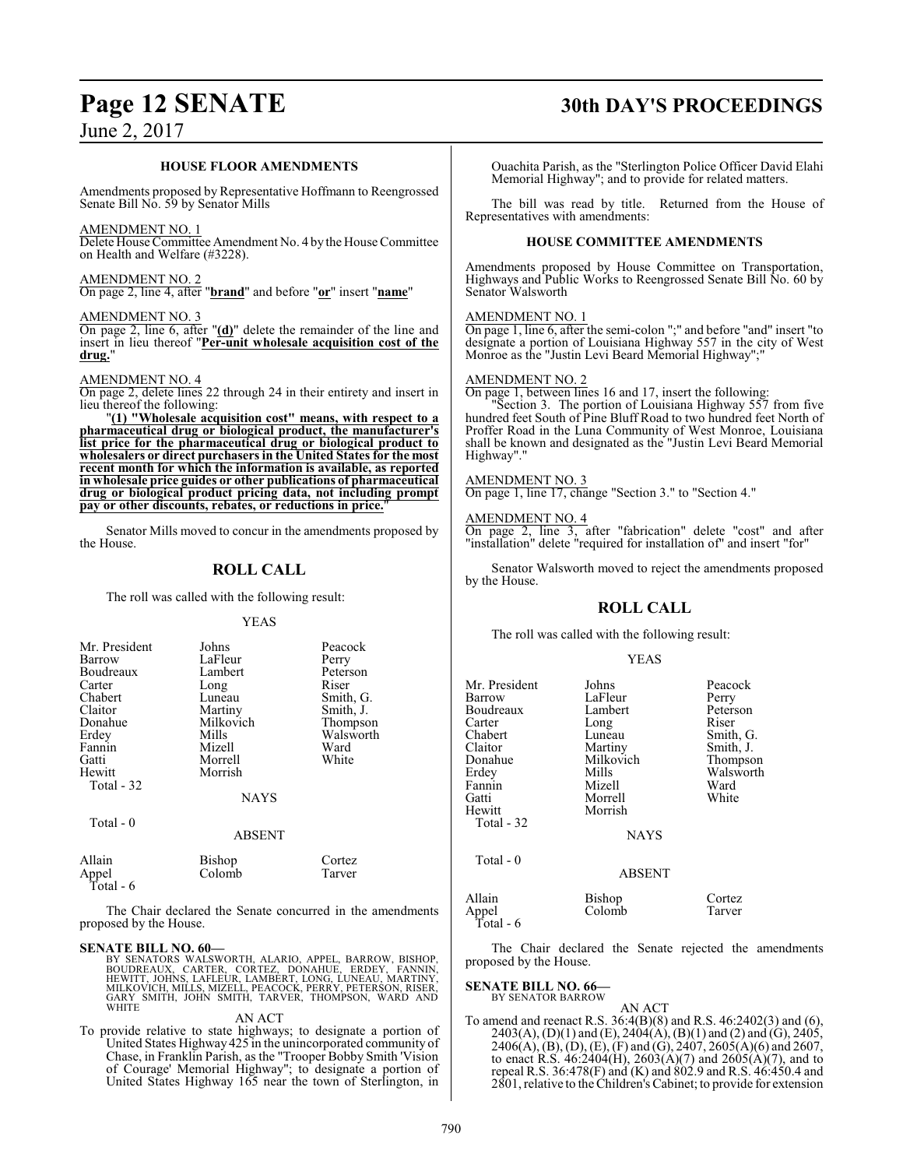#### **HOUSE FLOOR AMENDMENTS**

Amendments proposed by Representative Hoffmann to Reengrossed Senate Bill No. 59 by Senator Mills

#### AMENDMENT NO. 1

Delete House Committee Amendment No. 4 by the House Committee on Health and Welfare (#3228).

#### AMENDMENT NO. 2

On page 2, line 4, after "**brand**" and before "**or**" insert "**name**"

#### AMENDMENT NO. 3

On page 2, line 6, after "**(d)**" delete the remainder of the line and insert in lieu thereof "**Per-unit wholesale acquisition cost of the drug.**"

#### AMENDMENT NO. 4

On page 2, delete lines 22 through 24 in their entirety and insert in lieu thereof the following:

"**(1) "Wholesale acquisition cost" means, with respect to a pharmaceutical drug or biological product, the manufacturer's list price for the pharmaceutical drug or biological product to wholesalers or direct purchasers in the United States for the most recent month for which the information is available, as reported in wholesale price guides or other publications of pharmaceutical drug or biological product pricing data, not including prompt pay or other discounts, rebates, or reductions in price.**"

Senator Mills moved to concur in the amendments proposed by the House.

## **ROLL CALL**

The roll was called with the following result:

#### YEAS

| Mr. President<br>Barrow<br>Boudreaux<br>Carter<br>Chabert<br>Claitor<br>Donahue<br>Erdey<br>Fannin<br>Gatti<br>Hewitt<br>Total - 32 | Johns<br>LaFleur<br>Lambert<br>Long<br>Luneau<br>Martiny<br>Milkovich<br>Mills<br>Mizell<br>Morrell<br>Morrish<br><b>NAYS</b> | Peacock<br>Perry<br>Peterson<br>Riser<br>Smith, G.<br>Smith, J.<br>Thompson<br>Walsworth<br>Ward<br>White |
|-------------------------------------------------------------------------------------------------------------------------------------|-------------------------------------------------------------------------------------------------------------------------------|-----------------------------------------------------------------------------------------------------------|
|                                                                                                                                     |                                                                                                                               |                                                                                                           |
| Total - 0                                                                                                                           | <b>ABSENT</b>                                                                                                                 |                                                                                                           |
| Allain<br>Appel                                                                                                                     | Bishop<br>Colomb                                                                                                              | Cortez<br>Tarver                                                                                          |

Total - 6

The Chair declared the Senate concurred in the amendments proposed by the House.

**SENATE BILL NO. 60—**<br>BY SENATORS WALSWORTH, ALARIO, APPEL, BARROW, BISHOP,<br>BOUDREAUX, CARTER, CORTEZ, DONAHUE, ERDEY, FANNIN,<br>HEWITT, JOHNS, LAFLEUR, LAMBERT, LONG, LUNEAU, MARTINY,<br>MILKOVICH, MILLS, MIZELL, PEACOCK, PERR

#### AN ACT

To provide relative to state highways; to designate a portion of United States Highway 425 in the unincorporated community of Chase, in Franklin Parish, as the "Trooper Bobby Smith 'Vision of Courage' Memorial Highway"; to designate a portion of United States Highway 165 near the town of Sterlington, in

## **Page 12 SENATE 30th DAY'S PROCEEDINGS**

Ouachita Parish, as the "Sterlington Police Officer David Elahi Memorial Highway"; and to provide for related matters.

The bill was read by title. Returned from the House of Representatives with amendments:

#### **HOUSE COMMITTEE AMENDMENTS**

Amendments proposed by House Committee on Transportation, Highways and Public Works to Reengrossed Senate Bill No. 60 by Senator Walsworth

#### AMENDMENT NO. 1

On page 1, line 6, after the semi-colon ";" and before "and" insert "to designate a portion of Louisiana Highway 557 in the city of West Monroe as the "Justin Levi Beard Memorial Highway";"

#### AMENDMENT NO. 2

On page 1, between lines 16 and 17, insert the following: "Section 3. The portion of Louisiana Highway 557 from five hundred feet South of Pine Bluff Road to two hundred feet North of Proffer Road in the Luna Community of West Monroe, Louisiana shall be known and designated as the "Justin Levi Beard Memorial Highway"."

#### AMENDMENT NO. 3

On page 1, line 17, change "Section 3." to "Section 4."

#### AMENDMENT NO. 4

On page 2, line 3, after "fabrication" delete "cost" and after "installation" delete "required for installation of" and insert "for"

Senator Walsworth moved to reject the amendments proposed by the House.

### **ROLL CALL**

The roll was called with the following result:

#### YEAS

| Mr. President<br>Barrow<br>Boudreaux<br>Carter<br>Chabert<br>Claitor<br>Donahue<br>Erdev<br>Fannin<br>Gatti<br>Hewitt | Johns<br>LaFleur<br>Lambert<br>Long<br>Luneau<br>Martiny<br>Milkovich<br>Mills<br>Mizell<br>Morrell<br>Morrish | Peacock<br>Perry<br>Peterson<br>Riser<br>Smith, G.<br>Smith, J.<br>Thompson<br>Walsworth<br>Ward<br>White |
|-----------------------------------------------------------------------------------------------------------------------|----------------------------------------------------------------------------------------------------------------|-----------------------------------------------------------------------------------------------------------|
| Total - 32                                                                                                            | <b>NAYS</b>                                                                                                    |                                                                                                           |
| Total $-0$                                                                                                            | <b>ABSENT</b>                                                                                                  |                                                                                                           |
| Allain<br>Appel<br>Total - 6                                                                                          | Bishop<br>Colomb                                                                                               | Cortez<br>Tarver                                                                                          |

The Chair declared the Senate rejected the amendments proposed by the House.

#### **SENATE BILL NO. 66—**

BY SENATOR BARROW AN ACT

To amend and reenact R.S. 36:4(B)(8) and R.S. 46:2402(3) and (6),  $2403(A), (D)(1)$  and  $(E), 2404(A), (B)(1)$  and  $(2)$  and  $(G), 2405,$  $2406(A), (B), (D), (E), (F)$  and  $(G), 2407, 2605(A)(6)$  and 2607, to enact R.S.  $46:2404(H)$ ,  $2603(A)(7)$  and  $2605(A)(7)$ , and to repeal R.S. 36:478(F) and (K) and 802.9 and R.S. 46:450.4 and 2801, relative to the Children's Cabinet; to provide for extension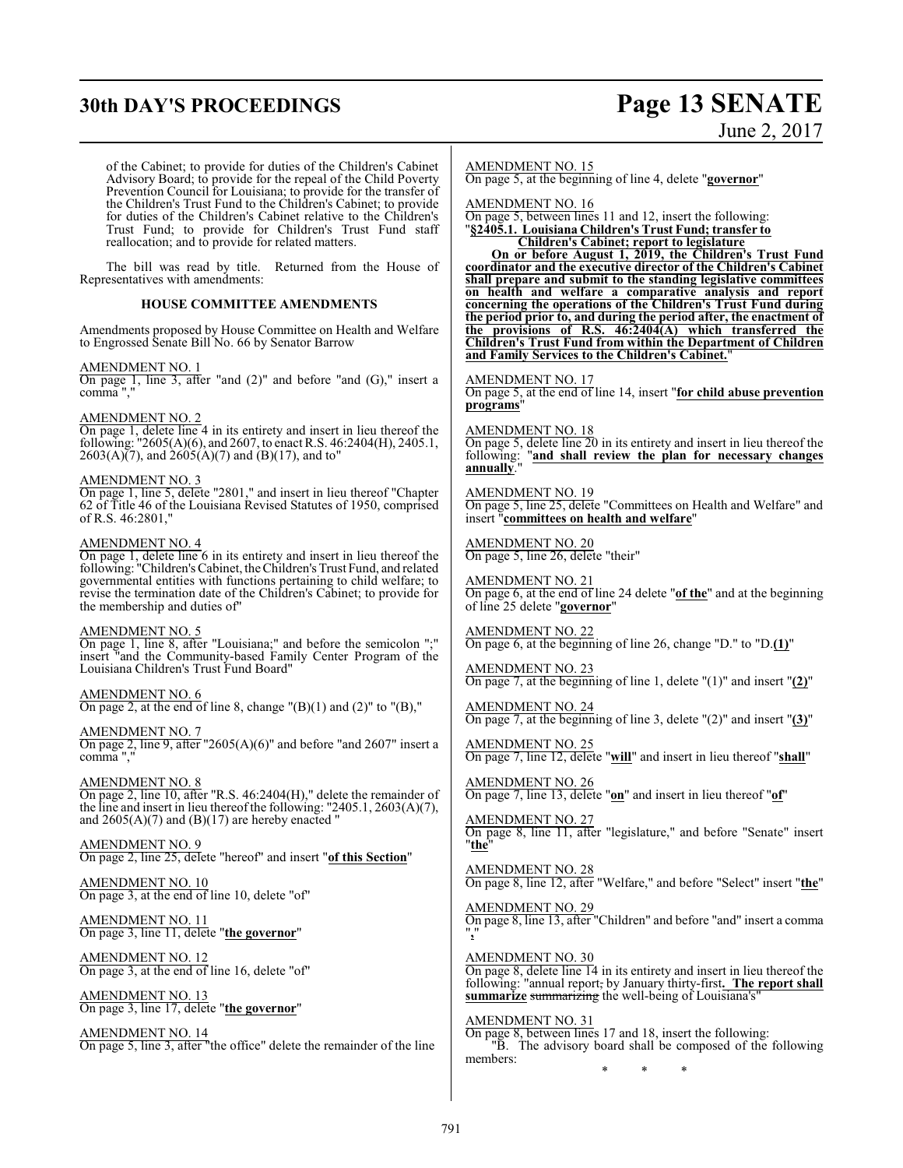# **30th DAY'S PROCEEDINGS Page 13 SENATE**

# June 2, 2017

of the Cabinet; to provide for duties of the Children's Cabinet Advisory Board; to provide for the repeal of the Child Poverty Prevention Council for Louisiana; to provide for the transfer of the Children's Trust Fund to the Children's Cabinet; to provide for duties of the Children's Cabinet relative to the Children's Trust Fund; to provide for Children's Trust Fund staff reallocation; and to provide for related matters.

The bill was read by title. Returned from the House of Representatives with amendments:

#### **HOUSE COMMITTEE AMENDMENTS**

Amendments proposed by House Committee on Health and Welfare to Engrossed Senate Bill No. 66 by Senator Barrow

#### AMENDMENT NO. 1

On page 1, line 3, after "and (2)" and before "and (G)," insert a comma ","

#### AMENDMENT NO. 2

On page 1, delete line 4 in its entirety and insert in lieu thereof the following: "2605(A)(6), and 2607, to enact R.S. 46:2404(H), 2405.1, 2603(A)(7), and 2605(A)(7) and (B)(17), and to"

#### AMENDMENT NO. 3

On page 1, line 5, delete "2801," and insert in lieu thereof "Chapter 62 of Title 46 of the Louisiana Revised Statutes of 1950, comprised of R.S. 46:2801,"

#### AMENDMENT NO. 4

On page 1, delete line 6 in its entirety and insert in lieu thereof the following: "Children's Cabinet, the Children's Trust Fund, and related governmental entities with functions pertaining to child welfare; to revise the termination date of the Children's Cabinet; to provide for the membership and duties of"

#### AMENDMENT NO. 5

On page 1, line 8, after "Louisiana;" and before the semicolon ";" insert "and the Community-based Family Center Program of the Louisiana Children's Trust Fund Board"

AMENDMENT NO. 6 On page 2, at the end of line 8, change  $''(B)(1)$  and  $(2)''$  to  $''(B)$ ,"

AMENDMENT NO. 7 On page 2, line 9, after "2605(A)(6)" and before "and 2607" insert a comma "

AMENDMENT NO. 8 On page 2, line 10, after "R.S. 46:2404(H)," delete the remainder of the line and insert in lieu thereof the following: "2405.1, 2603(A)(7), and  $2605(A)(7)$  and  $(B)(17)$  are hereby enacted "

AMENDMENT NO. 9 On page 2, line 25, delete "hereof" and insert "**of this Section**"

AMENDMENT NO. 10 On page 3, at the end of line 10, delete "of"

AMENDMENT NO. 11 On page 3, line 11, delete "**the governor**"

AMENDMENT NO. 12 On page 3, at the end of line 16, delete "of"

AMENDMENT NO. 13 On page 3, line 17, delete "**the governor**"

AMENDMENT NO. 14 On page 5, line 3, after "the office" delete the remainder of the line AMENDMENT NO. 15

On page 5, at the beginning of line 4, delete "**governor**"

AMENDMENT NO. 16

On page 5, between lines 11 and 12, insert the following: "**§2405.1. Louisiana Children's Trust Fund; transfer to Children's Cabinet; report to legislature**

**On or before August 1, 2019, the Children's Trust Fund coordinator and the executive director of the Children's Cabinet shall prepare and submit to the standing legislative committees on health and welfare a comparative analysis and report concerning the operations of the Children's Trust Fund during the period prior to, and during the period after, the enactment of the provisions of R.S. 46:2404(A) which transferred the Children's Trust Fund from within the Department of Children and Family Services to the Children's Cabinet.**"

AMENDMENT NO. 17 On page 5, at the end of line 14, insert "**for child abuse prevention programs**"

AMENDMENT NO. 18 On page 5, delete line 20 in its entirety and insert in lieu thereof the following: "**and shall review the plan for necessary changes annually**."

#### AMENDMENT NO. 19

On page 5, line 25, delete "Committees on Health and Welfare" and insert "**committees on health and welfare**"

AMENDMENT NO. 20 On page 5, line 26, delete "their"

AMENDMENT NO. 21 On page 6, at the end of line 24 delete "**of the**" and at the beginning of line 25 delete "**governor**"

AMENDMENT NO. 22 On page 6, at the beginning of line 26, change "D." to "D.**(1)**"

AMENDMENT NO. 23 On page 7, at the beginning of line 1, delete "(1)" and insert "**(2)**"

AMENDMENT NO. 24 On page 7, at the beginning of line 3, delete "(2)" and insert "**(3)**"

AMENDMENT NO. 25 On page 7, line 12, delete "**will**" and insert in lieu thereof "**shall**"

AMENDMENT NO. 26 On page 7, line 13, delete "**on**" and insert in lieu thereof "**of**"

AMENDMENT NO. 27 On page 8, line 11, after "legislature," and before "Senate" insert "**the**"

AMENDMENT NO. 28 On page 8, line 12, after "Welfare," and before "Select" insert "**the**"

AMENDMENT NO. 29 On page 8, line 13, after "Children" and before "and" insert a comma "**,**"

AMENDMENT NO. 30 On page 8, delete line 14 in its entirety and insert in lieu thereof the following: "annual report, by January thirty-first**. The report shall** summarize summarizing the well-being of Louisiana's

AMENDMENT NO. 31

On page 8, between lines 17 and 18, insert the following: "B. The advisory board shall be composed of the following members: \* \* \*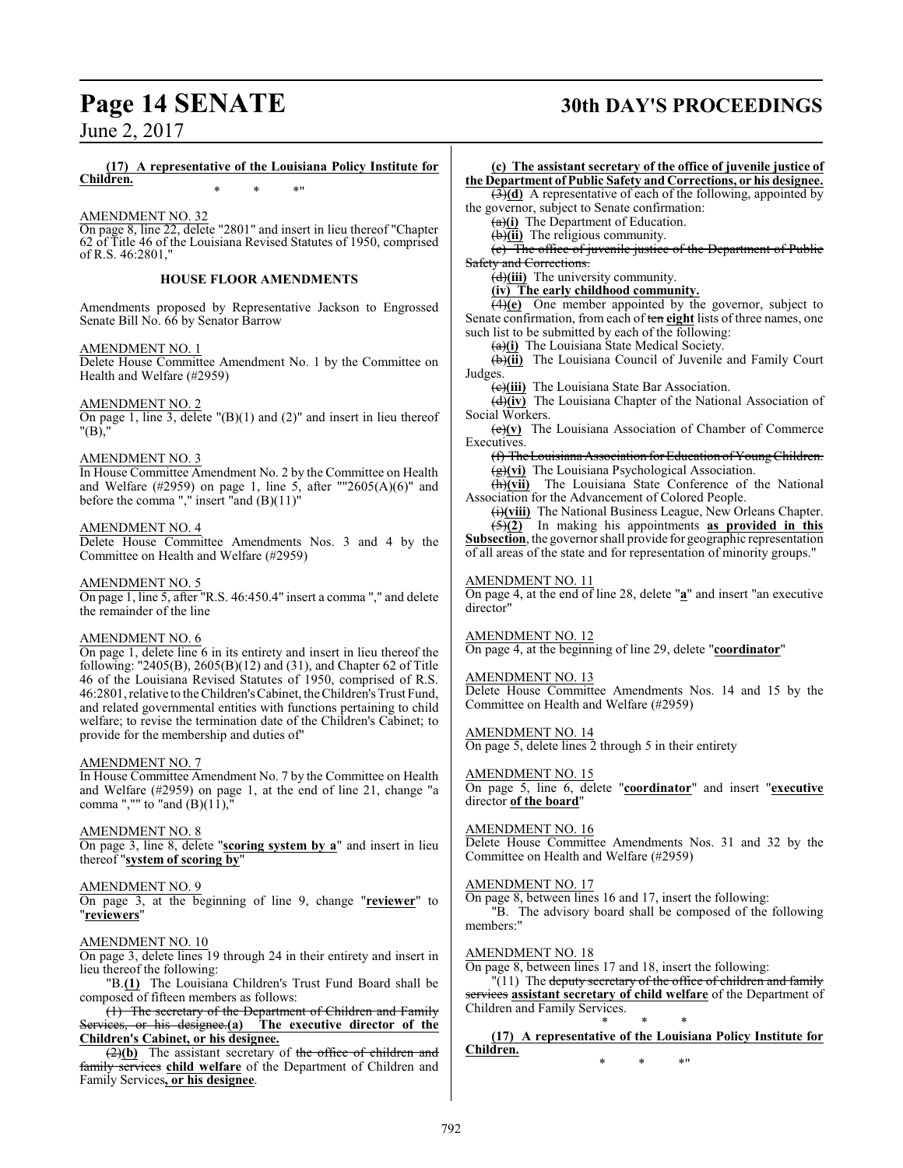# **Page 14 SENATE 30th DAY'S PROCEEDINGS**

**(17) A representative of the Louisiana Policy Institute for Children.** \* \* \*"

AMENDMENT NO. 32 On page 8, line 22, delete "2801" and insert in lieu thereof "Chapter 62 of Title 46 of the Louisiana Revised Statutes of 1950, comprised of R.S. 46:2801,"

#### **HOUSE FLOOR AMENDMENTS**

Amendments proposed by Representative Jackson to Engrossed Senate Bill No. 66 by Senator Barrow

#### AMENDMENT NO. 1

Delete House Committee Amendment No. 1 by the Committee on Health and Welfare (#2959)

#### AMENDMENT NO. 2

On page 1, line 3, delete  $\langle B \rangle$ (1) and (2)" and insert in lieu thereof "(B),"

#### AMENDMENT NO. 3

In House Committee Amendment No. 2 by the Committee on Health and Welfare (#2959) on page 1, line 5, after ""2605(A)(6)" and before the comma "," insert "and (B)(11)"

#### AMENDMENT NO. 4

Delete House Committee Amendments Nos. 3 and 4 by the Committee on Health and Welfare (#2959)

#### AMENDMENT NO. 5

On page 1, line 5, after "R.S. 46:450.4" insert a comma "," and delete the remainder of the line

#### AMENDMENT NO. 6

On page 1, delete line 6 in its entirety and insert in lieu thereof the following: "2405(B), 2605(B)(12) and (31), and Chapter 62 of Title 46 of the Louisiana Revised Statutes of 1950, comprised of R.S. 46:2801, relative to the Children'sCabinet, theChildren's Trust Fund, and related governmental entities with functions pertaining to child welfare; to revise the termination date of the Children's Cabinet; to provide for the membership and duties of"

#### AMENDMENT NO. 7

In House Committee Amendment No. 7 by the Committee on Health and Welfare (#2959) on page 1, at the end of line 21, change "a comma ","" to "and  $(B)(11)$ ,"

#### AMENDMENT NO. 8

On page 3, line 8, delete "**scoring system by a**" and insert in lieu thereof "**system of scoring by**"

#### AMENDMENT NO. 9

On page 3, at the beginning of line 9, change "**reviewer**" to "**reviewers**"

#### AMENDMENT NO. 10

On page 3, delete lines 19 through 24 in their entirety and insert in lieu thereof the following:

"B.**(1)** The Louisiana Children's Trust Fund Board shall be composed of fifteen members as follows:

(1) The secretary of the Department of Children and Family Services, or his designee.**(a) The executive director of the Children's Cabinet, or his designee.**

(2)(b) The assistant secretary of the office of children and family services **child welfare** of the Department of Children and Family Services**, or his designee**.

**(c) The assistant secretary of the office of juvenile justice of the Department of Public Safety and Corrections, or his designee.** (3)**(d)** A representative of each of the following, appointed by the governor, subject to Senate confirmation: (a)**(i)** The Department of Education. (b)**(ii)** The religious community. (c) The office of juvenile justice of the Department of Public Safety and Corrections. (d)**(iii)** The university community. **(iv) The early childhood community.** (4)**(e)** One member appointed by the governor, subject to Senate confirmation, from each of ten **eight** lists of three names, one such list to be submitted by each of the following: (a)**(i)** The Louisiana State Medical Society. (b)**(ii)** The Louisiana Council of Juvenile and Family Court Judges. (c)**(iii)** The Louisiana State Bar Association. (d)**(iv)** The Louisiana Chapter of the National Association of Social Workers. (e)**(v)** The Louisiana Association of Chamber of Commerce Executives. (f) TheLouisiana Association for Education ofYoungChildren. (g)**(vi)** The Louisiana Psychological Association. (h)**(vii)** The Louisiana State Conference of the National Association for the Advancement of Colored People. (i)**(viii)** The National Business League, New Orleans Chapter. (5)**(2)** In making his appointments **as provided in this Subsection**, the governor shall provide for geographic representation of all areas of the state and for representation of minority groups." AMENDMENT NO. 11 On page 4, at the end of line 28, delete "**a**" and insert "an executive director" AMENDMENT NO. 12 On page 4, at the beginning of line 29, delete "**coordinator**" AMENDMENT NO. 13 Delete House Committee Amendments Nos. 14 and 15 by the Committee on Health and Welfare (#2959) AMENDMENT NO. 14 On page 5, delete lines 2 through 5 in their entirety AMENDMENT NO. 15 On page 5, line 6, delete "**coordinator**" and insert "**executive** director **of the board**" AMENDMENT NO. 16 Delete House Committee Amendments Nos. 31 and 32 by the Committee on Health and Welfare (#2959) AMENDMENT NO. 17 On page 8, between lines 16 and 17, insert the following: "B. The advisory board shall be composed of the following members:" AMENDMENT NO. 18 On page 8, between lines 17 and 18, insert the following: "(11) The deputy secretary of the office of children and family services **assistant secretary of child welfare** of the Department of Children and Family Services. \* \* \* **(17) A representative of the Louisiana Policy Institute for Children.**

\* \* \*"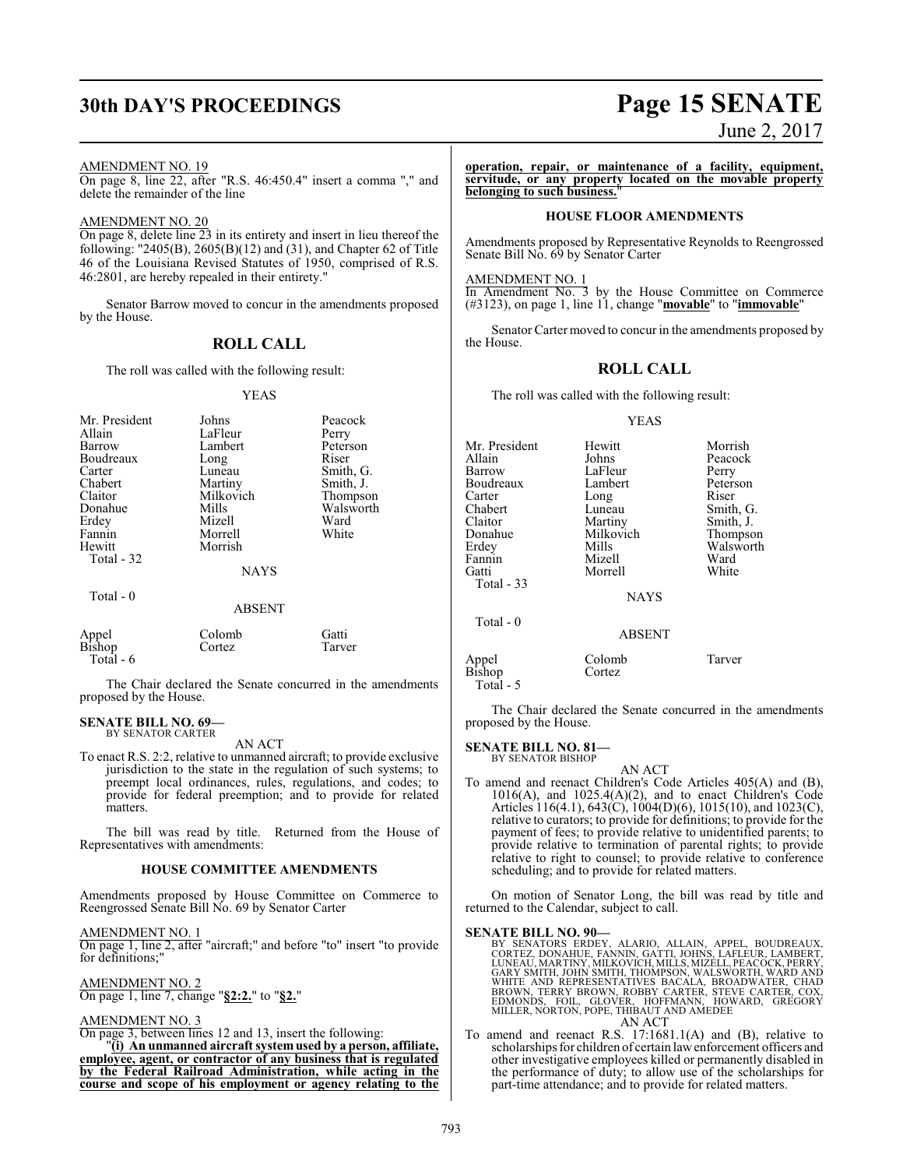#### AMENDMENT NO. 19

On page 8, line 22, after "R.S. 46:450.4" insert a comma "," and delete the remainder of the line

#### AMENDMENT NO. 20

On page 8, delete line 23 in its entirety and insert in lieu thereof the following: "2405(B), 2605(B)(12) and (31), and Chapter 62 of Title 46 of the Louisiana Revised Statutes of 1950, comprised of R.S. 46:2801, are hereby repealed in their entirety."

Senator Barrow moved to concur in the amendments proposed by the House.

### **ROLL CALL**

The roll was called with the following result:

#### YEAS

| Mr. President<br>Allain<br>Barrow<br>Boudreaux<br>Carter<br>Chabert<br>Claitor<br>Donahue<br>Erdey<br>Fannin<br>Hewitt<br>Total - 32 | Johns<br>LaFleur<br>Lambert<br>Long<br>Luneau<br>Martiny<br>Milkovich<br>Mills<br>Mizell<br>Morrell<br>Morrish<br><b>NAYS</b> | Peacock<br>Perry<br>Peterson<br>Riser<br>Smith, G.<br>Smith, J.<br>Thompson<br>Walsworth<br>Ward<br>White |
|--------------------------------------------------------------------------------------------------------------------------------------|-------------------------------------------------------------------------------------------------------------------------------|-----------------------------------------------------------------------------------------------------------|
| Total - $0$                                                                                                                          | <b>ABSENT</b>                                                                                                                 |                                                                                                           |
| Appel                                                                                                                                | Colomb                                                                                                                        | Gatti)                                                                                                    |

The Chair declared the Senate concurred in the amendments proposed by the House.

#### **SENATE BILL NO. 69—** BY SENATOR CARTER

Total - 6

AN ACT

Bishop Cortez Tarver

To enact R.S. 2:2, relative to unmanned aircraft; to provide exclusive jurisdiction to the state in the regulation of such systems; to preempt local ordinances, rules, regulations, and codes; to provide for federal preemption; and to provide for related matters.

The bill was read by title. Returned from the House of Representatives with amendments:

#### **HOUSE COMMITTEE AMENDMENTS**

Amendments proposed by House Committee on Commerce to Reengrossed Senate Bill No. 69 by Senator Carter

AMENDMENT NO. 1

On page 1, line 2, after "aircraft;" and before "to" insert "to provide for definitions;

AMENDMENT NO. 2 On page 1, line 7, change "**§2:2.**" to "**§2.**"

#### AMENDMENT NO. 3

On page 3, between lines 12 and 13, insert the following: "**(i) An unmanned aircraft systemused by a person, affiliate, employee, agent, or contractor of any business that is regulated by the Federal Railroad Administration, while acting in the course and scope of his employment or agency relating to the**

# **30th DAY'S PROCEEDINGS Page 15 SENATE**

June 2, 2017

**operation, repair, or maintenance of a facility, equipment, servitude, or any property located on the movable property belonging to such business.**"

#### **HOUSE FLOOR AMENDMENTS**

Amendments proposed by Representative Reynolds to Reengrossed Senate Bill No. 69 by Senator Carter

#### AMENDMENT NO. 1

In Amendment No. 3 by the House Committee on Commerce (#3123), on page 1, line 11, change "**movable**" to "**immovable**"

Senator Carter moved to concur in the amendments proposed by the House.

#### **ROLL CALL**

The roll was called with the following result:

#### YEAS

| Mr. President | Hewitt        | Morrish   |
|---------------|---------------|-----------|
| Allain        | Johns         | Peacock   |
| Barrow        | LaFleur       | Perry     |
| Boudreaux     | Lambert       | Peterson  |
| Carter        | Long          | Riser     |
| Chabert       | Luneau        | Smith, G. |
| Claitor       | Martiny       | Smith, J. |
| Donahue       | Milkovich     | Thompson  |
| Erdey         | Mills         | Walsworth |
| Fannin        | Mizell        | Ward      |
| Gatti         | Morrell       | White     |
| Total - 33    |               |           |
|               | <b>NAYS</b>   |           |
| Total $-0$    |               |           |
|               | <b>ABSENT</b> |           |
|               |               |           |
|               |               |           |

Appel Colomb Tarver<br>Bishop Cortez **Bishop** Total - 5

The Chair declared the Senate concurred in the amendments proposed by the House.

#### **SENATE BILL NO. 81—** BY SENATOR BISHOP

AN ACT To amend and reenact Children's Code Articles 405(A) and (B),  $1016(A)$ , and  $1025.4(A)(2)$ , and to enact Children's Code Articles 116(4.1), 643(C), 1004(D)(6), 1015(10), and 1023(C), relative to curators; to provide for definitions; to provide for the payment of fees; to provide relative to unidentified parents; to provide relative to termination of parental rights; to provide relative to right to counsel; to provide relative to conference scheduling; and to provide for related matters.

On motion of Senator Long, the bill was read by title and returned to the Calendar, subject to call.

#### **SENATE BILL NO. 90—**

- BY SENATORS ERDEY, ALARIO, ALLAIN, APPEL, BOUDREAUX,<br>CORTEZ, DONAHUE, FANNIN, GATTI, JOHNS, LAFLEUR, LAMBERT,<br>LUNEAU, MARTINY, MILKOVICH, MILLS, MIZELL, PEACOCK, PERRY,<br>GARY SMITH, JOHN SMITH, THOMPSON, WALSWORTH, WARD AND AN ACT
- To amend and reenact R.S. 17:1681.1(A) and (B), relative to scholarships for children of certain lawenforcement officers and other investigative employees killed or permanently disabled in the performance of duty; to allow use of the scholarships for part-time attendance; and to provide for related matters.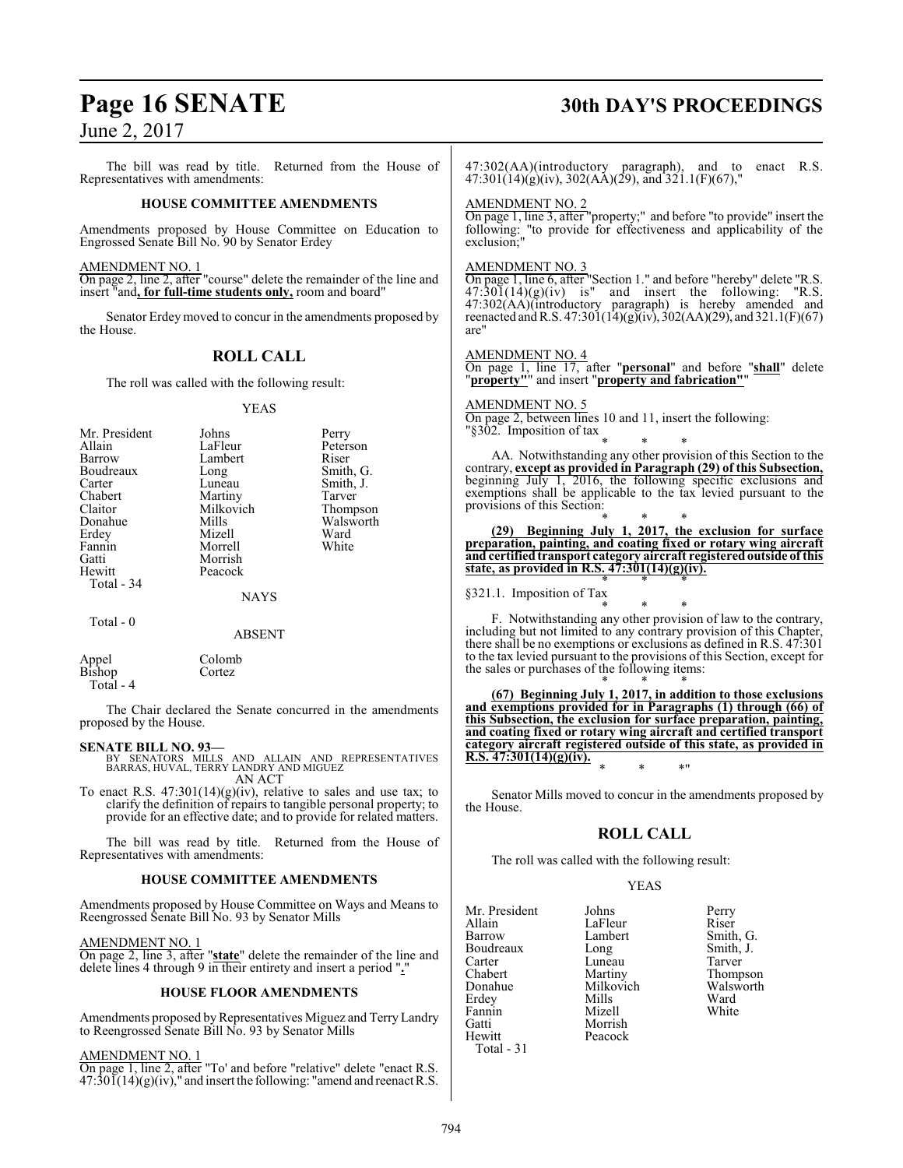The bill was read by title. Returned from the House of Representatives with amendments:

#### **HOUSE COMMITTEE AMENDMENTS**

Amendments proposed by House Committee on Education to Engrossed Senate Bill No. 90 by Senator Erdey

AMENDMENT NO. 1

On page 2, line 2, after "course" delete the remainder of the line and insert "and**, for full-time students only,** room and board"

Senator Erdey moved to concur in the amendments proposed by the House.

## **ROLL CALL**

The roll was called with the following result:

#### YEAS

| Mr. President<br>Allain<br>Barrow<br>Boudreaux<br>Carter<br>Chabert<br>Claitor<br>Donahue | Johns<br>LaFleur<br>Lambert<br>Long<br>Luneau<br>Martiny<br>Milkovich<br>Mills | Perry<br>Peterson<br>Riser<br>Smith, G.<br>Smith, J.<br>Tarver<br>Thompson<br>Walsworth |
|-------------------------------------------------------------------------------------------|--------------------------------------------------------------------------------|-----------------------------------------------------------------------------------------|
| Erdey                                                                                     | Mizell                                                                         | Ward                                                                                    |
| Fannin                                                                                    | Morrell                                                                        | White                                                                                   |
| Gatti                                                                                     | Morrish                                                                        |                                                                                         |
| Hewitt                                                                                    | Peacock                                                                        |                                                                                         |
| Total - 34                                                                                |                                                                                |                                                                                         |
|                                                                                           | <b>NAYS</b>                                                                    |                                                                                         |
| $Total - 0$                                                                               | <b>ABSENT</b>                                                                  |                                                                                         |

Appel Colomb<br>Bishop Cortez **B**ishop Total - 4

The Chair declared the Senate concurred in the amendments proposed by the House.

#### **SENATE BILL NO. 93—**

- BY SENATORS MILLS AND ALLAIN AND REPRESENTATIVES BARRAS, HUVAL, TERRY LANDRY AND MIGUEZ AN ACT
- To enact R.S.  $47:301(14)(g)(iv)$ , relative to sales and use tax; to clarify the definition of repairs to tangible personal property; to provide for an effective date; and to provide for related matters.

The bill was read by title. Returned from the House of Representatives with amendments:

#### **HOUSE COMMITTEE AMENDMENTS**

Amendments proposed by House Committee on Ways and Means to Reengrossed Senate Bill No. 93 by Senator Mills

AMEND<u>MENT NO. 1</u>

On page 2, line 3, after "**state**" delete the remainder of the line and delete lines 4 through 9 in their entirety and insert a period "**.**"

#### **HOUSE FLOOR AMENDMENTS**

Amendments proposed by Representatives Miguez and Terry Landry to Reengrossed Senate Bill No. 93 by Senator Mills

#### AMENDMENT NO. 1

On page 1, line 2, after "To' and before "relative" delete "enact R.S.  $47:30\,\mathrm{I}(14)(g)(iv)$ ," and insert the following: "amend and reenact R.S.

## **Page 16 SENATE 30th DAY'S PROCEEDINGS**

47:302(AA)(introductory paragraph), and to enact R.S.  $47:301(14)(g)(iv)$ ,  $302(AA)(29)$ , and  $321.1(F)(67)$ ,

#### AMENDMENT NO. 2

On page 1, line 3, after "property;" and before "to provide" insert the following: "to provide for effectiveness and applicability of the exclusion;"

#### AMENDMENT NO. 3

On page 1, line 6, after "Section 1." and before "hereby" delete "R.S.  $47:30\overline{1}(14)(g)(iv)$  is" and insert the following: "R.S. 47:302(AA)(introductory paragraph) is hereby amended and reenacted andR.S. 47:301(14)(g)(iv), 302(AA)(29), and 321.1(F)(67) are"

#### AMENDMENT NO. 4

On page 1, line 17, after "**personal**" and before "**shall**" delete "**property"**" and insert "**property and fabrication"**"

AMENDMENT NO. 5

On page 2, between lines 10 and 11, insert the following: "§302. Imposition of tax

\* \* \* AA. Notwithstanding any other provision of this Section to the contrary, **except as provided in Paragraph (29) of this Subsection,** beginning July 1, 2016, the following specific exclusions and exemptions shall be applicable to the tax levied pursuant to the provisions of this Section:

\* \* \* **(29) Beginning July 1, 2017, the exclusion for surface preparation, painting, and coating fixed or rotary wing aircraft and certified transport category aircraft registeredoutside of this state, as provided in R.S. 47:301(14)(g)(iv).** \* \* \*

§321.1. Imposition of Tax

\* \* \* F. Notwithstanding any other provision of law to the contrary, including but not limited to any contrary provision of this Chapter, there shall be no exemptions or exclusions as defined in R.S. 47:301 to the tax levied pursuant to the provisions of this Section, except for the sales or purchases of the following items:

\* \* \* **(67) Beginning July 1, 2017, in addition to those exclusions and exemptions provided for in Paragraphs (1) through (66) of this Subsection, the exclusion for surface preparation, painting, and coating fixed or rotary wing aircraft and certified transport category aircraft registered outside of this state, as provided in R.S. 47:301(14)(g)(iv).** \* \* \*"

Senator Mills moved to concur in the amendments proposed by the House.

#### **ROLL CALL**

The roll was called with the following result:

Peacock

#### YEAS

Mr. President Johns Perry<br>Allain LaFleur Riser Allain LaFleur<br>Barrow Lambert Boudreaux Long Smith,<br>
Carter Luneau Tarver Carter Luneau<br>Chabert Martiny Chabert Martiny Thompson<br>
Donahue Milkovich Walsworth Erdey Mills Ward Fannin<br>Gatti Gatti Morrish<br>Hewitt Peacock Total - 31

Lambert Smith, G.<br>
Long Smith, J. Milkovich Walsworth<br>Mills Ward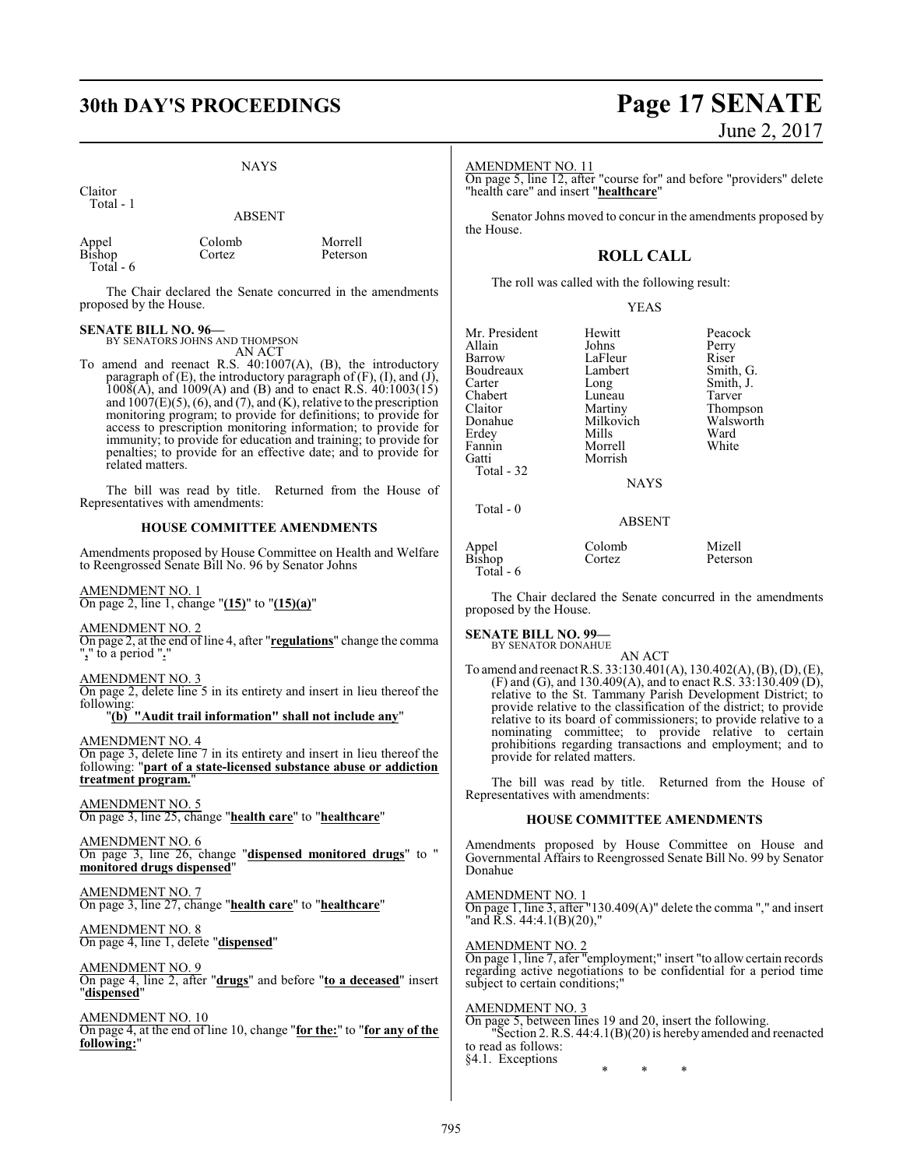## **30th DAY'S PROCEEDINGS Page 17 SENATE**

#### NAYS

Claitor Total - 1

ABSENT

| Appel                | Colomb | Morrell  |
|----------------------|--------|----------|
| $B$ <sub>ishop</sub> | Cortez | Peterson |
| Total $-6$           |        |          |

The Chair declared the Senate concurred in the amendments proposed by the House.

#### **SENATE BILL NO. 96—**

BY SENATORS JOHNS AND THOMPSON AN ACT

To amend and reenact R.S. 40:1007(A), (B), the introductory paragraph of (E), the introductory paragraph of (F), (I), and (J), 1008(A), and 1009(A) and (B) and to enact R.S. 40:1003(15) and  $1007(E)(5)$ , (6), and (7), and (K), relative to the prescription monitoring program; to provide for definitions; to provide for access to prescription monitoring information; to provide for immunity; to provide for education and training; to provide for penalties; to provide for an effective date; and to provide for related matters.

The bill was read by title. Returned from the House of Representatives with amendments:

#### **HOUSE COMMITTEE AMENDMENTS**

Amendments proposed by House Committee on Health and Welfare to Reengrossed Senate Bill No. 96 by Senator Johns

AMENDMENT NO. 1 On page 2, line 1, change "**(15)**" to "**(15)(a)**"

AMENDMENT NO. 2

On page 2, at the end of line 4, after "**regulations**" change the comma "**,**" to a period "**.**"

AMENDMENT NO. 3

On page 2, delete line 5 in its entirety and insert in lieu thereof the following:

"**(b) "Audit trail information" shall not include any**"

AMENDMENT NO. 4

On page 3, delete line 7 in its entirety and insert in lieu thereof the following: "**part of a state-licensed substance abuse or addiction treatment program.**"

AMENDMENT NO. 5 On page 3, line 25, change "**health care**" to "**healthcare**"

AMENDMENT NO. 6 On page 3, line 26, change "**dispensed monitored drugs**" to " **monitored drugs dispensed**"

AMENDMENT NO. 7 On page 3, line 27, change "**health care**" to "**healthcare**"

AMENDMENT NO. 8 On page 4, line 1, delete "**dispensed**"

AMENDMENT NO. 9 On page 4, line 2, after "**drugs**" and before "**to a deceased**" insert "**dispensed**"

AMENDMENT NO. 10 On page 4, at the end of line 10, change "**for the:**" to "**for any of the following:**"

# June 2, 2017

AMENDMENT NO. 11

On page 5, line 12, after "course for" and before "providers" delete "health care" and insert "**healthcare**"

Senator Johns moved to concur in the amendments proposed by the House.

## **ROLL CALL**

The roll was called with the following result:

#### YEAS

| Mr. President<br>Allain<br>Barrow<br>Boudreaux<br>Carter<br>Chabert<br>Claitor<br>Donahue<br>Erdey<br>Fannin<br>Gatti<br>Total - 32 | Hewitt<br>Johns<br>LaFleur<br>Lambert<br>Long<br>Luneau<br>Martiny<br>Milkovich<br>Mills<br>Morrell<br>Morrish<br><b>NAYS</b> | Peacock<br>Perry<br>Riser<br>Smith, G.<br>Smith, J.<br>Tarver<br>Thompson<br>Walsworth<br>Ward<br>White |
|-------------------------------------------------------------------------------------------------------------------------------------|-------------------------------------------------------------------------------------------------------------------------------|---------------------------------------------------------------------------------------------------------|
| Total - 0                                                                                                                           | <b>ABSENT</b>                                                                                                                 |                                                                                                         |
| Appel                                                                                                                               | Colomb                                                                                                                        | Mizell                                                                                                  |

Bishop Cortez Peterson

The Chair declared the Senate concurred in the amendments proposed by the House.

Total - 6

**SENATE BILL NO. 99—** BY SENATOR DONAHUE

AN ACT

To amend and reenact R.S. 33:130.401(A), 130.402(A), (B), (D), (E), (F) and (G), and 130.409(A), and to enact R.S.  $33:130.409(D)$ , relative to the St. Tammany Parish Development District; to provide relative to the classification of the district; to provide relative to its board of commissioners; to provide relative to a nominating committee; to provide relative to certain prohibitions regarding transactions and employment; and to provide for related matters.

The bill was read by title. Returned from the House of Representatives with amendments:

#### **HOUSE COMMITTEE AMENDMENTS**

Amendments proposed by House Committee on House and Governmental Affairs to Reengrossed Senate Bill No. 99 by Senator Donahue

AMENDMENT NO. 1 On page 1, line 3, after "130.409(A)" delete the comma "," and insert "and R.S. 44:4.1(B)(20),"

AMENDMENT NO. 2 On page 1, line 7, afer "employment;" insert "to allow certain records regarding active negotiations to be confidential for a period time subject to certain conditions;"

#### AMENDMENT NO. 3

On page 5, between lines 19 and 20, insert the following. "Section 2. R.S. 44:4.1(B)(20) is hereby amended and reenacted to read as follows: §4.1. Exceptions

\* \* \*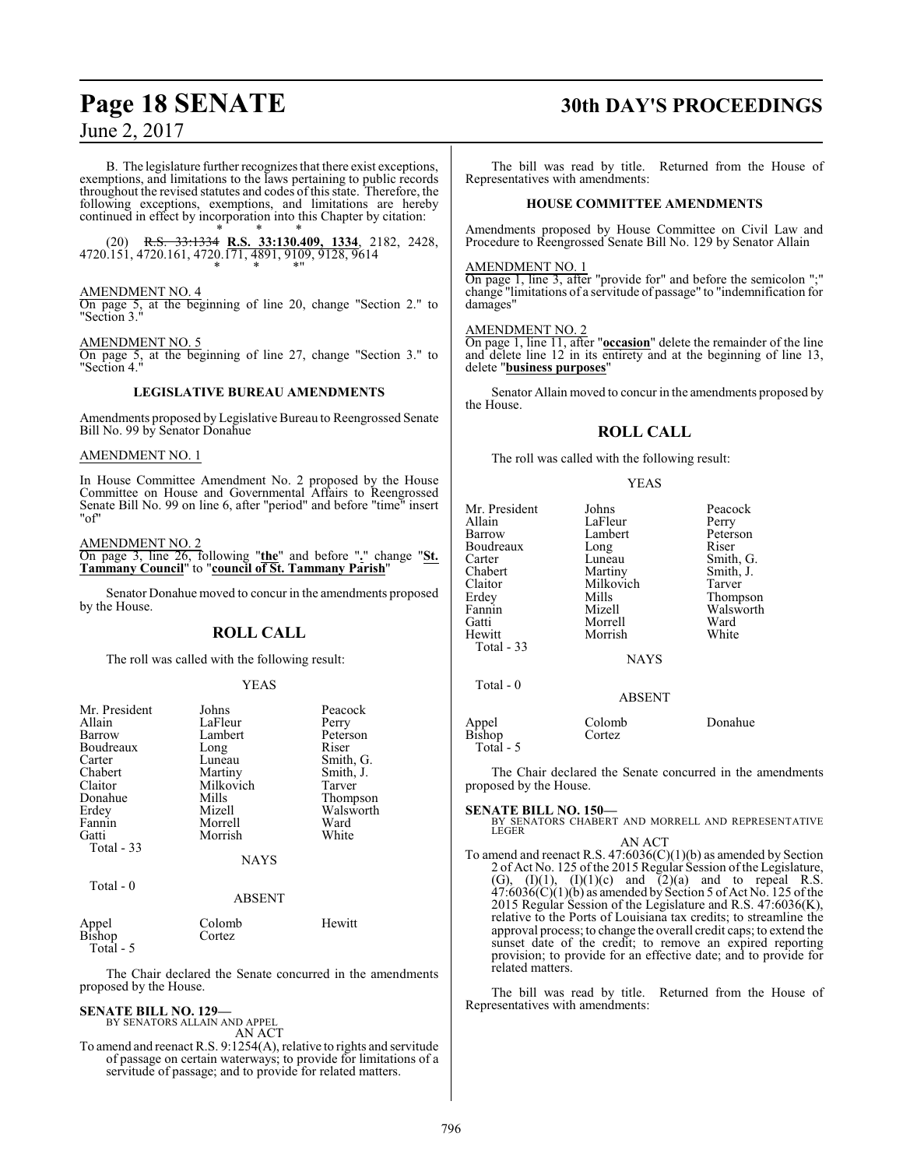B. The legislature further recognizes that there exist exceptions, exemptions, and limitations to the laws pertaining to public records throughout the revised statutes and codes of this state. Therefore, the following exceptions, exemptions, and limitations are hereby continued in effect by incorporation into this Chapter by citation:

\* \* \* (20) R.S. 33:1334 **R.S. 33:130.409, 1334**, 2182, 2428, 4720.151, 4720.161, 4720.171, 4891, 9109, 9128, 9614 \* \* \*"

#### AMENDMENT NO. 4

On page 5, at the beginning of line 20, change "Section 2." to "Section 3."

#### AMENDMENT NO. 5

On page 5, at the beginning of line 27, change "Section 3." to "Section 4."

#### **LEGISLATIVE BUREAU AMENDMENTS**

Amendments proposed by Legislative Bureau to Reengrossed Senate Bill No. 99 by Senator Donahue

#### AMENDMENT NO. 1

In House Committee Amendment No. 2 proposed by the House Committee on House and Governmental Affairs to Reengrossed Senate Bill No. 99 on line 6, after "period" and before "time" insert "of"

#### AMENDMENT NO. 2

On page 3, line 26, following "**the**" and before "**.**" change "**St. Tammany Council**" to "**council of St. Tammany Parish**"

Senator Donahue moved to concur in the amendments proposed by the House.

#### **ROLL CALL**

The roll was called with the following result:

#### YEAS

| Mr. President<br>Allain | Johns<br>LaFleur | Peacock   |
|-------------------------|------------------|-----------|
|                         |                  | Perry     |
| Barrow                  | Lambert          | Peterson  |
| Boudreaux               | Long             | Riser     |
| Carter                  | Luneau           | Smith, G. |
| Chabert                 | Martiny          | Smith, J. |
| Claitor                 | Milkovich        | Tarver    |
| Donahue                 | Mills            | Thompson  |
| Erdey                   | Mizell           | Walsworth |
| Fannin                  | Morrell          | Ward      |
| Gatti                   | Morrish          | White     |
| Total $-33$             |                  |           |
|                         | <b>NAYS</b>      |           |
| Total - 0               |                  |           |
|                         | <b>ABSENT</b>    |           |

|                 | Colomb | Hewitt |
|-----------------|--------|--------|
| Appel<br>Bishop | Cortez |        |
| Total - 5       |        |        |

The Chair declared the Senate concurred in the amendments proposed by the House.

## **SENATE BILL NO. 129—**

BY SENATORS ALLAIN AND APPEL AN ACT

To amend and reenact R.S. 9:1254(A), relative to rights and servitude of passage on certain waterways; to provide for limitations of a servitude of passage; and to provide for related matters.

# **Page 18 SENATE 30th DAY'S PROCEEDINGS**

The bill was read by title. Returned from the House of Representatives with amendments:

#### **HOUSE COMMITTEE AMENDMENTS**

Amendments proposed by House Committee on Civil Law and Procedure to Reengrossed Senate Bill No. 129 by Senator Allain

#### AMENDMENT NO. 1

On page 1, line 3, after "provide for" and before the semicolon ";" change "limitations of a servitude of passage" to "indemnification for damages"

#### AMENDMENT NO. 2

On page 1, line 11, after "**occasion**" delete the remainder of the line and delete line 12 in its entirety and at the beginning of line 13, delete "**business purposes**"

Senator Allain moved to concur in the amendments proposed by the House.

#### **ROLL CALL**

The roll was called with the following result:

#### YEAS

| Mr. President   | Johns         | Peacock   |
|-----------------|---------------|-----------|
| Allain          | LaFleur       | Perry     |
| Barrow          | Lambert       | Peterson  |
| Boudreaux       | Long          | Riser     |
| Carter          | Luneau        | Smith, G. |
| Chabert         | Martiny       | Smith, J. |
| Claitor         | Milkovich     | Tarver    |
| Erdey           | Mills         | Thompson  |
| Fannin          | Mizell        | Walsworth |
| Gatti           | Morrell       | Ward      |
| Hewitt          | Morrish       | White     |
| Total - 33      |               |           |
|                 | <b>NAYS</b>   |           |
| Total - 0       |               |           |
|                 | <b>ABSENT</b> |           |
| Appel<br>Bishop | Colomb        | Donahue   |
|                 | Cortez        |           |

Total - 5

The Chair declared the Senate concurred in the amendments proposed by the House.

**SENATE BILL NO. 150—**<br>BY SENATORS CHABERT AND MORRELL AND REPRESENTATIVE<br>LEGER

#### AN ACT

To amend and reenact R.S.  $47:6036(C)(1)(b)$  as amended by Section 2 of Act No. 125 of the 2015 Regular Session of the Legislature, (G),  $(I)(1)$ ,  $(I)(1)(c)$  and  $(2)(a)$  and to repeal R.S.  $47:6036(C)(1)(b)$  as amended by Section 5 of Act No. 125 of the 2015 Regular Session of the Legislature and R.S. 47:6036(K), relative to the Ports of Louisiana tax credits; to streamline the approval process; to change the overall credit caps; to extend the sunset date of the credit; to remove an expired reporting provision; to provide for an effective date; and to provide for related matters.

The bill was read by title. Returned from the House of Representatives with amendments: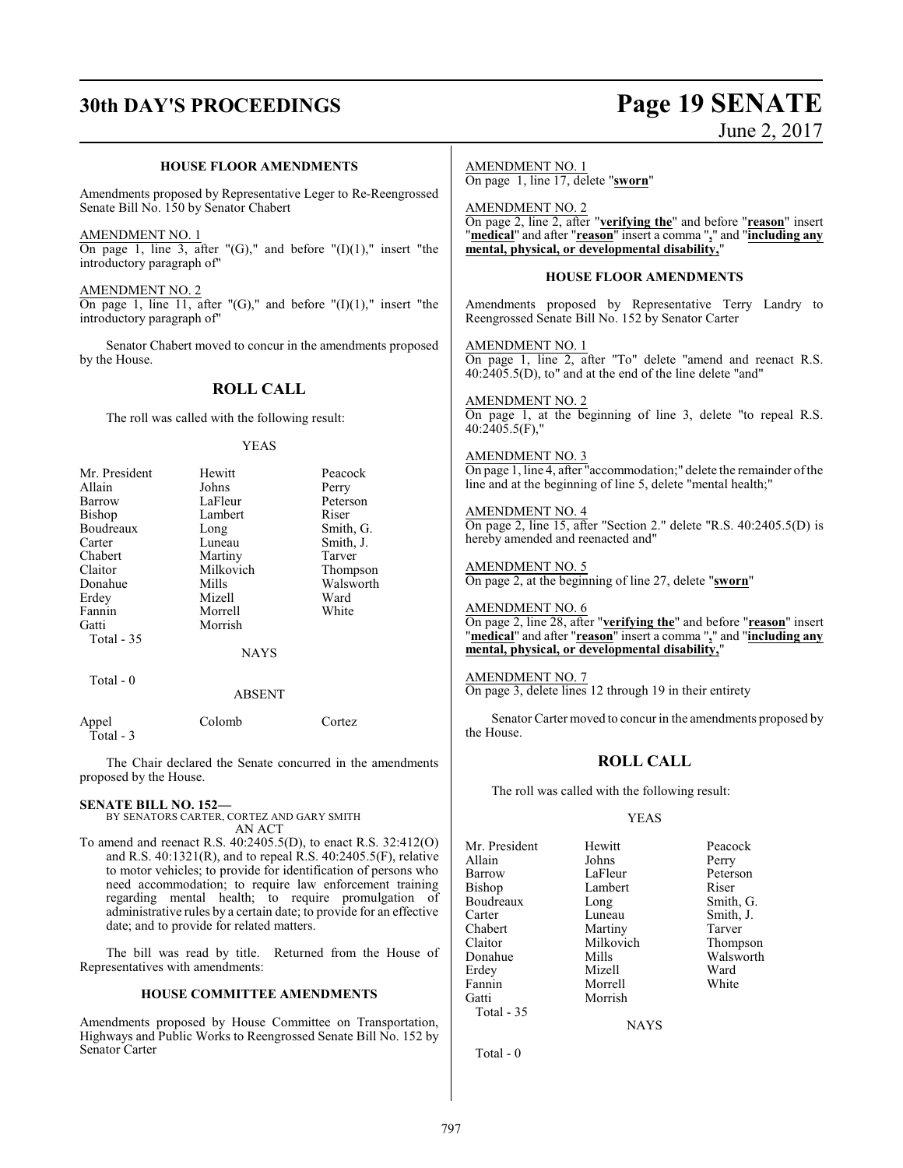# **30th DAY'S PROCEEDINGS Page 19 SENATE** June 2, 2017

|                                                                                                         | <b>HOUSE FLOOR AMENDMENTS</b>        |                                                                          | <b>AMENDMENT NO. 1</b><br>On page 1, line 17, delete "sworn"                                                                                                         |  |
|---------------------------------------------------------------------------------------------------------|--------------------------------------|--------------------------------------------------------------------------|----------------------------------------------------------------------------------------------------------------------------------------------------------------------|--|
| Amendments proposed by Representative Leger to Re-Reengrossed<br>Senate Bill No. 150 by Senator Chabert |                                      |                                                                          | <b>AMENDMENT NO. 2</b><br>On page 2, line 2, after "verifying the" and before "reason" insert                                                                        |  |
| AMENDMENT NO. 1<br>introductory paragraph of"                                                           |                                      | On page 1, line 3, after " $(G)$ ," and before " $(I)(1)$ ," insert "the | "medical" and after "reason" insert a comma "," and "including any<br>mental, physical, or developmental disability,"                                                |  |
|                                                                                                         |                                      |                                                                          | <b>HOUSE FLOOR AMENDMENTS</b>                                                                                                                                        |  |
| <b>AMENDMENT NO. 2</b><br>introductory paragraph of"                                                    |                                      | On page 1, line 11, after "(G)," and before " $(I)(1)$ ," insert "the    | Amendments proposed by Representative Terry Landry to<br>Reengrossed Senate Bill No. 152 by Senator Carter                                                           |  |
| by the House.                                                                                           |                                      | Senator Chabert moved to concur in the amendments proposed               | <b>AMENDMENT NO. 1</b><br>On page 1, line 2, after "To" delete "amend and reenact R.S.<br>$40:2405.5(D)$ , to" and at the end of the line delete "and"               |  |
|                                                                                                         | <b>ROLL CALL</b>                     |                                                                          |                                                                                                                                                                      |  |
| The roll was called with the following result:                                                          |                                      |                                                                          | <b>AMENDMENT NO. 2</b><br>On page 1, at the beginning of line 3, delete "to repeal R.S.<br>$40:2405.5(F)$ ."                                                         |  |
|                                                                                                         | <b>YEAS</b>                          |                                                                          | <b>AMENDMENT NO. 3</b>                                                                                                                                               |  |
| Mr. President<br>Allain                                                                                 | Hewitt<br>Johns                      | Peacock<br>Perry                                                         | On page 1, line 4, after "accommodation;" delete the remainder of the<br>line and at the beginning of line 5, delete "mental health;"                                |  |
| Barrow<br>Bishop<br>Boudreaux<br>Carter                                                                 | LaFleur<br>Lambert<br>Long<br>Luneau | Peterson<br>Riser<br>Smith, G.<br>Smith, J.                              | <b>AMENDMENT NO. 4</b><br>On page 2, line 15, after "Section 2." delete "R.S. 40:2405.5(D) is<br>hereby amended and reenacted and"                                   |  |
| Chabert<br>Claitor<br>Donahue                                                                           | Martiny<br>Milkovich<br>Mills        | Tarver<br>Thompson<br>Walsworth                                          | <b>AMENDMENT NO. 5</b><br>On page 2, at the beginning of line 27, delete "sworn"                                                                                     |  |
| Erdey<br>Fannin<br>Gatti<br>Total - 35                                                                  | Mizell<br>Morrell<br>Morrish         | Ward<br>White                                                            | <b>AMENDMENT NO. 6</b><br>On page 2, line 28, after "verifying the" and before "reason" insert<br>"medical" and after "reason" insert a comma "," and "including any |  |
|                                                                                                         | <b>NAYS</b>                          |                                                                          | mental, physical, or developmental disability,"                                                                                                                      |  |
| Total - 0                                                                                               | <b>ABSENT</b>                        |                                                                          | <b>AMENDMENT NO. 7</b><br>On page 3, delete lines 12 through 19 in their entirety                                                                                    |  |
| Appel<br>Total - 3                                                                                      | Colomb                               | Cortez                                                                   | Senator Carter moved to concur in the amendments proposed by<br>the House.                                                                                           |  |
| proposed by the House.                                                                                  |                                      | The Chair declared the Senate concurred in the amendments                | <b>ROLL CALL</b>                                                                                                                                                     |  |
|                                                                                                         |                                      |                                                                          | The roll was called with the following result:                                                                                                                       |  |
| <b>SENATE BILL NO. 152—</b><br>BY SENATORS CARTER, CORTEZ AND GARY SMITH                                |                                      |                                                                          | <b>YEAS</b>                                                                                                                                                          |  |

AN ACT To amend and reenact R.S. 40:2405.5(D), to enact R.S. 32:412(O) and R.S. 40:1321(R), and to repeal R.S. 40:2405.5(F), relative to motor vehicles; to provide for identification of persons who need accommodation; to require law enforcement training regarding mental health; to require promulgation of administrative rules by a certain date; to provide for an effective date; and to provide for related matters.

The bill was read by title. Returned from the House of Representatives with amendments:

#### **HOUSE COMMITTEE AMENDMENTS**

Amendments proposed by House Committee on Transportation, Highways and Public Works to Reengrossed Senate Bill No. 152 by Senator Carter

NAYS

Mr. President Hewitt Peacock<br>Allain Johns Perry

Barrow LaFleur Peterson<br>Bishop Lambert Riser

Carter Luneau Smith, J.<br>
Chabert Martiny Tarver Chabert Martiny Tarver<br>Claitor Milkovich Thomp Claitor Milkovich Thompson

Erdey Mizell Ward<br>Fannin Morrell White

Morrish

Lambert Riser<br>
Long Smith, G.

Mills Walsworth<br>
Nizell Ward

Allain Johns<br>Barrow LaFleur

Boudreaux Long<br>Carter Luneau

Fannin Morrell<br>Gatti Morrish

Total - 35

Total - 0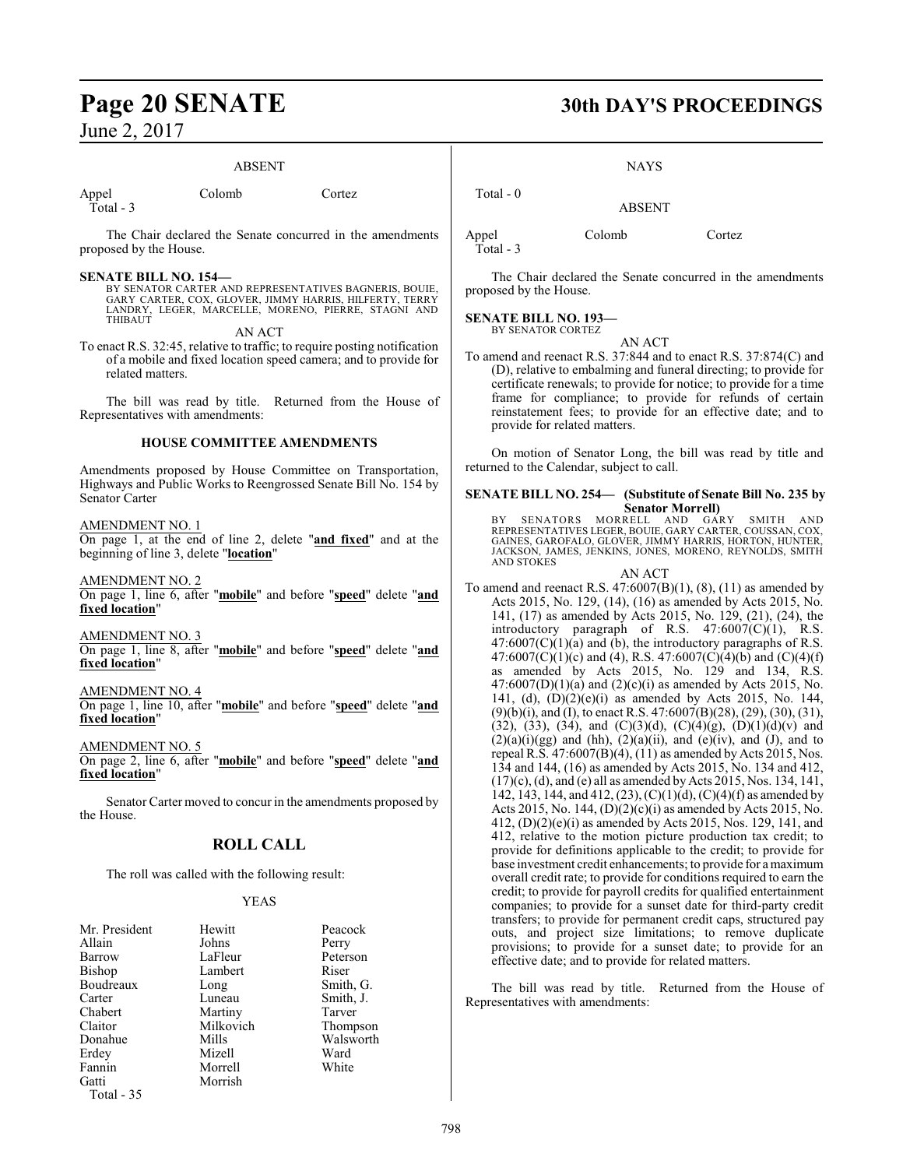#### ABSENT

Total - 3

Appel Colomb Cortez

The Chair declared the Senate concurred in the amendments proposed by the House.

#### **SENATE BILL NO. 154—**

BY SENATOR CARTER AND REPRESENTATIVES BAGNERIS, BOUIE, GARY CARTER, COX, GLOVER, JIMMY HARRIS, HILFERTY, TERRY LANDRY, LEGER, MARCELLE, MORENO, PIERRE, STAGNI AND THIBAUT

AN ACT

To enact R.S. 32:45, relative to traffic; to require posting notification of a mobile and fixed location speed camera; and to provide for related matters.

The bill was read by title. Returned from the House of Representatives with amendments:

#### **HOUSE COMMITTEE AMENDMENTS**

Amendments proposed by House Committee on Transportation, Highways and Public Works to Reengrossed Senate Bill No. 154 by Senator Carter

#### AMENDMENT NO. 1

On page 1, at the end of line 2, delete "**and fixed**" and at the beginning of line 3, delete "**location**"

AMENDMENT NO. 2

On page 1, line 6, after "**mobile**" and before "**speed**" delete "**and fixed location**"

AMENDMENT NO. 3

On page 1, line 8, after "**mobile**" and before "**speed**" delete "**and fixed location**"

#### AMENDMENT NO. 4

On page 1, line 10, after "**mobile**" and before "**speed**" delete "**and fixed location**"

#### AMENDMENT NO. 5

On page 2, line 6, after "**mobile**" and before "**speed**" delete "**and fixed location**"

Senator Carter moved to concur in the amendments proposed by the House.

## **ROLL CALL**

The roll was called with the following result:

#### YEAS

| Mr. President | Hewitt    | Peacock   |
|---------------|-----------|-----------|
| Allain        | Johns     | Perry     |
| Barrow        | LaFleur   | Peterson  |
| Bishop        | Lambert   | Riser     |
| Boudreaux     | Long      | Smith, G. |
| Carter        | Luneau    | Smith, J. |
| Chabert       | Martiny   | Tarver    |
| Claitor       | Milkovich | Thompson  |
| Donahue       | Mills     | Walsworth |
| Erdey         | Mizell    | Ward      |
| Fannin        | Morrell   | White     |
| Gatti         | Morrish   |           |
| Total - 35    |           |           |

**Page 20 SENATE 30th DAY'S PROCEEDINGS**

**NAYS** 

ABSENT

Appel Colomb Cortez

Total - 0

Total - 3

The Chair declared the Senate concurred in the amendments proposed by the House.

**SENATE BILL NO. 193—** BY SENATOR CORTEZ

AN ACT

To amend and reenact R.S. 37:844 and to enact R.S. 37:874(C) and (D), relative to embalming and funeral directing; to provide for certificate renewals; to provide for notice; to provide for a time frame for compliance; to provide for refunds of certain reinstatement fees; to provide for an effective date; and to provide for related matters.

On motion of Senator Long, the bill was read by title and returned to the Calendar, subject to call.

#### **SENATE BILL NO. 254— (Substitute of Senate Bill No. 235 by Senator Morrell)**

BY SENATORS MORRELL AND GARY SMITH AND REPRESENTATIVES LEGER, BOUIE, GARY CARTER, COUSSAN, COX, GAINES, GAROFALO, GLOVER, JIMMY HARRIS, HORTON, HUNTER, JACKSON, JAMES, JENKINS, JONES, MORENO, REYNOLDS, SMITH AND STOKES

AN ACT

To amend and reenact R.S.  $47:6007(B)(1)$ ,  $(8)$ ,  $(11)$  as amended by Acts 2015, No. 129, (14), (16) as amended by Acts 2015, No. 141, (17) as amended by Acts 2015, No. 129, (21), (24), the introductory paragraph of R.S. 47:6007(C)(1), R.S.  $47:6007(C)(1)(a)$  and (b), the introductory paragraphs of R.S. 47:6007(C)(1)(c) and (4), R.S. 47:6007(C)(4)(b) and (C)(4)(f) as amended by Acts 2015, No. 129 and 134, R.S.  $47:6007(D)(1)(a)$  and  $(2)(c)(i)$  as amended by Acts 2015, No. 141, (d),  $(D)(2)(e)(i)$  as amended by Acts 2015, No. 144, (9)(b)(i), and (I), to enact R.S. 47:6007(B)(28), (29), (30), (31), (32), (33), (34), and (C)(3)(d), (C)(4)(g), (D)(1)(d)(v) and  $(2)(a)(i)(gg)$  and (hh),  $(2)(a)(ii)$ , and  $(e)(iv)$ , and (J), and to repeal R.S. 47:6007(B)(4), (11) as amended by Acts 2015, Nos. 134 and 144, (16) as amended by Acts 2015, No. 134 and 412, (17)(c), (d), and (e) all as amended by Acts 2015, Nos. 134, 141, 142, 143, 144, and 412, (23), (C)(1)(d), (C)(4)(f) as amended by Acts 2015, No. 144, (D)(2)(c)(i) as amended by Acts 2015, No. 412, (D)(2)(e)(i) as amended by Acts 2015, Nos. 129, 141, and 412, relative to the motion picture production tax credit; to provide for definitions applicable to the credit; to provide for base investment credit enhancements; to provide for a maximum overall credit rate; to provide for conditions required to earn the credit; to provide for payroll credits for qualified entertainment companies; to provide for a sunset date for third-party credit transfers; to provide for permanent credit caps, structured pay outs, and project size limitations; to remove duplicate provisions; to provide for a sunset date; to provide for an effective date; and to provide for related matters.

The bill was read by title. Returned from the House of Representatives with amendments: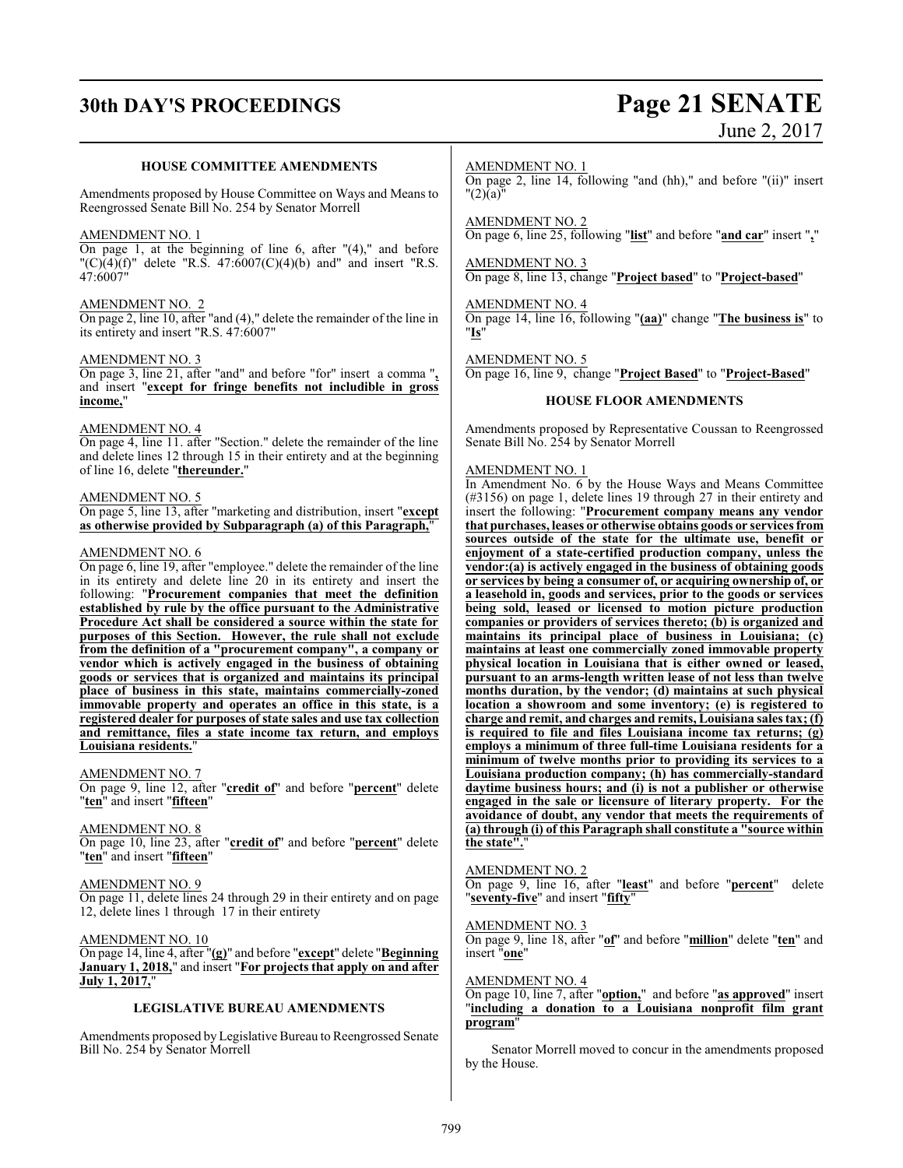# **30th DAY'S PROCEEDINGS Page 21 SENATE**

# June 2, 2017

#### **HOUSE COMMITTEE AMENDMENTS**

Amendments proposed by House Committee on Ways and Means to Reengrossed Senate Bill No. 254 by Senator Morrell

#### AMENDMENT NO. 1

On page 1, at the beginning of line 6, after  $(4)$ ," and before  $(C)(4)(f)$ " delete "R.S. 47:6007(C)(4)(b) and and insert "R.S. 47:6007"

#### AMENDMENT NO. 2

On page 2, line 10, after "and (4)," delete the remainder of the line in its entirety and insert "R.S. 47:6007"

#### AMENDMENT NO. 3

On page 3, line 21, after "and" and before "for" insert a comma "**,** and insert "**except for fringe benefits not includible in gross income,**"

#### AMENDMENT NO. 4

On page 4, line 11. after "Section." delete the remainder of the line and delete lines 12 through 15 in their entirety and at the beginning of line 16, delete "**thereunder.**"

#### AMENDMENT NO. 5

On page 5, line 13, after "marketing and distribution, insert "**except as otherwise provided by Subparagraph (a) of this Paragraph,**"

#### AMENDMENT NO. 6

On page 6, line 19, after "employee." delete the remainder of the line in its entirety and delete line 20 in its entirety and insert the following: "**Procurement companies that meet the definition established by rule by the office pursuant to the Administrative Procedure Act shall be considered a source within the state for purposes of this Section. However, the rule shall not exclude from the definition of a "procurement company", a company or vendor which is actively engaged in the business of obtaining goods or services that is organized and maintains its principal place of business in this state, maintains commercially-zoned immovable property and operates an office in this state, is a registered dealer for purposes of state sales and use tax collection and remittance, files a state income tax return, and employs Louisiana residents.**"

#### AMENDMENT NO. 7

On page 9, line 12, after "**credit of**" and before "**percent**" delete "**ten**" and insert "**fifteen**"

#### AMENDMENT NO. 8

On page 10, line 23, after "**credit of**" and before "**percent**" delete "**ten**" and insert "**fifteen**"

#### AMENDMENT NO. 9

On page 11, delete lines 24 through 29 in their entirety and on page 12, delete lines 1 through 17 in their entirety

#### AMENDMENT NO. 10

On page 14, line 4, after "**(g)**" and before "**except**" delete "**Beginning January 1, 2018,**" and insert "**For projects that apply on and after July 1, 2017,**"

#### **LEGISLATIVE BUREAU AMENDMENTS**

Amendments proposed by Legislative Bureau to Reengrossed Senate Bill No. 254 by Senator Morrell

#### AMENDMENT NO. 1

On page 2, line 14, following "and (hh)," and before "(ii)" insert  $"(2)$  $(a)$  $"$ 

AMENDMENT NO. 2

On page 6, line 25, following "**list**" and before "**and car**" insert "**,**"

AMENDMENT NO. 3 On page 8, line 13, change "**Project based**" to "**Project-based**"

## AMENDMENT NO. 4

On page 14, line 16, following "**(aa)**" change "**The business is**" to "**Is**"

AMENDMENT NO. 5

On page 16, line 9, change "**Project Based**" to "**Project-Based**"

#### **HOUSE FLOOR AMENDMENTS**

Amendments proposed by Representative Coussan to Reengrossed Senate Bill No. 254 by Senator Morrell

#### AMENDMENT NO. 1

In Amendment No. 6 by the House Ways and Means Committee (#3156) on page 1, delete lines 19 through 27 in their entirety and insert the following: "**Procurement company means any vendor that purchases, leases or otherwise obtains goods or services from sources outside of the state for the ultimate use, benefit or enjoyment of a state-certified production company, unless the vendor:(a) is actively engaged in the business of obtaining goods or services by being a consumer of, or acquiring ownership of, or a leasehold in, goods and services, prior to the goods or services being sold, leased or licensed to motion picture production companies or providers of services thereto; (b) is organized and maintains its principal place of business in Louisiana; (c) maintains at least one commercially zoned immovable property physical location in Louisiana that is either owned or leased, pursuant to an arms-length written lease of not less than twelve months duration, by the vendor; (d) maintains at such physical location a showroom and some inventory; (e) is registered to charge and remit, and charges and remits, Louisiana sales tax; (f) is required to file and files Louisiana income tax returns; (g) employs a minimum of three full-time Louisiana residents for a minimum of twelve months prior to providing its services to a Louisiana production company; (h) has commercially-standard daytime business hours; and (i) is not a publisher or otherwise engaged in the sale or licensure of literary property. For the avoidance of doubt, any vendor that meets the requirements of (a) through (i) of this Paragraph shall constitute a "source within the state".**"

#### AMENDMENT NO. 2

On page 9, line 16, after "**least**" and before "**percent**" delete "**seventy-five**" and insert "**fifty**"

#### AMENDMENT NO. 3

On page 9, line 18, after "**of**" and before "**million**" delete "**ten**" and insert "**one**"

#### AMENDMENT NO. 4

On page 10, line 7, after "**option,**" and before "**as approved**" insert "**including a donation to a Louisiana nonprofit film grant program**"

Senator Morrell moved to concur in the amendments proposed by the House.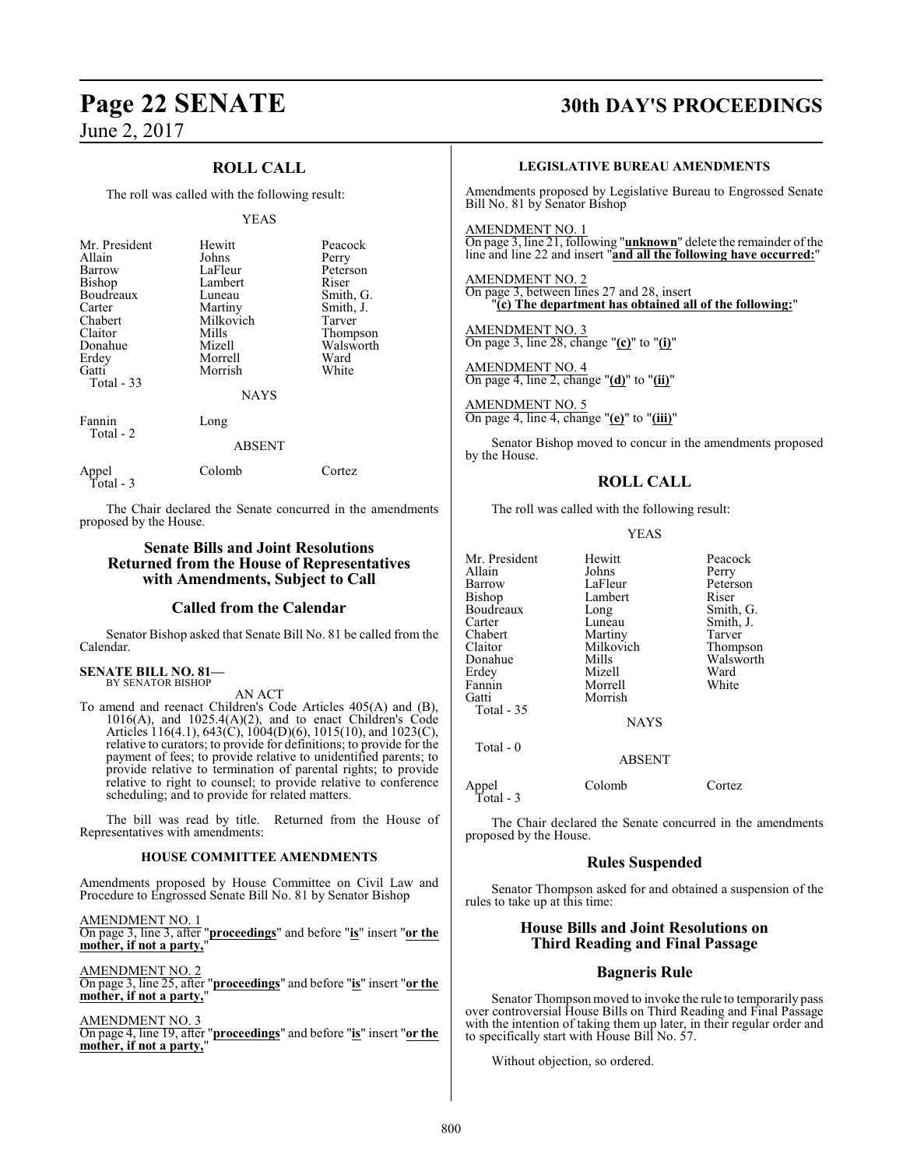## **ROLL CALL**

The roll was called with the following result:

#### YEAS

| Mr. President<br>Allain<br>Barrow<br>Bishop<br>Boudreaux<br>Carter<br>Chabert<br>Claitor<br>Donahue<br>Erdey<br>Gatti<br>Total $-33$ | Hewitt<br>Johns<br>LaFleur<br>Lambert<br>Luneau<br>Martiny<br>Milkovich<br>Mills<br>Mizell<br>Morrell<br>Morrish<br><b>NAYS</b> | Peacock<br>Perry<br>Peterson<br>Riser<br>Smith, G.<br>Smith, J.<br>Tarver<br>Thompson<br>Walsworth<br>Ward<br>White |
|--------------------------------------------------------------------------------------------------------------------------------------|---------------------------------------------------------------------------------------------------------------------------------|---------------------------------------------------------------------------------------------------------------------|
| Fannin<br>Total - 2                                                                                                                  | Long<br><b>ABSENT</b>                                                                                                           |                                                                                                                     |
| Appel                                                                                                                                | Colomb                                                                                                                          | Cortez                                                                                                              |

Total - 3

The Chair declared the Senate concurred in the amendments proposed by the House.

#### **Senate Bills and Joint Resolutions Returned from the House of Representatives with Amendments, Subject to Call**

#### **Called from the Calendar**

Senator Bishop asked that Senate Bill No. 81 be called from the Calendar.

#### **SENATE BILL NO. 81—** BY SENATOR BISHOP

AN ACT

To amend and reenact Children's Code Articles 405(A) and (B),  $1016(A)$ , and  $1025.4(A)(2)$ , and to enact Children's Code Articles 116(4.1), 643(C), 1004(D)(6), 1015(10), and 1023(C), relative to curators; to provide for definitions; to provide for the payment of fees; to provide relative to unidentified parents; to provide relative to termination of parental rights; to provide relative to right to counsel; to provide relative to conference scheduling; and to provide for related matters.

The bill was read by title. Returned from the House of Representatives with amendments:

#### **HOUSE COMMITTEE AMENDMENTS**

Amendments proposed by House Committee on Civil Law and Procedure to Engrossed Senate Bill No. 81 by Senator Bishop

AMENDMENT NO. 1 On page 3, line 3, after "**proceedings**" and before "**is**" insert "**or the mother, if not a party,**"

AMENDMENT NO. 2

On page 3, line 25, after "**proceedings**" and before "**is**" insert "**or the mother, if not a party,**"

AMENDMENT NO. 3 On page 4, line 19, after "**proceedings**" and before "**is**" insert "**or the mother, if not a party,**"

## **Page 22 SENATE 30th DAY'S PROCEEDINGS**

#### **LEGISLATIVE BUREAU AMENDMENTS**

Amendments proposed by Legislative Bureau to Engrossed Senate Bill No. 81 by Senator Bishop

AMENDMENT NO. 1 On page 3, line 21, following "**unknown**" delete the remainder of the line and line 22 and insert "**and all the following have occurred:**"

AMENDMENT NO. 2 On page 3, between lines 27 and 28, insert "**(c) The department has obtained all of the following:**"

AMENDMENT NO. 3 On page 3, line 28, change "**(c)**" to "**(i)**"

AMENDMENT NO. 4 On page 4, line 2, change "**(d)**" to "**(ii)**"

AMENDMENT NO. 5 On page 4, line 4, change "**(e)**" to "**(iii)**"

Senator Bishop moved to concur in the amendments proposed by the House.

### **ROLL CALL**

The roll was called with the following result:

#### YEAS

| Mr. President | Hewitt      | Peacock   |
|---------------|-------------|-----------|
| Allain        | Johns       | Perry     |
| Barrow        | LaFleur     | Peterson  |
| Bishop        | Lambert     | Riser     |
| Boudreaux     | Long        | Smith, G. |
| Carter        | Luneau      | Smith, J. |
| Chabert       | Martiny     | Tarver    |
| Claitor       | Milkovich   | Thompson  |
| Donahue       | Mills       | Walsworth |
| Erdey         | Mizell      | Ward      |
| Fannin        | Morrell     | White     |
| Gatti         | Morrish     |           |
| Total $-35$   |             |           |
|               | <b>NAYS</b> |           |
|               |             |           |

Total - 0

Appel Colomb Cortez Total - 3

The Chair declared the Senate concurred in the amendments proposed by the House.

ABSENT

#### **Rules Suspended**

Senator Thompson asked for and obtained a suspension of the rules to take up at this time:

#### **House Bills and Joint Resolutions on Third Reading and Final Passage**

#### **Bagneris Rule**

Senator Thompson moved to invoke the rule to temporarily pass over controversial House Bills on Third Reading and Final Passage with the intention of taking them up later, in their regular order and to specifically start with House Bill No.  $57$ .

Without objection, so ordered.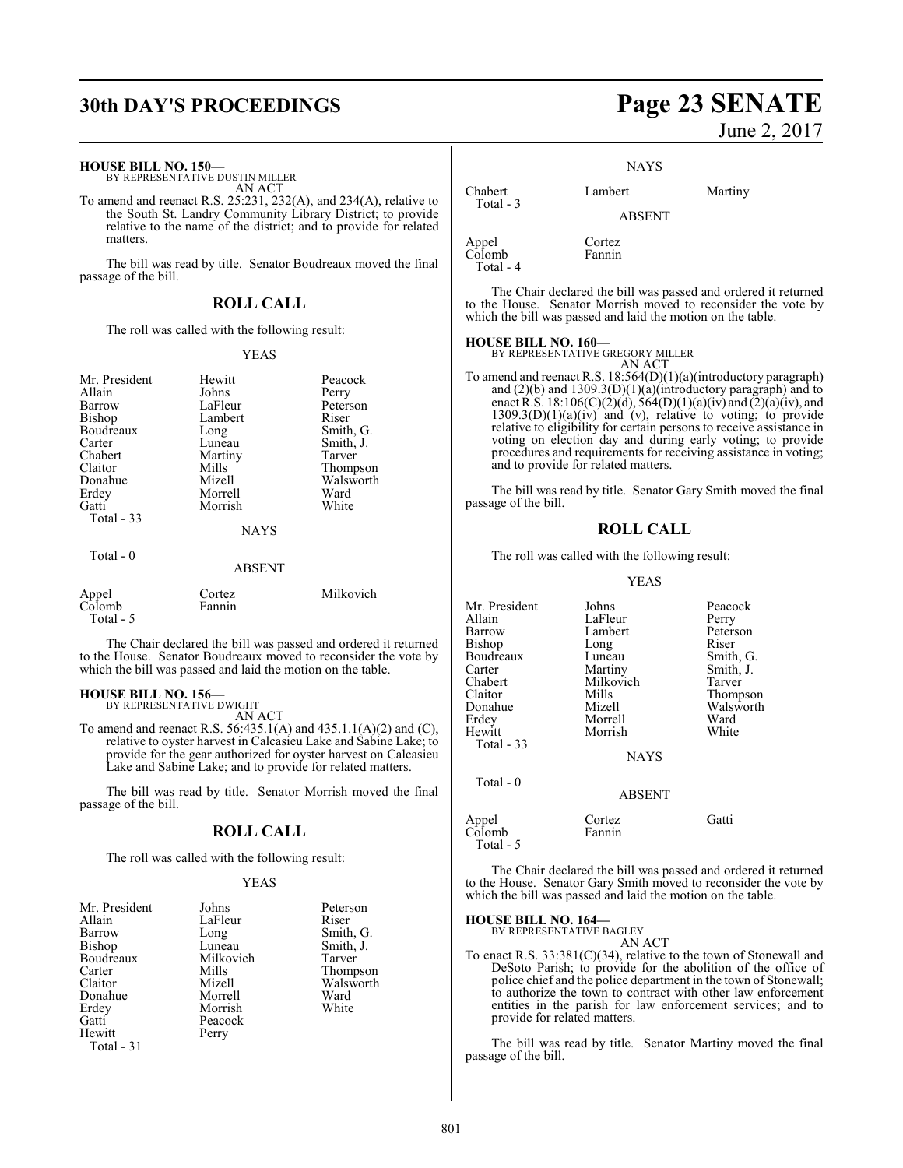# **30th DAY'S PROCEEDINGS Page 23 SENATE**

#### **HOUSE BILL NO. 150—**

BY REPRESENTATIVE DUSTIN MILLER AN ACT

To amend and reenact R.S. 25:231, 232(A), and 234(A), relative to the South St. Landry Community Library District; to provide relative to the name of the district; and to provide for related matters.

The bill was read by title. Senator Boudreaux moved the final passage of the bill.

#### **ROLL CALL**

The roll was called with the following result:

#### YEAS

| Mr. President<br>Allain<br>Barrow<br>Bishop<br>Boudreaux<br>Carter<br>Chabert<br>Claitor<br>Donahue<br>Erdey<br>Gatti<br>Total $-33$ | Hewitt<br>Johns<br>LaFleur<br>Lambert<br>Long<br>Luneau<br>Martiny<br>Mills<br>Mizell<br>Morrell<br>Morrish<br><b>NAYS</b> | Peacock<br>Perry<br>Peterson<br>Riser<br>Smith, G.<br>Smith, J.<br>Tarver<br>Thompson<br>Walsworth<br>Ward<br>White |
|--------------------------------------------------------------------------------------------------------------------------------------|----------------------------------------------------------------------------------------------------------------------------|---------------------------------------------------------------------------------------------------------------------|
| Total - 0                                                                                                                            | <b>ABSENT</b>                                                                                                              |                                                                                                                     |
| Appel<br>Colomb<br>Total - 5                                                                                                         | Cortez<br>Fannin                                                                                                           | Milkovich                                                                                                           |

The Chair declared the bill was passed and ordered it returned to the House. Senator Boudreaux moved to reconsider the vote by which the bill was passed and laid the motion on the table.

## **HOUSE BILL NO. 156—** BY REPRESENTATIVE DWIGHT

AN ACT

To amend and reenact R.S. 56:435.1(A) and 435.1.1(A)(2) and (C), relative to oyster harvest in Calcasieu Lake and Sabine Lake; to provide for the gear authorized for oyster harvest on Calcasieu Lake and Sabine Lake; and to provide for related matters.

The bill was read by title. Senator Morrish moved the final passage of the bill.

#### **ROLL CALL**

The roll was called with the following result:

#### YEAS

| Mr. President | Johns     | Peterson  |
|---------------|-----------|-----------|
| Allain        | LaFleur   | Riser     |
| Barrow        | Long      | Smith, G. |
| Bishop        | Luneau    | Smith, J. |
| Boudreaux     | Milkovich | Tarver    |
| Carter        | Mills     | Thompson  |
| Claitor       | Mizell    | Walsworth |
| Donahue       | Morrell   | Ward      |
| Erdey         | Morrish   | White     |
| Gatti         | Peacock   |           |
| Hewitt        | Perry     |           |
| Total - 31    |           |           |

# June 2, 2017

**NAYS** 

Chabert Lambert Martiny ABSENT

Appel Cortez Colomb Fannin Total - 4

Total - 3

The Chair declared the bill was passed and ordered it returned to the House. Senator Morrish moved to reconsider the vote by which the bill was passed and laid the motion on the table.

#### **HOUSE BILL NO. 160—**

BY REPRESENTATIVE GREGORY MILLER AN ACT

To amend and reenact R.S. 18:564(D)(1)(a)(introductory paragraph) and (2)(b) and 1309.3(D)(1)(a)(introductory paragraph) and to enact  $\hat{R}$ .S. 18:106(C)(2)(d), 564(D)(1)(a)(iv) and (2)(a)(iv), and  $1309.3(D)(1)(a)(iv)$  and (v), relative to voting; to provide relative to eligibility for certain persons to receive assistance in voting on election day and during early voting; to provide procedures and requirements for receiving assistance in voting; and to provide for related matters.

The bill was read by title. Senator Gary Smith moved the final passage of the bill.

#### **ROLL CALL**

The roll was called with the following result:

#### YEAS

Mr. President Johns Peacock<br>Allain LaFleur Perry Allain 1988 LaFleur 1988 Perry<br>1997 Barrow 1988 Lambert 1988 Peterson Lambert Bishop Long Riser<br>Boudreaux Luneau Smith, G. Boudreaux Luneau<br>Carter Martiny Carter Martiny Smith, J.<br>Chabert Milkovich Tarver Chabert Milkovich<br>Claitor Mills Claitor Mills Thompson Donahue Mizell Walsworth Erdey Morrell Ward<br>
Hewitt Morrish White Morrish Total - 33 **NAYS**  Total - 0 ABSENT Appel Cortez Gatti Colomb Total - 5

The Chair declared the bill was passed and ordered it returned to the House. Senator Gary Smith moved to reconsider the vote by which the bill was passed and laid the motion on the table.

## **HOUSE BILL NO. 164—** BY REPRESENTATIVE BAGLEY

AN ACT

To enact R.S. 33:381(C)(34), relative to the town of Stonewall and DeSoto Parish; to provide for the abolition of the office of police chief and the police department in the town of Stonewall; to authorize the town to contract with other law enforcement entities in the parish for law enforcement services; and to provide for related matters.

The bill was read by title. Senator Martiny moved the final passage of the bill.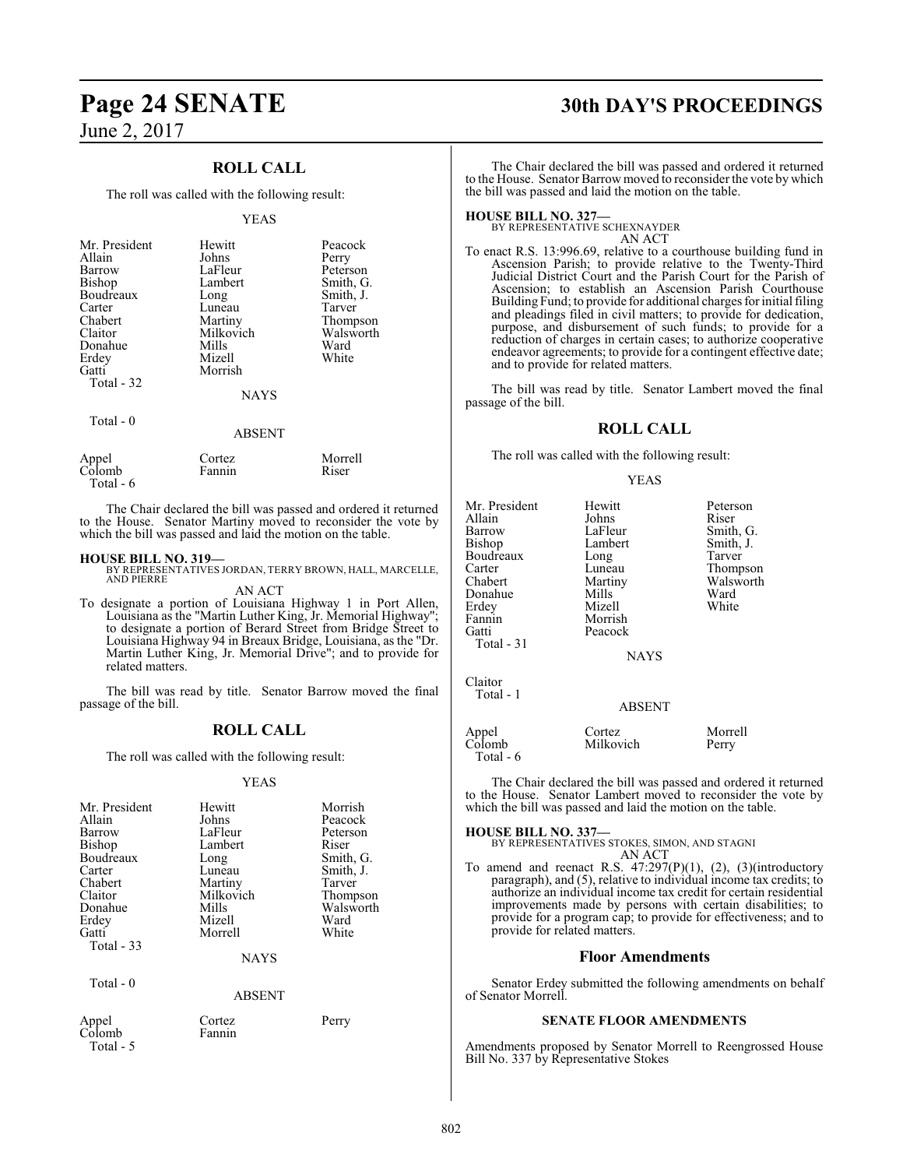## **ROLL CALL**

The roll was called with the following result:

#### YEAS

| Mr. President<br>Allain<br>Barrow<br>Bishop<br>Boudreaux<br>Carter<br>Chabert<br>Claitor<br>Donahue<br>Erdey<br>Gatti<br>Total - 32 | Hewitt<br>Johns<br>LaFleur<br>Lambert<br>Long<br>Luneau<br>Martiny<br>Milkovich<br>Mills<br>Mizell<br>Morrish<br><b>NAYS</b> | Peacock<br>Perry<br>Peterson<br>Smith, G.<br>Smith, J.<br>Tarver<br>Thompson<br>Walsworth<br>Ward<br>White |
|-------------------------------------------------------------------------------------------------------------------------------------|------------------------------------------------------------------------------------------------------------------------------|------------------------------------------------------------------------------------------------------------|
| Total $-0$                                                                                                                          | <b>ABSENT</b>                                                                                                                |                                                                                                            |

| Appel     | Cortez | Morrell |
|-----------|--------|---------|
| Colomb    | Fannin | Riser   |
| Total - 6 |        |         |

The Chair declared the bill was passed and ordered it returned to the House. Senator Martiny moved to reconsider the vote by which the bill was passed and laid the motion on the table.

#### **HOUSE BILL NO. 319—**

BY REPRESENTATIVES JORDAN, TERRY BROWN, HALL, MARCELLE, AND PIERRE

AN ACT To designate a portion of Louisiana Highway 1 in Port Allen, Louisiana as the "Martin Luther King, Jr. Memorial Highway"; to designate a portion of Berard Street from Bridge Street to Louisiana Highway 94 in Breaux Bridge, Louisiana, as the "Dr. Martin Luther King, Jr. Memorial Drive"; and to provide for related matters.

The bill was read by title. Senator Barrow moved the final passage of the bill.

### **ROLL CALL**

The roll was called with the following result:

#### YEAS

| Hewitt      | Morrish   |
|-------------|-----------|
| Johns       | Peacock   |
| LaFleur     | Peterson  |
| Lambert     | Riser     |
| Long        | Smith, G. |
| Luneau      | Smith, J. |
| Martiny     | Tarver    |
| Milkovich   | Thompson  |
| Mills       | Walsworth |
| Mizell      | Ward      |
| Morrell     | White     |
| <b>NAYS</b> |           |
|             |           |

Total - 0

ABSENT

Appel Cortez Perry Colomb Fannin Total - 5

# **Page 24 SENATE 30th DAY'S PROCEEDINGS**

The Chair declared the bill was passed and ordered it returned to the House. Senator Barrow moved to reconsider the vote by which the bill was passed and laid the motion on the table.

# **HOUSE BILL NO. 327—** BY REPRESENTATIVE SCHEXNAYDER

AN ACT

To enact R.S. 13:996.69, relative to a courthouse building fund in Ascension Parish; to provide relative to the Twenty-Third Judicial District Court and the Parish Court for the Parish of Ascension; to establish an Ascension Parish Courthouse Building Fund; to provide for additional charges for initial filing and pleadings filed in civil matters; to provide for dedication, purpose, and disbursement of such funds; to provide for a reduction of charges in certain cases; to authorize cooperative endeavor agreements; to provide for a contingent effective date; and to provide for related matters.

The bill was read by title. Senator Lambert moved the final passage of the bill.

#### **ROLL CALL**

The roll was called with the following result:

#### YEAS

| Mr. President | Hewitt        | Peterson  |
|---------------|---------------|-----------|
| Allain        | Johns         | Riser     |
| Barrow        | LaFleur       | Smith, G. |
| Bishop        | Lambert       | Smith, J. |
| Boudreaux     | Long          | Tarver    |
| Carter        | Luneau        | Thompson  |
| Chabert       | Martiny       | Walsworth |
| Donahue       | Mills         | Ward      |
| Erdey         | Mizell        | White     |
| Fannin        | Morrish       |           |
| Gatti         | Peacock       |           |
| Total - 31    |               |           |
|               | <b>NAYS</b>   |           |
| Claitor       |               |           |
| Total - 1     |               |           |
|               | <b>ABSENT</b> |           |
| Appel         | Cortez        | Morrell   |
| Colomb        | Milkovich     | Perry     |
| Total - 6     |               |           |

The Chair declared the bill was passed and ordered it returned to the House. Senator Lambert moved to reconsider the vote by which the bill was passed and laid the motion on the table.

#### **HOUSE BILL NO. 337—**

BY REPRESENTATIVES STOKES, SIMON, AND STAGNI AN ACT

To amend and reenact R.S.  $47:297(P)(1)$ ,  $(2)$ ,  $(3)(introducing$ paragraph), and (5), relative to individual income tax credits; to authorize an individual income tax credit for certain residential improvements made by persons with certain disabilities; to provide for a program cap; to provide for effectiveness; and to provide for related matters.

#### **Floor Amendments**

Senator Erdey submitted the following amendments on behalf of Senator Morrell.

#### **SENATE FLOOR AMENDMENTS**

Amendments proposed by Senator Morrell to Reengrossed House Bill No. 337 by Representative Stokes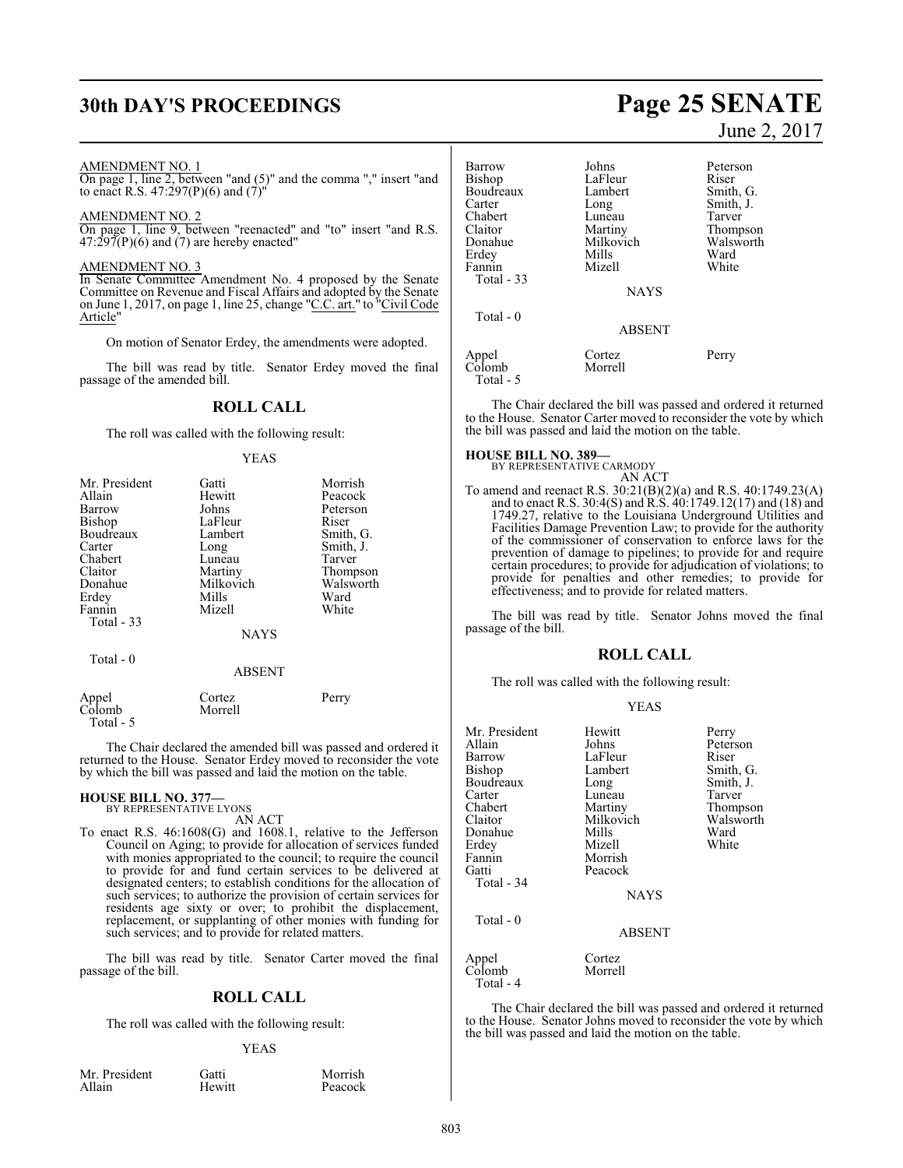# **30th DAY'S PROCEEDINGS Page 25 SENATE**

#### AMENDMENT NO. 1

On page 1, line 2, between "and (5)" and the comma "," insert "and to enact R.S. 47:297(P)(6) and (7)"

#### AMENDMENT NO. 2

On page 1, line 9, between "reenacted" and "to" insert "and R.S.  $47:297(P)(6)$  and (7) are hereby enacted"

#### AMENDMENT NO. 3

In Senate Committee Amendment No. 4 proposed by the Senate Committee on Revenue and Fiscal Affairs and adopted by the Senate on June 1, 2017, on page 1, line 25, change "C.C. art." to "Civil Code Article"

On motion of Senator Erdey, the amendments were adopted.

The bill was read by title. Senator Erdey moved the final passage of the amended bill.

## **ROLL CALL**

The roll was called with the following result:

#### YEAS

| Mr. President | Gatti         | Morrish   |
|---------------|---------------|-----------|
| Allain        | Hewitt        | Peacock   |
| Barrow        | Johns         | Peterson  |
| Bishop        | LaFleur       | Riser     |
| Boudreaux     | Lambert       | Smith, G. |
| Carter        | Long          | Smith, J. |
| Chabert       | Luneau        | Tarver    |
| Claitor       | Martiny       | Thompson  |
| Donahue       | Milkovich     | Walsworth |
| Erdey         | Mills         | Ward      |
| Fannin        | Mizell        | White     |
| Total - 33    |               |           |
|               | <b>NAYS</b>   |           |
| Total $-0$    |               |           |
|               | <b>ABSENT</b> |           |
| Appel         | Cortez        | Perry     |
| Colomb        | Morrell       |           |
| Total - 5     |               |           |

The Chair declared the amended bill was passed and ordered it returned to the House. Senator Erdey moved to reconsider the vote by which the bill was passed and laid the motion on the table.

#### **HOUSE BILL NO. 377—** BY REPRESENTATIVE LYONS

AN ACT

To enact R.S. 46:1608(G) and 1608.1, relative to the Jefferson Council on Aging; to provide for allocation of services funded with monies appropriated to the council; to require the council to provide for and fund certain services to be delivered at designated centers; to establish conditions for the allocation of such services; to authorize the provision of certain services for residents age sixty or over; to prohibit the displacement, replacement, or supplanting of other monies with funding for such services; and to provide for related matters.

The bill was read by title. Senator Carter moved the final passage of the bill.

#### **ROLL CALL**

The roll was called with the following result:

#### YEAS

| Mr. President | Gatti  | Morrish |
|---------------|--------|---------|
| Allain        | Hewitt | Peacock |

# June 2, 2017

| Barrow<br>Bishop<br>Boudreaux<br>Carter<br>Chabert<br>Claitor<br>Donahue<br>Erdey<br>Fannin<br>Total - 33 | Johns<br>LaFleur<br>Lambert<br>Long<br>Luneau<br>Martiny<br>Milkovich<br>Mills<br>Mizell | Peterson<br>Riser<br>Smith, G.<br>Smith, J.<br>Tarver<br>Thompson<br>Walsworth<br>Ward<br>White |
|-----------------------------------------------------------------------------------------------------------|------------------------------------------------------------------------------------------|-------------------------------------------------------------------------------------------------|
| Total - 0                                                                                                 | <b>NAYS</b><br><b>ABSENT</b>                                                             |                                                                                                 |
| Appel<br>Colomb<br>Total - 5                                                                              | Cortez<br>Morrell                                                                        | Perry                                                                                           |

The Chair declared the bill was passed and ordered it returned to the House. Senator Carter moved to reconsider the vote by which the bill was passed and laid the motion on the table.

#### **HOUSE BILL NO. 389—**

BY REPRESENTATIVE CARMODY AN ACT

To amend and reenact R.S. 30:21(B)(2)(a) and R.S. 40:1749.23(A) and to enact R.S. 30:4(S) and R.S. 40:1749.12(17) and (18) and 1749.27, relative to the Louisiana Underground Utilities and Facilities Damage Prevention Law; to provide for the authority of the commissioner of conservation to enforce laws for the prevention of damage to pipelines; to provide for and require certain procedures; to provide for adjudication of violations; to provide for penalties and other remedies; to provide for effectiveness; and to provide for related matters.

The bill was read by title. Senator Johns moved the final passage of the bill.

#### **ROLL CALL**

The roll was called with the following result:

#### YEAS

| Mr. President | Hewitt        | Perry     |
|---------------|---------------|-----------|
| Allain        | Johns         | Peterson  |
| Barrow        | LaFleur       | Riser     |
| Bishop        | Lambert       | Smith, G. |
| Boudreaux     | Long          | Smith, J. |
| Carter        | Luneau        | Tarver    |
| Chabert       | Martiny       | Thompson  |
| Claitor       | Milkovich     | Walsworth |
| Donahue       | Mills         | Ward      |
| Erdey         | Mizell        | White     |
| Fannin        | Morrish       |           |
| Gatti         | Peacock       |           |
| Total - 34    |               |           |
|               | <b>NAYS</b>   |           |
| Total - 0     |               |           |
|               | <b>ABSENT</b> |           |
| Appel         | Cortez        |           |
| Colomb        | Morrell       |           |
| Total - 4     |               |           |

The Chair declared the bill was passed and ordered it returned to the House. Senator Johns moved to reconsider the vote by which the bill was passed and laid the motion on the table.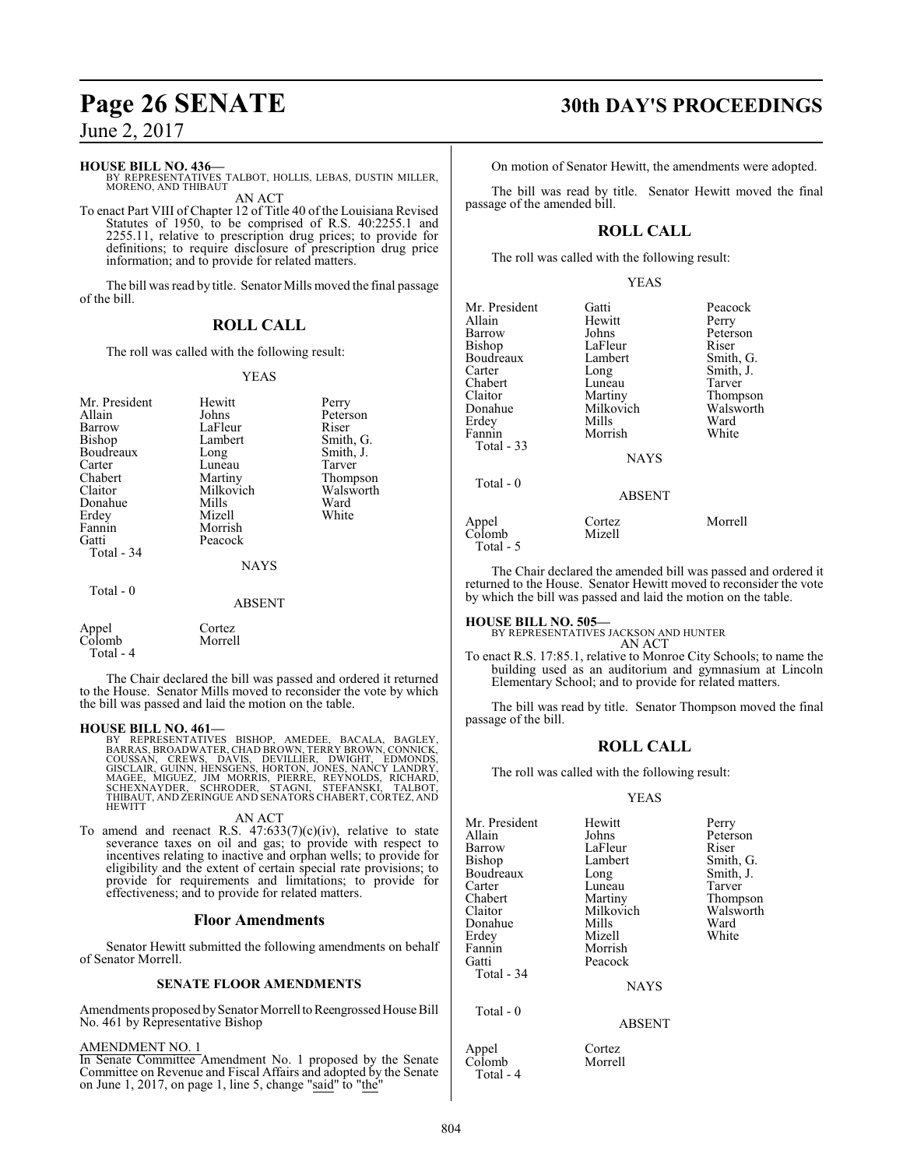#### **HOUSE BILL NO. 436—**

BY REPRESENTATIVES TALBOT, HOLLIS, LEBAS, DUSTIN MILLER, MORENO, AND THIBAUT AN ACT

To enact Part VIII of Chapter 12 of Title 40 of the Louisiana Revised Statutes of 1950, to be comprised of R.S. 40:2255.1 and 2255.11, relative to prescription drug prices; to provide for definitions; to require disclosure of prescription drug price information; and to provide for related matters.

The bill was read by title. Senator Mills moved the final passage of the bill.

## **ROLL CALL**

The roll was called with the following result:

#### YEAS

| Mr. President       | Hewitt        | Perry     |
|---------------------|---------------|-----------|
| Allain              | Johns         | Peterson  |
| Barrow              | LaFleur       | Riser     |
| <b>Bishop</b>       | Lambert       | Smith, G. |
| Boudreaux           | Long          | Smith, J. |
| Carter              | Luneau        | Tarver    |
| Chabert             | Martiny       | Thompson  |
| Claitor             | Milkovich     | Walsworth |
| Donahue             | Mills         | Ward      |
| Erdey               | Mizell        | White     |
| Fannin              | Morrish       |           |
| Gatti               | Peacock       |           |
| Total - 34          |               |           |
|                     | <b>NAYS</b>   |           |
| Total - 0           |               |           |
|                     | <b>ABSENT</b> |           |
| Appel               | Cortez        |           |
| Colomb<br>Total - 4 | Morrell       |           |

The Chair declared the bill was passed and ordered it returned to the House. Senator Mills moved to reconsider the vote by which the bill was passed and laid the motion on the table.

**HOUSE BILL NO. 461—**<br>BY REPRESENTATIVES BISHOP, AMEDEE, BACALA, BAGLEY, BARRAS, BROADWATER, CHAD BROWN, TERRY BROWN, CONNICK,<br>COUSSAN, CREWS, DAVIS, DEVILLIER, DWIGHT, EDMONDS,<br>GISCLAIR, GUINN, HENSGENS, HORTON, JONES, NA

#### AN ACT

To amend and reenact R.S.  $47:633(7)(c)(iv)$ , relative to state severance taxes on oil and gas; to provide with respect to incentives relating to inactive and orphan wells; to provide for eligibility and the extent of certain special rate provisions; to provide for requirements and limitations; to provide for effectiveness; and to provide for related matters.

#### **Floor Amendments**

Senator Hewitt submitted the following amendments on behalf of Senator Morrell.

#### **SENATE FLOOR AMENDMENTS**

Amendments proposed by Senator Morrell to Reengrossed House Bill No. 461 by Representative Bishop

#### AMENDMENT NO. 1

In Senate Committee Amendment No. 1 proposed by the Senate Committee on Revenue and Fiscal Affairs and adopted by the Senate on June 1, 2017, on page 1, line 5, change "said" to "the"

## **Page 26 SENATE 30th DAY'S PROCEEDINGS**

On motion of Senator Hewitt, the amendments were adopted.

The bill was read by title. Senator Hewitt moved the final passage of the amended bill.

#### **ROLL CALL**

The roll was called with the following result:

#### YEAS

| Mr. President<br>Allain<br>Barrow | Gatti<br>Hewitt<br>Johns | Peacock<br>Perry<br>Peterson<br>Riser |
|-----------------------------------|--------------------------|---------------------------------------|
| Bishop<br>Boudreaux               | LaFleur<br>Lambert       | Smith, G.                             |
| Carter                            | Long                     | Smith, J.                             |
| Chabert                           | Luneau                   | Tarver                                |
| Claitor                           | Martiny                  | Thompson                              |
| Donahue                           | Milkovich                | Walsworth                             |
| Erdey                             | Mills                    | Ward                                  |
| Fannin                            | Morrish                  | White                                 |
| Total - 33                        |                          |                                       |
|                                   | <b>NAYS</b>              |                                       |
| Total - 0                         |                          |                                       |
|                                   | <b>ABSENT</b>            |                                       |
| Appel<br>Colomb<br>Total - 5      | Cortez<br>Mizell         | Morrell                               |

The Chair declared the amended bill was passed and ordered it returned to the House. Senator Hewitt moved to reconsider the vote by which the bill was passed and laid the motion on the table.

#### **HOUSE BILL NO. 505—** BY REPRESENTATIVES JACKSON AND HUNTER

AN ACT

To enact R.S. 17:85.1, relative to Monroe City Schools; to name the building used as an auditorium and gymnasium at Lincoln Elementary School; and to provide for related matters.

The bill was read by title. Senator Thompson moved the final passage of the bill.

#### **ROLL CALL**

The roll was called with the following result:

#### YEAS

| Mr. President | Hewitt        | Perry     |
|---------------|---------------|-----------|
| Allain        | Johns         | Peterson  |
| Barrow        | LaFleur       | Riser     |
| Bishop        | Lambert       | Smith, G. |
| Boudreaux     | Long          | Smith, J. |
| Carter        | Luneau        | Tarver    |
| Chabert       | Martiny       | Thompson  |
| Claitor       | Milkovich     | Walsworth |
| Donahue       | Mills         | Ward      |
| Erdev         | Mizell        | White     |
| Fannin        | Morrish       |           |
| Gatti         | Peacock       |           |
| Total - 34    |               |           |
|               | <b>NAYS</b>   |           |
| Total - 0     |               |           |
|               | <b>ABSENT</b> |           |
|               |               |           |

Appel Cortez<br>Colomb Morrell

 $C\overline{olomb}$ Total - 4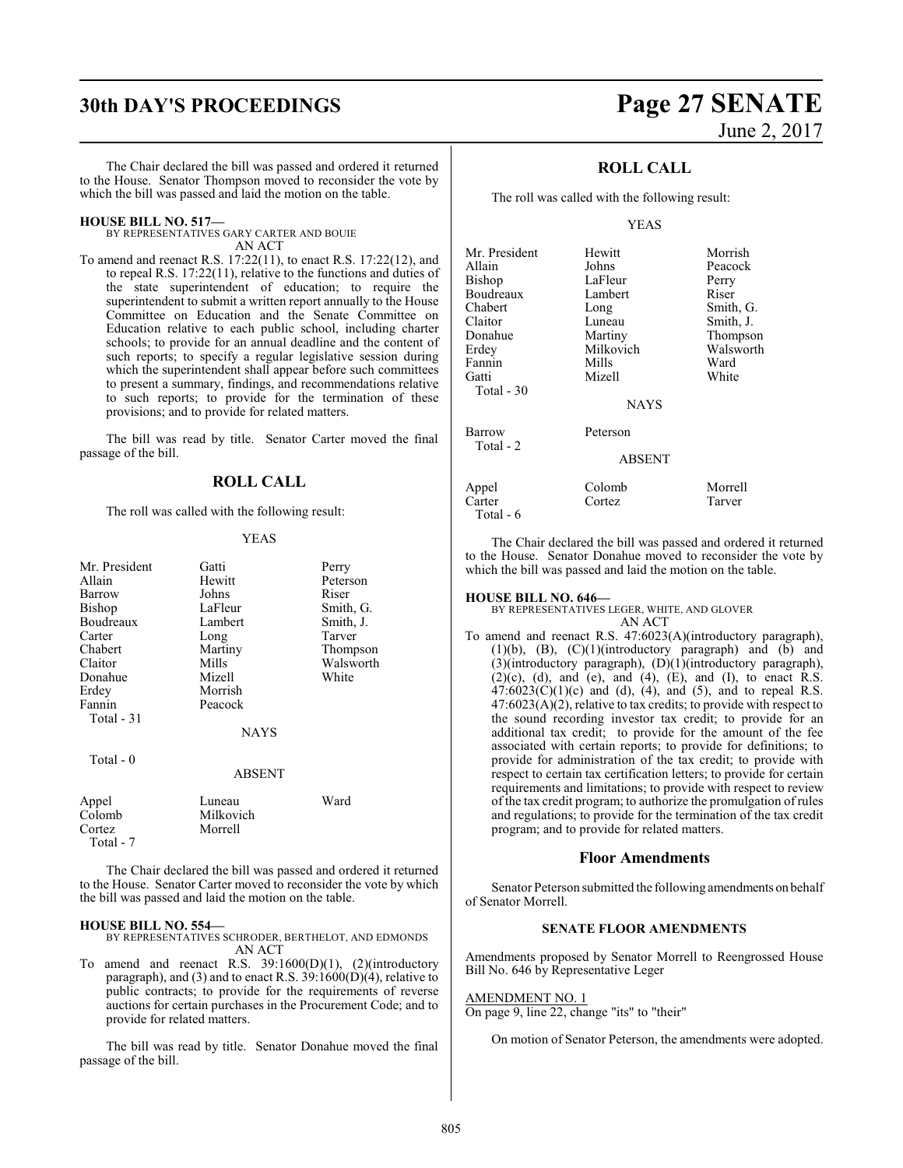# **30th DAY'S PROCEEDINGS Page 27 SENATE**

The Chair declared the bill was passed and ordered it returned to the House. Senator Thompson moved to reconsider the vote by which the bill was passed and laid the motion on the table.

#### **HOUSE BILL NO. 517—**

BY REPRESENTATIVES GARY CARTER AND BOUIE AN ACT

To amend and reenact R.S. 17:22(11), to enact R.S. 17:22(12), and to repeal R.S. 17:22(11), relative to the functions and duties of the state superintendent of education; to require the superintendent to submit a written report annually to the House Committee on Education and the Senate Committee on Education relative to each public school, including charter schools; to provide for an annual deadline and the content of such reports; to specify a regular legislative session during which the superintendent shall appear before such committees to present a summary, findings, and recommendations relative to such reports; to provide for the termination of these provisions; and to provide for related matters.

The bill was read by title. Senator Carter moved the final passage of the bill.

#### **ROLL CALL**

The roll was called with the following result:

#### YEAS

| Mr. President<br>Allain<br>Barrow<br>Bishop<br>Boudreaux<br>Carter<br>Chabert<br>Claitor<br>Donahue<br>Erdey | Gatti<br>Hewitt<br>Johns<br>LaFleur<br>Lambert<br>Long<br>Martiny<br>Mills<br>Mizell<br>Morrish | Perry<br>Peterson<br>Riser<br>Smith, G.<br>Smith, J.<br>Tarver<br>Thompson<br>Walsworth<br>White |
|--------------------------------------------------------------------------------------------------------------|-------------------------------------------------------------------------------------------------|--------------------------------------------------------------------------------------------------|
| Fannin<br>Total - 31                                                                                         | Peacock<br><b>NAYS</b>                                                                          |                                                                                                  |
| Total $-0$                                                                                                   | <b>ABSENT</b>                                                                                   |                                                                                                  |
| Appel<br>Colomb<br>Cortez<br>Total - 7                                                                       | Luneau<br>Milkovich<br>Morrell                                                                  | Ward                                                                                             |

The Chair declared the bill was passed and ordered it returned to the House. Senator Carter moved to reconsider the vote by which the bill was passed and laid the motion on the table.

#### **HOUSE BILL NO. 554—**

BY REPRESENTATIVES SCHRODER, BERTHELOT, AND EDMONDS AN ACT

To amend and reenact R.S. 39:1600(D)(1), (2)(introductory paragraph), and (3) and to enact R.S.  $39:1600(D)(4)$ , relative to public contracts; to provide for the requirements of reverse auctions for certain purchases in the Procurement Code; and to provide for related matters.

The bill was read by title. Senator Donahue moved the final passage of the bill.

# June 2, 2017

### **ROLL CALL**

The roll was called with the following result:

#### YEAS

| Hewitt        | Morrish   |
|---------------|-----------|
| Johns         | Peacock   |
| LaFleur       | Perry     |
| Lambert       | Riser     |
| Long          | Smith, G. |
| Luneau        | Smith, J. |
| Martiny       | Thompson  |
| Milkovich     | Walsworth |
| Mills         | Ward      |
| Mizell        | White     |
|               |           |
| <b>NAYS</b>   |           |
| Peterson      |           |
| <b>ABSENT</b> |           |
| Colomb        | Morrell   |
| Cortez        | Tarver    |
|               |           |

The Chair declared the bill was passed and ordered it returned to the House. Senator Donahue moved to reconsider the vote by which the bill was passed and laid the motion on the table.

#### **HOUSE BILL NO. 646—**

Total - 6

BY REPRESENTATIVES LEGER, WHITE, AND GLOVER AN ACT

To amend and reenact R.S. 47:6023(A)(introductory paragraph), (1)(b), (B), (C)(1)(introductory paragraph) and (b) and (3)(introductory paragraph), (D)(1)(introductory paragraph),  $(2)(c)$ ,  $(d)$ , and  $(e)$ , and  $(4)$ ,  $(E)$ , and  $(I)$ , to enact R.S.  $47:6023(C)(1)(c)$  and (d), (4), and (5), and to repeal R.S.  $47:6023(A)(2)$ , relative to tax credits; to provide with respect to the sound recording investor tax credit; to provide for an additional tax credit; to provide for the amount of the fee associated with certain reports; to provide for definitions; to provide for administration of the tax credit; to provide with respect to certain tax certification letters; to provide for certain requirements and limitations; to provide with respect to review of the tax credit program; to authorize the promulgation of rules and regulations; to provide for the termination of the tax credit program; and to provide for related matters.

#### **Floor Amendments**

Senator Peterson submitted the following amendments on behalf of Senator Morrell.

#### **SENATE FLOOR AMENDMENTS**

Amendments proposed by Senator Morrell to Reengrossed House Bill No. 646 by Representative Leger

#### AMENDMENT NO. 1

On page 9, line 22, change "its" to "their"

On motion of Senator Peterson, the amendments were adopted.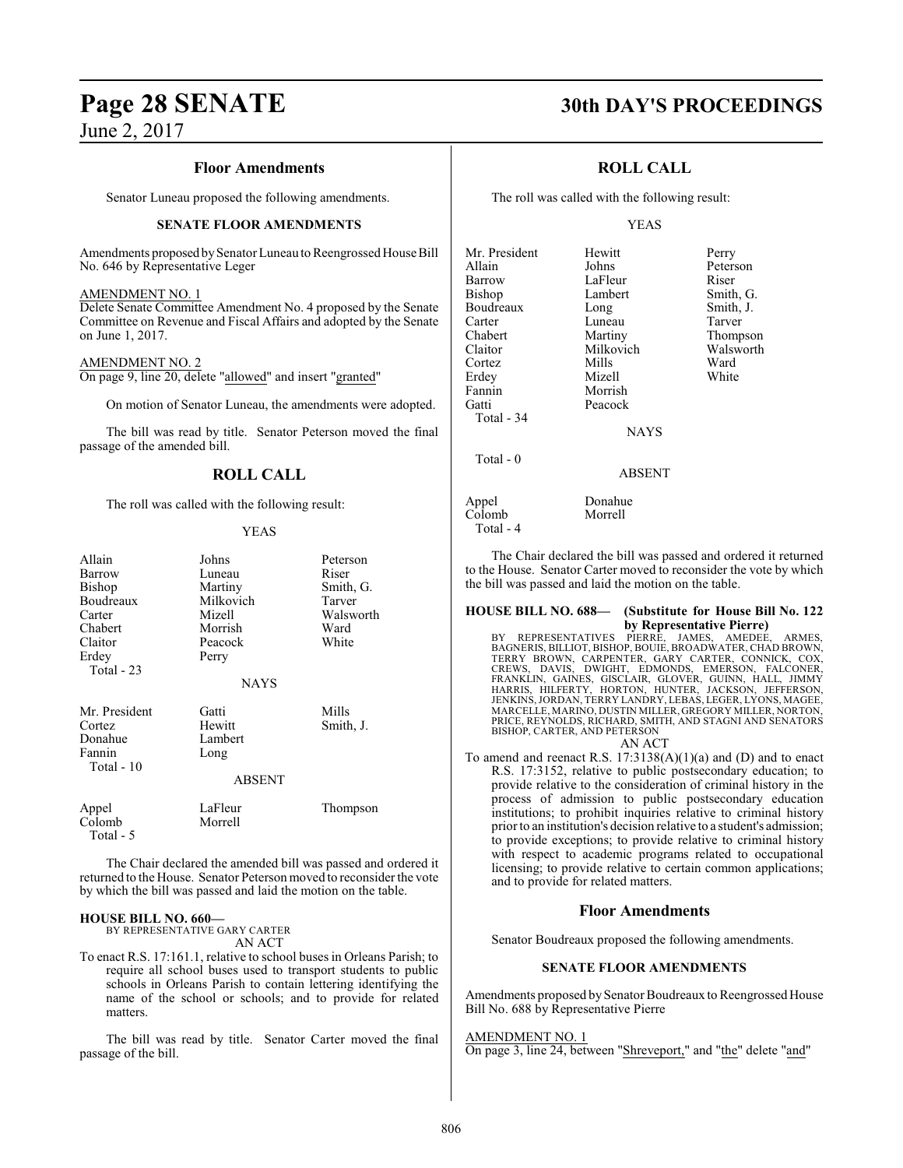#### **Floor Amendments**

Senator Luneau proposed the following amendments.

#### **SENATE FLOOR AMENDMENTS**

Amendments proposed by Senator Luneau to Reengrossed House Bill No. 646 by Representative Leger

#### AMENDMENT NO. 1

Delete Senate Committee Amendment No. 4 proposed by the Senate Committee on Revenue and Fiscal Affairs and adopted by the Senate on June 1, 2017.

#### AMENDMENT NO. 2

On page 9, line 20, delete "allowed" and insert "granted"

On motion of Senator Luneau, the amendments were adopted.

The bill was read by title. Senator Peterson moved the final passage of the amended bill.

## **ROLL CALL**

The roll was called with the following result:

#### YEAS

| Allain<br>Barrow<br>Bishop<br>Boudreaux<br>Carter<br>Chabert<br>Claitor<br>Erdey<br>Total - 23 | Johns<br>Luneau<br>Martiny<br>Milkovich<br>Mizell<br>Morrish<br>Peacock<br>Perry | Peterson<br>Riser<br>Smith, G.<br>Tarver<br>Walsworth<br>Ward<br>White |
|------------------------------------------------------------------------------------------------|----------------------------------------------------------------------------------|------------------------------------------------------------------------|
|                                                                                                | <b>NAYS</b>                                                                      |                                                                        |
| Mr. President<br>Cortez<br>Donahue<br>Fannin<br>Total - 10                                     | Gatti<br>Hewitt<br>Lambert<br>Long<br><b>ABSENT</b>                              | Mills<br>Smith, J.                                                     |
| Appel<br>Colomb<br>Total - 5                                                                   | LaFleur<br>Morrell                                                               | Thompson                                                               |

The Chair declared the amended bill was passed and ordered it returned to the House. Senator Peterson moved to reconsider the vote by which the bill was passed and laid the motion on the table.

#### **HOUSE BILL NO. 660—**

BY REPRESENTATIVE GARY CARTER AN ACT

To enact R.S. 17:161.1, relative to school buses in Orleans Parish; to require all school buses used to transport students to public schools in Orleans Parish to contain lettering identifying the name of the school or schools; and to provide for related matters.

The bill was read by title. Senator Carter moved the final passage of the bill.

## **Page 28 SENATE 30th DAY'S PROCEEDINGS**

### **ROLL CALL**

The roll was called with the following result:

#### YEAS

| Mr. President | Hewitt        | Perry     |
|---------------|---------------|-----------|
| Allain        | Johns         | Peterson  |
| Barrow        | LaFleur       | Riser     |
| <b>Bishop</b> | Lambert       | Smith, G. |
| Boudreaux     | Long          | Smith, J. |
| Carter        | Luneau        | Tarver    |
| Chabert       | Martiny       | Thompson  |
| Claitor       | Milkovich     | Walsworth |
| Cortez        | Mills         | Ward      |
| Erdey         | Mizell        | White     |
| Fannin        | Morrish       |           |
| Gatti         | Peacock       |           |
| Total - 34    |               |           |
|               | <b>NAYS</b>   |           |
| Total - 0     |               |           |
|               | <b>ABSENT</b> |           |
| Appel         | Donahue       |           |
| Colomb        | Morrell       |           |

Total - 4

The Chair declared the bill was passed and ordered it returned to the House. Senator Carter moved to reconsider the vote by which the bill was passed and laid the motion on the table.

#### **HOUSE BILL NO. 688— (Substitute for House Bill No. 122 by Representative Pierre)**

BY REPRESENTATIVES PIERRE, JAMES, AMEDEE, ARMES,<br>BAGNERIS,BILLIOT,BISHOP,BOUIE,BROADWATER,CHADBROWN,<br>TERRY BROWN, CARPENTER,GARY CARTER,CONNICK,COX,<br>CREWS, DAVIS, DWIGHT, EDMONDS, EMERSON, FALCONER,<br>FRANKLIN,GAINES,GISCLAI MARCELLE, MARINO, DUSTIN MILLER, GREGORY MILLER, NORTON, PRICE, REYNOLDS, RICHARD, SMITH, AND STAGNI AND SENATORS BISHOP, CARTER, AND PETERSON AN ACT

To amend and reenact R.S.  $17:3138(A)(1)(a)$  and (D) and to enact R.S. 17:3152, relative to public postsecondary education; to provide relative to the consideration of criminal history in the process of admission to public postsecondary education institutions; to prohibit inquiries relative to criminal history prior to an institution's decision relative to a student's admission; to provide exceptions; to provide relative to criminal history with respect to academic programs related to occupational licensing; to provide relative to certain common applications; and to provide for related matters.

#### **Floor Amendments**

Senator Boudreaux proposed the following amendments.

#### **SENATE FLOOR AMENDMENTS**

Amendments proposed by Senator Boudreaux to Reengrossed House Bill No. 688 by Representative Pierre

#### AMENDMENT NO. 1

On page 3, line 24, between "Shreveport," and "the" delete "and"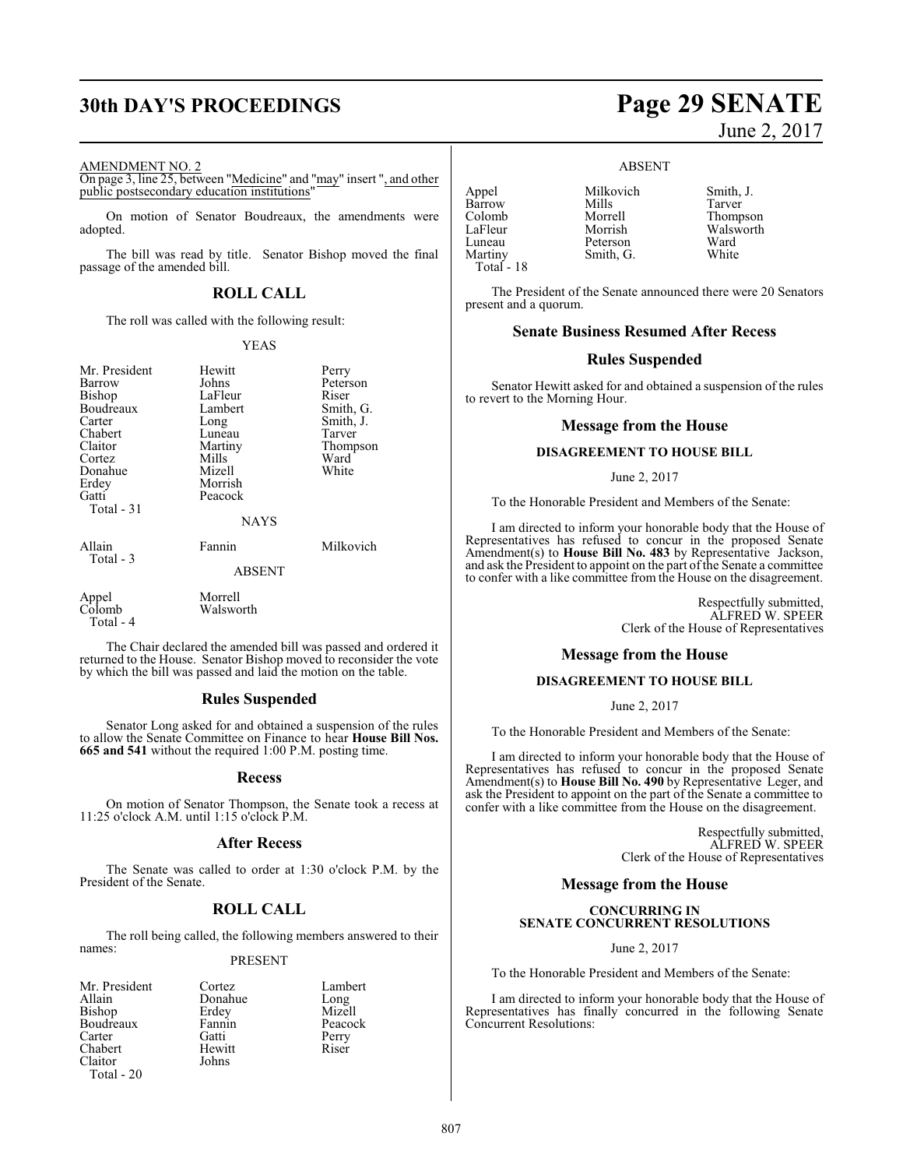#### AMENDMENT NO. 2

On page 3, line 25, between "Medicine" and "may" insert ", and other public postsecondary education institutions"

On motion of Senator Boudreaux, the amendments were adopted.

The bill was read by title. Senator Bishop moved the final passage of the amended bill.

### **ROLL CALL**

The roll was called with the following result:

#### YEAS

| Mr. President<br>Barrow<br>Bishop<br><b>Boudreaux</b><br>Carter<br>Chabert<br>Claitor<br>Cortez | Hewitt<br>Johns<br>LaFleur<br>Lambert<br>Long<br>Luneau<br>Martiny<br>Mills | Perry<br>Peterson<br>Riser<br>Smith, G.<br>Smith, J.<br>Tarver<br>Thompson<br>Ward |
|-------------------------------------------------------------------------------------------------|-----------------------------------------------------------------------------|------------------------------------------------------------------------------------|
| Donahue<br>Erdey<br>Gatti<br>Total - 31                                                         | Mizell<br>Morrish<br>Peacock<br><b>NAYS</b>                                 | White                                                                              |
| Allain<br>Total - 3                                                                             | Fannin<br><b>ABSENT</b>                                                     | Milkovich                                                                          |
| Appel<br>Colomb                                                                                 | Morrell<br>Walsworth                                                        |                                                                                    |

The Chair declared the amended bill was passed and ordered it returned to the House. Senator Bishop moved to reconsider the vote by which the bill was passed and laid the motion on the table.

#### **Rules Suspended**

Senator Long asked for and obtained a suspension of the rules to allow the Senate Committee on Finance to hear **House Bill Nos. 665 and 541** without the required 1:00 P.M. posting time.

#### **Recess**

On motion of Senator Thompson, the Senate took a recess at 11:25 o'clock A.M. until 1:15 o'clock P.M.

#### **After Recess**

The Senate was called to order at 1:30 o'clock P.M. by the President of the Senate.

## **ROLL CALL**

The roll being called, the following members answered to their names:

#### PRESENT

| Mr. President | Cortez  | Lamb  |
|---------------|---------|-------|
| Allain        | Donahue | Long  |
| Bishop        | Erdey   | Mize. |
| Boudreaux     | Fannin  | Peaco |
| Carter        | Gatti   | Perry |
| Chabert       | Hewitt  | Riser |
| Claitor       | Johns   |       |
| Total - 20    |         |       |

Total - 4

Cortez Lambert<br>Donahue Long Donahue Long<br>Erdey Mizell Fannin Peacock<br>Gatti Perry

# **30th DAY'S PROCEEDINGS Page 29 SENATE**

## June 2, 2017

#### ABSENT

Appel Milkovich Smith, J.<br>Barrow Mills Tarver Barrow Mills<br>Colomb Morrell Colomb Morrell Thompson LaFleur Morrish Walsworth<br>Luneau Peterson Ward Martiny Smith, G. Total - 18

Peterson Ward<br>
Smith G. White

The President of the Senate announced there were 20 Senators present and a quorum.

#### **Senate Business Resumed After Recess**

#### **Rules Suspended**

Senator Hewitt asked for and obtained a suspension of the rules to revert to the Morning Hour.

#### **Message from the House**

#### **DISAGREEMENT TO HOUSE BILL**

#### June 2, 2017

To the Honorable President and Members of the Senate:

I am directed to inform your honorable body that the House of Representatives has refused to concur in the proposed Senate Amendment(s) to **House Bill No. 483** by Representative Jackson, and ask the President to appoint on the part ofthe Senate a committee to confer with a like committee from the House on the disagreement.

> Respectfully submitted, ALFRED W. SPEER Clerk of the House of Representatives

#### **Message from the House**

#### **DISAGREEMENT TO HOUSE BILL**

June 2, 2017

To the Honorable President and Members of the Senate:

I am directed to inform your honorable body that the House of Representatives has refused to concur in the proposed Senate Amendment(s) to **House Bill No. 490** by Representative Leger, and ask the President to appoint on the part of the Senate a committee to confer with a like committee from the House on the disagreement.

> Respectfully submitted, ALFRED W. SPEER Clerk of the House of Representatives

### **Message from the House**

#### **CONCURRING IN SENATE CONCURRENT RESOLUTIONS**

June 2, 2017

To the Honorable President and Members of the Senate:

I am directed to inform your honorable body that the House of Representatives has finally concurred in the following Senate Concurrent Resolutions: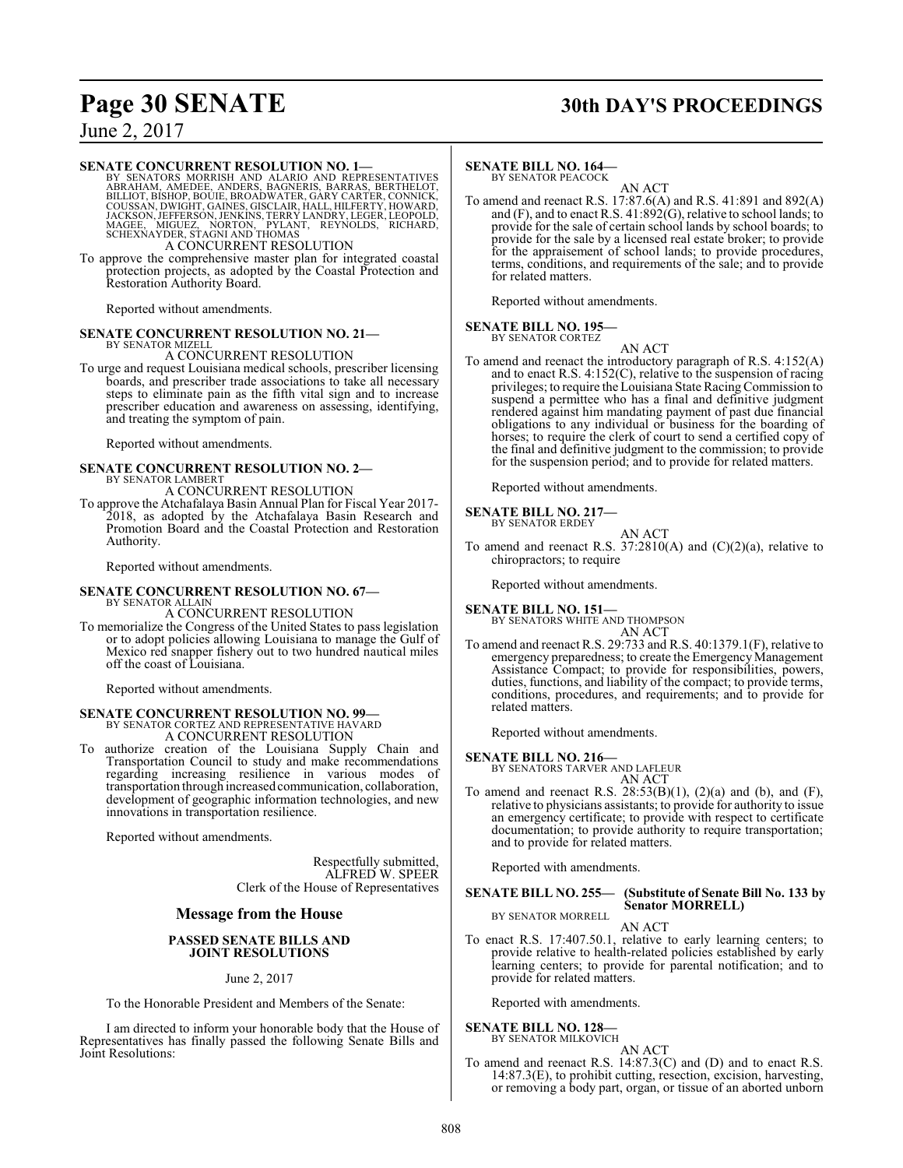# **Page 30 SENATE 30th DAY'S PROCEEDINGS**

June 2, 2017

#### **SENATE CONCURRENT RESOLUTION NO. 1—**

BY SENATORS MORRISH AND ALARIO AND REPRESENTATIVES<br>ABRAHAM, AMEDEE, ANDERS, BAGNERIS, BARRAS, BERTHELOT,<br>BILLIOT, BISHOP, BOUIE, BROADWATER, GARY CARTER, CONNICK,<br>COUSSAN, DWIGHT, GAINES, GISCLAIR, HALL, HILFERTY, HOWARD,<br> A CONCURRENT RESOLUTION

To approve the comprehensive master plan for integrated coastal protection projects, as adopted by the Coastal Protection and Restoration Authority Board.

Reported without amendments.

#### **SENATE CONCURRENT RESOLUTION NO. 21—** BY SENATOR MIZELL

A CONCURRENT RESOLUTION

To urge and request Louisiana medical schools, prescriber licensing boards, and prescriber trade associations to take all necessary steps to eliminate pain as the fifth vital sign and to increase prescriber education and awareness on assessing, identifying, and treating the symptom of pain.

Reported without amendments.

## **SENATE CONCURRENT RESOLUTION NO. 2—** BY SENATOR LAMBERT A CONCURRENT RESOLUTION

To approve the Atchafalaya Basin Annual Plan for Fiscal Year 2017- 2018, as adopted by the Atchafalaya Basin Research and Promotion Board and the Coastal Protection and Restoration Authority.

Reported without amendments.

#### **SENATE CONCURRENT RESOLUTION NO. 67—** BY SENATOR ALLAIN

A CONCURRENT RESOLUTION

To memorialize the Congress of the United States to pass legislation or to adopt policies allowing Louisiana to manage the Gulf of Mexico red snapper fishery out to two hundred nautical miles off the coast of Louisiana.

Reported without amendments.

## **SENATE CONCURRENT RESOLUTION NO. 99—** BY SENATOR CORTEZ AND REPRESENTATIVE HAVARD A CONCURRENT RESOLUTION

To authorize creation of the Louisiana Supply Chain and Transportation Council to study and make recommendations regarding increasing resilience in various modes of transportation through increased communication, collaboration, development of geographic information technologies, and new innovations in transportation resilience.

Reported without amendments.

Respectfully submitted, ALFRED W. SPEER Clerk of the House of Representatives

#### **Message from the House**

#### **PASSED SENATE BILLS AND JOINT RESOLUTIONS**

June 2, 2017

To the Honorable President and Members of the Senate:

I am directed to inform your honorable body that the House of Representatives has finally passed the following Senate Bills and Joint Resolutions:

#### **SENATE BILL NO. 164—**

BY SENATOR PEACOCK AN ACT

To amend and reenact R.S. 17:87.6(A) and R.S. 41:891 and 892(A) and  $(F)$ , and to enact R.S. 41:892 $(G)$ , relative to school lands; to provide for the sale of certain school lands by school boards; to provide for the sale by a licensed real estate broker; to provide for the appraisement of school lands; to provide procedures, terms, conditions, and requirements of the sale; and to provide for related matters.

Reported without amendments.

#### **SENATE BILL NO. 195** BY SENATOR CORTEZ

AN ACT

To amend and reenact the introductory paragraph of R.S. 4:152(A) and to enact R.S. 4:152(C), relative to the suspension of racing privileges; to require the Louisiana State RacingCommission to suspend a permittee who has a final and definitive judgment rendered against him mandating payment of past due financial obligations to any individual or business for the boarding of horses; to require the clerk of court to send a certified copy of the final and definitive judgment to the commission; to provide for the suspension period; and to provide for related matters.

Reported without amendments.

#### **SENATE BILL NO. 217—** BY SENATOR ERDEY

AN ACT

To amend and reenact R.S. 37:2810(A) and (C)(2)(a), relative to chiropractors; to require

Reported without amendments.

**SENATE BILL NO. 151—**<br>BY SENATORS WHITE AND THOMPSON AN ACT

To amend and reenact R.S. 29:733 and R.S. 40:1379.1(F), relative to emergency preparedness; to create the Emergency Management Assistance Compact; to provide for responsibilities, powers, duties, functions, and liability of the compact; to provide terms, conditions, procedures, and requirements; and to provide for related matters.

Reported without amendments.

**SENATE BILL NO. 216—** BY SENATORS TARVER AND LAFLEUR

AN ACT To amend and reenact R.S.  $28:53(B)(1)$ ,  $(2)(a)$  and  $(b)$ , and  $(F)$ , relative to physicians assistants; to provide for authority to issue an emergency certificate; to provide with respect to certificate documentation; to provide authority to require transportation; and to provide for related matters.

Reported with amendments.

#### **SENATE BILL NO. 255— (Substitute of Senate Bill No. 133 by Senator MORRELL)** BY SENATOR MORRELL

AN ACT

To enact R.S. 17:407.50.1, relative to early learning centers; to provide relative to health-related policies established by early learning centers; to provide for parental notification; and to provide for related matters.

Reported with amendments.

#### **SENATE BILL NO. 128—** BY SENATOR MILKOVICH

AN ACT

To amend and reenact R.S. 14:87.3(C) and (D) and to enact R.S. 14:87.3(E), to prohibit cutting, resection, excision, harvesting, or removing a body part, organ, or tissue of an aborted unborn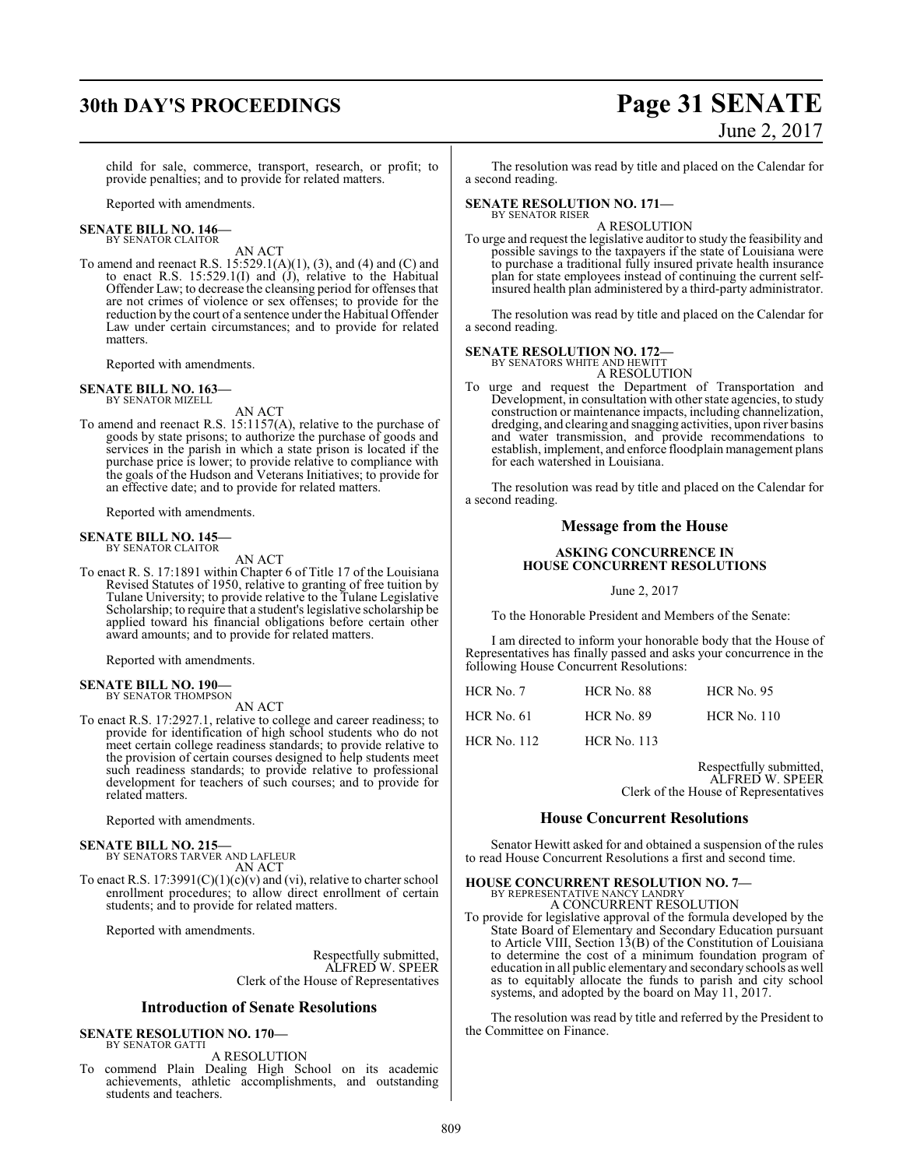# **30th DAY'S PROCEEDINGS Page 31 SENATE**

child for sale, commerce, transport, research, or profit; to provide penalties; and to provide for related matters.

Reported with amendments.

#### **SENATE BILL NO. 146—** BY SENATOR CLAITOR

AN ACT

To amend and reenact R.S. 15:529.1(A)(1), (3), and (4) and (C) and to enact R.S. 15:529.1(I) and (J), relative to the Habitual Offender Law; to decrease the cleansing period for offenses that are not crimes of violence or sex offenses; to provide for the reduction by the court of a sentence under the Habitual Offender Law under certain circumstances; and to provide for related matters.

Reported with amendments.

#### **SENATE BILL NO. 163—** BY SENATOR MIZELL

AN ACT

To amend and reenact R.S. 15:1157(A), relative to the purchase of goods by state prisons; to authorize the purchase of goods and services in the parish in which a state prison is located if the purchase price is lower; to provide relative to compliance with the goals of the Hudson and Veterans Initiatives; to provide for an effective date; and to provide for related matters.

Reported with amendments.

#### **SENATE BILL NO. 145—** BY SENATOR CLAITOR

AN ACT

To enact R. S. 17:1891 within Chapter 6 of Title 17 of the Louisiana Revised Statutes of 1950, relative to granting of free tuition by Tulane University; to provide relative to the Tulane Legislative Scholarship; to require that a student's legislative scholarship be applied toward his financial obligations before certain other award amounts; and to provide for related matters.

Reported with amendments.

#### **SENATE BILL NO. 190—** BY SENATOR THOMPSON

AN ACT

To enact R.S. 17:2927.1, relative to college and career readiness; to provide for identification of high school students who do not meet certain college readiness standards; to provide relative to the provision of certain courses designed to help students meet such readiness standards; to provide relative to professional development for teachers of such courses; and to provide for related matters.

Reported with amendments.

#### **SENATE BILL NO. 215—**

BY SENATORS TARVER AND LAFLEUR AN ACT

To enact R.S.  $17:3991(C)(1)(c)(v)$  and (vi), relative to charter school enrollment procedures; to allow direct enrollment of certain students; and to provide for related matters.

Reported with amendments.

Respectfully submitted, ALFRED W. SPEER Clerk of the House of Representatives

#### **Introduction of Senate Resolutions**

#### **SENATE RESOLUTION NO. 170—** BY SENATOR GATTI

A RESOLUTION

To commend Plain Dealing High School on its academic achievements, athletic accomplishments, and outstanding students and teachers.

The resolution was read by title and placed on the Calendar for a second reading.

#### **SENATE RESOLUTION NO. 171—** BY SENATOR RISER

A RESOLUTION

To urge and request the legislative auditor to study the feasibility and possible savings to the taxpayers if the state of Louisiana were to purchase a traditional fully insured private health insurance plan for state employees instead of continuing the current selfinsured health plan administered by a third-party administrator.

The resolution was read by title and placed on the Calendar for a second reading.

# **SENATE RESOLUTION NO. 172—**<br>BY SENATORS WHITE AND HEWITT

A RESOLUTION

To urge and request the Department of Transportation and Development, in consultation with other state agencies, to study construction or maintenance impacts, including channelization, dredging, and clearing and snagging activities, upon river basins and water transmission, and provide recommendations to establish, implement, and enforce floodplain management plans for each watershed in Louisiana.

The resolution was read by title and placed on the Calendar for a second reading.

#### **Message from the House**

#### **ASKING CONCURRENCE IN HOUSE CONCURRENT RESOLUTIONS**

June 2, 2017

To the Honorable President and Members of the Senate:

I am directed to inform your honorable body that the House of Representatives has finally passed and asks your concurrence in the following House Concurrent Resolutions:

| HCR No. 7          | <b>HCR No. 88</b>  | <b>HCR No. 95</b>  |
|--------------------|--------------------|--------------------|
| $HCR$ No. 61       | <b>HCR No. 89</b>  | <b>HCR No. 110</b> |
| <b>HCR No. 112</b> | <b>HCR No. 113</b> |                    |

Respectfully submitted,

ALFRED W. SPEER Clerk of the House of Representatives

#### **House Concurrent Resolutions**

Senator Hewitt asked for and obtained a suspension of the rules to read House Concurrent Resolutions a first and second time.

## **HOUSE CONCURRENT RESOLUTION NO. 7—**

BY REPRESENTATIVE NANCY LANDRY A CONCURRENT RESOLUTION

To provide for legislative approval of the formula developed by the State Board of Elementary and Secondary Education pursuant to Article VIII, Section 13(B) of the Constitution of Louisiana to determine the cost of a minimum foundation program of education in all public elementary and secondaryschools as well as to equitably allocate the funds to parish and city school systems, and adopted by the board on May 11, 2017.

The resolution was read by title and referred by the President to the Committee on Finance.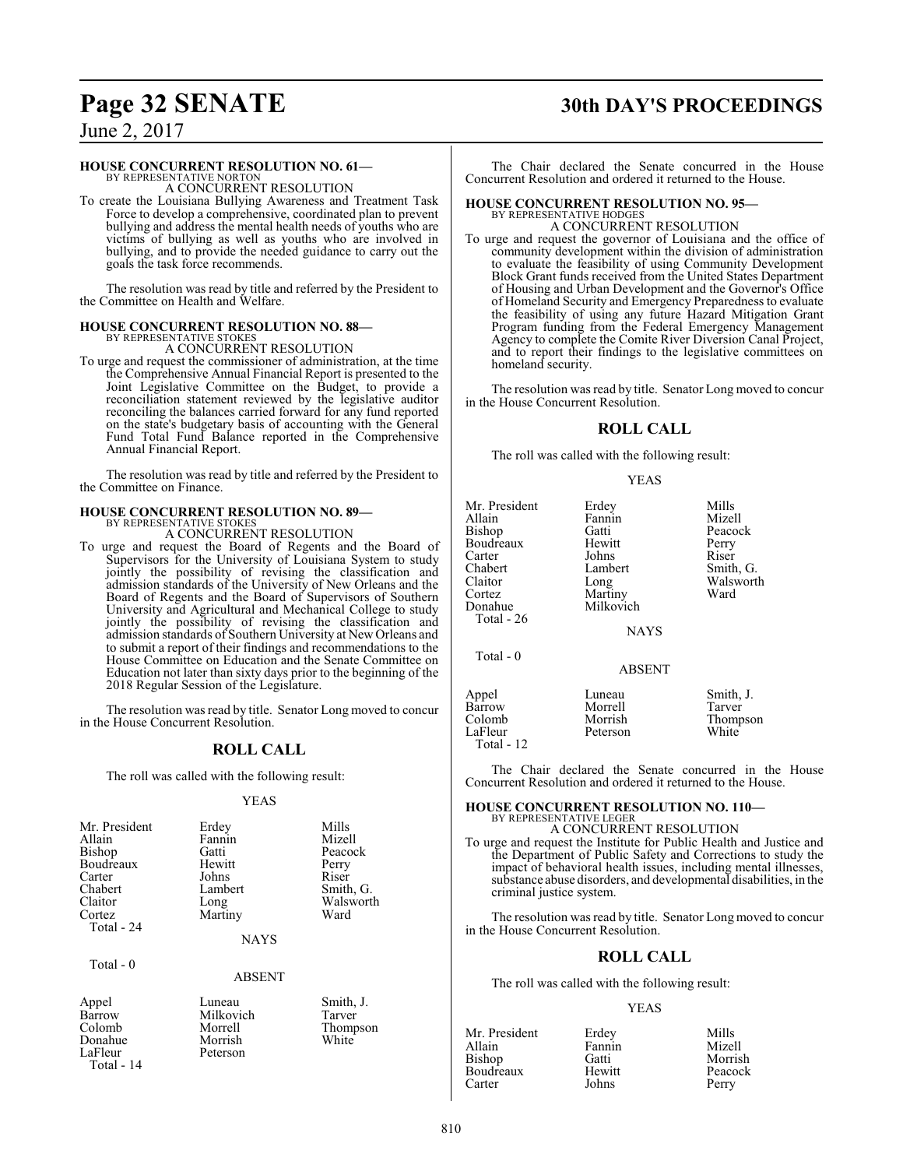# **Page 32 SENATE 30th DAY'S PROCEEDINGS**

June 2, 2017

#### **HOUSE CONCURRENT RESOLUTION NO. 61—**

BY REPRESENTATIVE NORTON A CONCURRENT RESOLUTION

To create the Louisiana Bullying Awareness and Treatment Task Force to develop a comprehensive, coordinated plan to prevent bullying and address the mental health needs of youths who are victims of bullying as well as youths who are involved in bullying, and to provide the needed guidance to carry out the goals the task force recommends.

The resolution was read by title and referred by the President to the Committee on Health and Welfare.

#### **HOUSE CONCURRENT RESOLUTION NO. 88—** BY REPRESENTATIVE STOKES

A CONCURRENT RESOLUTION

To urge and request the commissioner of administration, at the time the Comprehensive Annual Financial Report is presented to the Joint Legislative Committee on the Budget, to provide a reconciliation statement reviewed by the legislative auditor reconciling the balances carried forward for any fund reported on the state's budgetary basis of accounting with the General Fund Total Fund Balance reported in the Comprehensive Annual Financial Report.

The resolution was read by title and referred by the President to the Committee on Finance.

#### **HOUSE CONCURRENT RESOLUTION NO. 89—**

BY REPRESENTATIVE STOKES A CONCURRENT RESOLUTION

To urge and request the Board of Regents and the Board of Supervisors for the University of Louisiana System to study jointly the possibility of revising the classification and admission standards of the University of New Orleans and the Board of Regents and the Board of Supervisors of Southern University and Agricultural and Mechanical College to study jointly the possibility of revising the classification and admission standards of Southern University at New Orleans and to submit a report of their findings and recommendations to the House Committee on Education and the Senate Committee on Education not later than sixty days prior to the beginning of the 2018 Regular Session of the Legislature.

The resolution was read by title. Senator Long moved to concur in the House Concurrent Resolution.

## **ROLL CALL**

The roll was called with the following result:

#### YEAS

| Mr. President<br>Allain<br><b>Bishop</b><br>Boudreaux<br>Carter<br>Chabert<br>Claitor<br>Cortez | Erdey<br>Fannin<br>Gatti<br>Hewitt<br>Johns<br>Lambert<br>Long<br>Martiny | Mills<br>Mizell<br>Peacock<br>Perry<br>Riser<br>Smith, G.<br>Walsworth<br>Ward |
|-------------------------------------------------------------------------------------------------|---------------------------------------------------------------------------|--------------------------------------------------------------------------------|
| Total - 24                                                                                      |                                                                           |                                                                                |
|                                                                                                 | <b>NAYS</b>                                                               |                                                                                |

Total - 0

#### ABSENT

| Appel      | Luneau   |
|------------|----------|
| Barrow     | Milkovic |
| Colomb     | Morrell  |
| Donahue    | Morrish  |
| LaFleur    | Peterson |
| Total - 14 |          |

Luneau Smith, J.<br>Milkovich Tarver Milkovich<br>Morrell Thompson<br>White

The Chair declared the Senate concurred in the House Concurrent Resolution and ordered it returned to the House.

### **HOUSE CONCURRENT RESOLUTION NO. 95—**

BY REPRESENTATIVE HODGES A CONCURRENT RESOLUTION

To urge and request the governor of Louisiana and the office of community development within the division of administration to evaluate the feasibility of using Community Development Block Grant funds received from the United States Department of Housing and Urban Development and the Governor's Office of Homeland Security and Emergency Preparedness to evaluate the feasibility of using any future Hazard Mitigation Grant Program funding from the Federal Emergency Management Agency to complete the Comite River Diversion Canal Project, and to report their findings to the legislative committees on homeland security.

The resolution was read by title. Senator Long moved to concur in the House Concurrent Resolution.

#### **ROLL CALL**

The roll was called with the following result:

#### YEAS

| Mr. President | Erdey         | Mills     |
|---------------|---------------|-----------|
| Allain        | Fannin        | Mizell    |
| Bishop        | Gatti         | Peacock   |
| Boudreaux     | Hewitt        | Perry     |
| Carter        | Johns         | Riser     |
| Chabert       | Lambert       | Smith, G. |
| Claitor       | Long          | Walsworth |
| Cortez        | Martiny       | Ward      |
| Donahue       | Milkovich     |           |
| Total - $26$  |               |           |
|               |               |           |
|               | <b>NAYS</b>   |           |
| Total - 0     |               |           |
|               | <b>ABSENT</b> |           |
|               |               |           |
| Appel         | Luneau        | Smith, J. |
| Barrow        | Morrell       | Tarver    |
| Colomb        | Morrish       | Thompson  |
| LaFleur       | Peterson      | White     |
| Total - 12    |               |           |
|               |               |           |

The Chair declared the Senate concurred in the House Concurrent Resolution and ordered it returned to the House.

## **HOUSE CONCURRENT RESOLUTION NO. 110—** BY REPRESENTATIVE LEGER

A CONCURRENT RESOLUTION

To urge and request the Institute for Public Health and Justice and the Department of Public Safety and Corrections to study the impact of behavioral health issues, including mental illnesses, substance abuse disorders, and developmental disabilities, in the criminal justice system.

The resolution was read by title. Senator Long moved to concur in the House Concurrent Resolution.

#### **ROLL CALL**

The roll was called with the following result:

#### YEAS

| Mr. President | Erdey  | Mills   |
|---------------|--------|---------|
| Allain        | Fannin | Mizell  |
| Bishop        | Gatti  | Morrish |
| Boudreaux     | Hewitt | Peacock |
| Carter        | Johns  | Perry   |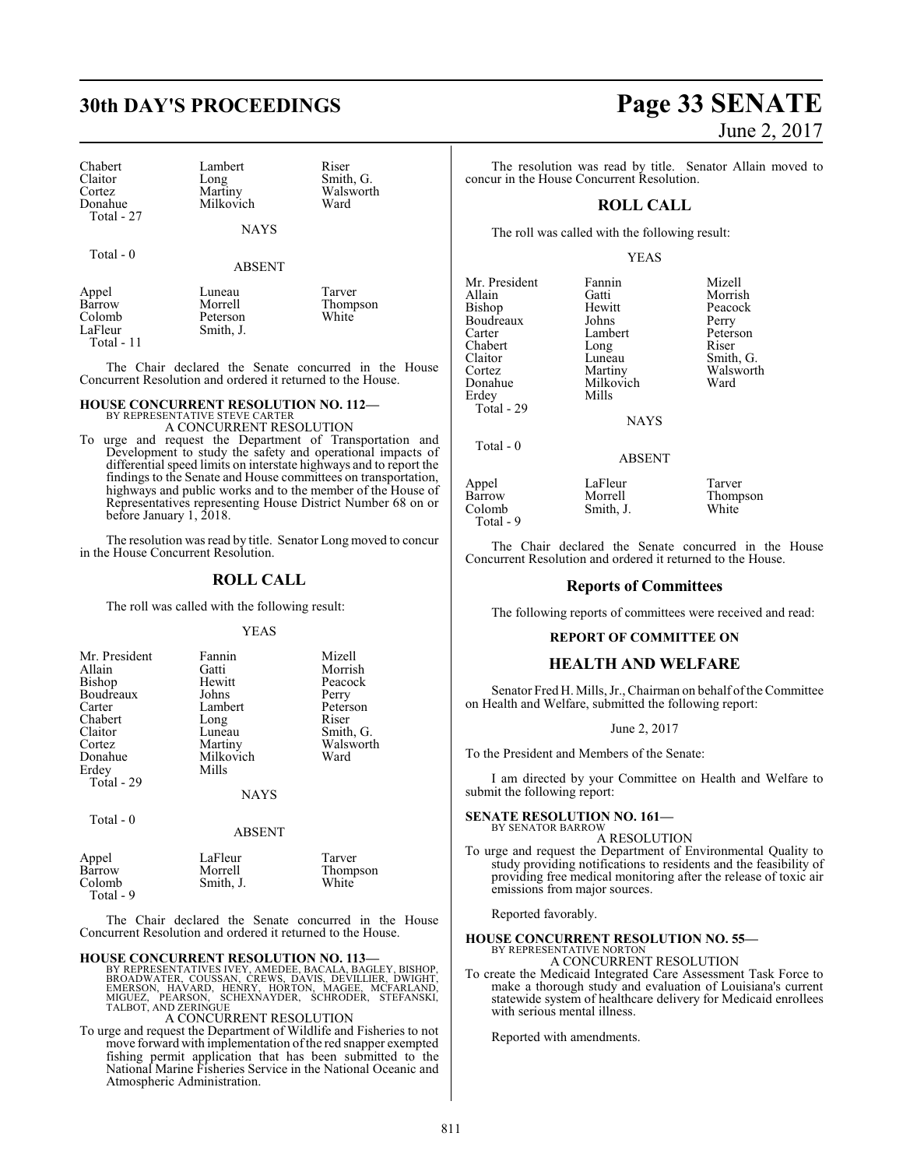| Chabert        | Lambert     | Riser     |
|----------------|-------------|-----------|
| <b>Claitor</b> | Long        | Smith, G. |
| Cortez         | Martiny     | Walsworth |
| Donahue        | Milkovich   | Ward      |
| Total $-27$    |             |           |
|                | <b>NAYS</b> |           |

Total - 0

#### ABSENT

| Appel        | Luneau    | Tarver   |
|--------------|-----------|----------|
| Barrow       | Morrell   | Thompson |
| Colomb       | Peterson  | White    |
| LaFleur      | Smith, J. |          |
| $Total - 11$ |           |          |

The Chair declared the Senate concurred in the House Concurrent Resolution and ordered it returned to the House.

#### **HOUSE CONCURRENT RESOLUTION NO. 112—**

BY REPRESENTATIVE STEVE CARTER A CONCURRENT RESOLUTION

To urge and request the Department of Transportation and Development to study the safety and operational impacts of differential speed limits on interstate highways and to report the findings to the Senate and House committees on transportation, highways and public works and to the member of the House of Representatives representing House District Number 68 on or before January 1, 2018.

The resolution was read by title. Senator Long moved to concur in the House Concurrent Resolution.

#### **ROLL CALL**

The roll was called with the following result:

YEAS

| Mr. President                            | Fannin                        | Mizell            |
|------------------------------------------|-------------------------------|-------------------|
| Allain                                   | Gatti                         | Morrish           |
| Bishop                                   | Hewitt                        | Peacock           |
| Boudreaux                                | Johns                         | Perry             |
| Carter                                   | Lambert                       | Peterson          |
| Chabert                                  | Long                          | Riser             |
| Claitor                                  | Luneau                        | Smith, G.         |
| Cortez<br>Donahue<br>Erdey<br>Total - 29 | Martiny<br>Milkovich<br>Mills | Walsworth<br>Ward |
|                                          | <b>NAYS</b>                   |                   |

Total - 0

#### ABSENT

| Appel     | LaFleur   | Tarver   |
|-----------|-----------|----------|
| Barrow    | Morrell   | Thompson |
| Colomb    | Smith, J. | White    |
| Total - 9 |           |          |

The Chair declared the Senate concurred in the House Concurrent Resolution and ordered it returned to the House.

#### **HOUSE CONCURRENT RESOLUTION NO. 113—**

BY REPRESENTATIVES IVEY, AMEDEE, BACALA, BAGLEY, BISHOP,<br>BROADWATER, COUSSAN, CREWS, DAVIS, DEVILLIER, DWIGHT,<br>EMERSON, HAVARD, HENRY, HORTON, MAGEE, MCFARLAND,<br>MIGUEZ, PEARSON, SCHEXNAYDER, SCHRODER, STEFANSKI,<br>TALBOT, AN

#### A CONCURRENT RESOLUTION

To urge and request the Department of Wildlife and Fisheries to not move forward with implementation of the red snapper exempted fishing permit application that has been submitted to the National Marine Fisheries Service in the National Oceanic and Atmospheric Administration.

# **30th DAY'S PROCEEDINGS Page 33 SENATE** June 2, 2017

The resolution was read by title. Senator Allain moved to concur in the House Concurrent Resolution.

#### **ROLL CALL**

The roll was called with the following result:

#### YEAS

| Mr. President | Fannin          | Mizell   |
|---------------|-----------------|----------|
| Allain        | Gatti           | Morrish  |
| <b>Bishop</b> | Hewitt          | Peacock  |
| Boudreaux     | Johns           | Perry    |
| Carter        | Lambert         | Peterson |
| Chabert       | Long            | Riser    |
| Claitor       | Luneau          | Smith, C |
| Cortez        | Martiny         | Walswor  |
| Donahue       | Milkovich       | Ward     |
| Erdey         | Mills           |          |
| Total - 29    |                 |          |
|               | <b>NI A VZC</b> |          |

Lambert Peterson<br>Long Riser Luneau Smith, G.<br>Martiny Walswort Walsworth<br>Ward

NAYS

ABSENT

Total - 0

Appel LaFleur Tarver Barrow Morrell Thompson<br>
Colomb Smith, J. White Smith, J. Total - 9

The Chair declared the Senate concurred in the House Concurrent Resolution and ordered it returned to the House.

#### **Reports of Committees**

The following reports of committees were received and read:

#### **REPORT OF COMMITTEE ON**

#### **HEALTH AND WELFARE**

Senator Fred H. Mills, Jr., Chairman on behalf of the Committee on Health and Welfare, submitted the following report:

#### June 2, 2017

To the President and Members of the Senate:

I am directed by your Committee on Health and Welfare to submit the following report:

#### **SENATE RESOLUTION NO. 161—**

BY SENATOR BARROW A RESOLUTION

To urge and request the Department of Environmental Quality to study providing notifications to residents and the feasibility of providing free medical monitoring after the release of toxic air emissions from major sources.

Reported favorably.

## **HOUSE CONCURRENT RESOLUTION NO. 55—** BY REPRESENTATIVE NORTON

A CONCURRENT RESOLUTION

To create the Medicaid Integrated Care Assessment Task Force to make a thorough study and evaluation of Louisiana's current statewide system of healthcare delivery for Medicaid enrollees with serious mental illness.

Reported with amendments.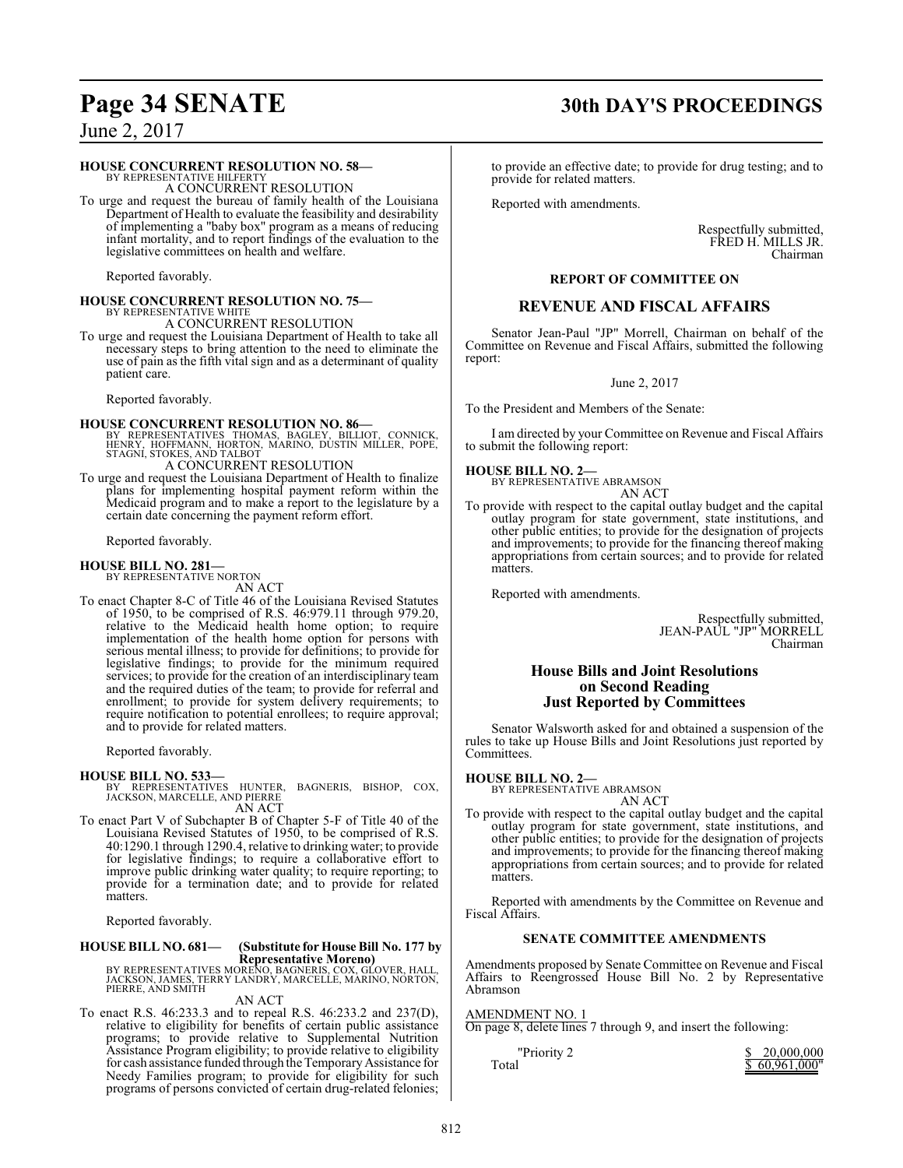# **Page 34 SENATE 30th DAY'S PROCEEDINGS**

June 2, 2017

#### **HOUSE CONCURRENT RESOLUTION NO. 58—**

BY REPRESENTATIVE HILFERTY A CONCURRENT RESOLUTION

To urge and request the bureau of family health of the Louisiana Department of Health to evaluate the feasibility and desirability of implementing a "baby box" program as a means of reducing infant mortality, and to report findings of the evaluation to the legislative committees on health and welfare.

Reported favorably.

## **HOUSE CONCURRENT RESOLUTION NO. 75—** BY REPRESENTATIVE WHITE A CONCURRENT RESOLUTION

To urge and request the Louisiana Department of Health to take all necessary steps to bring attention to the need to eliminate the use of pain as the fifth vital sign and as a determinant of quality patient care.

Reported favorably.

**HOUSE CONCURRENT RESOLUTION NO. 86—**<br>
BY REPRESENTATIVES THOMAS, BAGLEY, BILLIOT, CONNICK,<br>
HENRY, HOFFMANN, HORTON, MARINO, DUSTIN MILLER, POPE,<br>
STAGNI, STOKES, AND TALBOT A CONCURRENT RESOLUTION

To urge and request the Louisiana Department of Health to finalize plans for implementing hospital payment reform within the Medicaid program and to make a report to the legislature by a certain date concerning the payment reform effort.

Reported favorably.

## **HOUSE BILL NO. 281—** BY REPRESENTATIVE NORTON

AN ACT

To enact Chapter 8-C of Title 46 of the Louisiana Revised Statutes of 1950, to be comprised of R.S. 46:979.11 through 979.20, relative to the Medicaid health home option; to require implementation of the health home option for persons with serious mental illness; to provide for definitions; to provide for legislative findings; to provide for the minimum required services; to provide for the creation of an interdisciplinary team and the required duties of the team; to provide for referral and enrollment; to provide for system delivery requirements; to require notification to potential enrollees; to require approval; and to provide for related matters.

Reported favorably.

**HOUSE BILL NO. 533—** BY REPRESENTATIVES HUNTER, BAGNERIS, BISHOP, COX, JACKSON, MARCELLE, AND PIERRE AN ACT

To enact Part V of Subchapter B of Chapter 5-F of Title 40 of the Louisiana Revised Statutes of 1950, to be comprised of R.S. 40:1290.1 through 1290.4, relative to drinking water; to provide for legislative findings; to require a collaborative effort to improve public drinking water quality; to require reporting; to provide for a termination date; and to provide for related matters.

Reported favorably.

# **HOUSE BILL NO. 681— (Substitute for House Bill No. 177 by**

**Representative Moreno)**<br>BY REPRESENTATIVES MORENO, BAGNERIS, COX, GLOVER, HALL,<br>JACKSON, JAMES, TERRY LANDRY, MARCELLE, MARINO, NORTON,<br>PIERRE, AND SMITH

AN ACT

To enact R.S. 46:233.3 and to repeal R.S. 46:233.2 and 237(D), relative to eligibility for benefits of certain public assistance programs; to provide relative to Supplemental Nutrition Assistance Program eligibility; to provide relative to eligibility for cash assistance funded through the Temporary Assistance for Needy Families program; to provide for eligibility for such programs of persons convicted of certain drug-related felonies;

to provide an effective date; to provide for drug testing; and to provide for related matters.

Reported with amendments.

Respectfully submitted, FRED H. MILLS JR. Chairman

#### **REPORT OF COMMITTEE ON**

#### **REVENUE AND FISCAL AFFAIRS**

Senator Jean-Paul "JP" Morrell, Chairman on behalf of the Committee on Revenue and Fiscal Affairs, submitted the following report:

June 2, 2017

To the President and Members of the Senate:

I am directed by your Committee on Revenue and Fiscal Affairs to submit the following report:

#### **HOUSE BILL NO. 2—**



To provide with respect to the capital outlay budget and the capital outlay program for state government, state institutions, and other public entities; to provide for the designation of projects and improvements; to provide for the financing thereof making appropriations from certain sources; and to provide for related matters.

Reported with amendments.

Respectfully submitted, JEAN-PAUL "JP" MORRELL Chairman

### **House Bills and Joint Resolutions on Second Reading Just Reported by Committees**

Senator Walsworth asked for and obtained a suspension of the rules to take up House Bills and Joint Resolutions just reported by Committees.

#### **HOUSE BILL NO. 2—**

BY REPRESENTATIVE ABRAMSON AN ACT

To provide with respect to the capital outlay budget and the capital outlay program for state government, state institutions, and other public entities; to provide for the designation of projects and improvements; to provide for the financing thereof making appropriations from certain sources; and to provide for related matters.

Reported with amendments by the Committee on Revenue and Fiscal Affairs.

#### **SENATE COMMITTEE AMENDMENTS**

Amendments proposed by Senate Committee on Revenue and Fiscal Affairs to Reengrossed House Bill No. 2 by Representative Abramson

#### AMENDMENT NO. 1

On page 8, delete lines 7 through 9, and insert the following:

| "Priority 2 | \$20,000,000  |
|-------------|---------------|
| Total       | \$60,961,000" |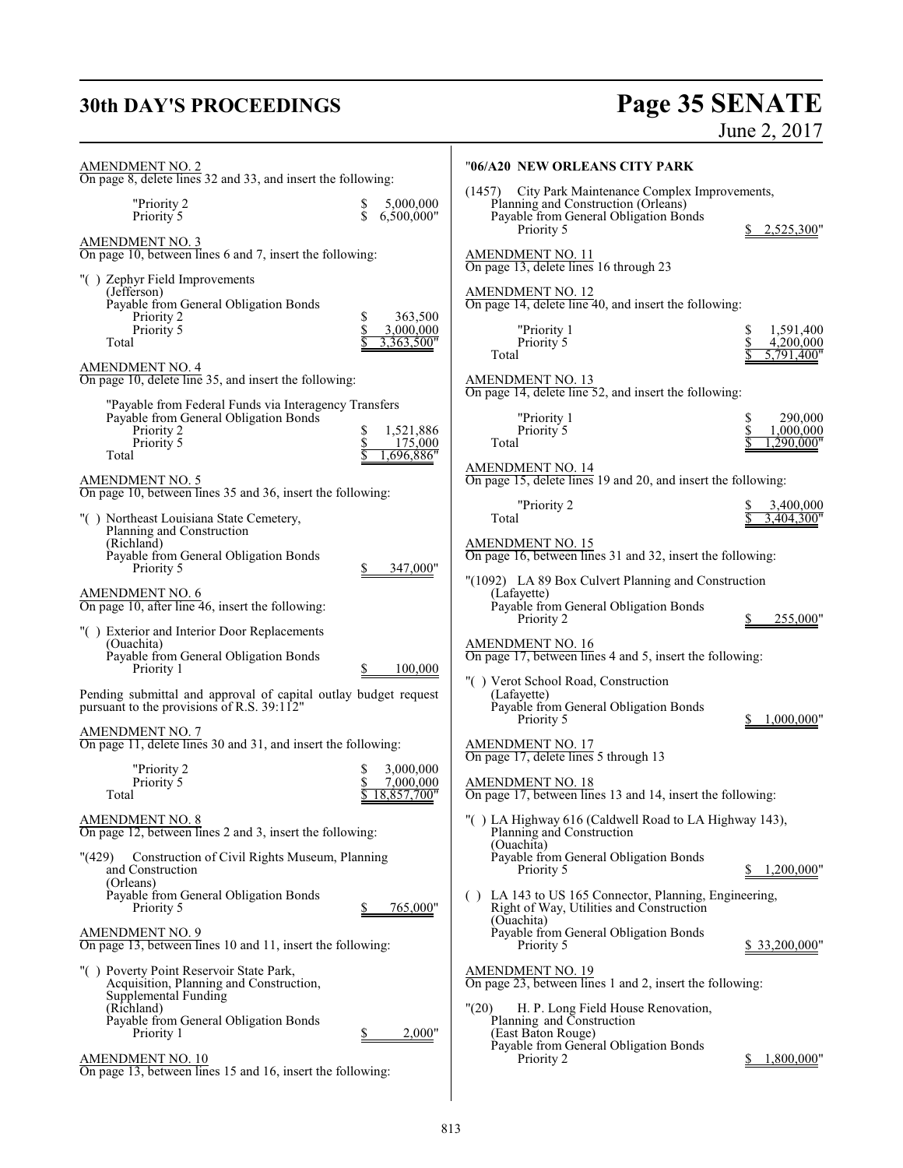# **30th DAY'S PROCEEDINGS**

# Page 35 SENATE<br>June 2, 2017

| <b>AMENDMENT NO. 2</b><br>On page 8, delete lines 32 and 33, and insert the following:                                                          |                                       | "06/A20 NEW ORLEANS CITY PARK                                                                                                                               |
|-------------------------------------------------------------------------------------------------------------------------------------------------|---------------------------------------|-------------------------------------------------------------------------------------------------------------------------------------------------------------|
| "Priority 2<br>$\mathbb{S}$<br>Priority 5                                                                                                       | 5,000,000<br>6,500,000"               | City Park Maintenance Complex Improvements,<br>(1457)<br>Planning and Construction (Orleans)<br>Payable from General Obligation Bonds                       |
| <b>AMENDMENT NO. 3</b><br>On page 10, between lines 6 and 7, insert the following:                                                              |                                       | Priority 5<br>2,525,300"<br><b>AMENDMENT NO. 11</b>                                                                                                         |
| "() Zephyr Field Improvements<br>(Jefferson)<br>Payable from General Obligation Bonds<br>Priority 2<br>\$<br>\$<br>Priority 5                   | 363,500<br>3.000.000                  | On page 13, delete lines 16 through 23<br><b>AMENDMENT NO. 12</b><br>On page 14, delete line 40, and insert the following:<br>"Priority 1<br>1.591.400<br>S |
| Total                                                                                                                                           | 3,363,500"                            | \$<br>Priority 5<br>4,200,000<br>Total<br>5.791.400"                                                                                                        |
| <b>AMENDMENT NO. 4</b><br>On page 10, delete line 35, and insert the following:                                                                 |                                       | <b>AMENDMENT NO. 13</b><br>On page 14, delete line 52, and insert the following:                                                                            |
| "Payable from Federal Funds via Interagency Transfers<br>Payable from General Obligation Bonds<br>Priority 2<br>\$<br>Priority 5<br>\$<br>Total | 1,521,886<br>175,000<br>.696.886"     | 290,000<br>"Priority 1<br>\$<br>\$<br>Priority 5<br>1,000,000<br>290.000"<br>Total                                                                          |
| <b>AMENDMENT NO. 5</b><br>On page 10, between lines 35 and 36, insert the following:                                                            |                                       | <b>AMENDMENT NO. 14</b><br>On page 15, delete lines 19 and 20, and insert the following:                                                                    |
| "() Northeast Louisiana State Cemetery,<br>Planning and Construction                                                                            |                                       | "Priority 2<br>3,400,000<br>Total<br>3.404.300"                                                                                                             |
| (Richland)<br>Payable from General Obligation Bonds<br>Priority 5                                                                               | 347,000"                              | <b>AMENDMENT NO. 15</b><br>On page 16, between lines 31 and 32, insert the following:                                                                       |
| <b>AMENDMENT NO. 6</b><br>On page 10, after line 46, insert the following:                                                                      |                                       | "(1092) LA 89 Box Culvert Planning and Construction<br>(Lafayette)<br>Payable from General Obligation Bonds<br>Priority 2<br>255,000"                       |
| "() Exterior and Interior Door Replacements<br>(Ouachita)<br>Payable from General Obligation Bonds<br>Priority 1                                | 100,000                               | AMENDMENT NO. 16<br>On page 17, between lines 4 and 5, insert the following:                                                                                |
| Pending submittal and approval of capital outlay budget request<br>pursuant to the provisions of R.S. 39:112"                                   |                                       | "() Verot School Road, Construction<br>(Lafayette)<br>Payable from General Obligation Bonds<br>Priority 5<br>1,000,000"                                     |
| <b>AMENDMENT NO. 7</b><br>On page 11, delete lines 30 and 31, and insert the following:                                                         |                                       | <b>AMENDMENT NO. 17</b><br>On page 17, delete lines 5 through 13                                                                                            |
| "Priority 2<br>Priority 5<br>Total                                                                                                              | 3,000,000<br>7,000,000<br>18,857,700" | <b>AMENDMENT NO. 18</b><br>On page 17, between lines 13 and 14, insert the following:                                                                       |
| <b>AMENDMENT NO. 8</b><br>On page 12, between lines 2 and 3, insert the following:                                                              |                                       | "() LA Highway 616 (Caldwell Road to LA Highway 143),<br>Planning and Construction                                                                          |
| Construction of Civil Rights Museum, Planning<br>"(429)<br>and Construction<br>(Orleans)                                                        |                                       | (Ouachita)<br>Payable from General Obligation Bonds<br>Priority 5<br>1,200,000"<br>S.                                                                       |
| Payable from General Obligation Bonds<br>Priority 5                                                                                             | 765,000"                              | () LA 143 to US 165 Connector, Planning, Engineering,<br>Right of Way, Utilities and Construction<br>(Ouachita)                                             |
| <u>AMENDMENT NO. 9</u><br>On page 13, between lines 10 and 11, insert the following:                                                            |                                       | Payable from General Obligation Bonds<br>Priority 5<br>\$33,200,000"                                                                                        |
| "() Poverty Point Reservoir State Park,<br>Acquisition, Planning and Construction,<br>Supplemental Funding                                      |                                       | <b>AMENDMENT NO. 19</b><br>On page 23, between lines 1 and 2, insert the following:                                                                         |
| (Richland)<br>Payable from General Obligation Bonds<br>Priority 1                                                                               | 2,000"                                | "(20)<br>H. P. Long Field House Renovation,<br>Planning and Construction<br>(East Baton Rouge)<br>Payable from General Obligation Bonds                     |
| AMENDMENT NO. 10<br>On page 13, between lines 15 and 16, insert the following:                                                                  |                                       | Priority 2<br>1,800,000"                                                                                                                                    |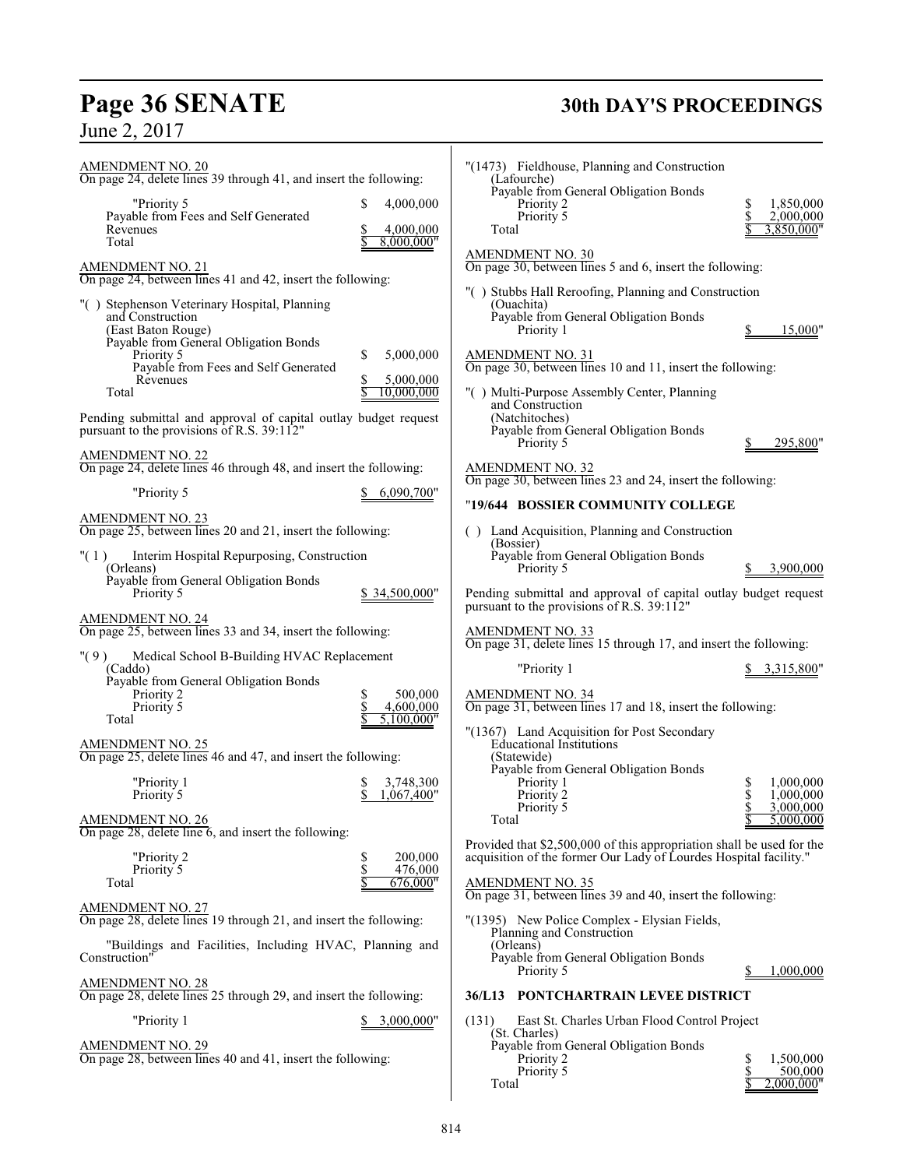# **Page 36 SENATE 30th DAY'S PROCEEDINGS**

| <b>AMENDMENT NO. 20</b><br>On page 24, delete lines 39 through 41, and insert the following:<br>"Priority 5<br>Payable from Fees and Self Generated<br>Revenues<br>Total<br><b>AMENDMENT NO. 21</b><br>On page 24, between lines 41 and 42, insert the following:<br>"() Stephenson Veterinary Hospital, Planning<br>and Construction<br>(East Baton Rouge)<br>Payable from General Obligation Bonds<br>Priority 5<br>Payable from Fees and Self Generated<br>Revenues | \$<br>4,000,000<br>4,000,000<br>8,000,000"<br>5,000,000<br>S<br>5,000,000 | Total | "(1473) Fieldhouse, Planning and Construction<br>(Lafourche)<br>Payable from General Obligation Bonds<br>Priority 2<br>Priority 5<br><b>AMENDMENT NO. 30</b><br>On page 30, between lines 5 and 6, insert the following:<br>"() Stubbs Hall Reroofing, Planning and Construction<br>(Ouachita)<br>Payable from General Obligation Bonds<br>Priority 1<br><b>AMENDMENT NO. 31</b><br>On page 30, between lines 10 and 11, insert the following: | \$<br>1,850,000<br>\$<br>2,000,000<br>3,850,000"<br>15,000"             |
|------------------------------------------------------------------------------------------------------------------------------------------------------------------------------------------------------------------------------------------------------------------------------------------------------------------------------------------------------------------------------------------------------------------------------------------------------------------------|---------------------------------------------------------------------------|-------|------------------------------------------------------------------------------------------------------------------------------------------------------------------------------------------------------------------------------------------------------------------------------------------------------------------------------------------------------------------------------------------------------------------------------------------------|-------------------------------------------------------------------------|
| Total<br>Pending submittal and approval of capital outlay budget request<br>pursuant to the provisions of R.S. 39:112"<br><b>AMENDMENT NO. 22</b>                                                                                                                                                                                                                                                                                                                      | 10,000,000                                                                |       | "() Multi-Purpose Assembly Center, Planning<br>and Construction<br>(Natchitoches)<br>Payable from General Obligation Bonds<br>Priority 5                                                                                                                                                                                                                                                                                                       | 295,800"                                                                |
| On page 24, delete lines 46 through 48, and insert the following:<br>"Priority 5                                                                                                                                                                                                                                                                                                                                                                                       | 6,090,700"                                                                |       | <b>AMENDMENT NO. 32</b><br>On page 30, between lines 23 and 24, insert the following:<br>"19/644 BOSSIER COMMUNITY COLLEGE                                                                                                                                                                                                                                                                                                                     |                                                                         |
| <b>AMENDMENT NO. 23</b><br>On page 25, between lines 20 and 21, insert the following:<br>" $(1)$<br>Interim Hospital Repurposing, Construction<br>(Orleans)<br>Payable from General Obligation Bonds<br>Priority 5                                                                                                                                                                                                                                                     | \$34,500,000"                                                             |       | () Land Acquisition, Planning and Construction<br>(Bossier)<br>Payable from General Obligation Bonds<br>Priority 5<br>Pending submittal and approval of capital outlay budget request                                                                                                                                                                                                                                                          | 3,900,000                                                               |
| <b>AMENDMENT NO. 24</b><br>On page 25, between lines 33 and 34, insert the following:                                                                                                                                                                                                                                                                                                                                                                                  |                                                                           |       | pursuant to the provisions of R.S. 39:112"<br><b>AMENDMENT NO. 33</b><br>On page 31, delete lines 15 through 17, and insert the following:                                                                                                                                                                                                                                                                                                     |                                                                         |
| "(9)<br>Medical School B-Building HVAC Replacement<br>(Caddo)<br>Payable from General Obligation Bonds<br>Priority 2<br>Priority 5<br>Total                                                                                                                                                                                                                                                                                                                            | 500,000<br>\$<br>\$<br>4,600,000<br>5,100,000"                            |       | "Priority 1<br><b>AMENDMENT NO. 34</b><br>On page 31, between lines 17 and 18, insert the following:                                                                                                                                                                                                                                                                                                                                           | 3,315,800"                                                              |
| <b>AMENDMENT NO. 25</b><br>On page 25, delete lines 46 and 47, and insert the following:<br>"Priority 1<br>Priority 5<br><b>AMENDMENT NO. 26</b><br>On page $28$ , delete line 6, and insert the following:                                                                                                                                                                                                                                                            | 3,748,300<br>\$<br>\$<br>1,067,400"                                       | Total | "(1367) Land Acquisition for Post Secondary<br><b>Educational Institutions</b><br>(Statewide)<br>Payable from General Obligation Bonds<br>Priority 1<br>Priority 2<br>Priority 5                                                                                                                                                                                                                                                               | 1,000,000<br>\$<br>\$<br>1,000,000<br>\$<br>3,000,000<br>5,000,000<br>S |
| "Priority 2<br>Priority 5<br>Total                                                                                                                                                                                                                                                                                                                                                                                                                                     | \$<br>200,000<br>\$<br>476,000<br>676,000"                                |       | Provided that \$2,500,000 of this appropriation shall be used for the<br>acquisition of the former Our Lady of Lourdes Hospital facility."<br><b>AMENDMENT NO. 35</b><br>On page 31, between lines 39 and 40, insert the following:                                                                                                                                                                                                            |                                                                         |
| AMENDMENT NO. 27<br>On page 28, delete lines 19 through 21, and insert the following:                                                                                                                                                                                                                                                                                                                                                                                  |                                                                           |       | "(1395) New Police Complex - Elysian Fields,                                                                                                                                                                                                                                                                                                                                                                                                   |                                                                         |
| "Buildings and Facilities, Including HVAC, Planning and<br>Construction"                                                                                                                                                                                                                                                                                                                                                                                               |                                                                           |       | Planning and Construction<br>(Orleans)<br>Payable from General Obligation Bonds<br>Priority 5                                                                                                                                                                                                                                                                                                                                                  | 1,000,000<br>S                                                          |
| <b>AMENDMENT NO. 28</b><br>On page 28, delete lines 25 through 29, and insert the following:<br>"Priority 1                                                                                                                                                                                                                                                                                                                                                            | 3,000,000"                                                                | (131) | 36/L13 PONTCHARTRAIN LEVEE DISTRICT<br>East St. Charles Urban Flood Control Project                                                                                                                                                                                                                                                                                                                                                            |                                                                         |

| "Priority 1                                                                                                                                                                               | 3,315,800"                                                          |
|-------------------------------------------------------------------------------------------------------------------------------------------------------------------------------------------|---------------------------------------------------------------------|
| AMENDMENT NO. 34<br>On page 31, between lines 17 and 18, insert the following:                                                                                                            |                                                                     |
| "(1367) Land Acquisition for Post Secondary<br><b>Educational Institutions</b><br>(Statewide)<br>Payable from General Obligation Bonds<br>Priority 1<br>Priority 2<br>Priority 5<br>Total | 1,000,000<br>s<br>SSS<br>SSS<br>1,000,000<br>3,000,000<br>5,000,000 |
| Provided that \$2,500,000 of this appropriation shall be used for the<br>acquisition of the former Our Lady of Lourdes Hospital facility."                                                |                                                                     |
| AMENDMENT NO. 35<br>On page 31, between lines 39 and 40, insert the following:                                                                                                            |                                                                     |
| "(1395) New Police Complex - Elysian Fields,<br>Planning and Construction<br>(Orleans)<br>Payable from General Obligation Bonds<br>Priority 5                                             | 1,000,000                                                           |
| <b>PONTCHARTRAIN I FVFF DISTRICT</b><br>26/I 12                                                                                                                                           |                                                                     |

## **E DISTRICT**

Control Project **Payable form Bonds** Priority 2 \$ 1,500,000 Priority 5 \$ 500,000  $\frac{2}{3}$  2,000,000"

 $\mathsf{l}$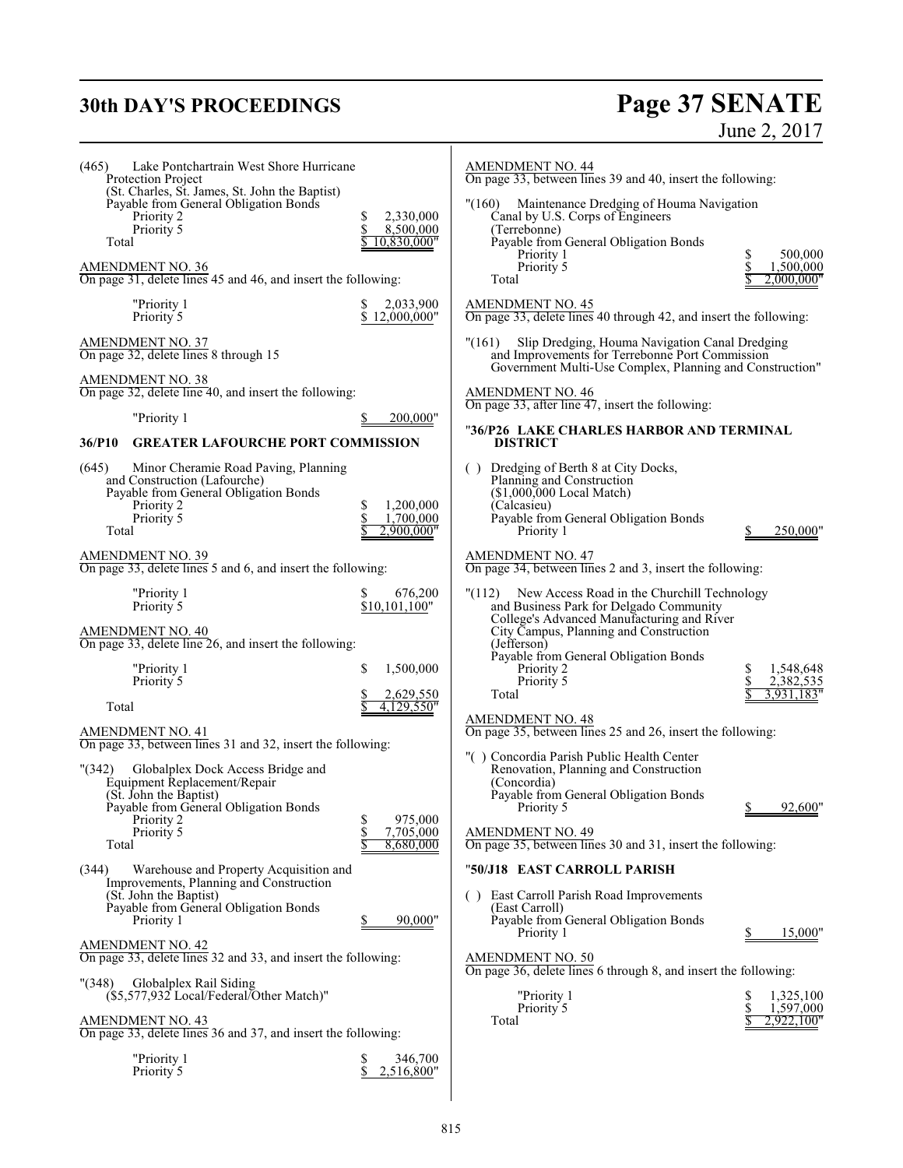# **30th DAY'S PROCEEDINGS**

# Page 37 SENATE<br>June 2, 2017

| Lake Pontchartrain West Shore Hurricane<br>(465)<br>Protection Project<br>(St. Charles, St. James, St. John the Baptist)<br>Payable from General Obligation Bonds<br>Priority 2<br>Priority 5<br>Total<br><b>AMENDMENT NO. 36</b><br>On page 31, delete lines 45 and 46, and insert the following:<br>"Priority 1<br>Priority 5                               | S<br>2,330,000<br>\$<br>8,500,000<br>10,830,000"<br>2,033,900<br>\$<br>12,000,000" | <b>AMENDMENT NO. 44</b><br>On page 33, between lines 39 and 40, insert the following:<br>"(160) Maintenance Dredging of Houma Navigation<br>Canal by U.S. Corps of Engineers<br>(Terrebonne)<br>Payable from General Obligation Bonds<br>Priority 1<br>Priority 5<br>Total<br><b>AMENDMENT NO. 45</b><br>On page 33, delete lines 40 through 42, and insert the following:  | \$<br>500,000<br>1,500,000<br>2,000,000"                    |
|---------------------------------------------------------------------------------------------------------------------------------------------------------------------------------------------------------------------------------------------------------------------------------------------------------------------------------------------------------------|------------------------------------------------------------------------------------|-----------------------------------------------------------------------------------------------------------------------------------------------------------------------------------------------------------------------------------------------------------------------------------------------------------------------------------------------------------------------------|-------------------------------------------------------------|
| <b>AMENDMENT NO. 37</b><br>On page 32, delete lines 8 through 15<br>AMENDMENT NO. 38<br>On page 32, delete line 40, and insert the following:<br>"Priority 1<br>36/P10<br><b>GREATER LAFOURCHE PORT COMMISSION</b>                                                                                                                                            | 200,000"                                                                           | "(161)<br>Slip Dredging, Houma Navigation Canal Dredging<br>and Improvements for Terrebonne Port Commission<br>Government Multi-Use Complex, Planning and Construction"<br><b>AMENDMENT NO. 46</b><br>On page 33, after line 47, insert the following:<br>"36/P26 LAKE CHARLES HARBOR AND TERMINAL<br><b>DISTRICT</b>                                                       |                                                             |
| (645)<br>Minor Cheramie Road Paving, Planning<br>and Construction (Lafourche)<br>Payable from General Obligation Bonds<br>Priority 2<br>Priority 5<br>Total<br><b>AMENDMENT NO. 39</b><br>On page 33, delete lines 5 and 6, and insert the following:                                                                                                         | 1,200,000<br>\$<br>\$<br>1,700,000<br>2,900,000"                                   | () Dredging of Berth 8 at City Docks,<br>Planning and Construction<br>$($1,000,000$ Local Match)<br>(Calcasieu)<br>Payable from General Obligation Bonds<br>Priority 1<br><b>AMENDMENT NO. 47</b><br>On page 34, between lines 2 and 3, insert the following:                                                                                                               | 250,000"                                                    |
| "Priority 1<br>Priority 5<br>AMENDMENT NO. 40<br>On page 33, delete line 26, and insert the following:<br>"Priority 1<br>Priority 5<br>Total<br><b>AMENDMENT NO. 41</b>                                                                                                                                                                                       | 676,200<br>\$10,101,100"<br>\$<br>1,500,000<br>2,629,550<br>4,129,550"             | "(112) New Access Road in the Churchill Technology<br>and Business Park for Delgado Community<br>College's Advanced Manufacturing and River<br>City Campus, Planning and Construction<br>(Jefferson)<br>Payable from General Obligation Bonds<br>Priority 2<br>Priority 5<br>Total<br><b>AMENDMENT NO. 48</b><br>On page 35, between lines 25 and 26, insert the following: | \$<br>1,548,648<br>\$<br>2,382,535<br>3,931,183'            |
| On page 33, between lines 31 and 32, insert the following:<br>" (342)<br>Globalplex Dock Access Bridge and<br>Equipment Replacement/Repair<br>(St. John the Baptist)<br>Payable from General Obligation Bonds<br>Priority 2<br>Priority 5<br>Total<br>(344)<br>Warehouse and Property Acquisition and<br>Improvements, Planning and Construction              | \$<br>975,000<br>\$<br>7,705,000<br>8.680,000                                      | "() Concordia Parish Public Health Center<br>Renovation, Planning and Construction<br>(Concordia)<br>Payable from General Obligation Bonds<br>Priority 5<br><b>AMENDMENT NO. 49</b><br>On page 35, between lines 30 and 31, insert the following:<br>"50/J18 EAST CARROLL PARISH                                                                                            | 92,600'                                                     |
| (St. John the Baptist)<br>Payable from General Obligation Bonds<br>Priority 1<br>AMENDMENT NO. 42<br>On page 33, delete lines 32 and 33, and insert the following:<br>"(348)<br>Globalplex Rail Siding<br>(\$5,577,932 Local/Federal/Other Match)"<br><b>AMENDMENT NO. 43</b><br>On page 33, delete lines 36 and 37, and insert the following:<br>"Priority 1 | 90,000"<br>\$<br>346,700                                                           | () East Carroll Parish Road Improvements<br>(East Carroll)<br>Payable from General Obligation Bonds<br>Priority 1<br><b>AMENDMENT NO. 50</b><br>On page 36, delete lines 6 through 8, and insert the following:<br>"Priority 1<br>Priority 5<br>Total                                                                                                                       | 15,000"<br>1,325,100<br>\$<br>\$<br>1,597,000<br>2,922,100' |
| Priority 5                                                                                                                                                                                                                                                                                                                                                    | \$<br>2,516,800"                                                                   |                                                                                                                                                                                                                                                                                                                                                                             |                                                             |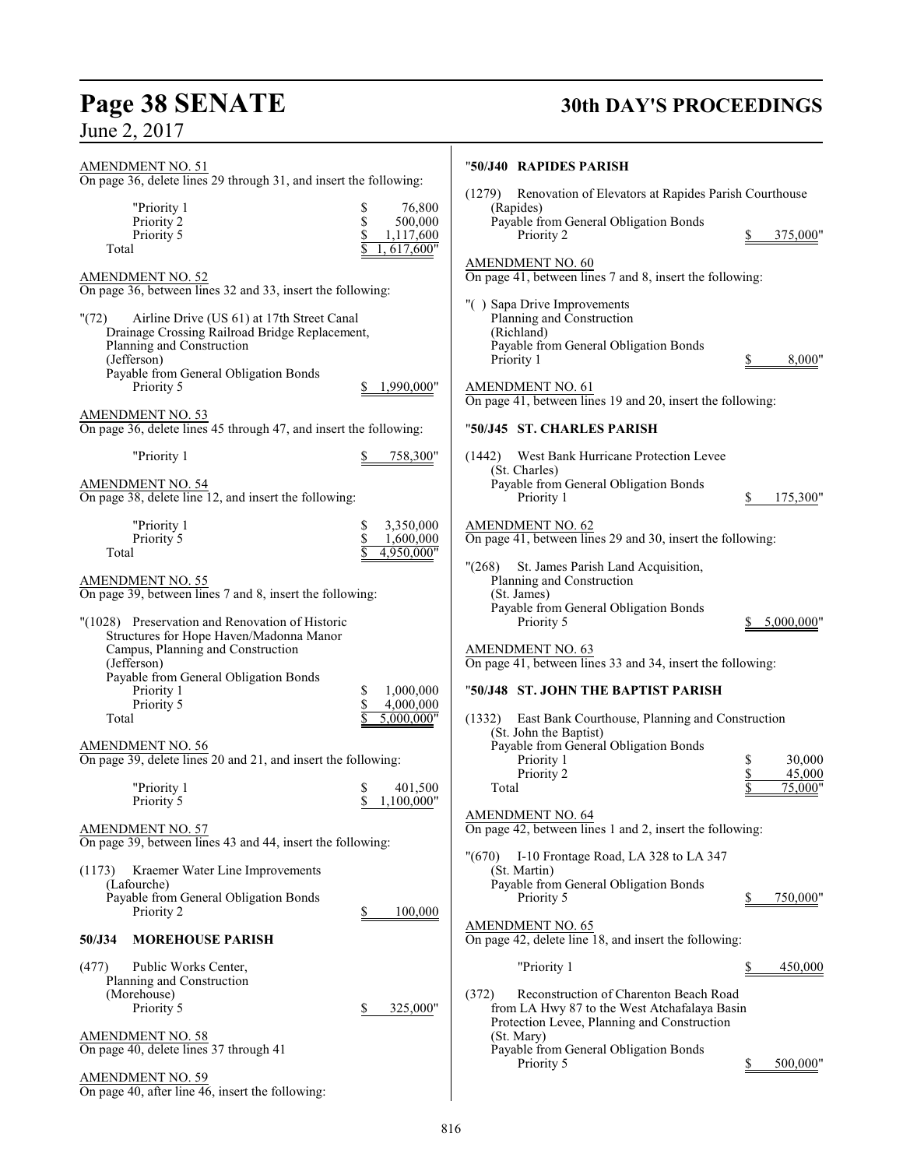# **Page 38 SENATE 30th DAY'S PROCEEDINGS**

June 2, 2017

AMENDMENT NO. 51

# "**50/J40 RAPIDES PARISH** (1279) Renovation of Elevators at Rapides Parish Courthouse (Rapides)

Priority 2 \$ 375,000"

| "Priority 1 | 76,800     |
|-------------|------------|
| Priority 2  | 500,000    |
| Priority 5  | 1,117,600  |
| Total       | 1.617.600" |

On page 36, delete lines 29 through 31, and insert the following:

AMENDMENT NO. 52 On page 36, between lines 32 and 33, insert the following:

| On page 50, octween mies 32 and 33, misert me following.<br>"(72)<br>Airline Drive (US 61) at 17th Street Canal<br>Drainage Crossing Railroad Bridge Replacement,<br>Planning and Construction<br>(Jefferson)<br>Payable from General Obligation Bonds<br>Priority 5<br><b>AMENDMENT NO. 53</b><br>On page 36, delete lines 45 through 47, and insert the following: | 1,990,000"                                             | "() Sapa Drive Improvements<br>Planning and Construction<br>(Richland)<br>Payable from General Obligation Bonds<br>Priority 1<br>AMENDMENT NO. 61<br>On page 41, between lines 19 and 20, insert the following:<br>"50/J45 ST. CHARLES PARISH | 8,000"                       |
|----------------------------------------------------------------------------------------------------------------------------------------------------------------------------------------------------------------------------------------------------------------------------------------------------------------------------------------------------------------------|--------------------------------------------------------|-----------------------------------------------------------------------------------------------------------------------------------------------------------------------------------------------------------------------------------------------|------------------------------|
| "Priority 1<br>AMENDMENT NO. 54                                                                                                                                                                                                                                                                                                                                      | 758,300"                                               | West Bank Hurricane Protection Levee<br>(1442)<br>(St. Charles)<br>Payable from General Obligation Bonds                                                                                                                                      |                              |
| On page 38, delete line 12, and insert the following:                                                                                                                                                                                                                                                                                                                |                                                        | Priority 1                                                                                                                                                                                                                                    | 175,300"<br>S                |
| "Priority 1<br>Priority 5<br>Total<br><b>AMENDMENT NO. 55</b><br>On page 39, between lines 7 and 8, insert the following:                                                                                                                                                                                                                                            | 3,350,000<br>\$<br>\$<br>1,600,000<br>4,950,000"       | <b>AMENDMENT NO. 62</b><br>On page 41, between lines 29 and 30, insert the following:<br>"(268)<br>St. James Parish Land Acquisition,<br>Planning and Construction<br>(St. James)<br>Payable from General Obligation Bonds                    |                              |
| "(1028) Preservation and Renovation of Historic<br>Structures for Hope Haven/Madonna Manor<br>Campus, Planning and Construction<br>(Jefferson)<br>Payable from General Obligation Bonds<br>Priority 1<br>Priority 5                                                                                                                                                  | 1,000,000<br>S<br>$\overline{\mathbb{S}}$<br>4,000,000 | Priority 5<br><b>AMENDMENT NO. 63</b><br>On page 41, between lines 33 and 34, insert the following:<br>"50/J48 ST. JOHN THE BAPTIST PARISH                                                                                                    | 5,000,000"                   |
| Total<br><b>AMENDMENT NO. 56</b><br>On page 39, delete lines 20 and 21, and insert the following:                                                                                                                                                                                                                                                                    | 5,000,000"                                             | East Bank Courthouse, Planning and Construction<br>(1332)<br>(St. John the Baptist)<br>Payable from General Obligation Bonds<br>Priority 1<br>Priority 2                                                                                      | 30,000<br>\$<br>\$<br>45,000 |
| "Priority 1<br>Priority 5                                                                                                                                                                                                                                                                                                                                            | 401,500<br>S<br>\$<br>1,100,000"                       | Total                                                                                                                                                                                                                                         | 75,000"                      |
| <b>AMENDMENT NO. 57</b><br>On page 39, between lines 43 and 44, insert the following:                                                                                                                                                                                                                                                                                |                                                        | <b>AMENDMENT NO. 64</b><br>On page 42, between lines 1 and 2, insert the following:<br>"(670) I-10 Frontage Road, LA 328 to LA 347                                                                                                            |                              |
| (1173) Kraemer Water Line Improvements<br>(Lafourche)<br>Payable from General Obligation Bonds                                                                                                                                                                                                                                                                       |                                                        | (St. Martin)<br>Payable from General Obligation Bonds<br>Priority 5                                                                                                                                                                           | 750,000"<br>\$               |

Priority 2 \$ 100,000

Priority 5 \$ 325,000"

**50/J34 MOREHOUSE PARISH**

On page 40, delete lines 37 through 41

On page 40, after line 46, insert the following:

(477) Public Works Center, Planning and Construction

(Morehouse)

AMENDMENT NO. 58

AMENDMENT NO. 59

Payable from General Obligation Bonds

On page 41, between lines 7 and 8, insert the following:

AMENDMENT NO. 60

| (1442)<br>West Bank Hurricane Protection Levee<br>(St. Charles)                                                                                                                                                     |    |                             |
|---------------------------------------------------------------------------------------------------------------------------------------------------------------------------------------------------------------------|----|-----------------------------|
| Payable from General Obligation Bonds<br>Priority 1                                                                                                                                                                 | S. | 175,300"                    |
| AMENDMENT NO. 62<br>On page 41, between lines 29 and 30, insert the following:                                                                                                                                      |    |                             |
| "(268) St. James Parish Land Acquisition,<br>Planning and Construction<br>(St. James)<br>Payable from General Obligation Bonds<br>Priority 5                                                                        | Z. | 5,000,000"                  |
| AMENDMENT NO. 63<br>On page 41, between lines 33 and 34, insert the following:                                                                                                                                      |    |                             |
| "50/J48 ST. JOHN THE BAPTIST PARISH                                                                                                                                                                                 |    |                             |
| (1332) East Bank Courthouse, Planning and Construction<br>(St. John the Baptist)<br>Payable from General Obligation Bonds<br>Priority 1<br>Priority 2<br>Total                                                      | \$ | 30,000<br>45,000<br>75,000" |
| AMENDMENT NO. 64<br>On page 42, between lines 1 and 2, insert the following:                                                                                                                                        |    |                             |
| "(670)<br>I-10 Frontage Road, LA 328 to LA 347<br>(St. Martin)<br>Payable from General Obligation Bonds<br>Priority 5<br><u>AMENDMENT NO. 65</u><br>On page 42, delete line 18, and insert the following:           | \$ | 750,000"                    |
| "Priority 1                                                                                                                                                                                                         | S. | 450,000                     |
| Reconstruction of Charenton Beach Road<br>(372)<br>from LA Hwy 87 to the West Atchafalaya Basin<br>Protection Levee, Planning and Construction<br>(St. Mary)<br>Payable from General Obligation Bonds<br>Priority 5 | \$ | 500,000"                    |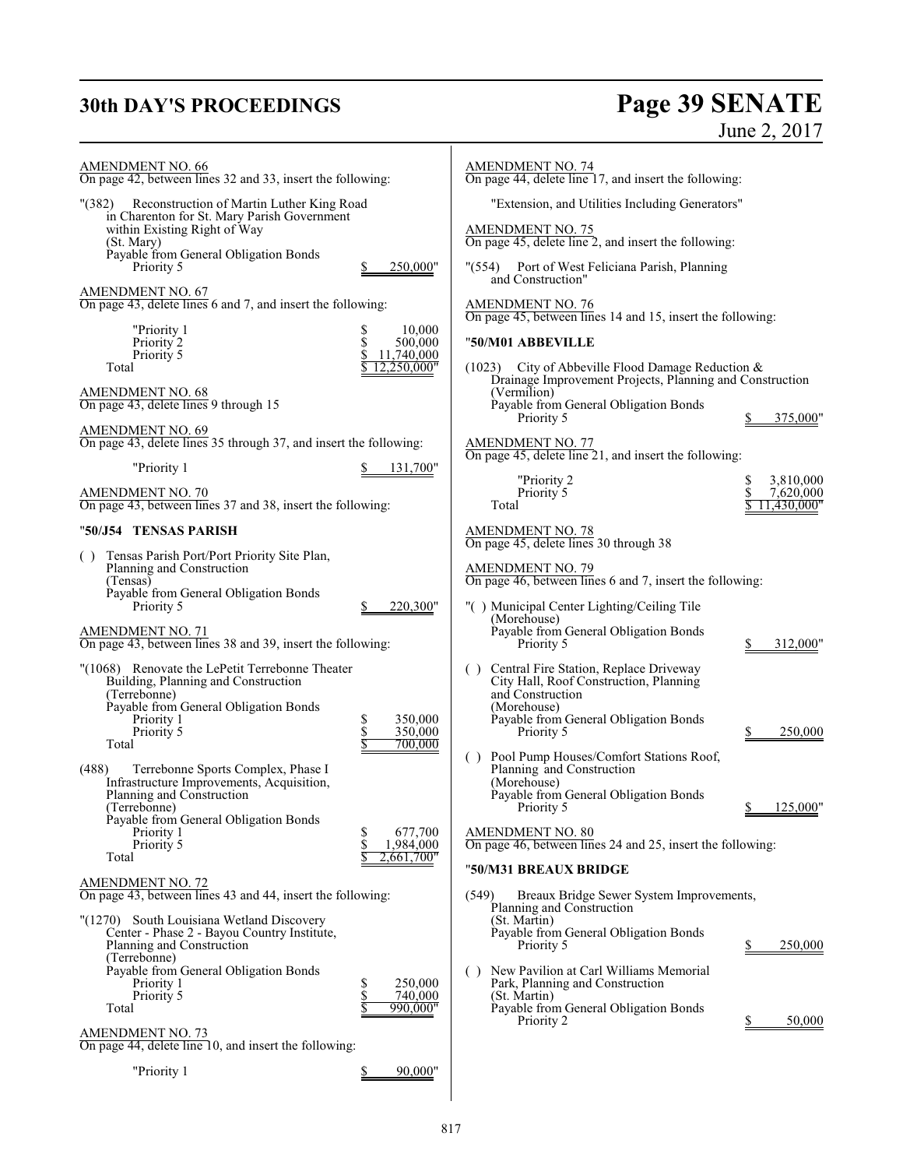# **30th DAY'S PROCEEDINGS Page 39 SENATE** June 2, 2017

| <b>AMENDMENT NO. 66</b><br>On page 42, between lines 32 and 33, insert the following:                                                                                                                                                                                            |                                                           | <b>AMENDMENT NO. 74</b><br>On page 44, delete line 17, and insert the following:                                                                                                                                                                                         |                                       |
|----------------------------------------------------------------------------------------------------------------------------------------------------------------------------------------------------------------------------------------------------------------------------------|-----------------------------------------------------------|--------------------------------------------------------------------------------------------------------------------------------------------------------------------------------------------------------------------------------------------------------------------------|---------------------------------------|
| "(382) Reconstruction of Martin Luther King Road<br>in Charenton for St. Mary Parish Government<br>within Existing Right of Way<br>(St. Mary)<br>Payable from General Obligation Bonds<br>Priority 5                                                                             | 250,000"                                                  | "Extension, and Utilities Including Generators"<br><b>AMENDMENT NO. 75</b><br>On page 45, delete line 2, and insert the following:<br>"(554) Port of West Feliciana Parish, Planning                                                                                     |                                       |
| <b>AMENDMENT NO. 67</b><br>On page 43, delete lines 6 and 7, and insert the following:                                                                                                                                                                                           |                                                           | and Construction"<br><b>AMENDMENT NO. 76</b><br>On page 45, between lines 14 and 15, insert the following:                                                                                                                                                               |                                       |
| "Priority 1<br>Priority 2<br>Priority 5<br>Total                                                                                                                                                                                                                                 | 10,000<br>S<br>\$<br>500,000<br>11,740,000<br>12,250,000" | "50/M01 ABBEVILLE<br>$(1023)$ City of Abbeville Flood Damage Reduction &                                                                                                                                                                                                 |                                       |
| AMENDMENT NO. 68<br>On page 43, delete lines 9 through 15                                                                                                                                                                                                                        |                                                           | Drainage Improvement Projects, Planning and Construction<br>(Vermilion)<br>Payable from General Obligation Bonds<br>Priority 5                                                                                                                                           | 375,000"                              |
| <b>AMENDMENT NO. 69</b><br>On page 43, delete lines 35 through 37, and insert the following:<br>"Priority 1                                                                                                                                                                      |                                                           | AMENDMENT NO. 77<br>On page 45, delete line 21, and insert the following:                                                                                                                                                                                                |                                       |
| <b>AMENDMENT NO. 70</b><br>On page 43, between lines 37 and 38, insert the following:                                                                                                                                                                                            | 131,700"                                                  | "Priority 2<br>Priority 5<br>Total                                                                                                                                                                                                                                       | 3,810,000<br>7,620,000<br>11,430,000" |
| "50/J54   TENSAS PARISH                                                                                                                                                                                                                                                          |                                                           | <b>AMENDMENT NO. 78</b>                                                                                                                                                                                                                                                  |                                       |
| Tensas Parish Port/Port Priority Site Plan,<br>( )<br>Planning and Construction<br>(Tensas)<br>Payable from General Obligation Bonds<br>Priority 5                                                                                                                               | 220,300"                                                  | On page 45, delete lines 30 through 38<br><b>AMENDMENT NO. 79</b><br>On page 46, between lines 6 and 7, insert the following:<br>"() Municipal Center Lighting/Ceiling Tile                                                                                              |                                       |
| <b>AMENDMENT NO. 71</b><br>On page 43, between lines 38 and 39, insert the following:                                                                                                                                                                                            |                                                           | (Morehouse)<br>Payable from General Obligation Bonds<br>Priority 5                                                                                                                                                                                                       | 312,000"                              |
| "(1068) Renovate the LePetit Terrebonne Theater<br>Building, Planning and Construction<br>(Terrebonne)<br>Payable from General Obligation Bonds<br>Priority 1<br>Priority 5<br>Total<br>(488)<br>Terrebonne Sports Complex, Phase I<br>Infrastructure Improvements, Acquisition, | \$<br>350,000<br>\$<br>350,000<br>700,000                 | Central Fire Station, Replace Driveway<br>City Hall, Roof Construction, Planning<br>and Construction<br>(Morehouse)<br>Payable from General Obligation Bonds<br>Priority 5<br>Pool Pump Houses/Comfort Stations Roof,<br>( )<br>Planning and Construction<br>(Morehouse) | 250,000                               |
| Planning and Construction<br>(Terrebonne)<br>Payable from General Obligation Bonds<br>Priority 1<br>Priority 5<br>Total                                                                                                                                                          | \$<br>677,700<br>\$<br>1,984,000<br>2,661,700"            | Payable from General Obligation Bonds<br>Priority 5<br><b>AMENDMENT NO. 80</b><br>On page 46, between lines 24 and 25, insert the following:                                                                                                                             | \$ 125,000"                           |
| <b>AMENDMENT NO. 72</b><br>On page 43, between lines 43 and 44, insert the following:                                                                                                                                                                                            |                                                           | "50/M31 BREAUX BRIDGE<br>Breaux Bridge Sewer System Improvements,<br>(549)                                                                                                                                                                                               |                                       |
| "(1270) South Louisiana Wetland Discovery<br>Center - Phase 2 - Bayou Country Institute,<br>Planning and Construction<br>(Terrebonne)<br>Payable from General Obligation Bonds<br>Priority 1<br>Priority 5                                                                       | \$<br>250,000<br>\$<br>740,000                            | Planning and Construction<br>(St. Martin)<br>Payable from General Obligation Bonds<br>Priority 5<br>New Pavilion at Carl Williams Memorial<br>(<br>Park, Planning and Construction<br>(St. Martin)                                                                       | 250,000<br>S                          |
| Total<br><b>AMENDMENT NO. 73</b>                                                                                                                                                                                                                                                 | \$<br>990.000"                                            | Payable from General Obligation Bonds<br>Priority 2                                                                                                                                                                                                                      | 50,000                                |
| On page 44, delete line 10, and insert the following:                                                                                                                                                                                                                            |                                                           |                                                                                                                                                                                                                                                                          |                                       |
| "Priority 1                                                                                                                                                                                                                                                                      | 90,000"<br>\$                                             |                                                                                                                                                                                                                                                                          |                                       |

 $\mathbf{I}$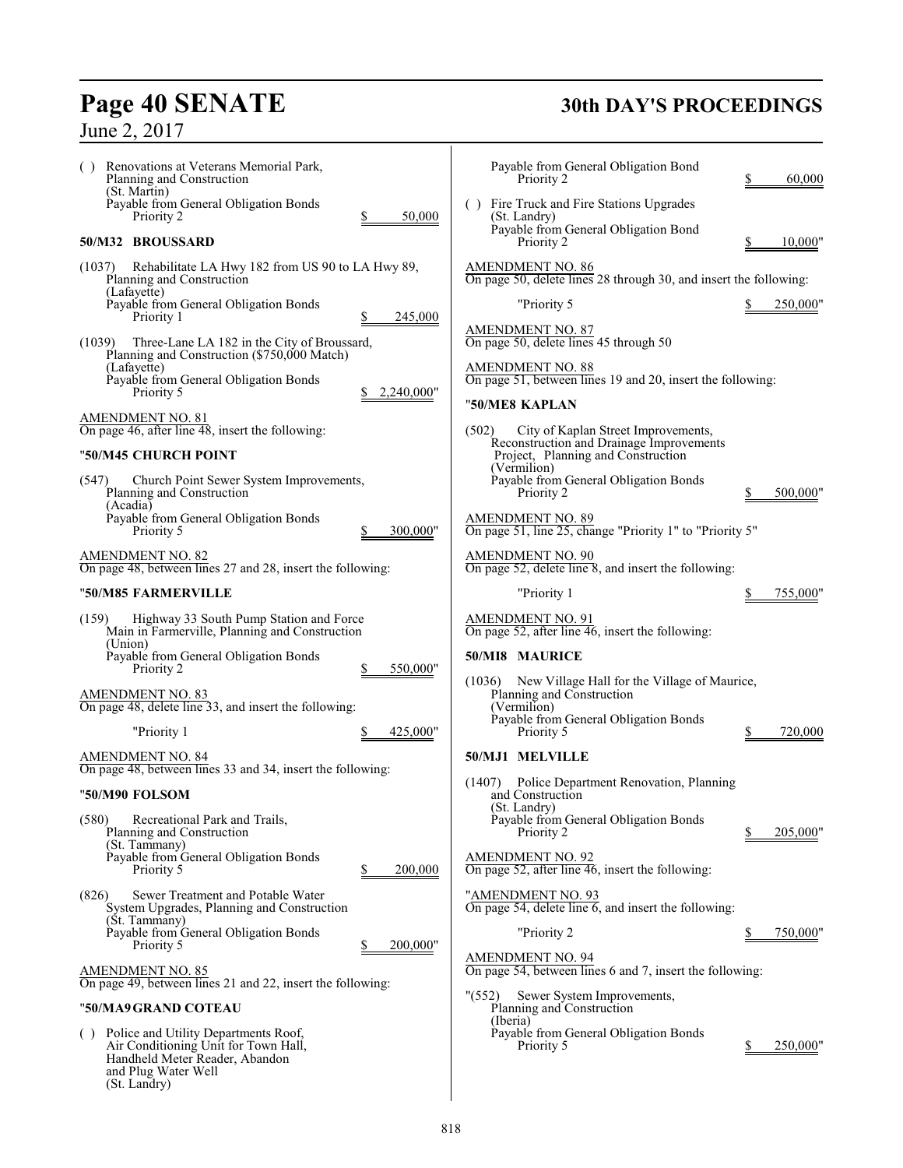# **Page 40 SENATE**<br>June 2, 2017

# **30th DAY'S PROCEEDINGS**

| Renovations at Veterans Memorial Park,<br>( )<br>Planning and Construction                                                                                   | Payable from General Obligation Bond<br>Priority 2<br>60,000                                            |
|--------------------------------------------------------------------------------------------------------------------------------------------------------------|---------------------------------------------------------------------------------------------------------|
| (St. Martin)<br>Payable from General Obligation Bonds<br>Priority 2<br>50,000                                                                                | () Fire Truck and Fire Stations Upgrades<br>(St. Landry)<br>Payable from General Obligation Bond        |
| 50/M32 BROUSSARD                                                                                                                                             | Priority 2<br>10,000"                                                                                   |
| (1037) Rehabilitate LA Hwy 182 from US 90 to LA Hwy 89,<br>Planning and Construction<br>(Lafayette)                                                          | <b>AMENDMENT NO. 86</b><br>On page 50, delete lines 28 through 30, and insert the following:            |
| Payable from General Obligation Bonds<br>245,000<br>Priority 1                                                                                               | "Priority 5<br>250,000"                                                                                 |
| Three-Lane LA 182 in the City of Broussard,<br>(1039)<br>Planning and Construction (\$750,000 Match)                                                         | <b>AMENDMENT NO. 87</b><br>On page 50, delete lines 45 through 50                                       |
| (Lafayette)<br>Payable from General Obligation Bonds<br>Priority 5<br>2,240,000"                                                                             | <b>AMENDMENT NO. 88</b><br>On page 51, between lines 19 and 20, insert the following:<br>"50/ME8 KAPLAN |
| AMENDMENT NO. 81<br>On page 46, after line $48$ , insert the following:                                                                                      | (502)<br>City of Kaplan Street Improvements,                                                            |
| "50/M45 CHURCH POINT                                                                                                                                         | Reconstruction and Drainage Improvements<br>Project, Planning and Construction<br>(Vermilion)           |
| (547)<br>Church Point Sewer System Improvements,<br>Planning and Construction<br>(Acadia)                                                                    | Payable from General Obligation Bonds<br>Priority 2<br>500,000"                                         |
| Payable from General Obligation Bonds<br>Priority 5<br>300,000"                                                                                              | <b>AMENDMENT NO. 89</b><br>On page 51, line 25, change "Priority 1" to "Priority 5"                     |
| <b>AMENDMENT NO. 82</b><br>On page 48, between lines 27 and 28, insert the following:                                                                        | <b>AMENDMENT NO. 90</b><br>On page 52, delete line 8, and insert the following:                         |
| "50/M85 FARMERVILLE                                                                                                                                          | "Priority 1<br>755,000"                                                                                 |
| Highway 33 South Pump Station and Force<br>(159)<br>Main in Farmerville, Planning and Construction                                                           | AMENDMENT NO. 91<br>On page 52, after line 46, insert the following:                                    |
| (Union)<br>Payable from General Obligation Bonds<br>550,000"<br>Priority 2                                                                                   | 50/MI8 MAURICE                                                                                          |
| <b>AMENDMENT NO. 83</b><br>On page 48, delete line 33, and insert the following:                                                                             | New Village Hall for the Village of Maurice,<br>(1036)<br>Planning and Construction<br>(Vermilion)      |
| "Priority 1<br>425,000"                                                                                                                                      | Payable from General Obligation Bonds<br>Priority 5<br>720,000                                          |
| AMENDMENT NO. 84<br>On page 48, between lines 33 and 34, insert the following:                                                                               | 50/MJ1 MELVILLE                                                                                         |
| "50/M90 FOLSOM                                                                                                                                               | Police Department Renovation, Planning<br>(1407)<br>and Construction                                    |
| (580)<br>Recreational Park and Trails,<br>Planning and Construction<br>(St. Tammany)                                                                         | (St. Landry)<br>Payable from General Obligation Bonds<br>Priority 2<br>205,000"                         |
| Payable from General Obligation Bonds<br>200,000<br>Priority 5                                                                                               | <b>AMENDMENT NO. 92</b><br>On page 52, after line 46, insert the following:                             |
| (826)<br>Sewer Treatment and Potable Water<br>System Upgrades, Planning and Construction<br>(St. Tammany)                                                    | "AMENDMENT NO. 93<br>On page 54, delete line 6, and insert the following:                               |
| Payable from General Obligation Bonds<br>Priority 5<br>200,000"                                                                                              | "Priority 2<br>750,000"                                                                                 |
| <b>AMENDMENT NO. 85</b><br>On page 49, between lines 21 and 22, insert the following:                                                                        | <b>AMENDMENT NO. 94</b><br>On page 54, between lines 6 and 7, insert the following:                     |
| "50/MA9 GRAND COTEAU                                                                                                                                         | " $(552)$<br>Sewer System Improvements,<br>Planning and Construction                                    |
| Police and Utility Departments Roof,<br>( )<br>Air Conditioning Unit for Town Hall,<br>Handheld Meter Reader, Abandon<br>and Plug Water Well<br>(St. Landry) | (Iberia)<br>Payable from General Obligation Bonds<br>Priority 5<br>250,000"                             |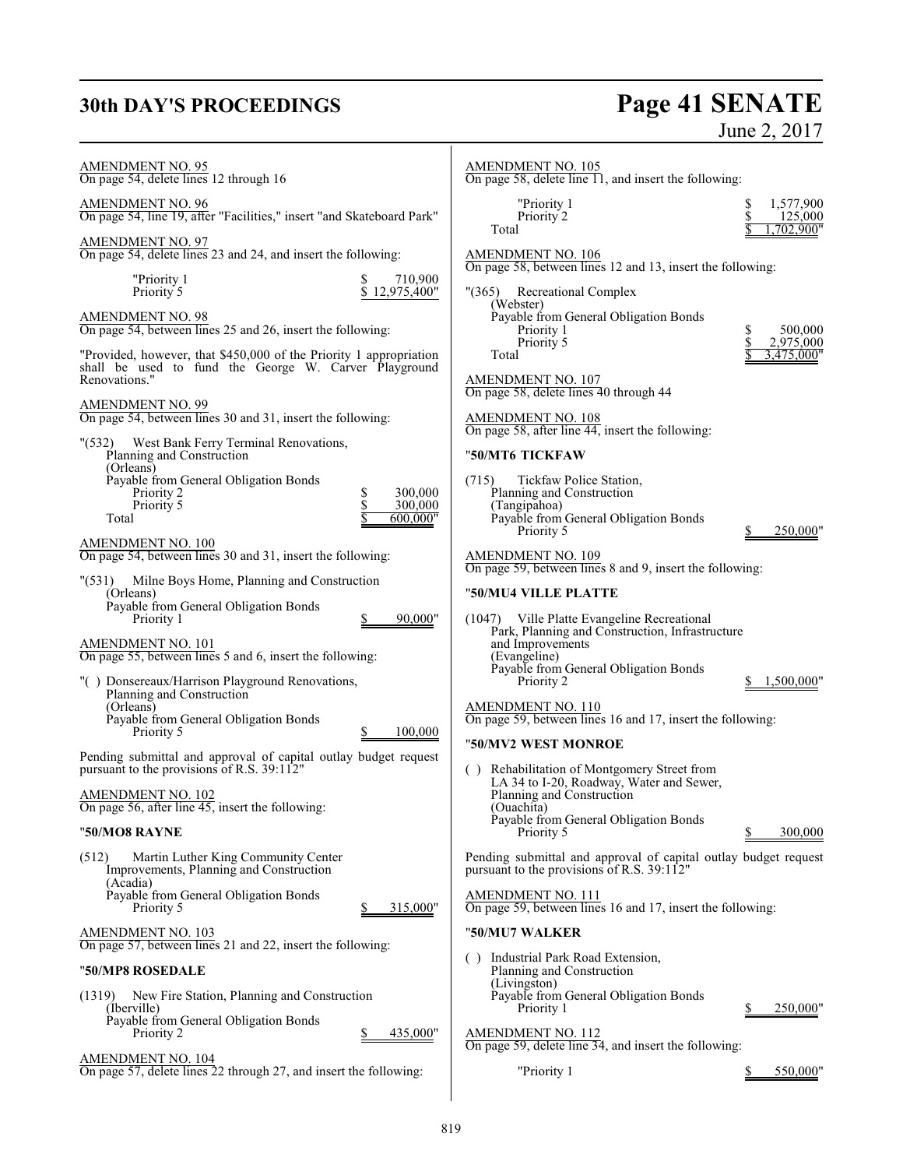# **30th DAY'S PROCEEDINGS**

# **Page 41 SENATE**<br>June 2, 2017

| <b>AMENDMENT NO. 95</b><br>On page 54, delete lines 12 through 16                                                                            | <b>AMENDMENT NO. 105</b><br>On page 58, delete line $\overline{11}$ , and insert the following:                                                  |
|----------------------------------------------------------------------------------------------------------------------------------------------|--------------------------------------------------------------------------------------------------------------------------------------------------|
| AMENDMENT NO. 96<br>On page 54, line 19, after "Facilities," insert "and Skateboard Park"                                                    | "Priority 1<br>1,577,900<br>S<br>Priority 2<br>125,000<br>Total<br>,702,900"                                                                     |
| AMENDMENT NO. 97<br>On page 54, delete lines 23 and 24, and insert the following:                                                            | <b>AMENDMENT NO. 106</b><br>On page 58, between lines 12 and 13, insert the following:                                                           |
| 710,900<br>"Priority 1<br>Priority 5<br>12,975,400"                                                                                          | " (365)<br><b>Recreational Complex</b>                                                                                                           |
| <b>AMENDMENT NO. 98</b><br>On page 54, between lines 25 and 26, insert the following:                                                        | (Webster)<br>Payable from General Obligation Bonds<br>Priority 1<br>500,000<br>Priority 5<br>2,975,000                                           |
| "Provided, however, that \$450,000 of the Priority 1 appropriation<br>shall be used to fund the George W. Carver Playground<br>Renovations." | 3,475,000"<br>Total<br>AMENDMENT NO. 107                                                                                                         |
| <b>AMENDMENT NO. 99</b><br>On page 54, between lines 30 and 31, insert the following:                                                        | On page 58, delete lines 40 through 44<br><b>AMENDMENT NO. 108</b><br>On page 58, after line 44, insert the following:                           |
| West Bank Ferry Terminal Renovations,<br>"(532)<br>Planning and Construction                                                                 | "50/MT6 TICKFAW                                                                                                                                  |
| (Orleans)<br>Payable from General Obligation Bonds<br>300,000<br>\$<br>Priority 2<br>\$<br>Priority 5<br>300,000<br>600,000"<br>Total        | Tickfaw Police Station,<br>(715)<br>Planning and Construction<br>(Tangipahoa)<br>Payable from General Obligation Bonds<br>250,000"<br>Priority 5 |
| <u>AMENDMENT NO. 100</u><br>On page 54, between lines 30 and 31, insert the following:                                                       | AMENDMENT NO. 109<br>On page 59, between lines 8 and 9, insert the following:                                                                    |
| "(531) Milne Boys Home, Planning and Construction<br>(Orleans)                                                                               | "50/MU4 VILLE PLATTE                                                                                                                             |
| Payable from General Obligation Bonds<br>90,000"<br>Priority 1<br>AMENDMENT NO. 101                                                          | (1047) Ville Platte Evangeline Recreational<br>Park, Planning and Construction, Infrastructure<br>and Improvements                               |
| On page 55, between lines 5 and 6, insert the following:<br>"() Donsereaux/Harrison Playground Renovations,                                  | (Evangeline)<br>Payable from General Obligation Bonds<br>Priority 2<br>1,500,000"                                                                |
| Planning and Construction<br>(Orleans)<br>Payable from General Obligation Bonds<br>Priority 5<br>100,000                                     | AMENDMENT NO. 110<br>On page 59, between lines 16 and 17, insert the following:                                                                  |
| Pending submittal and approval of capital outlay budget request<br>pursuant to the provisions of R.S. 39:112"                                | "50/MV2 WEST MONROE<br>() Rehabilitation of Montgomery Street from                                                                               |
| <u>AMENDMENT NO. 102</u><br>On page 56, after line 45, insert the following:                                                                 | LA 34 to I-20, Roadway, Water and Sewer,<br>Planning and Construction<br>(Ouachita)                                                              |
| "50/MO8 RAYNE                                                                                                                                | Payable from General Obligation Bonds<br>Priority 5<br>300,000                                                                                   |
| (512)<br>Martin Luther King Community Center<br>Improvements, Planning and Construction<br>(Acadia)                                          | Pending submittal and approval of capital outlay budget request<br>pursuant to the provisions of R.S. 39:112"                                    |
| Payable from General Obligation Bonds<br>315,000"<br>Priority 5                                                                              | <b>AMENDMENT NO. 111</b><br>On page 59, between lines 16 and 17, insert the following:                                                           |
| AMENDMENT NO. 103<br>On page 57, between lines 21 and 22, insert the following:                                                              | "50/MU7 WALKER                                                                                                                                   |
| "50/MP8 ROSEDALE                                                                                                                             | () Industrial Park Road Extension,<br>Planning and Construction                                                                                  |
| (1319)<br>New Fire Station, Planning and Construction<br>(Iberville)                                                                         | (Livingston)<br>Payable from General Obligation Bonds<br>Priority 1<br>250,000"                                                                  |
| Payable from General Obligation Bonds<br>Priority 2<br>435,000"                                                                              | <b>AMENDMENT NO. 112</b><br>On page 59, delete line 34, and insert the following:                                                                |
| <u>AMENDMENT NO. 104</u><br>On page 57, delete lines 22 through 27, and insert the following:                                                | "Priority 1<br>550,000"                                                                                                                          |
|                                                                                                                                              |                                                                                                                                                  |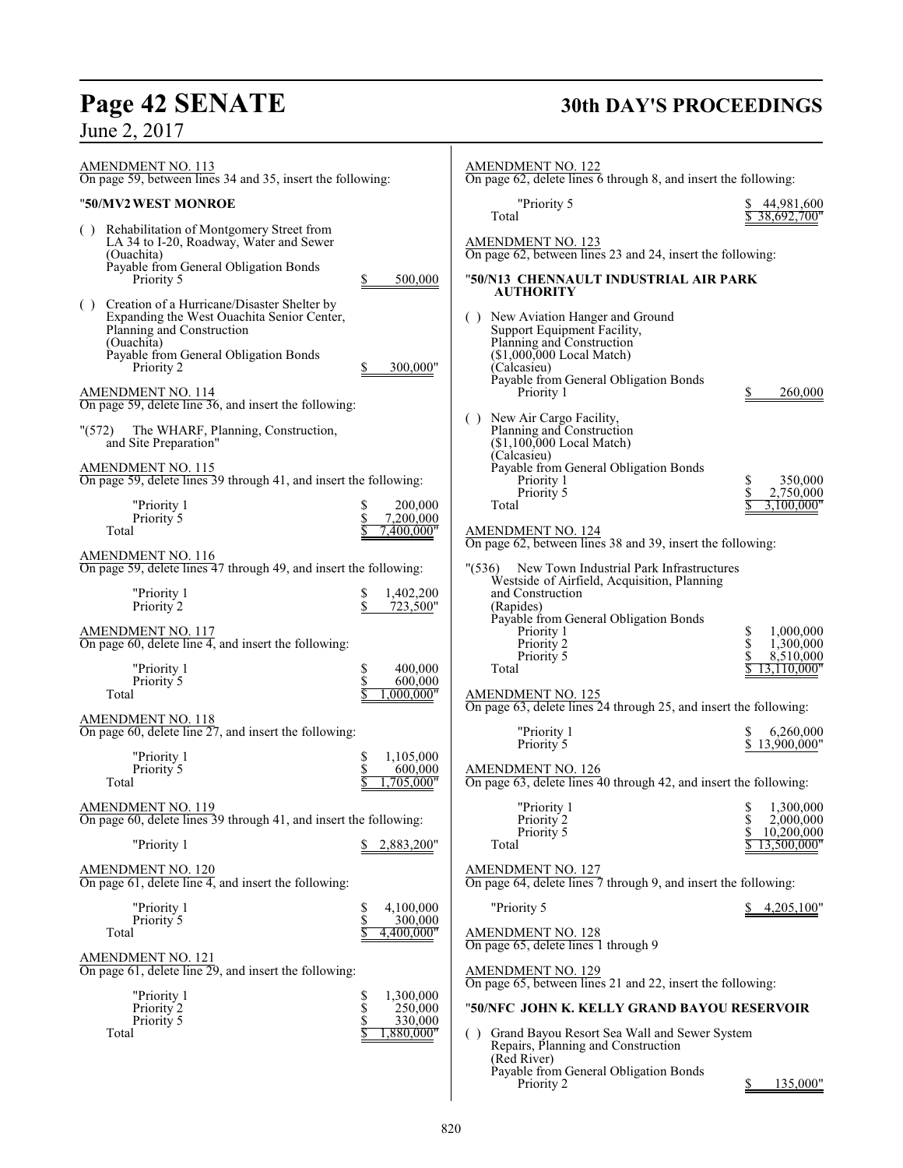# **Page 42 SENATE 30th DAY'S PROCEEDINGS**

June 2, 2017

| <b>AMENDMENT NO. 113</b><br>On page 59, between lines 34 and 35, insert the following:                                                                                                                                          | <b>AMENDMENT NO. 122</b><br>On page 62, delete lines 6 through 8, and insert the following:                                                                                                       |
|---------------------------------------------------------------------------------------------------------------------------------------------------------------------------------------------------------------------------------|---------------------------------------------------------------------------------------------------------------------------------------------------------------------------------------------------|
| "50/MV2 WEST MONROE                                                                                                                                                                                                             | "Priority 5<br>44,981,600                                                                                                                                                                         |
| () Rehabilitation of Montgomery Street from<br>LA 34 to I-20, Roadway, Water and Sewer<br>(Ouachita)<br>Payable from General Obligation Bonds<br>Priority 5<br>500,000                                                          | Total<br>38.692.700"<br><b>AMENDMENT NO. 123</b><br>On page 62, between lines 23 and 24, insert the following:<br>"50/N13" CHENNAULT INDUSTRIAL AIR PARK<br><b>AUTHORITY</b>                      |
| () Creation of a Hurricane/Disaster Shelter by<br>Expanding the West Ouachita Senior Center,<br>Planning and Construction<br>(Ouachita)<br>Payable from General Obligation Bonds<br>Priority 2<br>300.000"<br>AMENDMENT NO. 114 | () New Aviation Hanger and Ground<br>Support Equipment Facility,<br>Planning and Construction<br>$($1,000,000$ Local Match)<br>(Calcasieu)<br>Payable from General Obligation Bonds<br>Priority 1 |
| On page 59, delete line 36, and insert the following:                                                                                                                                                                           | 260,000                                                                                                                                                                                           |
| The WHARF, Planning, Construction,<br>" (572)<br>and Site Preparation"                                                                                                                                                          | () New Air Cargo Facility,<br>Planning and Construction<br>$($1,100,000$ Local Match)<br>(Calcasieu)                                                                                              |
| <b>AMENDMENT NO. 115</b><br>On page 59, delete lines 39 through 41, and insert the following:                                                                                                                                   | Payable from General Obligation Bonds<br>Priority 1<br>350,000                                                                                                                                    |
| "Priority 1<br>200,000<br>\$                                                                                                                                                                                                    | Priority 5<br>2,750,000<br>Total<br>3,100,000"                                                                                                                                                    |
| \$<br>7,200,000<br>Priority 5<br>Total<br>7.400.000"                                                                                                                                                                            | <b>AMENDMENT NO. 124</b>                                                                                                                                                                          |
| <b>AMENDMENT NO. 116</b><br>On page 59, delete lines 47 through 49, and insert the following:                                                                                                                                   | On page 62, between lines 38 and 39, insert the following:<br>" $(536)$<br>New Town Industrial Park Infrastructures<br>Westside of Airfield, Acquisition, Planning                                |
| "Priority 1<br>1,402,200<br>\$<br>\$<br>Priority 2<br>723,500"                                                                                                                                                                  | and Construction<br>(Rapides)<br>Payable from General Obligation Bonds                                                                                                                            |
| AMENDMENT NO. 117<br>On page $60$ , delete line 4, and insert the following:                                                                                                                                                    | Priority 1<br>1,000,000<br>S<br>\$<br>Priority 2<br>1,300,000<br>Priority 5<br>\$<br>8,510,000                                                                                                    |
| \$<br>"Priority 1<br>400,000<br>$\dot{\mathbb{S}}$<br>Priority 5<br>600,000<br>Total<br>.000.000"                                                                                                                               | Total<br>13.110.000"<br>$\frac{\text{AMENDMENT NO. 125}}{\text{On page 63, delete lines 24 through 25, and insert the following:}}$                                                               |
| <b>AMENDMENT NO. 118</b>                                                                                                                                                                                                        |                                                                                                                                                                                                   |
| On page 60, delete line 27, and insert the following:                                                                                                                                                                           | "Priority 1<br>6.260,000<br>Priority 5<br>\$13,900,000"                                                                                                                                           |
| "Priority 1<br>\$<br>1,105,000<br>600,000<br>Priority 5<br>Total<br>705,000"                                                                                                                                                    | AMENDMENT NO. 126<br>On page 63, delete lines 40 through 42, and insert the following:                                                                                                            |
| <b>AMENDMENT NO. 119</b><br>On page 60, delete lines 39 through 41, and insert the following:                                                                                                                                   | "Priority 1<br>\$<br>1,300,000<br>\$<br>2,000,000<br>Priority 2<br>10,200,000<br>Priority 5                                                                                                       |
| "Priority 1<br>2,883,200"                                                                                                                                                                                                       | Total<br>13,500,000"                                                                                                                                                                              |
| AMENDMENT NO. 120<br>On page $61$ , delete line 4, and insert the following:                                                                                                                                                    | AMENDMENT NO. 127<br>On page 64, delete lines 7 through 9, and insert the following:                                                                                                              |
| 4,100,000<br>"Priority 1<br>\$<br>\$<br>Priority 5<br>300,000                                                                                                                                                                   | "Priority 5<br>4,205,100"                                                                                                                                                                         |
| Total<br>4,400,000"                                                                                                                                                                                                             | <b>AMENDMENT NO. 128</b><br>On page 65, delete lines 1 through 9                                                                                                                                  |
| AMENDMENT NO. 121<br>On page $61$ , delete line 29, and insert the following:                                                                                                                                                   | <b>AMENDMENT NO. 129</b><br>On page 65, between lines 21 and 22, insert the following:                                                                                                            |
| "Priority 1<br>1,300,000<br>\$<br>\$<br>250,000<br>Priority 2                                                                                                                                                                   | "50/NFC JOHN K. KELLY GRAND BAYOU RESERVOIR                                                                                                                                                       |
| Priority 5<br>\$<br>330,000<br>Total<br>,880,000"                                                                                                                                                                               | Grand Bayou Resort Sea Wall and Sewer System<br>(<br>Repairs, Planning and Construction                                                                                                           |
|                                                                                                                                                                                                                                 | (Red River)<br>Payable from General Obligation Bonds<br>Priority 2<br>135,000"<br>S.                                                                                                              |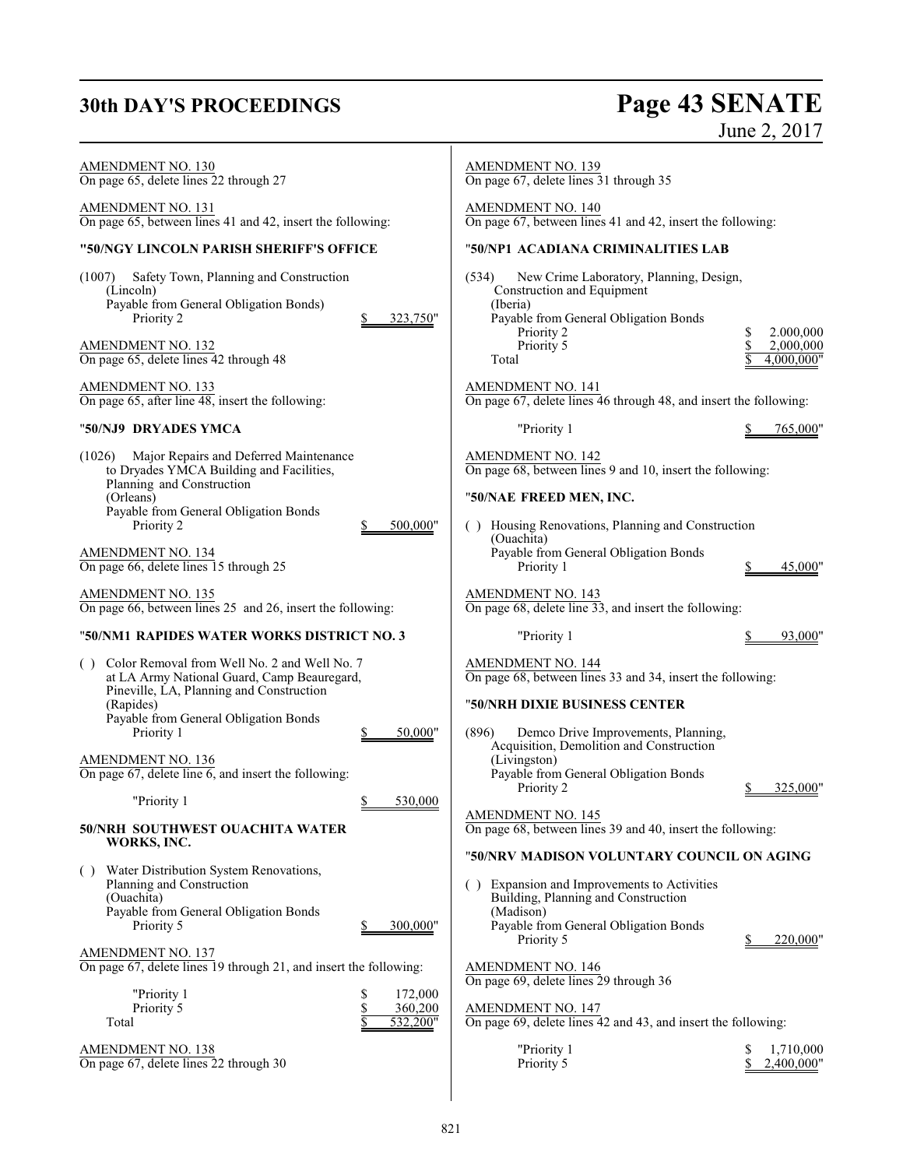# **30th DAY'S PROCEEDINGS**

# Page 43 SENATE<br>June 2, 2017

| AMENDMENT NO. 130<br>On page 65, delete lines 22 through 27<br>AMENDMENT NO. 131<br>On page 65, between lines 41 and 42, insert the following:<br>"50/NGY LINCOLN PARISH SHERIFF'S OFFICE<br>(1007)<br>Safety Town, Planning and Construction<br>(Lincoln)<br>Payable from General Obligation Bonds)<br>Priority 2<br>323,750"<br>AMENDMENT NO. 132<br>On page 65, delete lines 42 through 48<br>AMENDMENT NO. 133<br>On page $65$ , after line $48$ , insert the following: | <b>AMENDMENT NO. 139</b><br>On page 67, delete lines 31 through 35<br><b>AMENDMENT NO. 140</b><br>On page 67, between lines 41 and 42, insert the following:<br>"50/NP1 ACADIANA CRIMINALITIES LAB<br>(534)<br>New Crime Laboratory, Planning, Design,<br><b>Construction and Equipment</b><br>(Iberia)<br>Payable from General Obligation Bonds<br>Priority 2<br>2.000,000<br>Priority 5<br>2,000,000<br>Total<br>4,000,000"<br><b>AMENDMENT NO. 141</b><br>On page 67, delete lines 46 through 48, and insert the following: |
|------------------------------------------------------------------------------------------------------------------------------------------------------------------------------------------------------------------------------------------------------------------------------------------------------------------------------------------------------------------------------------------------------------------------------------------------------------------------------|--------------------------------------------------------------------------------------------------------------------------------------------------------------------------------------------------------------------------------------------------------------------------------------------------------------------------------------------------------------------------------------------------------------------------------------------------------------------------------------------------------------------------------|
| "50/NJ9 DRYADES YMCA                                                                                                                                                                                                                                                                                                                                                                                                                                                         | "Priority 1<br>765,000"                                                                                                                                                                                                                                                                                                                                                                                                                                                                                                        |
| Major Repairs and Deferred Maintenance<br>(1026)<br>to Dryades YMCA Building and Facilities,<br>Planning and Construction<br>(Orleans)<br>Payable from General Obligation Bonds<br>Priority 2<br>500,000"<br><b>AMENDMENT NO. 134</b>                                                                                                                                                                                                                                        | <b>AMENDMENT NO. 142</b><br>On page 68, between lines 9 and 10, insert the following:<br>"50/NAE FREED MEN, INC.<br>() Housing Renovations, Planning and Construction<br>(Ouachita)<br>Payable from General Obligation Bonds                                                                                                                                                                                                                                                                                                   |
| On page 66, delete lines 15 through 25                                                                                                                                                                                                                                                                                                                                                                                                                                       | Priority 1<br>45,000'                                                                                                                                                                                                                                                                                                                                                                                                                                                                                                          |
| <b>AMENDMENT NO. 135</b><br>On page 66, between lines 25 and 26, insert the following:                                                                                                                                                                                                                                                                                                                                                                                       | <b>AMENDMENT NO. 143</b><br>On page 68, delete line 33, and insert the following:                                                                                                                                                                                                                                                                                                                                                                                                                                              |
| "50/NM1 RAPIDES WATER WORKS DISTRICT NO. 3                                                                                                                                                                                                                                                                                                                                                                                                                                   | "Priority 1<br>93,000"                                                                                                                                                                                                                                                                                                                                                                                                                                                                                                         |
| Color Removal from Well No. 2 and Well No. 7<br>( )<br>at LA Army National Guard, Camp Beauregard,<br>Pineville, LA, Planning and Construction<br>(Rapides)<br>Payable from General Obligation Bonds<br>Priority 1<br>50,000"<br><b>AMENDMENT NO. 136</b><br>On page $67$ , delete line $6$ , and insert the following:<br>"Priority 1<br>530,000<br>\$.<br>50/NRH SOUTHWEST OUACHITA WATER<br>WORKS, INC.<br>() Water Distribution System Renovations,                      | AMENDMENT NO. 144<br>On page 68, between lines 33 and 34, insert the following:<br>"50/NRH DIXIE BUSINESS CENTER<br>(896)<br>Demco Drive Improvements, Planning,<br>Acquisition, Demolition and Construction<br>(Livingston)<br>Payable from General Obligation Bonds<br>Priority 2<br>325,000<br><b>AMENDMENT NO. 145</b><br>On page 68, between lines 39 and 40, insert the following:<br>"50/NRV MADISON VOLUNTARY COUNCIL ON AGING                                                                                         |
| Planning and Construction<br>(Ouachita)<br>Payable from General Obligation Bonds<br>Priority 5<br>300,000"<br><b>AMENDMENT NO. 137</b>                                                                                                                                                                                                                                                                                                                                       | Expansion and Improvements to Activities<br>( )<br>Building, Planning and Construction<br>(Madison)<br>Payable from General Obligation Bonds<br>Priority 5<br>220,000"<br><b>AMENDMENT NO. 146</b>                                                                                                                                                                                                                                                                                                                             |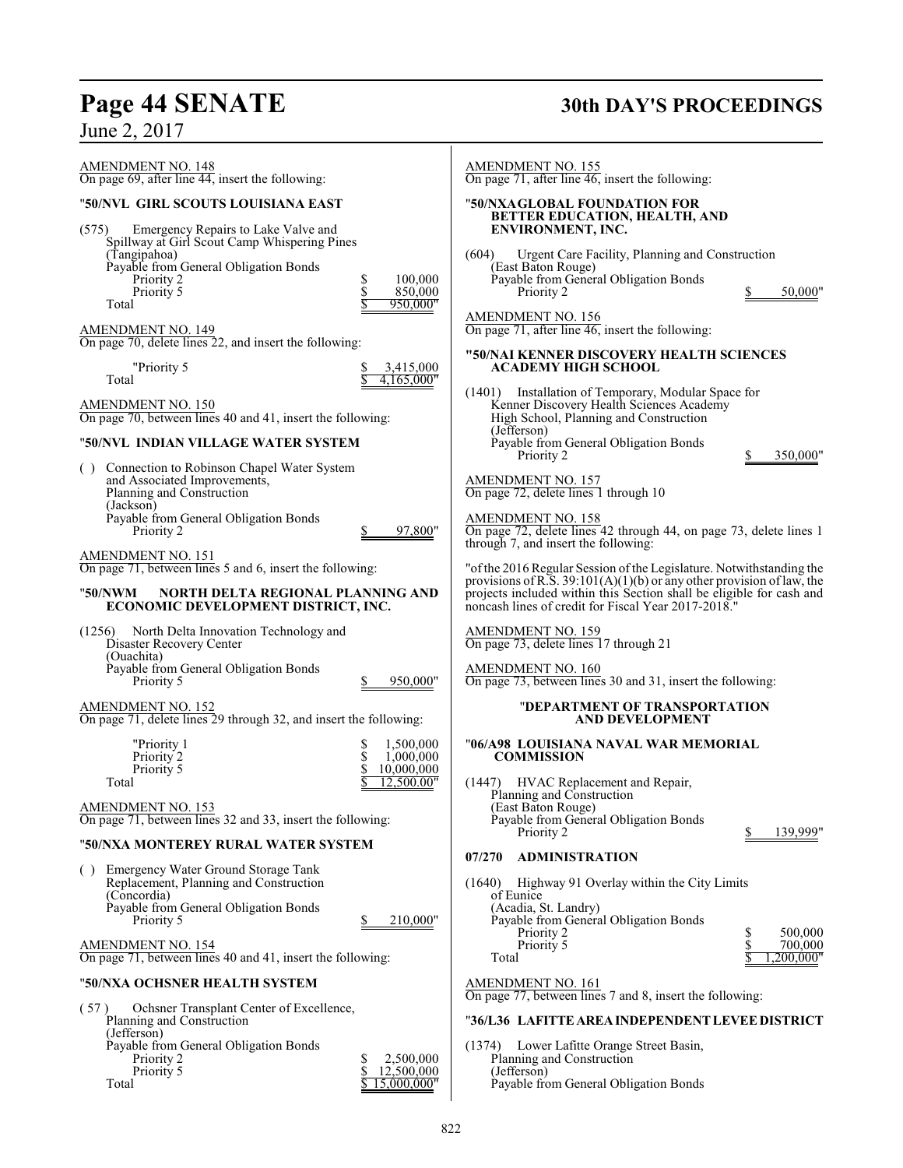# **Page 44 SENATE 30th DAY'S PROCEEDINGS**

| June 2, 2017                                                                                               |                                      |                                                                                                                                                                                                        |                            |
|------------------------------------------------------------------------------------------------------------|--------------------------------------|--------------------------------------------------------------------------------------------------------------------------------------------------------------------------------------------------------|----------------------------|
| <b>AMENDMENT NO. 148</b><br>On page 69, after line 44, insert the following:                               |                                      | <b>AMENDMENT NO. 155</b><br>On page 71, after line $46$ , insert the following:                                                                                                                        |                            |
| "50/NVL GIRL SCOUTS LOUISIANA EAST                                                                         |                                      | "50/NXAGLOBAL FOUNDATION FOR<br>BETTER EDUCATION, HEALTH, AND                                                                                                                                          |                            |
| Emergency Repairs to Lake Valve and<br>(575)<br>Spillway at Girl Scout Camp Whispering Pines               |                                      | ENVIRONMENT, INC.                                                                                                                                                                                      |                            |
| (Tangipahoa)<br>Payable from General Obligation Bonds                                                      |                                      | (604)<br>Urgent Care Facility, Planning and Construction<br>(East Baton Rouge)                                                                                                                         |                            |
| \$<br>Priority 2<br>\$<br>Priority 5                                                                       | 100,000<br>850,000                   | Payable from General Obligation Bonds<br>Priority 2                                                                                                                                                    | 50,000"                    |
| Total                                                                                                      | 950,000"                             | <b>AMENDMENT NO. 156</b>                                                                                                                                                                               |                            |
| <b>AMENDMENT NO. 149</b><br>On page 70, delete lines 22, and insert the following:                         |                                      | On page 71, after line 46, insert the following:                                                                                                                                                       |                            |
| "Priority 5<br>Total                                                                                       | 3,415,000<br>4,165,000"              | "50/NAI KENNER DISCOVERY HEALTH SCIENCES<br><b>ACADEMY HIGH SCHOOL</b>                                                                                                                                 |                            |
| <b>AMENDMENT NO. 150</b><br>On page 70, between lines 40 and 41, insert the following:                     |                                      | Installation of Temporary, Modular Space for<br>(1401)<br>Kenner Discovery Health Sciences Academy<br>High School, Planning and Construction                                                           |                            |
| "50/NVL  INDIAN VILLAGE WATER SYSTEM                                                                       |                                      | (Jefferson)<br>Payable from General Obligation Bonds<br>Priority 2                                                                                                                                     | 350,000"                   |
| () Connection to Robinson Chapel Water System<br>and Associated Improvements,<br>Planning and Construction |                                      | AMENDMENT NO. 157<br>On page 72, delete lines 1 through 10                                                                                                                                             |                            |
| (Jackson)<br>Payable from General Obligation Bonds<br>Priority 2                                           | 97,800"                              | AMENDMENT NO. 158<br>On page 72, delete lines 42 through 44, on page 73, delete lines 1<br>through 7, and insert the following:                                                                        |                            |
| AMENDMENT NO. 151<br>On page 71, between lines 5 and 6, insert the following:                              |                                      | "of the 2016 Regular Session of the Legislature. Notwithstanding the                                                                                                                                   |                            |
| "50/NWM<br>NORTH DELTA REGIONAL PLANNING AND<br>ECONOMIC DEVELOPMENT DISTRICT, INC.                        |                                      | provisions of R.S. $39:101(A)(1)(b)$ or any other provision of law, the<br>projects included within this Section shall be eligible for cash and<br>noncash lines of credit for Fiscal Year 2017-2018." |                            |
| North Delta Innovation Technology and<br>(1256)<br>Disaster Recovery Center<br>(Ouachita)                  |                                      | AMENDMENT NO. 159<br>On page 73, delete lines 17 through 21                                                                                                                                            |                            |
| Payable from General Obligation Bonds<br>Priority 5                                                        | 950,000"                             | AMENDMENT NO. 160<br>On page 73, between lines 30 and 31, insert the following:                                                                                                                        |                            |
| AMENDMENT NO. 152<br>On page 71, delete lines 29 through 32, and insert the following:                     |                                      | "DEPARTMENT OF TRANSPORTATION<br><b>AND DEVELOPMENT</b>                                                                                                                                                |                            |
| "Priority 1<br>\$<br>\$<br>\$<br>Priority 2<br>Priority 5                                                  | 1,500,000<br>1.000.000<br>10,000,000 | "06/A98_LOUISIANA NAVAL WAR MEMORIAL<br><b>COMMISSION</b>                                                                                                                                              |                            |
| Total                                                                                                      | 12.500.00"                           | (1447) HVAC Replacement and Repair,<br>Planning and Construction                                                                                                                                       |                            |
| <b>AMENDMENT NO. 153</b><br>On page 71, between lines 32 and 33, insert the following:                     |                                      | (East Baton Rouge)<br>Payable from General Obligation Bonds<br>Priority 2                                                                                                                              | 139,999"                   |
| "50/NXA MONTEREY RURAL WATER SYSTEM                                                                        |                                      | <b>ADMINISTRATION</b><br>07/270                                                                                                                                                                        |                            |
| Emergency Water Ground Storage Tank<br>$^{(+)}$<br>Replacement, Planning and Construction                  |                                      | Highway 91 Overlay within the City Limits<br>(1640)                                                                                                                                                    |                            |
| (Concordia)<br>Payable from General Obligation Bonds                                                       |                                      | of Eunice<br>(Acadia, St. Landry)                                                                                                                                                                      |                            |
| Priority 5                                                                                                 | 210,000"                             | Payable from General Obligation Bonds<br>Priority 2                                                                                                                                                    | 500,000<br>S               |
| <b>AMENDMENT NO. 154</b><br>On page 71, between lines 40 and 41, insert the following:                     |                                      | Priority 5<br>Total                                                                                                                                                                                    | \$<br>700,000<br>,200,000" |
| "50/NXA OCHSNER HEALTH SYSTEM                                                                              |                                      | AMENDMENT NO. 161<br>On page 77, between lines 7 and 8, insert the following:                                                                                                                          |                            |
| Ochsner Transplant Center of Excellence,<br>(57)<br>Planning and Construction<br>(Jefferson)               |                                      | "36/L36 LAFITTE AREA INDEPENDENT LEVEE DISTRICT                                                                                                                                                        |                            |
| Payable from General Obligation Bonds<br>Priority 2<br>S                                                   | 2,500,000                            | Lower Lafitte Orange Street Basin,<br>(1374)<br>Planning and Construction                                                                                                                              |                            |
| Priority 5<br>\$<br>Total                                                                                  | 12,500,000<br>15,000,000"            | (Jefferson)<br>Payable from General Obligation Bonds                                                                                                                                                   |                            |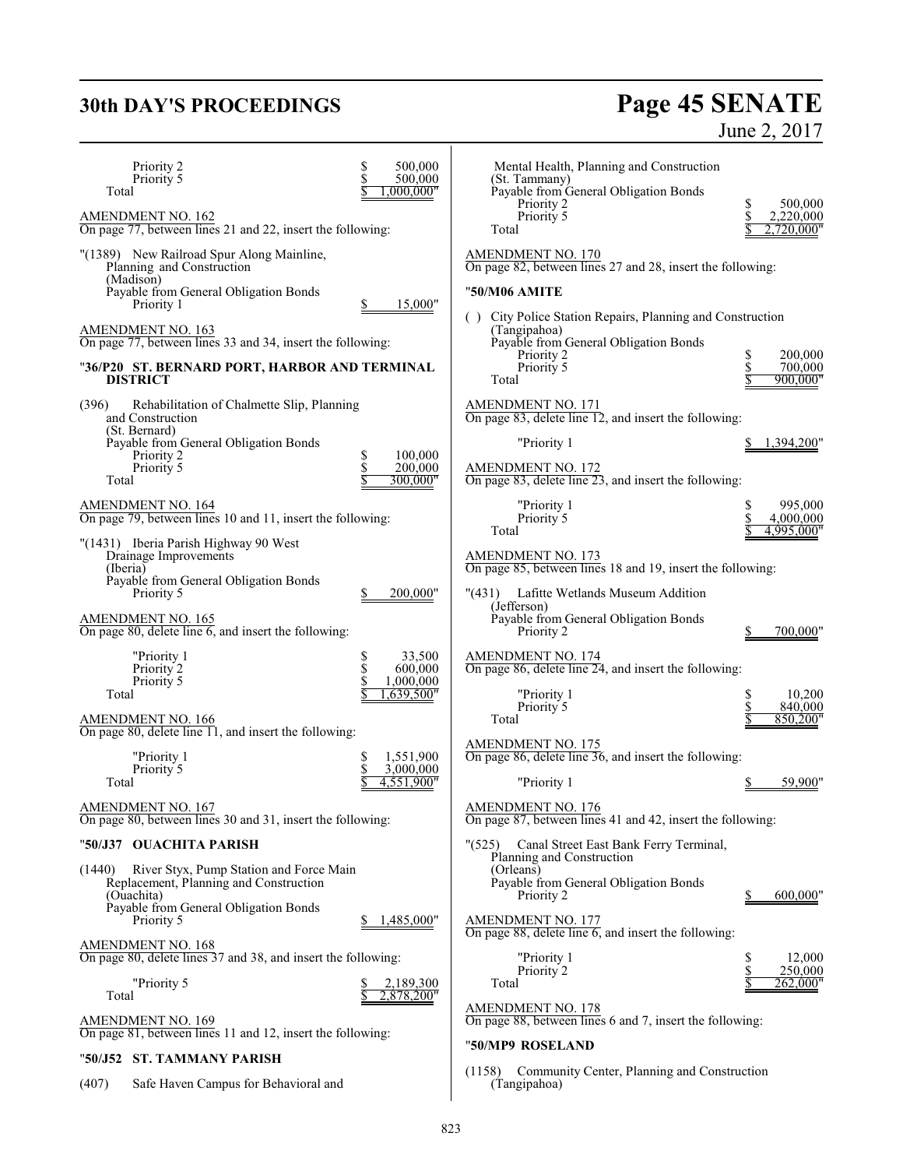# **30th DAY'S PROCEEDINGS Page 45 SENATE** June 2, 2017

| Priority 2<br>Priority 5<br>Total                                                                         | \$<br>500,000<br>500,000<br>,000,000"            | Mental Health, Planning and Construction<br>(St. Tammany)<br>Payable from General Obligation Bonds |                                          |
|-----------------------------------------------------------------------------------------------------------|--------------------------------------------------|----------------------------------------------------------------------------------------------------|------------------------------------------|
| AMENDMENT NO. 162<br>On page 77, between lines 21 and 22, insert the following:                           |                                                  | Priority 2<br>Priority 5<br>Total                                                                  | \$<br>500,000<br>2,220,000<br>2,720,000" |
| "(1389) New Railroad Spur Along Mainline,<br>Planning and Construction<br>(Madison)                       |                                                  | AMENDMENT NO. 170<br>On page 82, between lines 27 and 28, insert the following:                    |                                          |
| Payable from General Obligation Bonds<br>Priority 1                                                       | 15,000"                                          | "50/M06 AMITE<br>City Police Station Repairs, Planning and Construction                            |                                          |
| AMENDMENT NO. 163<br>On page 77, between lines 33 and 34, insert the following:                           |                                                  | ( )<br>(Tangipahoa)<br>Payable from General Obligation Bonds                                       |                                          |
| "36/P20 ST. BERNARD PORT, HARBOR AND TERMINAL<br><b>DISTRICT</b>                                          |                                                  | Priority 2<br>Priority 5<br>Total                                                                  | 200,000<br>\$<br>700,000<br>900,000"     |
| Rehabilitation of Chalmette Slip, Planning<br>(396)<br>and Construction                                   |                                                  | <b>AMENDMENT NO. 171</b><br>On page 83, delete line 12, and insert the following:                  |                                          |
| (St. Bernard)<br>Payable from General Obligation Bonds<br>Priority 2                                      | 100,000                                          | "Priority 1                                                                                        | 1,394,200"                               |
| Priority 5<br>Total                                                                                       | \$<br>200,000<br>300,000"                        | <b>AMENDMENT NO. 172</b><br>On page 83, delete line $23$ , and insert the following:               |                                          |
| <b>AMENDMENT NO. 164</b><br>On page 79, between lines 10 and 11, insert the following:                    |                                                  | "Priority 1<br>Priority 5<br>Total                                                                 | \$<br>995,000<br>4,000,000<br>4,995,000" |
| "(1431) Iberia Parish Highway 90 West<br>Drainage Improvements<br>(Iberia)                                |                                                  | AMENDMENT NO. 173<br>On page 85, between lines 18 and 19, insert the following:                    |                                          |
| Payable from General Obligation Bonds<br>Priority 5                                                       | 200,000"                                         | "(431) Lafitte Wetlands Museum Addition<br>(Jefferson)                                             |                                          |
| <b>AMENDMENT NO. 165</b><br>On page 80, delete line 6, and insert the following:                          |                                                  | Payable from General Obligation Bonds<br>Priority 2                                                | 700,000"                                 |
| "Priority 1<br>Priority 2<br>Priority 5                                                                   | 33,500<br>\$<br>\$<br>600,000<br>\$<br>1,000,000 | AMENDMENT NO. 174<br>On page 86, delete line 24, and insert the following:                         |                                          |
| Total<br>AMENDMENT NO. 166                                                                                | ,639,500"                                        | "Priority 1<br>Priority 5<br>Total                                                                 | 10,200<br>840,000<br>850,200"            |
| On page 80, delete line $\Box$ ], and insert the following:                                               |                                                  | <b>AMENDMENT NO. 175</b>                                                                           |                                          |
| "Priority 1<br>Priority 5                                                                                 | 1,551,900<br>3,000,000                           | On page 86, delete line 36, and insert the following:                                              |                                          |
| Total                                                                                                     | 4,551,900"                                       | "Priority 1                                                                                        | 59,900"                                  |
| AMENDMENT NO. 167<br>On page 80, between lines 30 and 31, insert the following:                           |                                                  | AMENDMENT NO. 176<br>On page 87, between lines 41 and 42, insert the following:                    |                                          |
| "50/J37 OUACHITA PARISH                                                                                   |                                                  | (525)<br>Canal Street East Bank Ferry Terminal,<br>Planning and Construction                       |                                          |
| River Styx, Pump Station and Force Main<br>(1440)<br>Replacement, Planning and Construction<br>(Ouachita) |                                                  | (Orleans)<br>Payable from General Obligation Bonds<br>Priority 2                                   | 600,000"                                 |
| Payable from General Obligation Bonds<br>Priority 5                                                       | !485,000"                                        | <b>AMENDMENT NO. 177</b><br>On page $88$ , delete line 6, and insert the following:                |                                          |
| <b>AMENDMENT NO. 168</b><br>On page 80, delete lines 37 and 38, and insert the following:                 |                                                  | "Priority 1                                                                                        | \$<br>12,000                             |
| "Priority 5<br>Total                                                                                      | 2,189,300<br>2,878,200"                          | Priority 2<br>Total                                                                                | \$<br>250,000<br>262,000"                |
| <b>AMENDMENT NO. 169</b>                                                                                  |                                                  | <b>AMENDMENT NO. 178</b><br>On page 88, between lines 6 and 7, insert the following:               |                                          |
| On page 81, between lines 11 and 12, insert the following:                                                |                                                  | "50/MP9 ROSELAND                                                                                   |                                          |
| "50/J52 ST. TAMMANY PARISH                                                                                |                                                  | (1158)<br>Community Center, Planning and Construction                                              |                                          |

(407) Safe Haven Campus for Behavioral and

(Tangipahoa)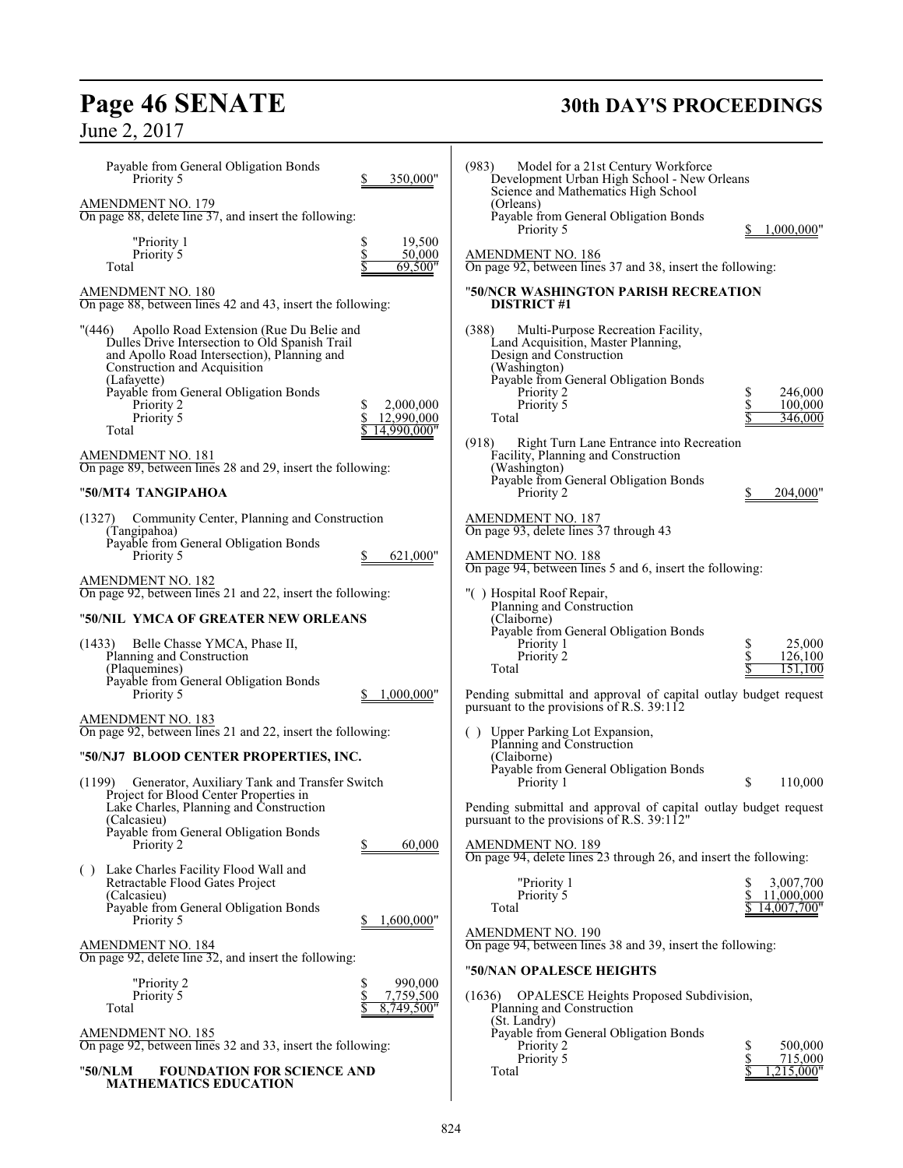# **Page 46 SENATE 30th DAY'S PROCEEDINGS**

June 2, 2017

| Development Urban High School - New Orleans<br>Science and Mathematics High School<br>(Orleans)<br>Payable from General Obligation Bonds<br>Priority 5<br>1,000,000"<br><b>AMENDMENT NO. 186</b><br>On page 92, between lines 37 and 38, insert the following:<br>"50/NCR WASHINGTON PARISH RECREATION<br><b>DISTRICT #1</b>                                                                                                     |
|----------------------------------------------------------------------------------------------------------------------------------------------------------------------------------------------------------------------------------------------------------------------------------------------------------------------------------------------------------------------------------------------------------------------------------|
| (388)<br>Multi-Purpose Recreation Facility,<br>Land Acquisition, Master Planning,<br>Design and Construction<br>(Washington)<br>Payable from General Obligation Bonds<br>246,000<br>Priority 2<br>Priority 5<br>\$<br>100,000<br>346,000<br>Total<br>(918)<br>Right Turn Lane Entrance into Recreation<br>Facility, Planning and Construction<br>(Washington)<br>Payable from General Obligation Bonds<br>Priority 2<br>204,000" |
| <b>AMENDMENT NO. 187</b><br>On page 93, delete lines 37 through 43<br><b>AMENDMENT NO. 188</b><br>On page 94, between lines 5 and 6, insert the following:                                                                                                                                                                                                                                                                       |
| "() Hospital Roof Repair,<br>Planning and Construction<br>(Claiborne)<br>Payable from General Obligation Bonds<br>25,000<br>Priority 1<br>Priority 2<br>126,100<br>151,100<br>Total<br>Pending submittal and approval of capital outlay budget request<br>pursuant to the provisions of R.S. 39:112                                                                                                                              |
| () Upper Parking Lot Expansion,<br>Planning and Construction<br>(Claiborne)<br>Payable from General Obligation Bonds<br>\$<br>110,000<br>Priority 1<br>Pending submittal and approval of capital outlay budget request<br>pursuant to the provisions of R.S. 39:112"<br><b>AMENDMENT NO. 189</b><br>On page 94, delete lines 23 through 26, and insert the following:<br>"Priority 1<br>3,007,700                                |
| Priority 5<br>11,000,000<br>Total<br>14,007,700"<br><b>AMENDMENT NO. 190</b><br>On page 94, between lines 38 and 39, insert the following:<br>"50/NAN OPALESCE HEIGHTS<br>(1636) OPALESCE Heights Proposed Subdivision,<br>Planning and Construction<br>(St. Landry)<br>Payable from General Obligation Bonds<br>500,000<br>Priority 2<br>Priority 5<br>715,000                                                                  |
|                                                                                                                                                                                                                                                                                                                                                                                                                                  |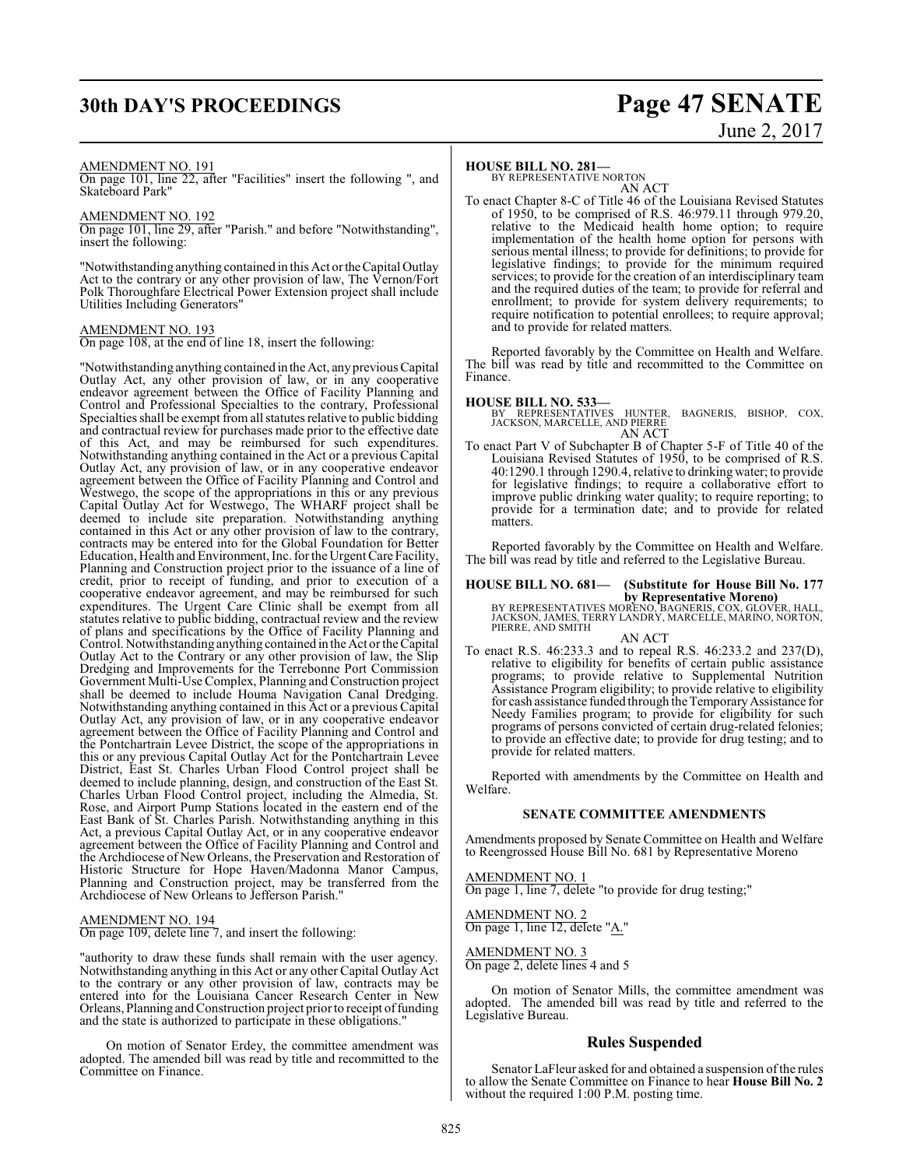# **30th DAY'S PROCEEDINGS Page 47 SENATE**

# June 2, 2017

## AMENDMENT NO. 191

On page 101, line 22, after "Facilities" insert the following ", and Skateboard Park"

# AMENDMENT NO. 192

On page 101, line 29, after "Parish." and before "Notwithstanding", insert the following:

"Notwithstanding anything contained in this Act or the Capital Outlay Act to the contrary or any other provision of law, The Vernon/Fort Polk Thoroughfare Electrical Power Extension project shall include Utilities Including Generators"

## AMENDMENT NO. 193

On page 108, at the end of line 18, insert the following:

"Notwithstanding anything contained in the Act, any previous Capital Outlay Act, any other provision of law, or in any cooperative endeavor agreement between the Office of Facility Planning and Control and Professional Specialties to the contrary, Professional Specialties shall be exempt fromall statutes relative to public bidding and contractual review for purchases made prior to the effective date of this Act, and may be reimbursed for such expenditures. Notwithstanding anything contained in the Act or a previous Capital Outlay Act, any provision of law, or in any cooperative endeavor agreement between the Office of Facility Planning and Control and Westwego, the scope of the appropriations in this or any previous Capital Outlay Act for Westwego, The WHARF project shall be deemed to include site preparation. Notwithstanding anything contained in this Act or any other provision of law to the contrary, contracts may be entered into for the Global Foundation for Better Education, Health and Environment, Inc. for the Urgent Care Facility, Planning and Construction project prior to the issuance of a line of credit, prior to receipt of funding, and prior to execution of a cooperative endeavor agreement, and may be reimbursed for such expenditures. The Urgent Care Clinic shall be exempt from all statutes relative to public bidding, contractual review and the review of plans and specifications by the Office of Facility Planning and Control. Notwithstanding anything contained in the Act or the Capital Outlay Act to the Contrary or any other provision of law, the Slip Dredging and Improvements for the Terrebonne Port Commission Government Multi-Use Complex, Planning and Construction project shall be deemed to include Houma Navigation Canal Dredging. Notwithstanding anything contained in this Act or a previous Capital Outlay Act, any provision of law, or in any cooperative endeavor agreement between the Office of Facility Planning and Control and the Pontchartrain Levee District, the scope of the appropriations in this or any previous Capital Outlay Act for the Pontchartrain Levee District, East St. Charles Urban Flood Control project shall be deemed to include planning, design, and construction of the East St. Charles Urban Flood Control project, including the Almedia, St. Rose, and Airport Pump Stations located in the eastern end of the East Bank of St. Charles Parish. Notwithstanding anything in this Act, a previous Capital Outlay Act, or in any cooperative endeavor agreement between the Office of Facility Planning and Control and the Archdiocese of New Orleans, the Preservation and Restoration of Historic Structure for Hope Haven/Madonna Manor Campus, Planning and Construction project, may be transferred from the Archdiocese of New Orleans to Jefferson Parish."

# AMENDMENT NO. 194

On page 109, delete line 7, and insert the following:

"authority to draw these funds shall remain with the user agency. Notwithstanding anything in this Act or any other Capital Outlay Act to the contrary or any other provision of law, contracts may be entered into for the Louisiana Cancer Research Center in New Orleans, Planning andConstruction project prior to receipt offunding and the state is authorized to participate in these obligations."

On motion of Senator Erdey, the committee amendment was adopted. The amended bill was read by title and recommitted to the Committee on Finance.

# **HOUSE BILL NO. 281—**

BY REPRESENTATIVE NORTON AN ACT

To enact Chapter 8-C of Title 46 of the Louisiana Revised Statutes of 1950, to be comprised of R.S. 46:979.11 through 979.20, relative to the Medicaid health home option; to require implementation of the health home option for persons with serious mental illness; to provide for definitions; to provide for legislative findings; to provide for the minimum required services; to provide for the creation of an interdisciplinary team and the required duties of the team; to provide for referral and enrollment; to provide for system delivery requirements; to require notification to potential enrollees; to require approval; and to provide for related matters.

Reported favorably by the Committee on Health and Welfare. The bill was read by title and recommitted to the Committee on Finance.

**HOUSE BILL NO. 533—** BY REPRESENTATIVES HUNTER, BAGNERIS, BISHOP, COX, JACKSON, MARCELLE, AND PIERRE AN ACT

To enact Part V of Subchapter B of Chapter 5-F of Title 40 of the Louisiana Revised Statutes of 1950, to be comprised of R.S. 40:1290.1 through 1290.4, relative to drinking water; to provide for legislative findings; to require a collaborative effort to improve public drinking water quality; to require reporting; to provide for a termination date; and to provide for related matters.

Reported favorably by the Committee on Health and Welfare. The bill was read by title and referred to the Legislative Bureau.

**HOUSE BILL NO. 681— (Substitute for House Bill No. 177**

**by Representative Moreno)**<br>JACKSON, JAMES, TERRY LANDRY, BAGNERIS, COX, GLOVER, HALL,<br>PIERRE, AND SMITH AN ACT

To enact R.S. 46:233.3 and to repeal R.S. 46:233.2 and 237(D), relative to eligibility for benefits of certain public assistance programs; to provide relative to Supplemental Nutrition Assistance Program eligibility; to provide relative to eligibility for cash assistance funded through the Temporary Assistance for Needy Families program; to provide for eligibility for such programs of persons convicted of certain drug-related felonies; to provide an effective date; to provide for drug testing; and to provide for related matters.

Reported with amendments by the Committee on Health and Welfare.

# **SENATE COMMITTEE AMENDMENTS**

Amendments proposed by Senate Committee on Health and Welfare to Reengrossed House Bill No. 681 by Representative Moreno

# AMENDMENT NO. 1

On page 1, line 7, delete "to provide for drug testing;"

## AMENDMENT NO. 2 On page 1, line 12, delete "A."

AMENDMENT NO. 3

On page 2, delete lines 4 and 5

On motion of Senator Mills, the committee amendment was adopted. The amended bill was read by title and referred to the Legislative Bureau.

# **Rules Suspended**

Senator LaFleur asked for and obtained a suspension of the rules to allow the Senate Committee on Finance to hear **House Bill No. 2** without the required 1:00 P.M. posting time.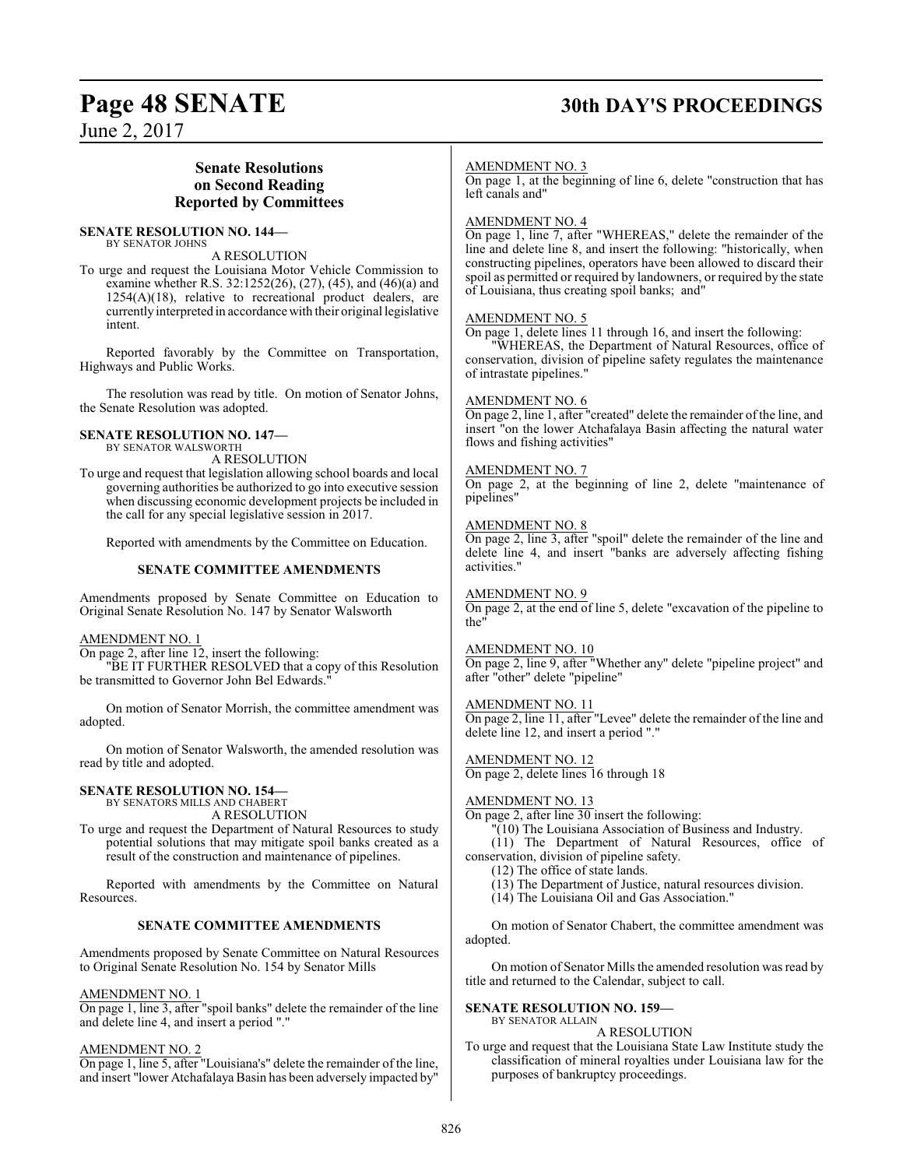# **Page 48 SENATE 30th DAY'S PROCEEDINGS**

June 2, 2017

# **Senate Resolutions on Second Reading Reported by Committees**

# **SENATE RESOLUTION NO. 144—**

BY SENATOR JOHNS A RESOLUTION

To urge and request the Louisiana Motor Vehicle Commission to examine whether R.S. 32:1252(26), (27), (45), and (46)(a) and 1254(A)(18), relative to recreational product dealers, are currentlyinterpreted in accordance with their original legislative intent.

Reported favorably by the Committee on Transportation, Highways and Public Works.

The resolution was read by title. On motion of Senator Johns, the Senate Resolution was adopted.

### **SENATE RESOLUTION NO. 147—** BY SENATOR WALSWORTH

A RESOLUTION

To urge and request that legislation allowing school boards and local governing authorities be authorized to go into executive session when discussing economic development projects be included in the call for any special legislative session in 2017.

Reported with amendments by the Committee on Education.

# **SENATE COMMITTEE AMENDMENTS**

Amendments proposed by Senate Committee on Education to Original Senate Resolution No. 147 by Senator Walsworth

# AMENDMENT NO. 1

On page 2, after line 12, insert the following:

"BE IT FURTHER RESOLVED that a copy of this Resolution be transmitted to Governor John Bel Edwards."

On motion of Senator Morrish, the committee amendment was adopted.

On motion of Senator Walsworth, the amended resolution was read by title and adopted.

#### **SENATE RESOLUTION NO. 154—** BY SENATORS MILLS AND CHABERT

A RESOLUTION

To urge and request the Department of Natural Resources to study potential solutions that may mitigate spoil banks created as a result of the construction and maintenance of pipelines.

Reported with amendments by the Committee on Natural Resources.

# **SENATE COMMITTEE AMENDMENTS**

Amendments proposed by Senate Committee on Natural Resources to Original Senate Resolution No. 154 by Senator Mills

# AMENDMENT NO. 1

On page 1, line 3, after "spoil banks" delete the remainder of the line and delete line 4, and insert a period "."

# AMENDMENT NO. 2

On page 1, line 5, after "Louisiana's" delete the remainder of the line, and insert "lower Atchafalaya Basin has been adversely impacted by"

# AMENDMENT NO. 3

On page 1, at the beginning of line 6, delete "construction that has left canals and"

# AMENDMENT NO. 4

On page 1, line 7, after "WHEREAS," delete the remainder of the line and delete line 8, and insert the following: "historically, when constructing pipelines, operators have been allowed to discard their spoil as permitted or required by landowners, or required by the state of Louisiana, thus creating spoil banks; and"

# AMENDMENT NO. 5

On page 1, delete lines 11 through 16, and insert the following:

"WHEREAS, the Department of Natural Resources, office of conservation, division of pipeline safety regulates the maintenance of intrastate pipelines."

# AMENDMENT NO. 6

On page 2, line 1, after "created" delete the remainder of the line, and insert "on the lower Atchafalaya Basin affecting the natural water flows and fishing activities"

# AMENDMENT NO. 7

On page 2, at the beginning of line 2, delete "maintenance of pipelines"

# AMENDMENT NO. 8

On page 2, line 3, after "spoil" delete the remainder of the line and delete line 4, and insert "banks are adversely affecting fishing activities."

# AMENDMENT NO. 9

On page 2, at the end of line 5, delete "excavation of the pipeline to the"

# AMENDMENT NO. 10

On page 2, line 9, after "Whether any" delete "pipeline project" and after "other" delete "pipeline"

# AMENDMENT NO. 11

On page 2, line 11, after "Levee" delete the remainder of the line and delete line 12, and insert a period "."

# AMENDMENT NO. 12

On page 2, delete lines 16 through 18

# AMENDMENT NO. 13

On page 2, after line 30 insert the following:

"(10) The Louisiana Association of Business and Industry.

(11) The Department of Natural Resources, office of conservation, division of pipeline safety.

(12) The office of state lands.

- (13) The Department of Justice, natural resources division.
- (14) The Louisiana Oil and Gas Association."

On motion of Senator Chabert, the committee amendment was adopted.

On motion of Senator Mills the amended resolution was read by title and returned to the Calendar, subject to call.

## **SENATE RESOLUTION NO. 159—** BY SENATOR ALLAIN

A RESOLUTION

To urge and request that the Louisiana State Law Institute study the classification of mineral royalties under Louisiana law for the purposes of bankruptcy proceedings.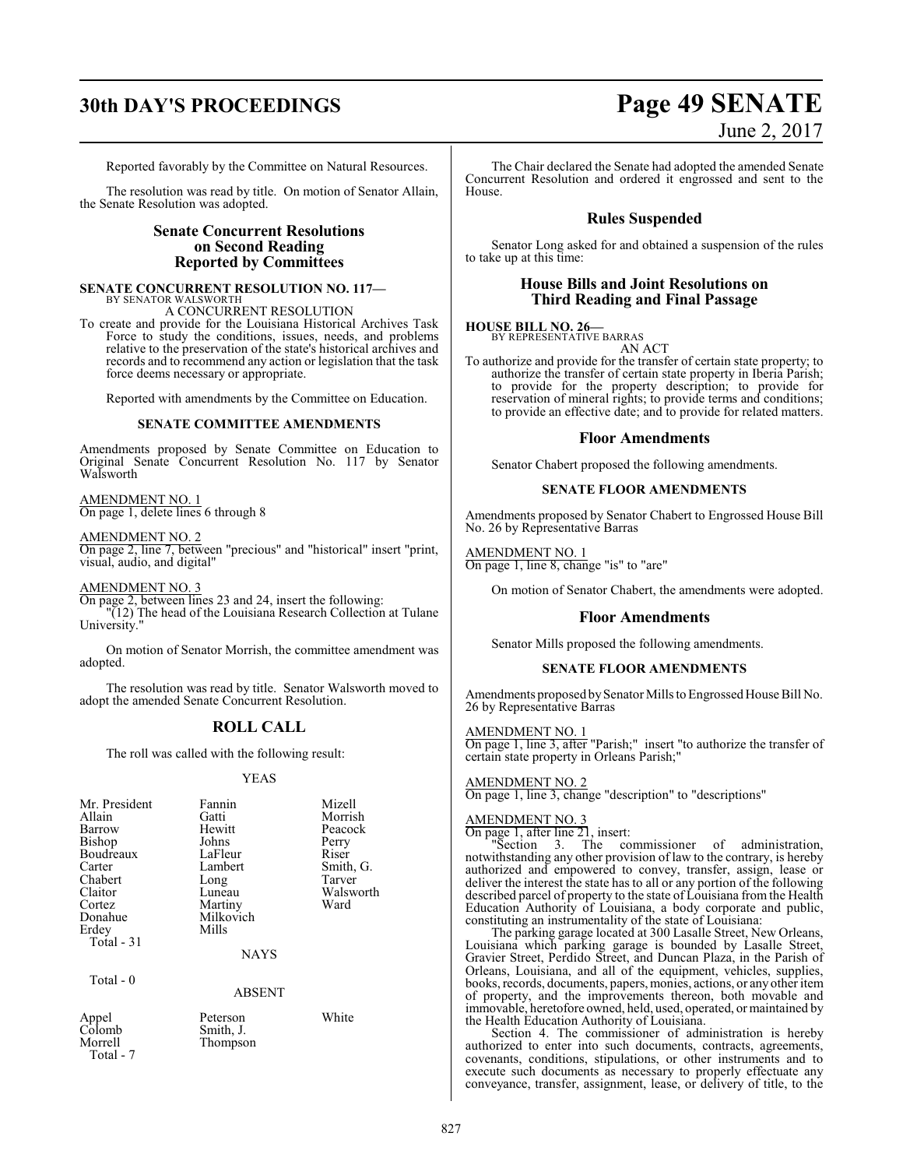# **30th DAY'S PROCEEDINGS Page 49 SENATE**

# June 2, 2017

Reported favorably by the Committee on Natural Resources.

The resolution was read by title. On motion of Senator Allain, the Senate Resolution was adopted.

# **Senate Concurrent Resolutions on Second Reading Reported by Committees**

### **SENATE CONCURRENT RESOLUTION NO. 117—** BY SENATOR WALSWORTH

A CONCURRENT RESOLUTION

To create and provide for the Louisiana Historical Archives Task Force to study the conditions, issues, needs, and problems relative to the preservation of the state's historical archives and records and to recommend any action or legislation that the task force deems necessary or appropriate.

Reported with amendments by the Committee on Education.

# **SENATE COMMITTEE AMENDMENTS**

Amendments proposed by Senate Committee on Education to Original Senate Concurrent Resolution No. 117 by Senator Walsworth

AMENDMENT NO. 1 On page 1, delete lines 6 through 8

AMENDMENT NO. 2

On page 2, line 7, between "precious" and "historical" insert "print, visual, audio, and digital"

AMENDMENT NO. 3

Total - 7

On page 2, between lines 23 and 24, insert the following: "(12) The head of the Louisiana Research Collection at Tulane

University."

On motion of Senator Morrish, the committee amendment was adopted.

The resolution was read by title. Senator Walsworth moved to adopt the amended Senate Concurrent Resolution.

# **ROLL CALL**

The roll was called with the following result:

# YEAS

| Mr. President<br>Allain<br>Barrow<br>Bishop<br>Boudreaux<br>Carter<br>Chabert<br>Claitor<br>Cortez<br>Donahue<br>Erdey<br>Total $-31$ | Fannin<br>Gatti<br>Hewitt<br>Johns<br>LaFleur<br>Lambert<br>Long<br>Luneau<br>Martiny<br>Milkovich<br>Mills<br><b>NAYS</b> | Mizell<br>Morrish<br>Peacock<br>Perry<br>Riser<br>Smith, G.<br>Tarver<br>Walsworth<br>Ward |
|---------------------------------------------------------------------------------------------------------------------------------------|----------------------------------------------------------------------------------------------------------------------------|--------------------------------------------------------------------------------------------|
| Total $-0$                                                                                                                            | <b>ABSENT</b>                                                                                                              |                                                                                            |
| Appel<br>Colomb<br>Morrell                                                                                                            | Peterson<br>Smith, J.<br>Thompson                                                                                          | White                                                                                      |

The Chair declared the Senate had adopted the amended Senate Concurrent Resolution and ordered it engrossed and sent to the House.

# **Rules Suspended**

Senator Long asked for and obtained a suspension of the rules to take up at this time:

# **House Bills and Joint Resolutions on Third Reading and Final Passage**

# **HOUSE BILL NO. 26—** BY REPRESENTATIVE BARRAS AN ACT

To authorize and provide for the transfer of certain state property; to authorize the transfer of certain state property in Iberia Parish; to provide for the property description; to provide for reservation of mineral rights; to provide terms and conditions; to provide an effective date; and to provide for related matters.

# **Floor Amendments**

Senator Chabert proposed the following amendments.

# **SENATE FLOOR AMENDMENTS**

Amendments proposed by Senator Chabert to Engrossed House Bill No. 26 by Representative Barras

AMENDMENT NO. 1 On page 1, line 8, change "is" to "are"

On motion of Senator Chabert, the amendments were adopted.

# **Floor Amendments**

Senator Mills proposed the following amendments.

# **SENATE FLOOR AMENDMENTS**

Amendments proposed by Senator Mills to Engrossed House Bill No. 26 by Representative Barras

# AMENDMENT NO. 1

On page 1, line 3, after "Parish;" insert "to authorize the transfer of certain state property in Orleans Parish;"

# AMENDMENT NO. 2

On page 1, line 3, change "description" to "descriptions"

# AMENDMENT NO. 3

On page 1, after line 21, insert:

"Section 3. The commissioner of administration, notwithstanding any other provision of law to the contrary, is hereby authorized and empowered to convey, transfer, assign, lease or deliver the interest the state has to all or any portion of the following described parcel of property to the state of Louisiana from the Health Education Authority of Louisiana, a body corporate and public, constituting an instrumentality of the state of Louisiana:

The parking garage located at 300 Lasalle Street, New Orleans, Louisiana which parking garage is bounded by Lasalle Street, Gravier Street, Perdido Street, and Duncan Plaza, in the Parish of Orleans, Louisiana, and all of the equipment, vehicles, supplies, books, records, documents, papers, monies, actions, or any other item of property, and the improvements thereon, both movable and immovable, heretofore owned, held, used, operated, or maintained by the Health Education Authority of Louisiana.

Section 4. The commissioner of administration is hereby authorized to enter into such documents, contracts, agreements, covenants, conditions, stipulations, or other instruments and to execute such documents as necessary to properly effectuate any conveyance, transfer, assignment, lease, or delivery of title, to the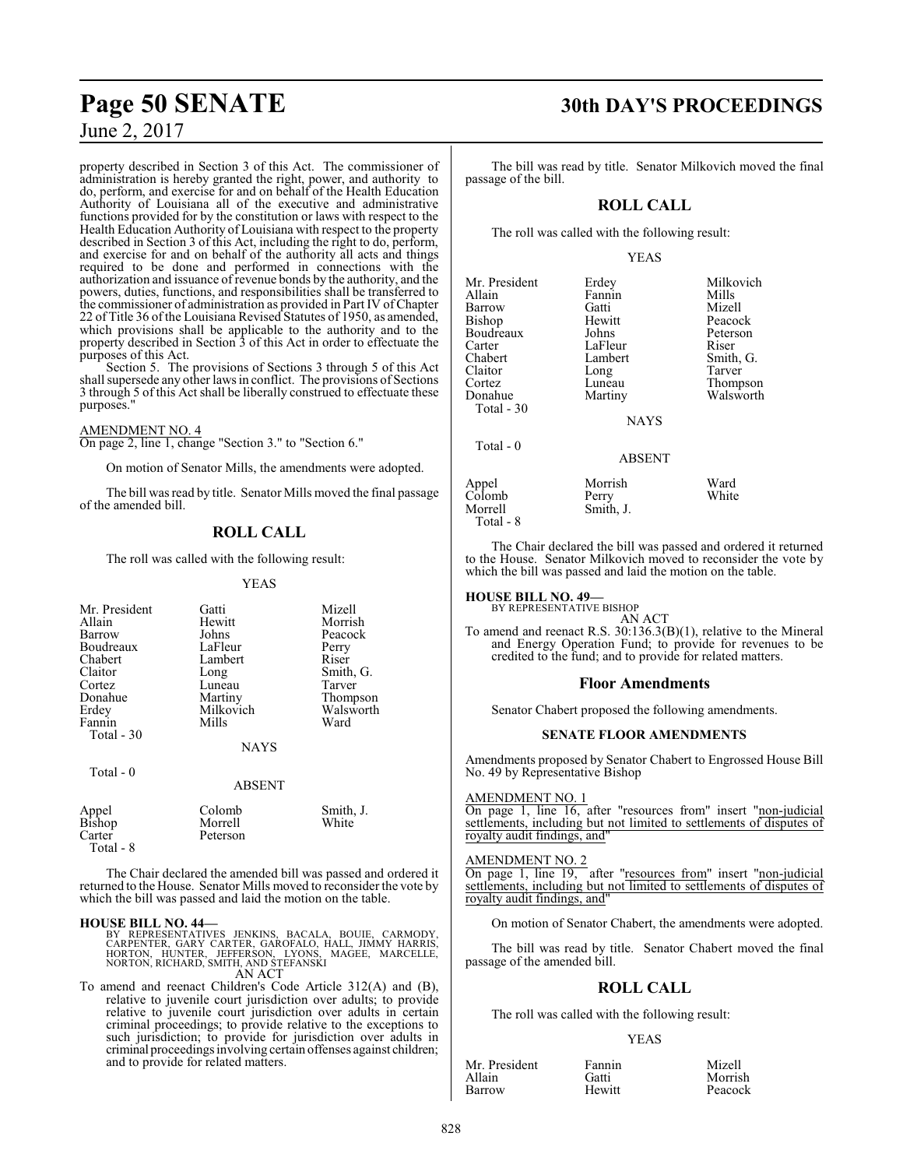property described in Section 3 of this Act. The commissioner of administration is hereby granted the right, power, and authority to do, perform, and exercise for and on behalf of the Health Education Authority of Louisiana all of the executive and administrative functions provided for by the constitution or laws with respect to the Health Education Authority of Louisiana with respect to the property described in Section 3 of this Act, including the right to do, perform, and exercise for and on behalf of the authority all acts and things required to be done and performed in connections with the authorization and issuance of revenue bonds by the authority, and the powers, duties, functions, and responsibilities shall be transferred to the commissioner of administration as provided in Part IV ofChapter 22 of Title 36 of the Louisiana Revised Statutes of 1950, as amended, which provisions shall be applicable to the authority and to the property described in Section 3 of this Act in order to effectuate the purposes of this Act.

Section 5. The provisions of Sections 3 through 5 of this Act shall supersede any other laws in conflict. The provisions of Sections 3 through 5 of this Act shall be liberally construed to effectuate these purposes."

# AMENDMENT NO. 4

On page 2, line 1, change "Section 3." to "Section 6."

On motion of Senator Mills, the amendments were adopted.

The bill was read by title. Senator Mills moved the final passage of the amended bill.

# **ROLL CALL**

The roll was called with the following result:

YEAS

| Mr. President<br>Allain<br>Barrow<br>Boudreaux<br>Chabert<br>Claitor<br>Cortez<br>Donahue<br>Erdey<br>Fannin<br>Total - 30 | Gatti<br>Hewitt<br>Johns<br>LaFleur<br>Lambert<br>Long<br>Luneau<br>Martiny<br>Milkovich<br>Mills<br><b>NAYS</b> | Mizell<br>Morrish<br>Peacock<br>Perry<br>Riser<br>Smith, G.<br>Tarver<br>Thompson<br>Walsworth<br>Ward |
|----------------------------------------------------------------------------------------------------------------------------|------------------------------------------------------------------------------------------------------------------|--------------------------------------------------------------------------------------------------------|
| Total - 0                                                                                                                  | <b>ABSENT</b>                                                                                                    |                                                                                                        |
| Appel<br><b>Bishop</b><br>Carter                                                                                           | Colomb<br>Morrell<br>Peterson                                                                                    | Smith, J.<br>White                                                                                     |

Total - 8

The Chair declared the amended bill was passed and ordered it returned to the House. Senator Mills moved to reconsider the vote by which the bill was passed and laid the motion on the table.

**HOUSE BILL NO. 44—**<br>BY REPRESENTATIVES JENKINS, BACALA, BOUIE, CARMODY,<br>CARPENTER, GARY CARTER, GAROFALO, HALL, JIMMY HARRIS,<br>HORTON, HUNTER, JEFFERSON, LYONS, MAGEE, MARCELLE,<br>NORTON, RICHARD, SMITH, AND STEFANSKI AN ACT

To amend and reenact Children's Code Article 312(A) and (B), relative to juvenile court jurisdiction over adults; to provide relative to juvenile court jurisdiction over adults in certain criminal proceedings; to provide relative to the exceptions to such jurisdiction; to provide for jurisdiction over adults in criminal proceedings involving certain offenses against children; and to provide for related matters.

# **Page 50 SENATE 30th DAY'S PROCEEDINGS**

The bill was read by title. Senator Milkovich moved the final passage of the bill.

# **ROLL CALL**

The roll was called with the following result:

# YEAS

| Mr. President<br>Allain<br>Barrow                                    | Erdey<br>Fannin<br>Gatti                                | Milkovich<br>Mills<br>Mizell                                    |
|----------------------------------------------------------------------|---------------------------------------------------------|-----------------------------------------------------------------|
| <b>Bishop</b><br>Boudreaux<br>Carter<br>Chabert<br>Claitor<br>Cortez | Hewitt<br>Johns<br>LaFleur<br>Lambert<br>Long<br>Luneau | Peacock<br>Peterson<br>Riser<br>Smith, G.<br>Tarver<br>Thompson |
| Donahue<br>Total - 30                                                | Martiny<br><b>NAYS</b>                                  | Walsworth                                                       |
| Total - 0                                                            | <b>ABSENT</b>                                           |                                                                 |
| Appel<br>Colomb<br>Morrell                                           | Morrish<br>Perry<br>Smith, J.                           | Ward<br>White                                                   |

The Chair declared the bill was passed and ordered it returned to the House. Senator Milkovich moved to reconsider the vote by which the bill was passed and laid the motion on the table.

# **HOUSE BILL NO. 49—** BY REPRESENTATIVE BISHOP

Total - 8

AN ACT

To amend and reenact R.S. 30:136.3(B)(1), relative to the Mineral and Energy Operation Fund; to provide for revenues to be credited to the fund; and to provide for related matters.

# **Floor Amendments**

Senator Chabert proposed the following amendments.

# **SENATE FLOOR AMENDMENTS**

Amendments proposed by Senator Chabert to Engrossed House Bill No. 49 by Representative Bishop

AMENDMENT NO. 1

On page 1, line 16, after "resources from" insert "non-judicial settlements, including but not limited to settlements of disputes of royalty audit findings, and"

# AMENDMENT NO. 2

On page 1, line 19, after "resources from" insert "non-judicial settlements, including but not limited to settlements of disputes of royalty audit findings, and"

On motion of Senator Chabert, the amendments were adopted.

The bill was read by title. Senator Chabert moved the final passage of the amended bill.

# **ROLL CALL**

The roll was called with the following result:

# YEAS

| Mr. President | Fannin | Mizell  |
|---------------|--------|---------|
| Allain        | Gatti  | Morrish |
| Barrow        | Hewitt | Peacock |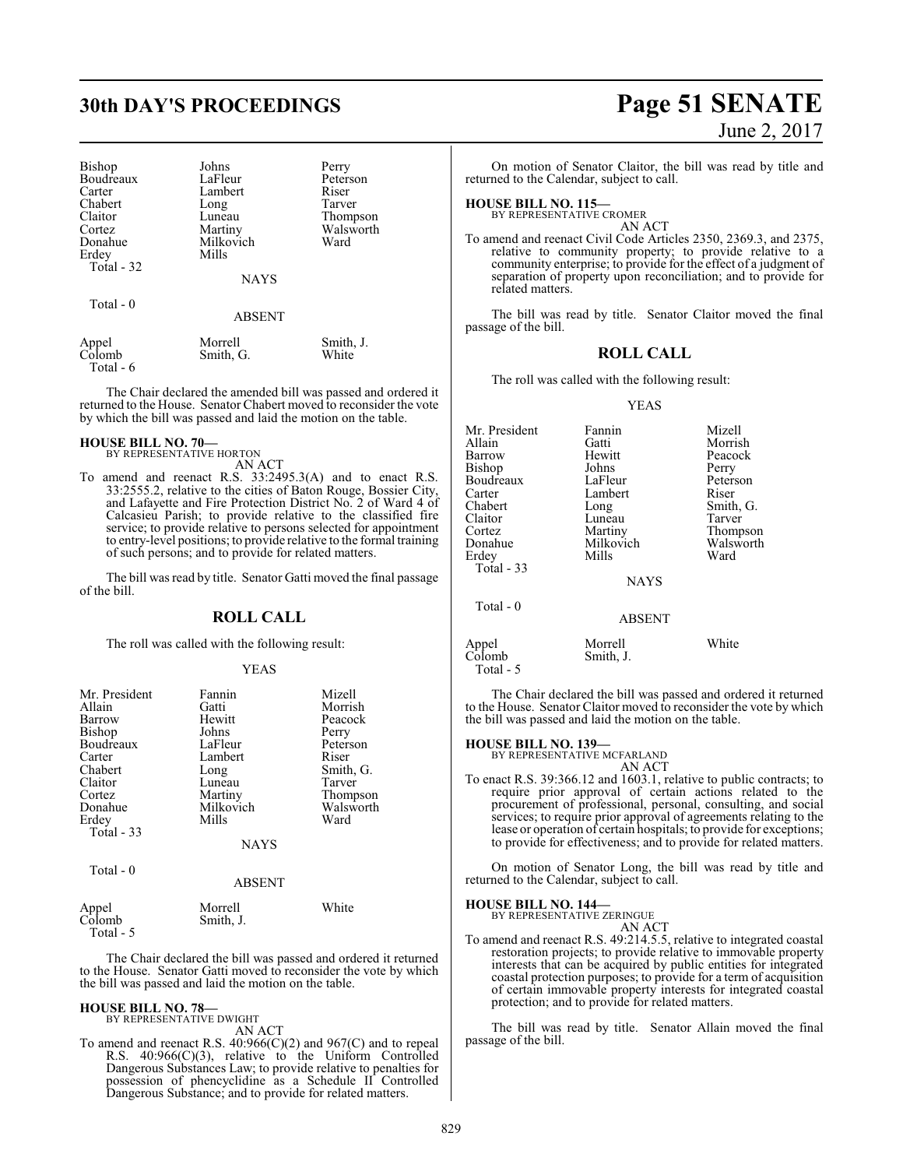# **30th DAY'S PROCEEDINGS Page 51 SENATE**

| Bishop          | Johns                | Perry              |
|-----------------|----------------------|--------------------|
| Boudreaux       | LaFleur              | Peterson           |
| Carter          | Lambert              | Riser              |
| Chabert         | Long                 | Tarver             |
| Claitor         | Luneau               | Thompson           |
| Cortez          | Martiny              | Walsworth          |
| Donahue         | Milkovich            | Ward               |
| Erdey           | Mills                |                    |
| Total - 32      |                      |                    |
|                 | <b>NAYS</b>          |                    |
| Total - 0       |                      |                    |
|                 | <b>ABSENT</b>        |                    |
| Appel<br>Colomb | Morrell<br>Smith, G. | Smith, J.<br>White |

Total - 6

The Chair declared the amended bill was passed and ordered it returned to the House. Senator Chabert moved to reconsider the vote by which the bill was passed and laid the motion on the table.

# **HOUSE BILL NO. 70—** BY REPRESENTATIVE HORTON

AN ACT

To amend and reenact R.S. 33:2495.3(A) and to enact R.S. 33:2555.2, relative to the cities of Baton Rouge, Bossier City, and Lafayette and Fire Protection District No. 2 of Ward 4 of Calcasieu Parish; to provide relative to the classified fire service; to provide relative to persons selected for appointment to entry-level positions; to provide relative to the formal training of such persons; and to provide for related matters.

The bill was read by title. Senator Gatti moved the final passage of the bill.

# **ROLL CALL**

The roll was called with the following result:

# YEAS

| Mr. President<br>Allain<br>Barrow<br>Bishop<br>Boudreaux<br>Carter<br>Chabert<br>Claitor<br>Cortez<br>Donahue<br>Erdey<br>Total - 33 | Fannin<br>Gatti<br>Hewitt<br>Johns<br>LaFleur<br>Lambert<br>Long<br>Luneau<br>Martiny<br>Milkovich<br>Mills<br><b>NAYS</b> | Mizell<br>Morrish<br>Peacock<br>Perry<br>Peterson<br>Riser<br>Smith, G.<br>Tarver<br>Thompson<br>Walsworth<br>Ward |
|--------------------------------------------------------------------------------------------------------------------------------------|----------------------------------------------------------------------------------------------------------------------------|--------------------------------------------------------------------------------------------------------------------|
|                                                                                                                                      |                                                                                                                            |                                                                                                                    |
| Total - 0                                                                                                                            | ABSENT                                                                                                                     |                                                                                                                    |

|                 | Morrell   | White |
|-----------------|-----------|-------|
| Appel<br>Colomb | Smith, J. |       |
| Total - 5       |           |       |

The Chair declared the bill was passed and ordered it returned to the House. Senator Gatti moved to reconsider the vote by which the bill was passed and laid the motion on the table.

#### **HOUSE BILL NO. 78—** BY REPRESENTATIVE DWIGHT

AN ACT

To amend and reenact R.S.  $40:966(C)(2)$  and  $967(C)$  and to repeal R.S. 40:966(C)(3), relative to the Uniform Controlled Dangerous Substances Law; to provide relative to penalties for possession of phencyclidine as a Schedule II Controlled Dangerous Substance; and to provide for related matters.

# June 2, 2017

On motion of Senator Claitor, the bill was read by title and returned to the Calendar, subject to call.

# **HOUSE BILL NO. 115—**

BY REPRESENTATIVE CROMER AN ACT

To amend and reenact Civil Code Articles 2350, 2369.3, and 2375, relative to community property; to provide relative to a community enterprise; to provide for the effect of a judgment of separation of property upon reconciliation; and to provide for related matters.

The bill was read by title. Senator Claitor moved the final passage of the bill.

# **ROLL CALL**

The roll was called with the following result:

# YEAS

| Mr. President | Fannin        | Mizell    |
|---------------|---------------|-----------|
| Allain        | Gatti         | Morrish   |
| Barrow        | Hewitt        | Peacock   |
| Bishop        | Johns         | Perry     |
| Boudreaux     | LaFleur       | Peterson  |
| Carter        | Lambert       | Riser     |
| Chabert       | Long          | Smith, G. |
| Claitor       | Luneau        | Tarver    |
| Cortez        | Martiny       | Thompson  |
| Donahue       | Milkovich     | Walsworth |
| Erdey         | Mills         | Ward      |
| Total $-33$   |               |           |
|               | <b>NAYS</b>   |           |
| Total $-0$    |               |           |
|               | <b>ABSENT</b> |           |
| Appel         | Morrell       | White     |

The Chair declared the bill was passed and ordered it returned to the House. Senator Claitor moved to reconsider the vote by which the bill was passed and laid the motion on the table.

# **HOUSE BILL NO. 139—**

Colomb Smith, J.

Total - 5

BY REPRESENTATIVE MCFARLAND AN ACT

To enact R.S. 39:366.12 and 1603.1, relative to public contracts; to require prior approval of certain actions related to the procurement of professional, personal, consulting, and social services; to require prior approval of agreements relating to the lease or operation of certain hospitals; to provide for exceptions; to provide for effectiveness; and to provide for related matters.

On motion of Senator Long, the bill was read by title and returned to the Calendar, subject to call.

# **HOUSE BILL NO. 144—** BY REPRESENTATIVE ZERINGUE

- AN ACT
- To amend and reenact R.S. 49:214.5.5, relative to integrated coastal restoration projects; to provide relative to immovable property interests that can be acquired by public entities for integrated coastal protection purposes; to provide for a term of acquisition of certain immovable property interests for integrated coastal protection; and to provide for related matters.

The bill was read by title. Senator Allain moved the final passage of the bill.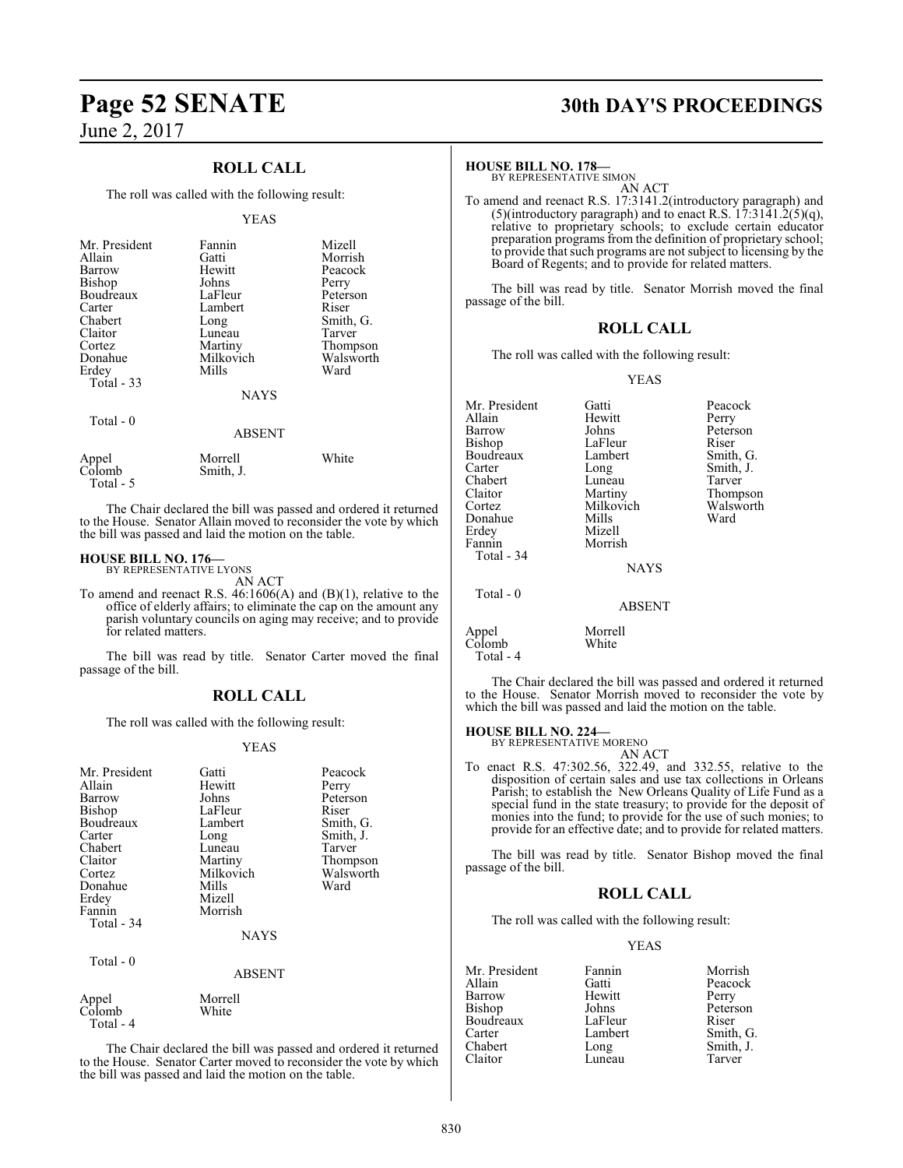# **ROLL CALL**

The roll was called with the following result:

## YEAS

| Mr. President<br>Allain<br>Barrow<br>Bishop<br>Boudreaux<br>Carter<br>Chabert<br>Claitor<br>Cortez<br>Donahue<br>Erdey<br>Total - 33 | Fannin<br>Gatti<br>Hewitt<br>Johns<br>LaFleur<br>Lambert<br>Long<br>Luneau<br>Martiny<br>Milkovich<br>Mills<br><b>NAYS</b> | Mizell<br>Morrish<br>Peacock<br>Perry<br>Peterson<br>Riser<br>Smith, G.<br>Tarver<br>Thompson<br>Walsworth<br>Ward |
|--------------------------------------------------------------------------------------------------------------------------------------|----------------------------------------------------------------------------------------------------------------------------|--------------------------------------------------------------------------------------------------------------------|
| Total $-0$                                                                                                                           | <b>ABSENT</b>                                                                                                              |                                                                                                                    |
|                                                                                                                                      | $-1$<br>$ -$                                                                                                               | ----                                                                                                               |

| Appel     | Morrell   | White |
|-----------|-----------|-------|
| Colomb    | Smith, J. |       |
| Total - 5 |           |       |

The Chair declared the bill was passed and ordered it returned to the House. Senator Allain moved to reconsider the vote by which the bill was passed and laid the motion on the table.

# **HOUSE BILL NO. 176—**

BY REPRESENTATIVE LYONS AN ACT

To amend and reenact R.S. 46:1606(A) and (B)(1), relative to the office of elderly affairs; to eliminate the cap on the amount any parish voluntary councils on aging may receive; and to provide for related matters.

The bill was read by title. Senator Carter moved the final passage of the bill.

# **ROLL CALL**

The roll was called with the following result:

# YEAS

| Mr. President | Gatti         | Peacock   |
|---------------|---------------|-----------|
| Allain        | Hewitt        | Perry     |
| Barrow        | Johns         | Peterson  |
|               |               |           |
| Bishop        | LaFleur       | Riser     |
| Boudreaux     | Lambert       | Smith, G. |
| Carter        | Long          | Smith, J. |
| Chabert       | Luneau        | Tarver    |
| Claitor       | Martiny       | Thompson  |
| Cortez        | Milkovich     | Walsworth |
| Donahue       | Mills         | Ward      |
| Erdey         | Mizell        |           |
| Fannin        | Morrish       |           |
| Total - 34    |               |           |
|               | NAYS          |           |
| Total - 0     |               |           |
|               | <b>ABSENT</b> |           |
| Appel         | Morrell       |           |
| Colomb        | White         |           |
| Total - 4     |               |           |

The Chair declared the bill was passed and ordered it returned to the House. Senator Carter moved to reconsider the vote by which the bill was passed and laid the motion on the table.

# **Page 52 SENATE 30th DAY'S PROCEEDINGS**

## **HOUSE BILL NO. 178—**

BY REPRESENTATIVE SIMON AN ACT

To amend and reenact R.S. 17:3141.2(introductory paragraph) and (5)(introductory paragraph) and to enact R.S.  $17:31\overline{4}1.2(5)(q)$ , relative to proprietary schools; to exclude certain educator preparation programs from the definition of proprietary school; to provide that such programs are not subject to licensing by the Board of Regents; and to provide for related matters.

The bill was read by title. Senator Morrish moved the final passage of the bill.

# **ROLL CALL**

The roll was called with the following result:

## YEAS

| Mr. President<br>Allain | Gatti         | Peacock   |
|-------------------------|---------------|-----------|
|                         | Hewitt        | Perry     |
| Barrow                  | Johns         | Peterson  |
| Bishop                  | LaFleur       | Riser     |
| Boudreaux               | Lambert       | Smith, G. |
| Carter                  | Long          | Smith, J. |
| Chabert                 | Luneau        | Tarver    |
| Claitor                 | Martiny       | Thompson  |
| Cortez                  | Milkovich     | Walsworth |
| Donahue                 | Mills         | Ward      |
| Erdey                   | Mizell        |           |
| Fannin                  | Morrish       |           |
| Total - 34              |               |           |
|                         | <b>NAYS</b>   |           |
| Total - 0               |               |           |
|                         | <b>ABSENT</b> |           |
| Appel                   | Morrell       |           |
| Colomb                  | White         |           |

Total - 4

The Chair declared the bill was passed and ordered it returned to the House. Senator Morrish moved to reconsider the vote by which the bill was passed and laid the motion on the table.

# **HOUSE BILL NO. 224—**

| BY REPRESENTATIVE MORENO |  |
|--------------------------|--|
| AN ACT                   |  |

To enact R.S. 47:302.56, 322.49, and 332.55, relative to the disposition of certain sales and use tax collections in Orleans Parish; to establish the New Orleans Quality of Life Fund as a special fund in the state treasury; to provide for the deposit of monies into the fund; to provide for the use of such monies; to provide for an effective date; and to provide for related matters.

The bill was read by title. Senator Bishop moved the final passage of the bill.

# **ROLL CALL**

The roll was called with the following result:

# YEAS

| Fannin  | Morrish   |
|---------|-----------|
| Gatti   | Peacock   |
| Hewitt  | Perry     |
| Johns   | Peterson  |
| LaFleur | Riser     |
| Lambert | Smith, G. |
| Long    | Smith, J. |
| Luneau  | Tarver    |
|         |           |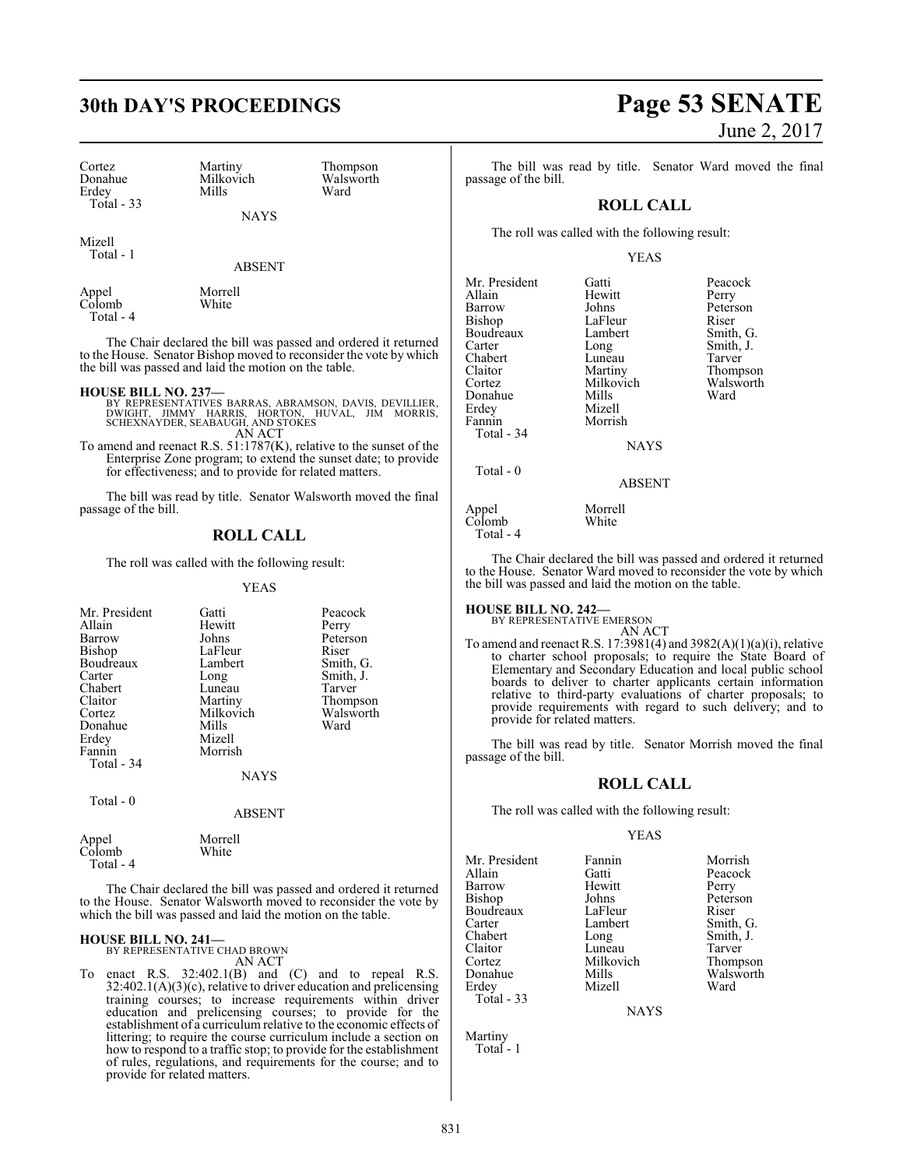| Cortez      | Martiny   | Thom  |
|-------------|-----------|-------|
| Donahue     | Milkovich | Walsy |
| Erdev       | Mills     | Ward  |
| Total $-33$ |           |       |

Martiny Thompson<br>Milkovich Walsworth Milkovich Walsworth<br>
Mills Ward

NAYS

Mizell Total - 1

Appel Morrell<br>Colomb White  $Colomb$ Total - 4

The Chair declared the bill was passed and ordered it returned to the House. Senator Bishop moved to reconsider the vote by which the bill was passed and laid the motion on the table.

### **HOUSE BILL NO. 237—**

- BY REPRESENTATIVES BARRAS, ABRAMSON, DAVIS, DEVILLIER,<br>DWIGHT, JIMMY HARRIS, HORTON, HUVAL, JIM MORRIS,<br>SCHEXNAYDER, SEABAUGH, AND STOKES AN ACT
- To amend and reenact R.S. 51:1787(K), relative to the sunset of the Enterprise Zone program; to extend the sunset date; to provide for effectiveness; and to provide for related matters.

The bill was read by title. Senator Walsworth moved the final passage of the bill.

# **ROLL CALL**

The roll was called with the following result:

YEAS

| Mr. President | Gatti         | Peacock   |
|---------------|---------------|-----------|
| Allain        | Hewitt        | Perry     |
| Barrow        | Johns         | Peterson  |
| Bishop        | LaFleur       | Riser     |
| Boudreaux     | Lambert       | Smith, G. |
| Carter        | Long          | Smith, J. |
| Chabert       | Luneau        | Tarver    |
| Claitor       | Martiny       | Thompson  |
| Cortez        | Milkovich     | Walsworth |
| Donahue       | Mills         | Ward      |
| Erdey         | Mizell        |           |
| Fannin        | Morrish       |           |
| Total - 34    |               |           |
|               | NAYS          |           |
| Total - 0     |               |           |
|               | <b>ABSENT</b> |           |
| Appel         | Morrell       |           |
| Colomb        | White         |           |

 Total - 4 The Chair declared the bill was passed and ordered it returned to the House. Senator Walsworth moved to reconsider the vote by which the bill was passed and laid the motion on the table.

# **HOUSE BILL NO. 241—**

BY REPRESENTATIVE CHAD BROWN AN ACT

To enact R.S.  $32:402.1(B)$  and  $(C)$  and to repeal R.S. 32:402.1(A)(3)(c), relative to driver education and prelicensing training courses; to increase requirements within driver education and prelicensing courses; to provide for the establishment of a curriculum relative to the economic effects of littering; to require the course curriculum include a section on how to respond to a traffic stop; to provide for the establishment of rules, regulations, and requirements for the course; and to provide for related matters.

# **30th DAY'S PROCEEDINGS Page 53 SENATE** June 2, 2017

The bill was read by title. Senator Ward moved the final passage of the bill.

# **ROLL CALL**

The roll was called with the following result:

## YEAS

| Mr. President | Gatti         | Peacock   |
|---------------|---------------|-----------|
| Allain        | Hewitt        | Perry     |
| Barrow        | Johns         | Peterson  |
| Bishop        | LaFleur       | Riser     |
| Boudreaux     | Lambert       | Smith, G. |
| Carter        | Long          | Smith, J. |
| Chabert       | Luneau        | Tarver    |
| Claitor       | Martiny       | Thompson  |
| Cortez        | Milkovich     | Walsworth |
| Donahue       | Mills         | Ward      |
| Erdey         | Mizell        |           |
| Fannin        | Morrish       |           |
| Total - 34    |               |           |
|               | <b>NAYS</b>   |           |
| Total $-0$    |               |           |
|               | <b>ABSENT</b> |           |
| Appel         | Morrell       |           |
| Colomb        | White         |           |

 $C\dot{\text{ol}}$ omb

Total - 4

The Chair declared the bill was passed and ordered it returned to the House. Senator Ward moved to reconsider the vote by which the bill was passed and laid the motion on the table.

**HOUSE BILL NO. 242—** BY REPRESENTATIVE EMERSON

- AN ACT
- To amend and reenact R.S. 17:3981(4) and  $3982(A)(1)(a)(i)$ , relative to charter school proposals; to require the State Board of Elementary and Secondary Education and local public school boards to deliver to charter applicants certain information relative to third-party evaluations of charter proposals; to provide requirements with regard to such delivery; and to provide for related matters.

The bill was read by title. Senator Morrish moved the final passage of the bill.

# **ROLL CALL**

The roll was called with the following result:

# YEAS

Mr. President Fannin Morrish<br>Allain Gatti Peacock Barrow Hewit<br>Bishop Johns Boudreaux LaFleur<br>Carter Lambert Carter Lambert Smith, G. Chabert Long Smith, J.<br>Claitor Luneau Tarver Claitor Luneau Tarver Cortez Milkovich<br>
Donahue Mills Donahue Mills Walsworth<br>
Erdey Mizell Ward Erdey Mizell Ward Total - 33

Gatti Peacock<br>
Hewitt Perry Johns Peterson<br>LaFleur Riser

**NAYS** 

Martiny Total - 1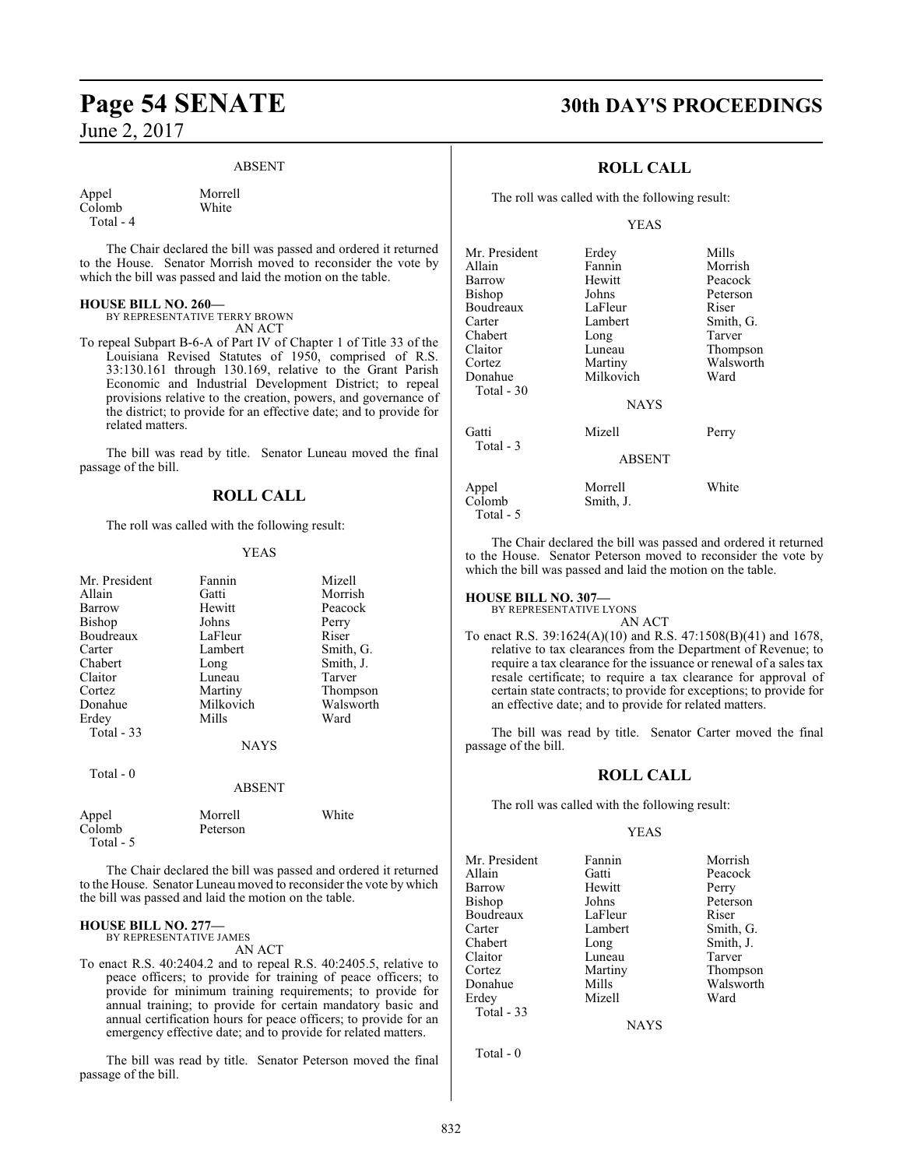# ABSENT

Appel Morrell<br>Colomb White  $Colomb$ Total - 4

The Chair declared the bill was passed and ordered it returned to the House. Senator Morrish moved to reconsider the vote by which the bill was passed and laid the motion on the table.

## **HOUSE BILL NO. 260—**

BY REPRESENTATIVE TERRY BROWN AN ACT

To repeal Subpart B-6-A of Part IV of Chapter 1 of Title 33 of the Louisiana Revised Statutes of 1950, comprised of R.S. 33:130.161 through 130.169, relative to the Grant Parish Economic and Industrial Development District; to repeal provisions relative to the creation, powers, and governance of the district; to provide for an effective date; and to provide for related matters.

The bill was read by title. Senator Luneau moved the final passage of the bill.

# **ROLL CALL**

The roll was called with the following result:

# YEAS

| Mr. President       | Fannin        | Mizell    |
|---------------------|---------------|-----------|
| Allain              | Gatti         | Morrish   |
| Barrow              | Hewitt        | Peacock   |
| Bishop              | Johns         | Perry     |
| Boudreaux           | LaFleur       | Riser     |
| Carter              | Lambert       | Smith, G. |
| Chabert             | Long          | Smith, J. |
| Claitor             | Luneau        | Tarver    |
| Cortez              | Martiny       | Thompson  |
| Donahue             | Milkovich     | Walsworth |
| Erdey               | Mills         | Ward      |
| Total $-33$         |               |           |
|                     | <b>NAYS</b>   |           |
| Total $-0$          |               |           |
|                     | <b>ABSENT</b> |           |
| Appel               | Morrell       | White     |
| Colomb<br>Total - 5 | Peterson      |           |

The Chair declared the bill was passed and ordered it returned to the House. Senator Luneau moved to reconsider the vote by which the bill was passed and laid the motion on the table.

#### **HOUSE BILL NO. 277—** BY REPRESENTATIVE JAMES

AN ACT

To enact R.S. 40:2404.2 and to repeal R.S. 40:2405.5, relative to peace officers; to provide for training of peace officers; to provide for minimum training requirements; to provide for annual training; to provide for certain mandatory basic and annual certification hours for peace officers; to provide for an emergency effective date; and to provide for related matters.

The bill was read by title. Senator Peterson moved the final passage of the bill.

# **Page 54 SENATE 30th DAY'S PROCEEDINGS**

# **ROLL CALL**

The roll was called with the following result:

# YEAS

| Mr. President       | Erdey         | Mills     |
|---------------------|---------------|-----------|
| Allain              | Fannin        | Morrish   |
| Barrow              | Hewitt        | Peacock   |
| Bishop              | Johns         | Peterson  |
| Boudreaux           | LaFleur       | Riser     |
| Carter              | Lambert       | Smith, G. |
| Chabert             | Long          | Tarver    |
| Claitor             | Luneau        | Thompson  |
| Cortez              | Martiny       | Walsworth |
| Donahue             | Milkovich     | Ward      |
| Total $-30$         |               |           |
|                     | <b>NAYS</b>   |           |
| Gatti<br>Total - 3  | Mizell        | Perry     |
|                     | <b>ABSENT</b> |           |
| Appel               | Morrell       | White     |
| Colomb<br>Total - 5 | Smith, J.     |           |

The Chair declared the bill was passed and ordered it returned to the House. Senator Peterson moved to reconsider the vote by which the bill was passed and laid the motion on the table.

# **HOUSE BILL NO. 307—**

BY REPRESENTATIVE LYONS AN ACT

To enact R.S. 39:1624(A)(10) and R.S. 47:1508(B)(41) and 1678, relative to tax clearances from the Department of Revenue; to require a tax clearance for the issuance or renewal of a sales tax resale certificate; to require a tax clearance for approval of certain state contracts; to provide for exceptions; to provide for an effective date; and to provide for related matters.

The bill was read by title. Senator Carter moved the final passage of the bill.

# **ROLL CALL**

The roll was called with the following result:

# YEAS

Mr. President Fannin Morrish<br>Allain Gatti Peacock Barrow<br>Bishop Boudreaux Carter Lambert Smith, G.<br>Chabert Long Smith, J. Chabert Long Smith, J.<br>
Claitor Luneau Tarver Claitor Luneau<br>Cortez Martiny Cortez Martiny Thompson Erdey Total - 33

Gatti Peacock<br>
Hewitt Perry Johns Peterson<br>LaFleur Riser Mills Walsworth<br>
Mizell Ward

**NAYS** 

Total - 0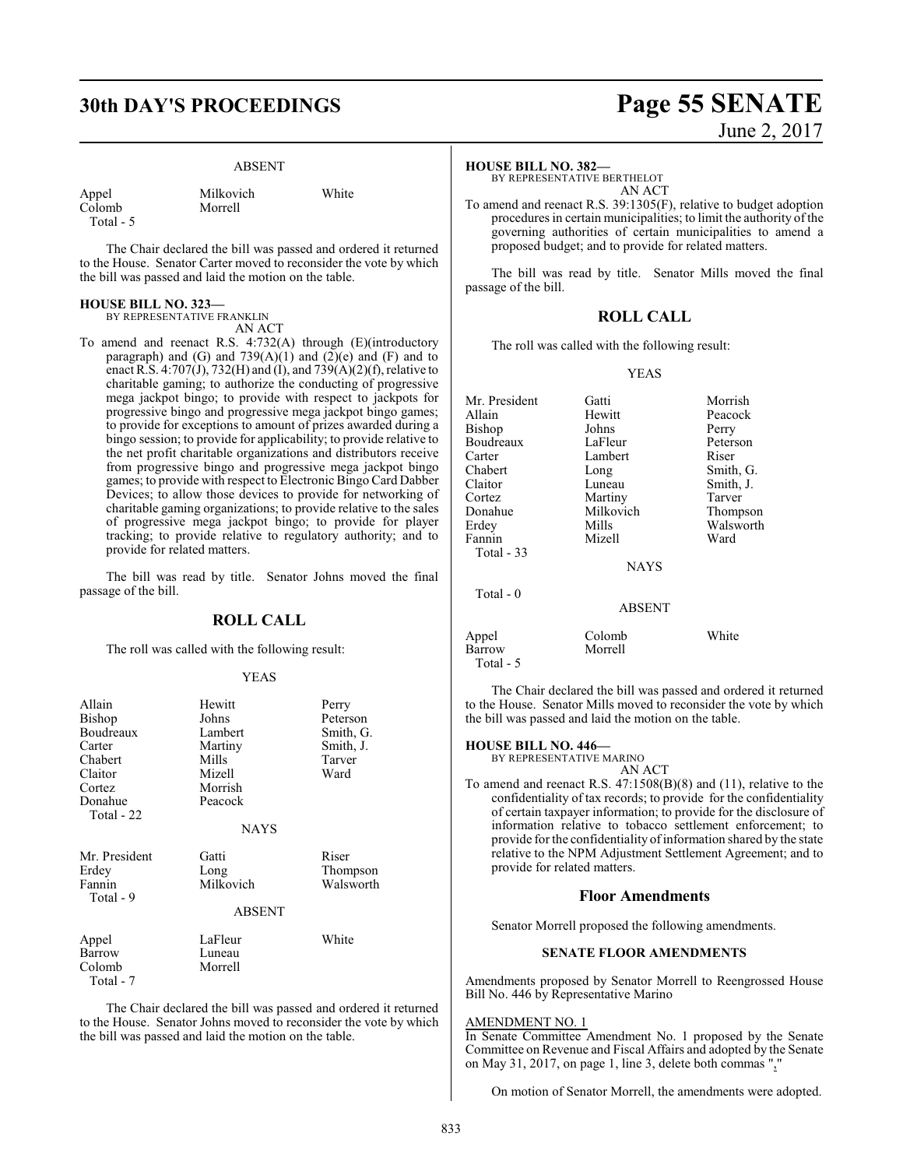# **30th DAY'S PROCEEDINGS Page 55 SENATE**

# ABSENT

| Appel   |
|---------|
| Colomb  |
| Total - |

Milkovich White Morrell

The Chair declared the bill was passed and ordered it returned to the House. Senator Carter moved to reconsider the vote by which the bill was passed and laid the motion on the table.

#### **HOUSE BILL NO. 323—**

BY REPRESENTATIVE FRANKLIN AN ACT

To amend and reenact R.S. 4:732(A) through (E)(introductory paragraph) and (G) and  $739(A)(1)$  and  $(2)(e)$  and (F) and to enact R.S. 4:707(J), 732(H) and (I), and 739(A)(2)(f), relative to charitable gaming; to authorize the conducting of progressive mega jackpot bingo; to provide with respect to jackpots for progressive bingo and progressive mega jackpot bingo games; to provide for exceptions to amount of prizes awarded during a bingo session; to provide for applicability; to provide relative to the net profit charitable organizations and distributors receive from progressive bingo and progressive mega jackpot bingo games; to provide with respect to Electronic Bingo Card Dabber Devices; to allow those devices to provide for networking of charitable gaming organizations; to provide relative to the sales of progressive mega jackpot bingo; to provide for player tracking; to provide relative to regulatory authority; and to provide for related matters.

The bill was read by title. Senator Johns moved the final passage of the bill.

# **ROLL CALL**

The roll was called with the following result:

# YEAS

| Allain<br>Bishop<br>Boudreaux<br>Carter<br>Chabert<br>Claitor<br>Cortez<br>Donahue<br>Total - 22 | Hewitt<br>Johns<br>Lambert<br>Martiny<br>Mills<br>Mizell<br>Morrish<br>Peacock<br><b>NAYS</b> | Perry<br>Peterson<br>Smith, G.<br>Smith, J.<br>Tarver<br>Ward |
|--------------------------------------------------------------------------------------------------|-----------------------------------------------------------------------------------------------|---------------------------------------------------------------|
| Mr. President<br>Erdey<br>Fannin<br>Total - 9                                                    | Gatti<br>Long<br>Milkovich<br><b>ABSENT</b>                                                   | Riser<br>Thompson<br>Walsworth                                |
| Appel<br>Barrow<br>Colomb<br>Total - 7                                                           | LaFleur<br>Luneau<br>Morrell                                                                  | White                                                         |

The Chair declared the bill was passed and ordered it returned to the House. Senator Johns moved to reconsider the vote by which the bill was passed and laid the motion on the table.

# June 2, 2017

## **HOUSE BILL NO. 382—**

BY REPRESENTATIVE BERTHELOT AN ACT

To amend and reenact R.S. 39:1305(F), relative to budget adoption procedures in certain municipalities; to limit the authority of the governing authorities of certain municipalities to amend a proposed budget; and to provide for related matters.

The bill was read by title. Senator Mills moved the final passage of the bill.

# **ROLL CALL**

The roll was called with the following result:

# YEAS

| Mr. President | Gatti         | Morrish   |
|---------------|---------------|-----------|
| Allain        | Hewitt        | Peacock   |
| Bishop        | Johns         | Perry     |
| Boudreaux     | LaFleur       | Peterson  |
| Carter        | Lambert       | Riser     |
| Chabert       | Long          | Smith, G. |
| Claitor       | Luneau        | Smith, J. |
| Cortez        | Martiny       | Tarver    |
| Donahue       | Milkovich     | Thompson  |
| Erdey         | Mills         | Walsworth |
| Fannin        | Mizell        | Ward      |
| Total - 33    |               |           |
|               | <b>NAYS</b>   |           |
| Total - 0     |               |           |
|               | <b>ABSENT</b> |           |
| Appel         | Colomb        | White     |
| Barrow        | Morrell       |           |
| Total - 5     |               |           |

The Chair declared the bill was passed and ordered it returned to the House. Senator Mills moved to reconsider the vote by which the bill was passed and laid the motion on the table.

# **HOUSE BILL NO. 446—**

BY REPRESENTATIVE MARINO AN ACT

To amend and reenact R.S. 47:1508(B)(8) and (11), relative to the confidentiality of tax records; to provide for the confidentiality of certain taxpayer information; to provide for the disclosure of information relative to tobacco settlement enforcement; to provide for the confidentiality of information shared by the state relative to the NPM Adjustment Settlement Agreement; and to provide for related matters.

# **Floor Amendments**

Senator Morrell proposed the following amendments.

# **SENATE FLOOR AMENDMENTS**

Amendments proposed by Senator Morrell to Reengrossed House Bill No. 446 by Representative Marino

## AMENDMENT NO. 1

In Senate Committee Amendment No. 1 proposed by the Senate Committee on Revenue and Fiscal Affairs and adopted by the Senate on May 31, 2017, on page 1, line 3, delete both commas ","

On motion of Senator Morrell, the amendments were adopted.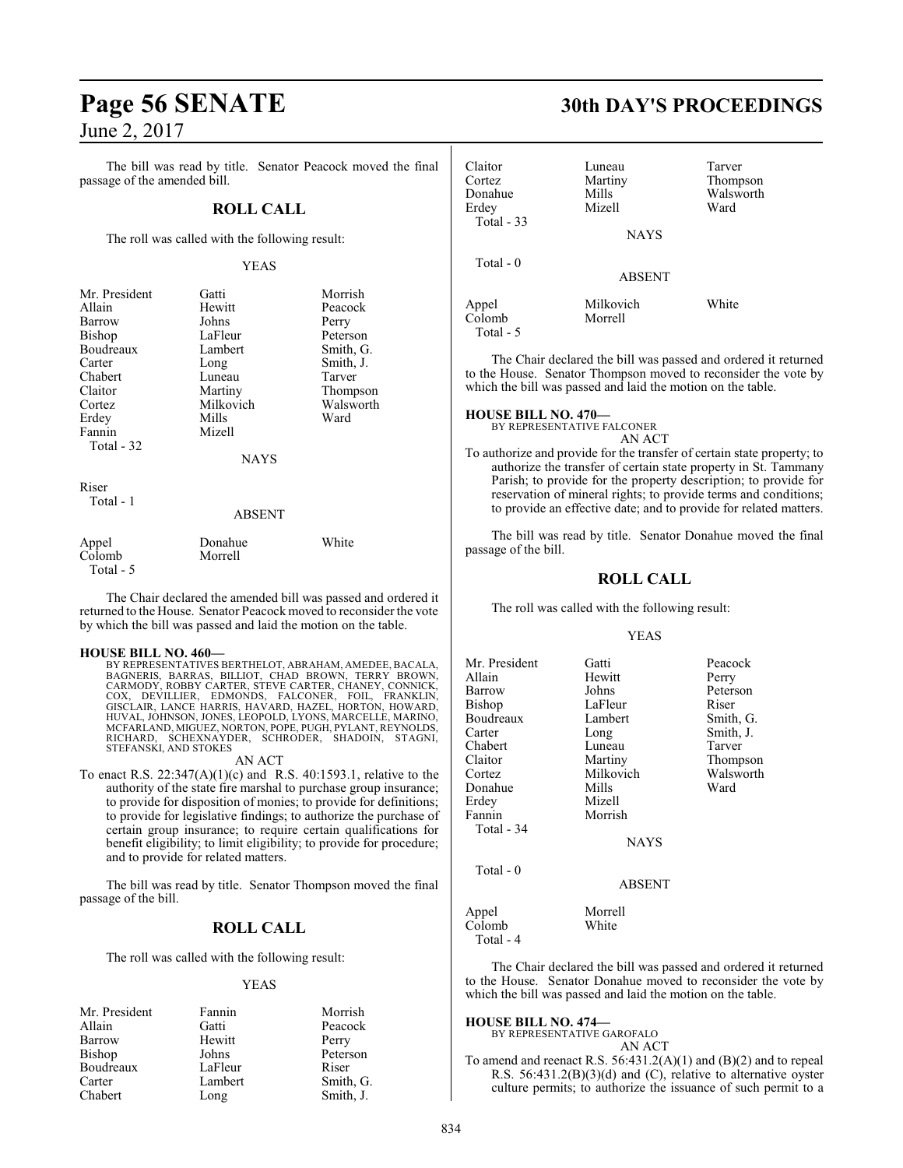The bill was read by title. Senator Peacock moved the final passage of the amended bill.

# **ROLL CALL**

The roll was called with the following result:

# YEAS

| Mr. President | Gatti         | Morrish   |
|---------------|---------------|-----------|
| Allain        | Hewitt        | Peacock   |
| Barrow        | Johns         | Perry     |
| <b>Bishop</b> | LaFleur       | Peterson  |
| Boudreaux     | Lambert       | Smith, G. |
| Carter        | Long          | Smith, J. |
| Chabert       | Luneau        | Tarver    |
| Claitor       | Martiny       | Thompson  |
| Cortez        | Milkovich     | Walsworth |
| Erdey         | Mills         | Ward      |
| Fannin        | Mizell        |           |
| Total - 32    |               |           |
|               | <b>NAYS</b>   |           |
| Riser         |               |           |
| Total - 1     | <b>ABSENT</b> |           |

| Appel     | Donahue | White |
|-----------|---------|-------|
| Colomb    | Morrell |       |
| Total - 5 |         |       |

The Chair declared the amended bill was passed and ordered it returned to the House. Senator Peacock moved to reconsider the vote by which the bill was passed and laid the motion on the table.

# **HOUSE BILL NO. 460—**

BY REPRESENTATIVES BERTHELOT, ABRAHAM, AMEDEE, BACALA, BAGNERIS, BARRAS, BILLIOT, CHAD BROWN, TERRY BROWN,<br>CARMODY,RROBBY CARTER, STEVE CARTER, CHANEY, CONNICK,<br>COX, DEVILLIER, EDMONDS, FALCONER, FOIL, FRANKLIN,<br>GISCLAIR,LANCE HARRIS,HAVARD,HAZEL,HORTON,HOWARD,<br>HUVAL,JOHNSON,J MCFARLAND, MIGUEZ, NORTON, POPE, PUGH, PYLANT, REYNOLDS, RICHARD, SCHEXNAYDER, SCHRODER, SHADOIN, STAGNI, STEFANSKI, AND STOKES

# AN ACT

To enact R.S. 22:347(A)(1)(c) and R.S. 40:1593.1, relative to the authority of the state fire marshal to purchase group insurance; to provide for disposition of monies; to provide for definitions; to provide for legislative findings; to authorize the purchase of certain group insurance; to require certain qualifications for benefit eligibility; to limit eligibility; to provide for procedure; and to provide for related matters.

The bill was read by title. Senator Thompson moved the final passage of the bill.

# **ROLL CALL**

The roll was called with the following result:

# YEAS

| Mr. President | Fannin  | Morrish   |
|---------------|---------|-----------|
| Allain        | Gatti   | Peacock   |
| Barrow        | Hewitt  | Perry     |
| <b>Bishop</b> | Johns   | Peterson  |
| Boudreaux     | LaFleur | Riser     |
| Carter        | Lambert | Smith, G. |
| Chabert       | Long    | Smith, J. |

# **Page 56 SENATE 30th DAY'S PROCEEDINGS**

| Claitor<br>Cortez<br>Donahue<br>Erdey<br>Total $-33$ | Luneau<br>Martiny<br>Mills<br>Mizell | Tarver<br>Thompson<br>Walsworth<br>Ward |
|------------------------------------------------------|--------------------------------------|-----------------------------------------|
| Total $-0$                                           | <b>NAYS</b><br><b>ABSENT</b>         |                                         |
| Appel<br>Colomb                                      | Milkovich<br>Morrell                 | White                                   |

The Chair declared the bill was passed and ordered it returned to the House. Senator Thompson moved to reconsider the vote by which the bill was passed and laid the motion on the table.

# **HOUSE BILL NO. 470—**

Total - 5

BY REPRESENTATIVE FALCONER AN ACT

To authorize and provide for the transfer of certain state property; to authorize the transfer of certain state property in St. Tammany Parish; to provide for the property description; to provide for reservation of mineral rights; to provide terms and conditions; to provide an effective date; and to provide for related matters.

The bill was read by title. Senator Donahue moved the final passage of the bill.

# **ROLL CALL**

The roll was called with the following result:

# YEAS

| Mr. President       | Gatti         | Peacock   |
|---------------------|---------------|-----------|
| Allain              | Hewitt        | Perry     |
| Barrow              | Johns         | Peterson  |
| Bishop              | LaFleur       | Riser     |
| Boudreaux           | Lambert       | Smith, G. |
| Carter              | Long          | Smith, J. |
| Chabert             | Luneau        | Tarver    |
| Claitor             | Martiny       | Thompson  |
| Cortez              | Milkovich     | Walsworth |
| Donahue             | Mills         | Ward      |
| Erdey               | Mizell        |           |
| Fannin              | Morrish       |           |
| Total - 34          |               |           |
|                     | <b>NAYS</b>   |           |
| Total $-0$          |               |           |
|                     | <b>ABSENT</b> |           |
| Appel               | Morrell       |           |
| Colomb<br>Total - 4 | White         |           |

The Chair declared the bill was passed and ordered it returned to the House. Senator Donahue moved to reconsider the vote by which the bill was passed and laid the motion on the table.

# **HOUSE BILL NO. 474—**

BY REPRESENTATIVE GAROFALO

AN ACT To amend and reenact R.S. 56:431.2(A)(1) and (B)(2) and to repeal R.S. 56:431.2(B)(3)(d) and (C), relative to alternative oyster

culture permits; to authorize the issuance of such permit to a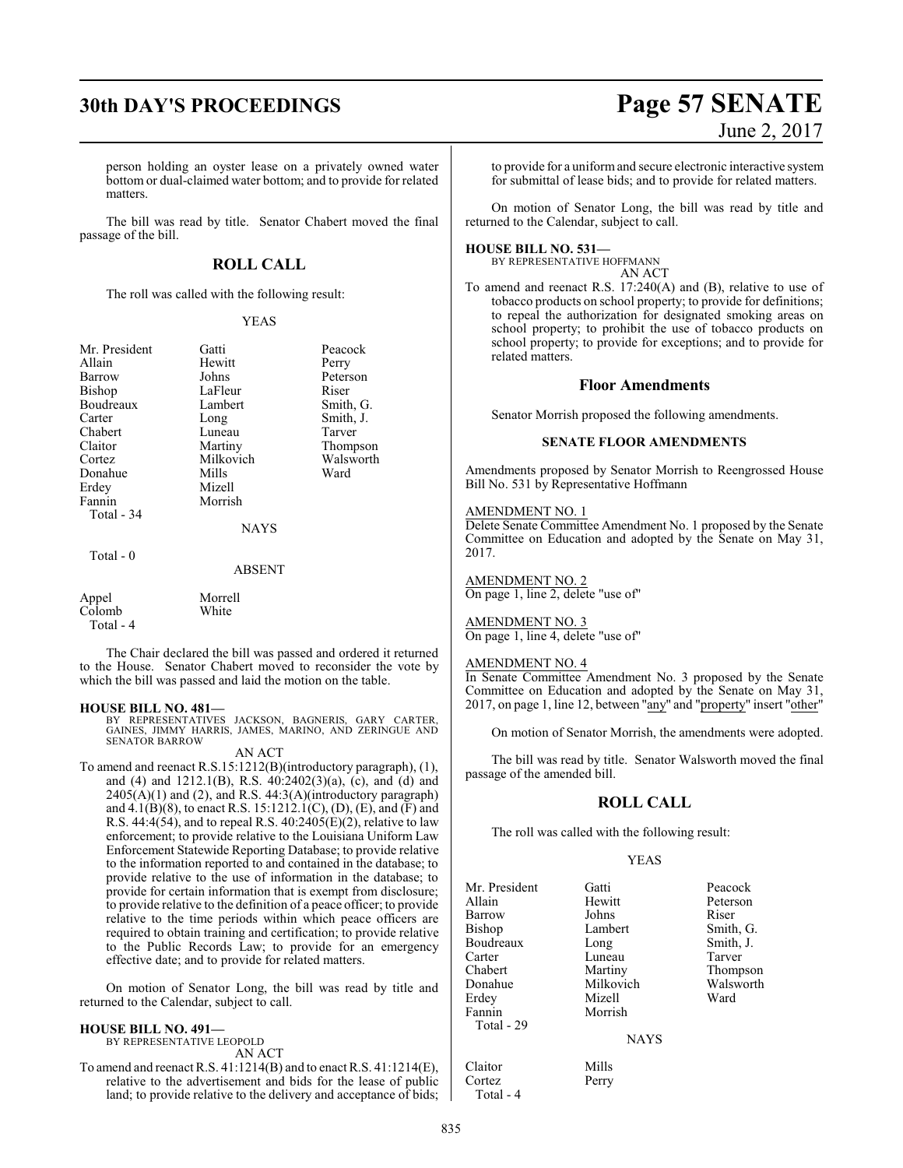person holding an oyster lease on a privately owned water bottom or dual-claimed water bottom; and to provide for related matters.

The bill was read by title. Senator Chabert moved the final passage of the bill.

# **ROLL CALL**

The roll was called with the following result:

## YEAS

| Mr. President | Gatti       | Peacock   |
|---------------|-------------|-----------|
| Allain        | Hewitt      | Perry     |
| Barrow        | Johns       | Peterson  |
| <b>Bishop</b> | LaFleur     | Riser     |
| Boudreaux     | Lambert     | Smith, G. |
| Carter        | Long        | Smith, J. |
| Chabert       | Luneau      | Tarver    |
| Claitor       | Martiny     | Thompson  |
| Cortez        | Milkovich   | Walsworth |
| Donahue       | Mills       | Ward      |
| Erdey         | Mizell      |           |
| Fannin        | Morrish     |           |
| Total - 34    |             |           |
|               | <b>NAYS</b> |           |
| Total - 0     |             |           |

#### ABSENT

| Appel     | Morrell |
|-----------|---------|
| Colomb    | White   |
| Total - 4 |         |

The Chair declared the bill was passed and ordered it returned to the House. Senator Chabert moved to reconsider the vote by which the bill was passed and laid the motion on the table.

### **HOUSE BILL NO. 481—**

BY REPRESENTATIVES JACKSON, BAGNERIS, GARY CARTER, GAINES, JIMMY HARRIS, JAMES, MARINO, AND ZERINGUE AND SENATOR BARROW

#### AN ACT

To amend and reenact R.S.15:1212(B)(introductory paragraph), (1), and (4) and 1212.1(B), R.S. 40:2402(3)(a), (c), and (d) and  $2405(A)(1)$  and (2), and R.S.  $44:3(A)(introducing paragraph)$ and 4.1(B)(8), to enact R.S. 15:1212.1(C), (D), (E), and (F) and R.S.  $44:4(54)$ , and to repeal R.S.  $40:2405(E)(2)$ , relative to law enforcement; to provide relative to the Louisiana Uniform Law Enforcement Statewide Reporting Database; to provide relative to the information reported to and contained in the database; to provide relative to the use of information in the database; to provide for certain information that is exempt from disclosure; to provide relative to the definition of a peace officer; to provide relative to the time periods within which peace officers are required to obtain training and certification; to provide relative to the Public Records Law; to provide for an emergency effective date; and to provide for related matters.

On motion of Senator Long, the bill was read by title and returned to the Calendar, subject to call.

#### **HOUSE BILL NO. 491—**

BY REPRESENTATIVE LEOPOLD AN ACT

To amend and reenact R.S. 41:1214(B) and to enact R.S. 41:1214(E), relative to the advertisement and bids for the lease of public land; to provide relative to the delivery and acceptance of bids;

# **30th DAY'S PROCEEDINGS Page 57 SENATE** June 2, 2017

to provide for a uniformand secure electronic interactive system for submittal of lease bids; and to provide for related matters.

On motion of Senator Long, the bill was read by title and returned to the Calendar, subject to call.

#### **HOUSE BILL NO. 531—**

BY REPRESENTATIVE HOFFMANN AN ACT

To amend and reenact R.S. 17:240(A) and (B), relative to use of tobacco products on school property; to provide for definitions; to repeal the authorization for designated smoking areas on school property; to prohibit the use of tobacco products on school property; to provide for exceptions; and to provide for related matters.

# **Floor Amendments**

Senator Morrish proposed the following amendments.

## **SENATE FLOOR AMENDMENTS**

Amendments proposed by Senator Morrish to Reengrossed House Bill No. 531 by Representative Hoffmann

# AMENDMENT NO. 1

Delete Senate Committee Amendment No. 1 proposed by the Senate Committee on Education and adopted by the Senate on May 31, 2017.

AMENDMENT NO. 2 On page 1, line 2, delete "use of"

AMENDMENT NO. 3 On page 1, line 4, delete "use of"

## AMENDMENT NO. 4

In Senate Committee Amendment No. 3 proposed by the Senate Committee on Education and adopted by the Senate on May 31, 2017, on page 1, line 12, between "any" and "property" insert "other"

On motion of Senator Morrish, the amendments were adopted.

The bill was read by title. Senator Walsworth moved the final passage of the amended bill.

# **ROLL CALL**

The roll was called with the following result:

# YEAS

| Mr. President | Gatti       | Peacock   |
|---------------|-------------|-----------|
| Allain        | Hewitt      | Peterson  |
| <b>Barrow</b> | Johns       | Riser     |
| Bishop        | Lambert     | Smith, G. |
| Boudreaux     | Long        | Smith, J. |
| Carter        | Luneau      | Tarver    |
| Chabert       | Martiny     | Thompson  |
| Donahue       | Milkovich   | Walsworth |
| Erdey         | Mizell      | Ward      |
| Fannin        | Morrish     |           |
| Total - 29    |             |           |
|               | <b>NAYS</b> |           |
| Claitor       | Mills       |           |

Cortez Perry Total - 4

835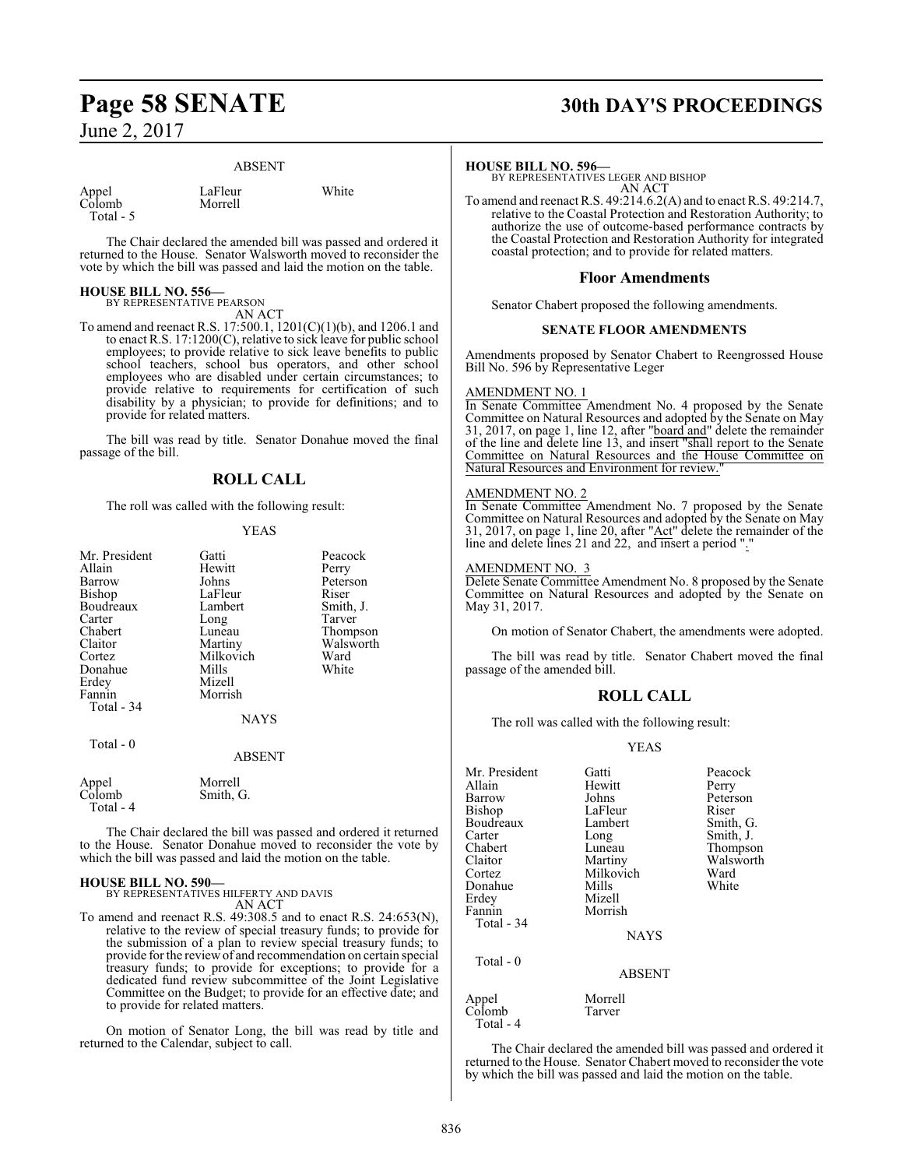# ABSENT

| Appel   |  |
|---------|--|
| Colomb  |  |
| Total - |  |

LaFleur White Morrell

The Chair declared the amended bill was passed and ordered it returned to the House. Senator Walsworth moved to reconsider the vote by which the bill was passed and laid the motion on the table.

## **HOUSE BILL NO. 556—** BY REPRESENTATIVE PEARSON

AN ACT

To amend and reenact R.S. 17:500.1, 1201(C)(1)(b), and 1206.1 and to enact R.S. 17:1200(C), relative to sick leave for public school employees; to provide relative to sick leave benefits to public school teachers, school bus operators, and other school employees who are disabled under certain circumstances; to provide relative to requirements for certification of such disability by a physician; to provide for definitions; and to provide for related matters.

The bill was read by title. Senator Donahue moved the final passage of the bill.

# **ROLL CALL**

The roll was called with the following result:

# YEAS

| Mr. President<br>Allain<br>Barrow<br>Bishop<br>Boudreaux<br>Carter<br>Chabert<br>Claitor<br>Cortez<br>Donahue<br>Erdey<br>Fannin | Gatti<br>Hewitt<br>Johns<br>LaFleur<br>Lambert<br>Long<br>Luneau<br>Martiny<br>Milkovich<br>Mills<br>Mizell<br>Morrish | Peacock<br>Perry<br>Peterson<br>Riser<br>Smith, J.<br>Tarver<br>Thompson<br>Walsworth<br>Ward<br>White |
|----------------------------------------------------------------------------------------------------------------------------------|------------------------------------------------------------------------------------------------------------------------|--------------------------------------------------------------------------------------------------------|
| Total - 34                                                                                                                       |                                                                                                                        |                                                                                                        |
|                                                                                                                                  | <b>NAYS</b>                                                                                                            |                                                                                                        |

| Appel     | Morrell   |
|-----------|-----------|
| Colomb    | Smith, G. |
| Total - 4 |           |

Total - 0

The Chair declared the bill was passed and ordered it returned to the House. Senator Donahue moved to reconsider the vote by which the bill was passed and laid the motion on the table.

ABSENT

**HOUSE BILL NO. 590—** BY REPRESENTATIVES HILFERTY AND DAVIS AN ACT

To amend and reenact R.S. 49:308.5 and to enact R.S. 24:653(N), relative to the review of special treasury funds; to provide for the submission of a plan to review special treasury funds; to provide for the review of and recommendation on certain special treasury funds; to provide for exceptions; to provide for a dedicated fund review subcommittee of the Joint Legislative Committee on the Budget; to provide for an effective date; and to provide for related matters.

On motion of Senator Long, the bill was read by title and returned to the Calendar, subject to call.

# **Page 58 SENATE 30th DAY'S PROCEEDINGS**

## **HOUSE BILL NO. 596—**

BY REPRESENTATIVES LEGER AND BISHOP AN ACT

To amend and reenact R.S. 49:214.6.2(A) and to enact R.S. 49:214.7, relative to the Coastal Protection and Restoration Authority; to authorize the use of outcome-based performance contracts by the Coastal Protection and Restoration Authority for integrated coastal protection; and to provide for related matters.

# **Floor Amendments**

Senator Chabert proposed the following amendments.

# **SENATE FLOOR AMENDMENTS**

Amendments proposed by Senator Chabert to Reengrossed House Bill No. 596 by Representative Leger

# AMENDMENT NO. 1

In Senate Committee Amendment No. 4 proposed by the Senate Committee on Natural Resources and adopted by the Senate on May 31, 2017, on page 1, line 12, after "board and" delete the remainder of the line and delete line 13, and insert "shall report to the Senate Committee on Natural Resources and the House Committee on Natural Resources and Environment for review."

# AMENDMENT NO. 2

In Senate Committee Amendment No. 7 proposed by the Senate Committee on Natural Resources and adopted by the Senate on May 31, 2017, on page 1, line 20, after "Act" delete the remainder of the line and delete lines 21 and 22, and insert a period "."

# AMENDMENT NO. 3

Delete Senate Committee Amendment No. 8 proposed by the Senate Committee on Natural Resources and adopted by the Senate on May 31, 2017.

On motion of Senator Chabert, the amendments were adopted.

The bill was read by title. Senator Chabert moved the final passage of the amended bill.

# **ROLL CALL**

The roll was called with the following result:

# YEAS

| Mr. President<br>Allain | Gatti<br>Hewitt | Peacock<br>Perry |
|-------------------------|-----------------|------------------|
| Barrow                  | Johns           | Peterson         |
| Bishop                  | LaFleur         | Riser            |
| Boudreaux               | Lambert         | Smith, G.        |
| Carter                  | Long            | Smith, J.        |
| Chabert                 | Luneau          | Thompson         |
| Claitor                 | Martiny         | Walsworth        |
| Cortez                  | Milkovich       | Ward             |
| Donahue                 | Mills           | White            |
| Erdev                   | Mizell          |                  |
| Fannin                  | Morrish         |                  |
| Total - 34              |                 |                  |
|                         | <b>NAYS</b>     |                  |
| Total - 0               |                 |                  |
|                         | <b>ABSENT</b>   |                  |
| Appel                   | Morrell         |                  |
| Colomb<br>Total - 4     | Tarver          |                  |

The Chair declared the amended bill was passed and ordered it returned to the House. Senator Chabert moved to reconsider the vote by which the bill was passed and laid the motion on the table.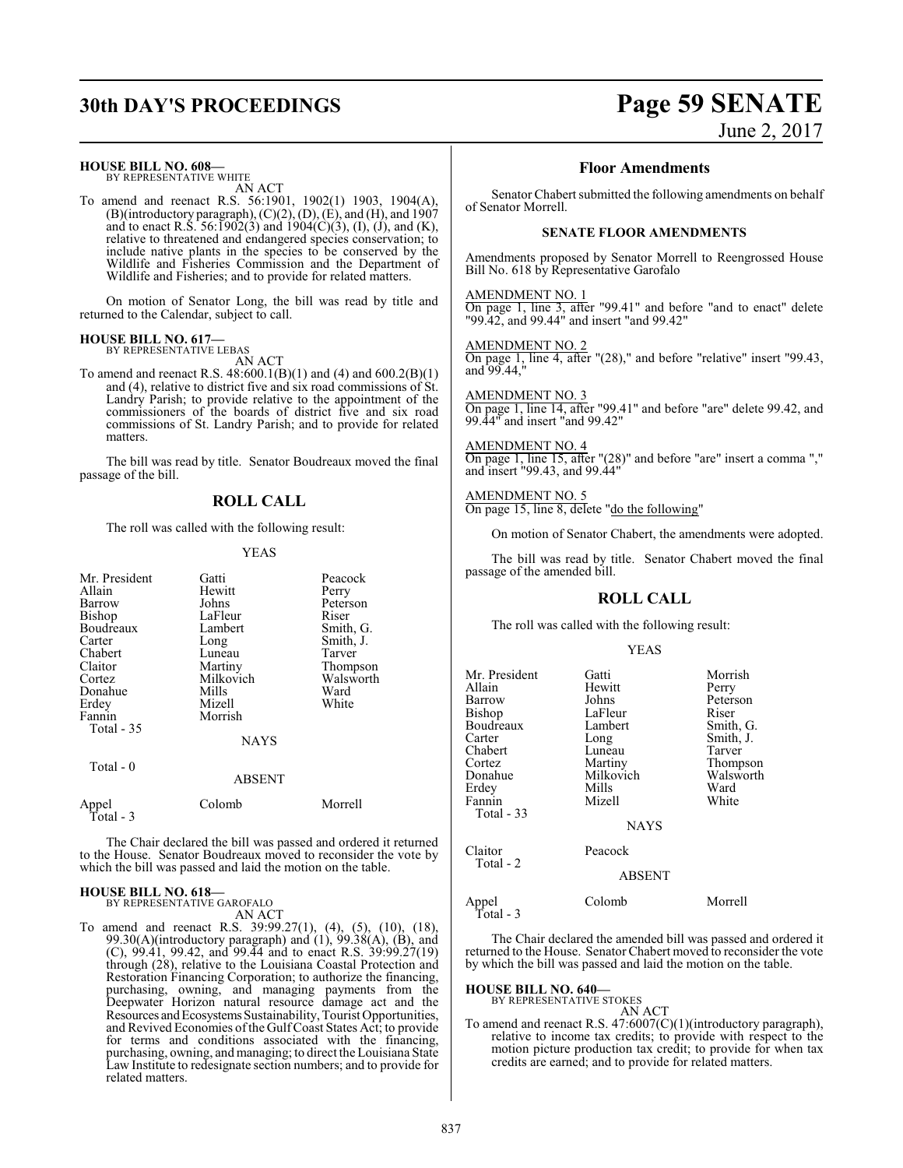### **HOUSE BILL NO. 608—**

BY REPRESENTATIVE WHITE AN ACT

To amend and reenact R.S. 56:1901, 1902(1) 1903, 1904(A),  $(B)($ introductory paragraph $), (C)(2), (D), (E),$  and  $(H),$  and  $1907$ and to enact R.S. 56:1902(3) and 1904(C)(3), (I), (J), and (K), relative to threatened and endangered species conservation; to include native plants in the species to be conserved by the Wildlife and Fisheries Commission and the Department of Wildlife and Fisheries; and to provide for related matters.

On motion of Senator Long, the bill was read by title and returned to the Calendar, subject to call.

#### **HOUSE BILL NO. 617—** BY REPRESENTATIVE LEBAS

AN ACT

To amend and reenact R.S. 48:600.1(B)(1) and (4) and 600.2(B)(1) and (4), relative to district five and six road commissions of St. Landry Parish; to provide relative to the appointment of the commissioners of the boards of district five and six road commissions of St. Landry Parish; and to provide for related matters.

The bill was read by title. Senator Boudreaux moved the final passage of the bill.

# **ROLL CALL**

The roll was called with the following result:

## YEAS

| Mr. President<br>Allain<br>Barrow<br><b>Bishop</b><br>Boudreaux<br>Carter<br>Chabert<br>Claitor<br>Cortez<br>Donahue<br>Erdey<br>Fannin<br>Total $-35$<br>Total - 0 | Gatti<br>Hewitt<br>Johns<br>LaFleur<br>Lambert<br>Long<br>Luneau<br>Martiny<br>Milkovich<br>Mills<br>Mizell<br>Morrish<br><b>NAYS</b><br><b>ABSENT</b> | Peacock<br>Perry<br>Peterson<br>Riser<br>Smith, G.<br>Smith, J.<br>Tarver<br>Thompson<br>Walsworth<br>Ward<br>White |
|---------------------------------------------------------------------------------------------------------------------------------------------------------------------|--------------------------------------------------------------------------------------------------------------------------------------------------------|---------------------------------------------------------------------------------------------------------------------|
| Appel                                                                                                                                                               | Colomb                                                                                                                                                 | Morrell                                                                                                             |
| Total - 3                                                                                                                                                           |                                                                                                                                                        |                                                                                                                     |

The Chair declared the bill was passed and ordered it returned to the House. Senator Boudreaux moved to reconsider the vote by which the bill was passed and laid the motion on the table.

#### **HOUSE BILL NO. 618—** BY REPRESENTATIVE GAROFALO

AN ACT

To amend and reenact R.S. 39:99.27(1), (4), (5), (10), (18), 99.30(A)(introductory paragraph) and  $(1)$ , 99.38(A),  $(B)$ , and (C), 99.41, 99.42, and 99.44 and to enact R.S. 39:99.27(19) through (28), relative to the Louisiana Coastal Protection and Restoration Financing Corporation; to authorize the financing, purchasing, owning, and managing payments from the Deepwater Horizon natural resource damage act and the Resources and Ecosystems Sustainability, Tourist Opportunities, and Revived Economies ofthe GulfCoast States Act; to provide for terms and conditions associated with the financing, purchasing, owning, and managing; to direct the Louisiana State Law Institute to redesignate section numbers; and to provide for related matters.

# **30th DAY'S PROCEEDINGS Page 59 SENATE**

June 2, 2017

# **Floor Amendments**

Senator Chabert submitted the following amendments on behalf of Senator Morrell.

# **SENATE FLOOR AMENDMENTS**

Amendments proposed by Senator Morrell to Reengrossed House Bill No. 618 by Representative Garofalo

AMENDMENT NO. 1 On page 1, line 3, after "99.41" and before "and to enact" delete "99.42, and 99.44" and insert "and 99.42"

AMENDMENT NO. 2 On page 1, line 4, after "(28)," and before "relative" insert "99.43, and 99.44,"

AMENDMENT NO. 3 On page 1, line 14, after "99.41" and before "are" delete 99.42, and 99.44" and insert "and 99.42"

AMENDMENT NO. 4 On page 1, line 15, after "(28)" and before "are" insert a comma "," and insert "99.43, and 99.44"

AMENDMENT NO. 5 On page 15, line 8, delete "do the following"

On motion of Senator Chabert, the amendments were adopted.

The bill was read by title. Senator Chabert moved the final passage of the amended bill.

# **ROLL CALL**

The roll was called with the following result:

### YEAS

| Mr. President<br>Allain<br>Barrow<br>Bishop<br>Boudreaux<br>Carter<br>Chabert<br>Cortez<br>Donahue<br>Erdey<br>Fannin<br>Total - 33 | Gatti<br>Hewitt<br>Johns<br>LaFleur<br>Lambert<br>Long<br>Luneau<br>Martiny<br>Milkovich<br>Mills<br>Mizell<br><b>NAYS</b> | Morrish<br>Perry<br>Peterson<br>Riser<br>Smith, G.<br>Smith, J.<br>Tarver<br>Thompson<br>Walsworth<br>Ward<br>White |
|-------------------------------------------------------------------------------------------------------------------------------------|----------------------------------------------------------------------------------------------------------------------------|---------------------------------------------------------------------------------------------------------------------|
| Claitor<br>Total - 2                                                                                                                | Peacock<br><b>ABSENT</b>                                                                                                   |                                                                                                                     |
| Appel<br>Total - 3                                                                                                                  | Colomb                                                                                                                     | Morrell                                                                                                             |

The Chair declared the amended bill was passed and ordered it returned to the House. Senator Chabert moved to reconsider the vote by which the bill was passed and laid the motion on the table.

# **HOUSE BILL NO. 640—**

BY REPRESENTATIVE STOKES AN ACT

To amend and reenact R.S. 47:6007(C)(1)(introductory paragraph), relative to income tax credits; to provide with respect to the motion picture production tax credit; to provide for when tax credits are earned; and to provide for related matters.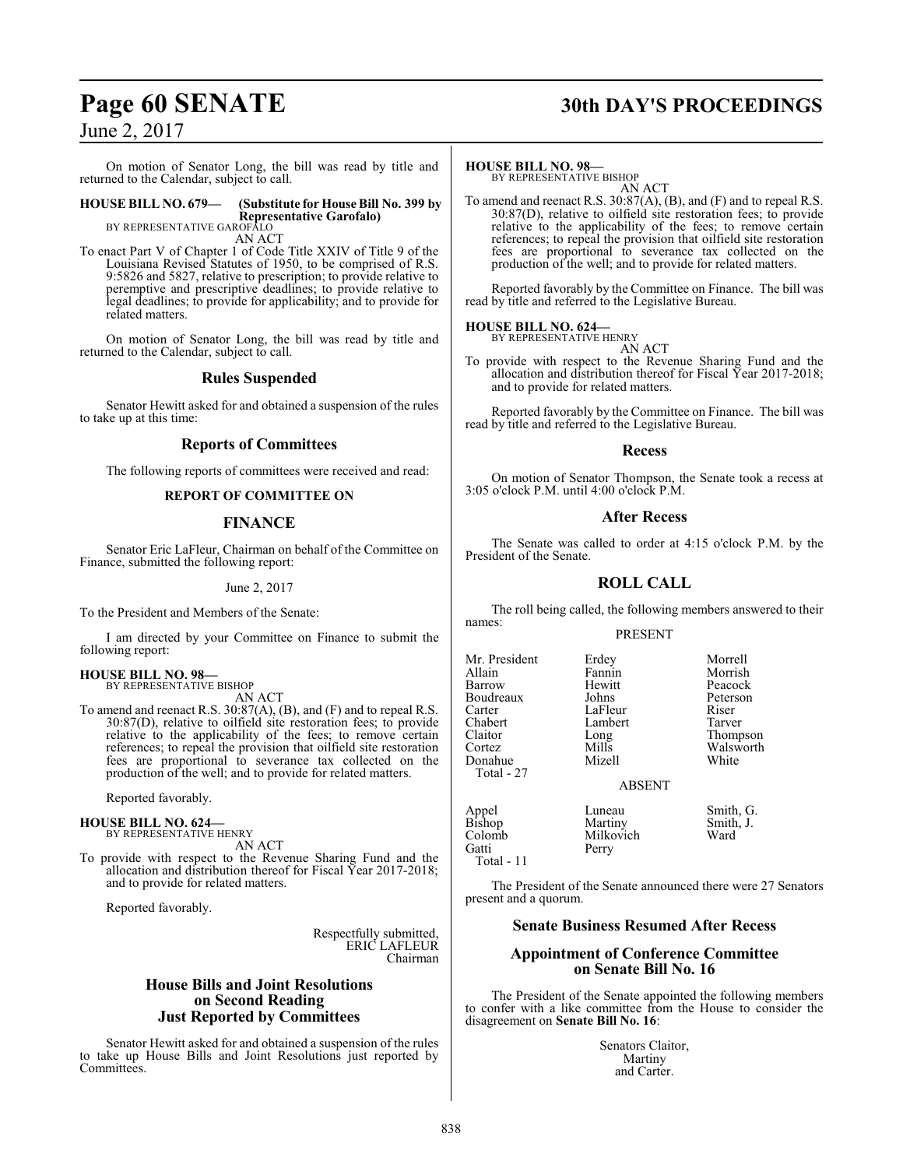On motion of Senator Long, the bill was read by title and returned to the Calendar, subject to call.

#### **HOUSE BILL NO. 679— (Substitute for House Bill No. 399 by Representative Garofalo)** BY REPRESENTATIVE GAROFALO

AN ACT

To enact Part V of Chapter 1 of Code Title XXIV of Title 9 of the Louisiana Revised Statutes of 1950, to be comprised of R.S. 9:5826 and 5827, relative to prescription; to provide relative to peremptive and prescriptive deadlines; to provide relative to legal deadlines; to provide for applicability; and to provide for related matters.

On motion of Senator Long, the bill was read by title and returned to the Calendar, subject to call.

# **Rules Suspended**

Senator Hewitt asked for and obtained a suspension of the rules to take up at this time:

# **Reports of Committees**

The following reports of committees were received and read:

# **REPORT OF COMMITTEE ON**

# **FINANCE**

Senator Eric LaFleur, Chairman on behalf of the Committee on Finance, submitted the following report:

June 2, 2017

To the President and Members of the Senate:

I am directed by your Committee on Finance to submit the following report:

## **HOUSE BILL NO. 98—** BY REPRESENTATIVE BISHOP

AN ACT

To amend and reenact R.S. 30:87(A), (B), and (F) and to repeal R.S. 30:87(D), relative to oilfield site restoration fees; to provide relative to the applicability of the fees; to remove certain references; to repeal the provision that oilfield site restoration fees are proportional to severance tax collected on the production of the well; and to provide for related matters.

Reported favorably.

**HOUSE BILL NO. 624—** BY REPRESENTATIVE HENRY

AN ACT

To provide with respect to the Revenue Sharing Fund and the allocation and distribution thereof for Fiscal Year 2017-2018; and to provide for related matters.

Reported favorably.

Respectfully submitted, ERIC LAFLEUR Chairman

# **House Bills and Joint Resolutions on Second Reading Just Reported by Committees**

Senator Hewitt asked for and obtained a suspension of the rules to take up House Bills and Joint Resolutions just reported by Committees.

# **Page 60 SENATE 30th DAY'S PROCEEDINGS**

# **HOUSE BILL NO. 98—**

BY REPRESENTATIVE BISHOP AN ACT

To amend and reenact R.S. 30:87(A), (B), and (F) and to repeal R.S. 30:87(D), relative to oilfield site restoration fees; to provide relative to the applicability of the fees; to remove certain references; to repeal the provision that oilfield site restoration fees are proportional to severance tax collected on the production of the well; and to provide for related matters.

Reported favorably by the Committee on Finance. The bill was read by title and referred to the Legislative Bureau.

## **HOUSE BILL NO. 624—** BY REPRESENTATIVE HENRY

AN ACT

To provide with respect to the Revenue Sharing Fund and the allocation and distribution thereof for Fiscal Year 2017-2018; and to provide for related matters.

Reported favorably by the Committee on Finance. The bill was read by title and referred to the Legislative Bureau.

# **Recess**

On motion of Senator Thompson, the Senate took a recess at 3:05 o'clock P.M. until 4:00 o'clock P.M.

# **After Recess**

The Senate was called to order at 4:15 o'clock P.M. by the President of the Senate.

# **ROLL CALL**

The roll being called, the following members answered to their names:

# PRESENT

Mr. President Erdey Morrell Allain Fannin Morrish Boudreaux Johns Peters<br>Carter LaFleur Riser Carter LaFleur Riser Chabert Lambert<br>Claitor Long Claitor Long Thompson Donahue Total - 27

Total - 11

Perry

Colomb Milkovich<br>
Gatti Perry

Hewitt Peacock<br>Johns Peterson Mills Walsworth<br>
Mizell White

ABSENT

Appel Luneau Smith, G.<br>Bishop Martiny Smith, J. Bishop Martiny Smith, J.<br>Colomb Milkovich Ward

The President of the Senate announced there were 27 Senators present and a quorum.

# **Senate Business Resumed After Recess**

# **Appointment of Conference Committee on Senate Bill No. 16**

The President of the Senate appointed the following members to confer with a like committee from the House to consider the disagreement on **Senate Bill No. 16**:

> Senators Claitor, Martiny and Carter.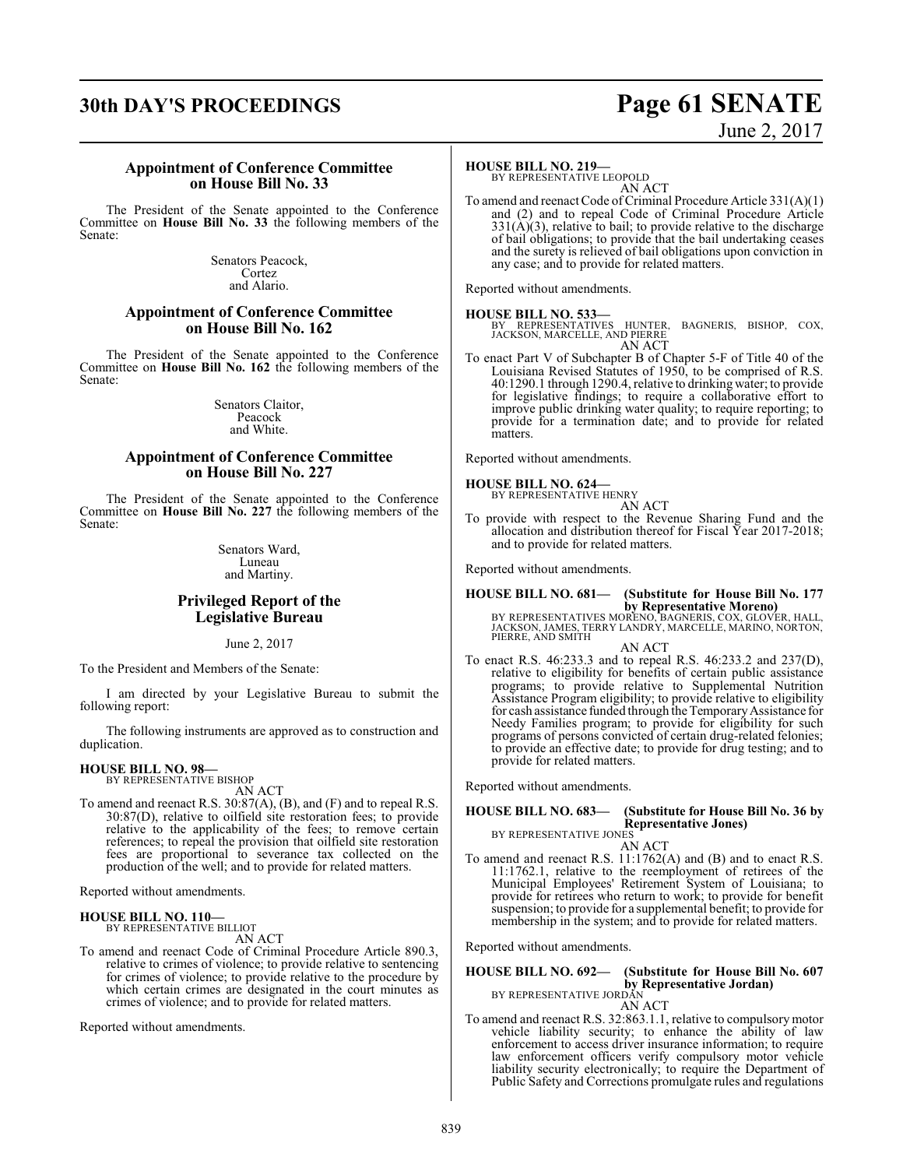# **30th DAY'S PROCEEDINGS Page 61 SENATE**

# June 2, 2017

# **Appointment of Conference Committee on House Bill No. 33**

The President of the Senate appointed to the Conference Committee on **House Bill No. 33** the following members of the Senate:

> Senators Peacock, Cortez and Alario.

# **Appointment of Conference Committee on House Bill No. 162**

The President of the Senate appointed to the Conference Committee on **House Bill No. 162** the following members of the Senate:

> Senators Claitor, Peacock and White.

# **Appointment of Conference Committee on House Bill No. 227**

The President of the Senate appointed to the Conference Committee on **House Bill No. 227** the following members of the Senate:

> Senators Ward, Luneau and Martiny.

# **Privileged Report of the Legislative Bureau**

June 2, 2017

To the President and Members of the Senate:

I am directed by your Legislative Bureau to submit the following report:

The following instruments are approved as to construction and duplication.

# **HOUSE BILL NO. 98—** BY REPRESENTATIVE BISHOP

AN ACT

To amend and reenact R.S. 30:87(A), (B), and (F) and to repeal R.S. 30:87(D), relative to oilfield site restoration fees; to provide relative to the applicability of the fees; to remove certain references; to repeal the provision that oilfield site restoration fees are proportional to severance tax collected on the production of the well; and to provide for related matters.

Reported without amendments.

# **HOUSE BILL NO. 110—** BY REPRESENTATIVE BILLIOT

AN ACT

To amend and reenact Code of Criminal Procedure Article 890.3, relative to crimes of violence; to provide relative to sentencing for crimes of violence; to provide relative to the procedure by which certain crimes are designated in the court minutes as crimes of violence; and to provide for related matters.

Reported without amendments.

# **HOUSE BILL NO. 219—**

BY REPRESENTATIVE LEOPOLD AN ACT

To amend and reenact Code of Criminal Procedure Article 331(A)(1) and (2) and to repeal Code of Criminal Procedure Article  $331(A)(3)$ , relative to bail; to provide relative to the discharge of bail obligations; to provide that the bail undertaking ceases and the surety is relieved of bail obligations upon conviction in any case; and to provide for related matters.

Reported without amendments.

**HOUSE BILL NO. 533—** BY REPRESENTATIVES HUNTER, BAGNERIS, BISHOP, COX, JACKSON, MARCELLE, AND PIERRE AN ACT

To enact Part V of Subchapter B of Chapter 5-F of Title 40 of the Louisiana Revised Statutes of 1950, to be comprised of R.S. 40:1290.1 through 1290.4, relative to drinking water; to provide for legislative findings; to require a collaborative effort to improve public drinking water quality; to require reporting; to provide for a termination date; and to provide for related matters.

Reported without amendments.

**HOUSE BILL NO. 624—** BY REPRESENTATIVE HENRY

- AN ACT
- To provide with respect to the Revenue Sharing Fund and the allocation and distribution thereof for Fiscal Year 2017-2018; and to provide for related matters.

Reported without amendments.

# **HOUSE BILL NO. 681— (Substitute for House Bill No. 177 by Representative Moreno)**

BY REPRESENTATIVES MORENO, BAGNERIS, COX, GLOVER, HALL, JACKSON, JAMES, TERRY LANDRY, MARCELLE, MARINO, NORTON, PIERRE, AND SMITH AN ACT

To enact R.S. 46:233.3 and to repeal R.S. 46:233.2 and 237(D), relative to eligibility for benefits of certain public assistance programs; to provide relative to Supplemental Nutrition Assistance Program eligibility; to provide relative to eligibility for cash assistance funded through the Temporary Assistance for Needy Families program; to provide for eligibility for such programs of persons convicted of certain drug-related felonies; to provide an effective date; to provide for drug testing; and to provide for related matters.

Reported without amendments.

#### **HOUSE BILL NO. 683— (Substitute for House Bill No. 36 by Representative Jones)** BY REPRESENTATIVE JONES

AN ACT

To amend and reenact R.S. 11:1762(A) and (B) and to enact R.S. 11:1762.1, relative to the reemployment of retirees of the Municipal Employees' Retirement System of Louisiana; to provide for retirees who return to work; to provide for benefit suspension; to provide for a supplemental benefit; to provide for membership in the system; and to provide for related matters.

Reported without amendments.

**HOUSE BILL NO. 692— (Substitute for House Bill No. 607 by Representative Jordan)**<br>BY REPRESENTATIVE JORDAN<br>AN ACT

To amend and reenact R.S. 32:863.1.1, relative to compulsory motor vehicle liability security; to enhance the ability of law enforcement to access driver insurance information; to require law enforcement officers verify compulsory motor vehicle liability security electronically; to require the Department of Public Safety and Corrections promulgate rules and regulations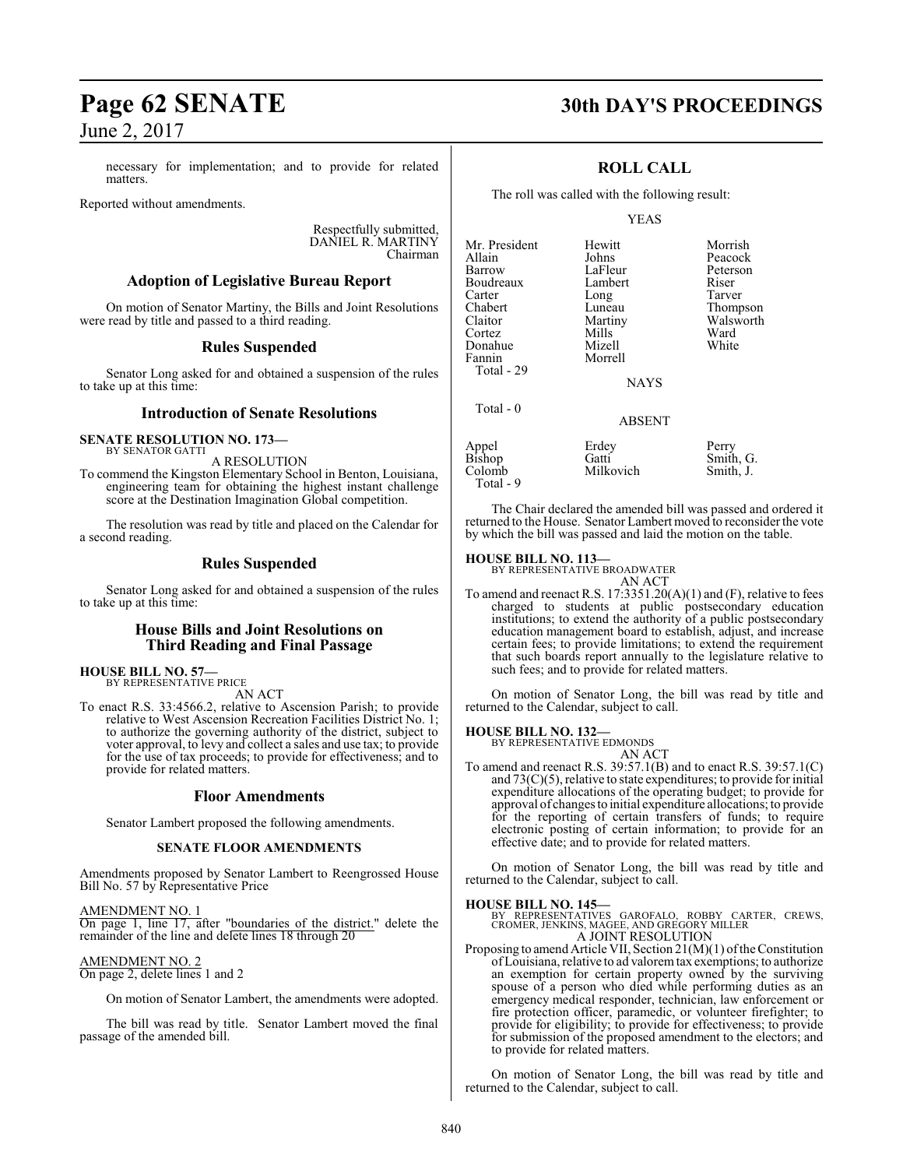necessary for implementation; and to provide for related matters.

Reported without amendments.

Respectfully submitted, DANIEL R. MARTINY Chairman

# **Adoption of Legislative Bureau Report**

On motion of Senator Martiny, the Bills and Joint Resolutions were read by title and passed to a third reading.

# **Rules Suspended**

Senator Long asked for and obtained a suspension of the rules to take up at this time:

# **Introduction of Senate Resolutions**

**SENATE RESOLUTION NO. 173—**

BY SENATOR GATTI A RESOLUTION

To commend the Kingston Elementary School in Benton, Louisiana, engineering team for obtaining the highest instant challenge score at the Destination Imagination Global competition.

The resolution was read by title and placed on the Calendar for a second reading.

# **Rules Suspended**

Senator Long asked for and obtained a suspension of the rules to take up at this time:

# **House Bills and Joint Resolutions on Third Reading and Final Passage**

**HOUSE BILL NO. 57—**

BY REPRESENTATIVE PRICE AN ACT

To enact R.S. 33:4566.2, relative to Ascension Parish; to provide relative to West Ascension Recreation Facilities District No. 1; to authorize the governing authority of the district, subject to voter approval, to levy and collect a sales and use tax; to provide for the use of tax proceeds; to provide for effectiveness; and to provide for related matters.

# **Floor Amendments**

Senator Lambert proposed the following amendments.

# **SENATE FLOOR AMENDMENTS**

Amendments proposed by Senator Lambert to Reengrossed House Bill No. 57 by Representative Price

AMENDMENT NO. 1 On page 1, line 17, after "boundaries of the district." delete the remainder of the line and delete lines 18 through 20

## AMENDMENT NO. 2 On page 2, delete lines 1 and 2

On motion of Senator Lambert, the amendments were adopted.

The bill was read by title. Senator Lambert moved the final passage of the amended bill.

# **Page 62 SENATE 30th DAY'S PROCEEDINGS**

# **ROLL CALL**

The roll was called with the following result:

YEAS

**Johns** Peacock<br>
LaFleur Peterson

Martiny Walsworth<br>
Mills Ward

Mr. President Hewitt Morrish<br>Allain Johns Peacock Barrow LaFleur Peterson<br>Boudreaux Lambert Riser Boudreaux Lambert Riser<br>Carter Long Tarver Carter Long<br>Chabert Luneau Chabert Luneau Thompson<br>Claitor Martiny Walsworth Cortez Mills Ward Donahue<br>Fannin Total - 29

 $Total = 0$ 

| 1 vuu           | <b>ABSENT</b> |           |
|-----------------|---------------|-----------|
| Appel<br>Bishop | Erdey         | Perry     |
| Colomb          | Gatti         | Smith, G. |
| Total - 9       | Milkovich     | Smith, J. |

Morrell

The Chair declared the amended bill was passed and ordered it returned to the House. Senator Lambert moved to reconsider the vote by which the bill was passed and laid the motion on the table.

**NAYS** 

# **HOUSE BILL NO. 113—**

BY REPRESENTATIVE BROADWATER AN ACT

To amend and reenact R.S. 17:3351.20(A)(1) and (F), relative to fees charged to students at public postsecondary education institutions; to extend the authority of a public postsecondary education management board to establish, adjust, and increase certain fees; to provide limitations; to extend the requirement that such boards report annually to the legislature relative to such fees; and to provide for related matters.

On motion of Senator Long, the bill was read by title and returned to the Calendar, subject to call.

**HOUSE BILL NO. 132—**

BY REPRESENTATIVE EDMONDS

AN ACT To amend and reenact R.S. 39:57.1(B) and to enact R.S. 39:57.1(C) and  $73(C)(5)$ , relative to state expenditures; to provide for initial expenditure allocations of the operating budget; to provide for approval of changes to initial expenditure allocations; to provide for the reporting of certain transfers of funds; to require electronic posting of certain information; to provide for an effective date; and to provide for related matters.

On motion of Senator Long, the bill was read by title and returned to the Calendar, subject to call.

**HOUSE BILL NO. 145—** BY REPRESENTATIVES GAROFALO, ROBBY CARTER, CREWS, CROMER, JENKINS, MAGEE, AND GREGORY MILLER A JOINT RESOLUTION

Proposing to amend Article VII, Section  $21(M)(1)$  of the Constitution ofLouisiana, relative to ad valoremtax exemptions; to authorize an exemption for certain property owned by the surviving spouse of a person who died while performing duties as an emergency medical responder, technician, law enforcement or fire protection officer, paramedic, or volunteer firefighter; to provide for eligibility; to provide for effectiveness; to provide for submission of the proposed amendment to the electors; and to provide for related matters.

On motion of Senator Long, the bill was read by title and returned to the Calendar, subject to call.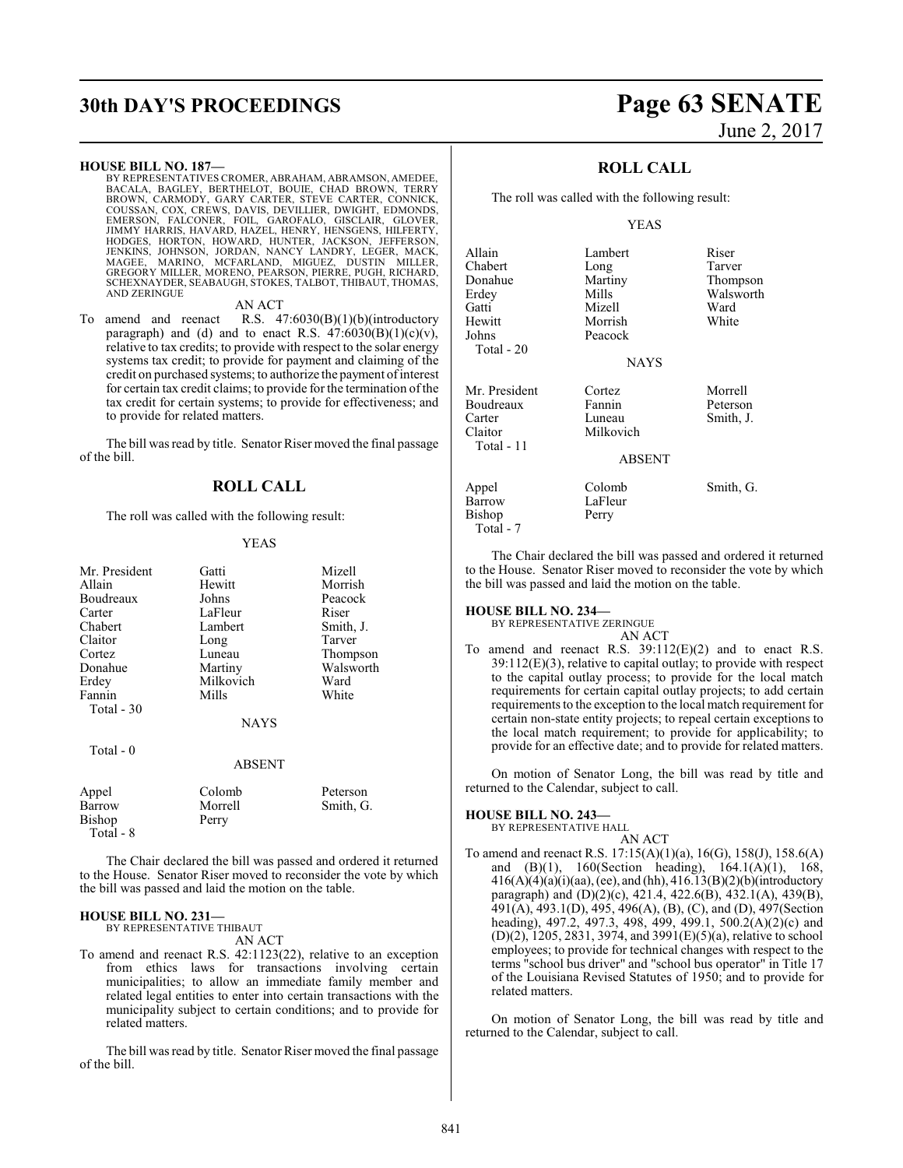# **30th DAY'S PROCEEDINGS Page 63 SENATE**

## **HOUSE BILL NO. 187—**

BY REPRESENTATIVES CROMER, ABRAHAM, ABRAMSON, AMEDEE, BACALA, BAGLEY, BERTHELOT, BOUIE, CHAD BROWN, TERRY<br>BROWN, CARMODY, GARY CARTER, STEVE CARTER, CONNICK,<br>COUSSAN, COX, CREWS, DAVIS, DEVILLIER, DWIGHT, EDMONDS,<br>EMERSON, FALCONER, FOIL, GAROFALO, GISCLAIR, GLOVER,<br>JIMMY HAR SCHEXNAYDER, SEABAUGH, STOKES, TALBOT, THIBAUT, THOMAS, AND ZERINGUE

## AN ACT

To amend and reenact R.S. 47:6030(B)(1)(b)(introductory paragraph) and (d) and to enact R.S.  $47:6030(B)(1)(c)(v)$ , relative to tax credits; to provide with respect to the solar energy systems tax credit; to provide for payment and claiming of the credit on purchased systems; to authorize the payment ofinterest for certain tax credit claims; to provide for the termination of the tax credit for certain systems; to provide for effectiveness; and to provide for related matters.

The bill was read by title. Senator Riser moved the final passage of the bill.

# **ROLL CALL**

The roll was called with the following result:

## YEAS

| Mr. President | Gatti       | Mizell    |
|---------------|-------------|-----------|
| Allain        | Hewitt      | Morrish   |
| Boudreaux     | Johns       | Peacock   |
| Carter        | LaFleur     | Riser     |
| Chabert       | Lambert     | Smith, J. |
| Claitor       | Long        | Tarver    |
| Cortez        | Luneau      | Thompson  |
| Donahue       | Martiny     | Walsworth |
| Erdey         | Milkovich   | Ward      |
| Fannin        | Mills       | White     |
| Total - 30    |             |           |
|               | <b>NAYS</b> |           |
| Total - 0     |             |           |

## ABSENT

| Appel     | Colomb  | Peterson  |
|-----------|---------|-----------|
| Barrow    | Morrell | Smith, G. |
| Bishop    | Perry   |           |
| Total - 8 |         |           |

The Chair declared the bill was passed and ordered it returned to the House. Senator Riser moved to reconsider the vote by which the bill was passed and laid the motion on the table.

# **HOUSE BILL NO. 231—**

BY REPRESENTATIVE THIBAUT AN ACT

To amend and reenact R.S. 42:1123(22), relative to an exception from ethics laws for transactions involving certain municipalities; to allow an immediate family member and related legal entities to enter into certain transactions with the municipality subject to certain conditions; and to provide for related matters.

The bill was read by title. Senator Riser moved the final passage of the bill.

# June 2, 2017

# **ROLL CALL**

The roll was called with the following result:

# YEAS

| Allain        | Lambert       | Riser     |
|---------------|---------------|-----------|
| Chabert       | Long          | Tarver    |
| Donahue       | Martiny       | Thompson  |
| Erdev         | Mills         | Walsworth |
| Gatti         | Mizell        | Ward      |
| Hewitt        | Morrish       | White     |
| Johns         | Peacock       |           |
| Total - 20    |               |           |
|               | <b>NAYS</b>   |           |
| Mr. President | Cortez        | Morrell   |
| Boudreaux     | Fannin        | Peterson  |
| Carter        | Luneau        | Smith, J. |
| Claitor       | Milkovich     |           |
| Total - 11    |               |           |
|               | <b>ABSENT</b> |           |
| Appel         | Colomb        | Smith, G. |
| Barrow        | LaFleur       |           |
| Bishop        | Perry         |           |
| Total - 7     |               |           |

The Chair declared the bill was passed and ordered it returned to the House. Senator Riser moved to reconsider the vote by which the bill was passed and laid the motion on the table.

#### **HOUSE BILL NO. 234—**

BY REPRESENTATIVE ZERINGUE AN ACT

To amend and reenact R.S. 39:112(E)(2) and to enact R.S. 39:112(E)(3), relative to capital outlay; to provide with respect to the capital outlay process; to provide for the local match requirements for certain capital outlay projects; to add certain requirements to the exception to the local match requirement for certain non-state entity projects; to repeal certain exceptions to the local match requirement; to provide for applicability; to provide for an effective date; and to provide for related matters.

On motion of Senator Long, the bill was read by title and returned to the Calendar, subject to call.

# **HOUSE BILL NO. 243—**

BY REPRESENTATIVE HALL AN ACT

To amend and reenact R.S. 17:15(A)(1)(a), 16(G), 158(J), 158.6(A) and (B)(1), 160(Section heading), 164.1(A)(1), 168, 416(A)(4)(a)(i)(aa), (ee), and (hh), 416.13(B)(2)(b)(introductory paragraph) and (D)(2)(c), 421.4, 422.6(B), 432.1(A), 439(B), 491(A), 493.1(D), 495, 496(A), (B), (C), and (D), 497(Section heading), 497.2, 497.3, 498, 499, 499.1, 500.2(A)(2)(c) and (D)(2), 1205, 2831, 3974, and 3991(E)(5)(a), relative to school employees; to provide for technical changes with respect to the terms "school bus driver" and "school bus operator" in Title 17 of the Louisiana Revised Statutes of 1950; and to provide for related matters.

On motion of Senator Long, the bill was read by title and returned to the Calendar, subject to call.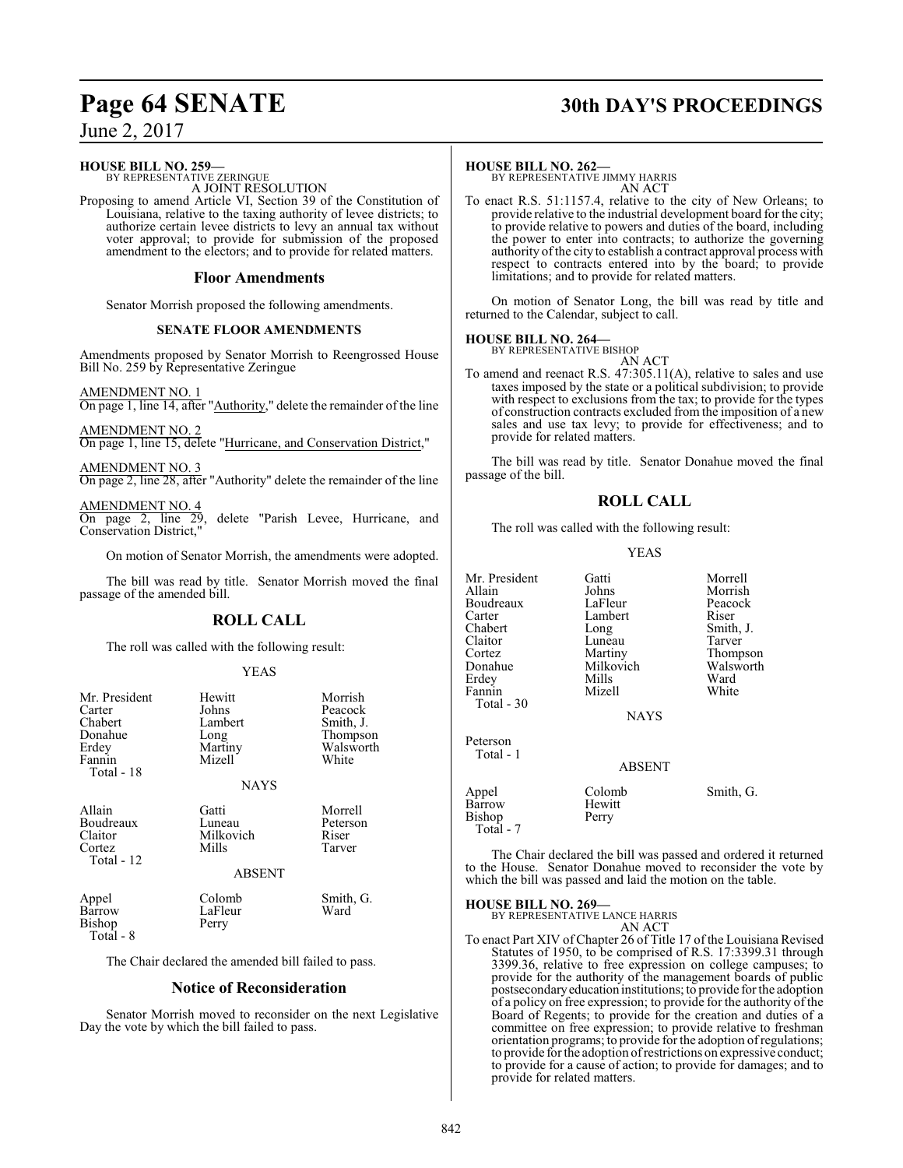# **Page 64 SENATE 30th DAY'S PROCEEDINGS**

June 2, 2017

**HOUSE BILL NO. 259—**

BY REPRESENTATIVE ZERINGUE A JOINT RESOLUTION

Proposing to amend Article VI, Section 39 of the Constitution of Louisiana, relative to the taxing authority of levee districts; to authorize certain levee districts to levy an annual tax without voter approval; to provide for submission of the proposed amendment to the electors; and to provide for related matters.

# **Floor Amendments**

Senator Morrish proposed the following amendments.

# **SENATE FLOOR AMENDMENTS**

Amendments proposed by Senator Morrish to Reengrossed House Bill No. 259 by Representative Zeringue

AMENDMENT NO. 1 On page 1, line 14, after "Authority," delete the remainder of the line

AMENDMENT NO. 2 On page 1, line 15, delete "Hurricane, and Conservation District,"

AMENDMENT NO. 3 On page 2, line 28, after "Authority" delete the remainder of the line

AMENDMENT NO. 4 On page 2, line 29, delete "Parish Levee, Hurricane, and Conservation District,"

On motion of Senator Morrish, the amendments were adopted.

The bill was read by title. Senator Morrish moved the final passage of the amended bill.

# **ROLL CALL**

The roll was called with the following result:

# YEAS

| Mr. President<br>Carter<br>Chabert<br>Donahue<br>Erdey<br>Fannin<br>Total - 18 | Hewitt<br>Johns<br>Lambert<br>Long<br>Martiny<br>Mizell<br><b>NAYS</b> | Morrish<br>Peacock<br>Smith, J.<br>Thompson<br>Walsworth<br>White |
|--------------------------------------------------------------------------------|------------------------------------------------------------------------|-------------------------------------------------------------------|
| Allain<br>Boudreaux<br>Claitor<br>Cortez<br>Total - 12                         | Gatti<br>Luneau<br>Milkovich<br>Mills<br><b>ABSENT</b>                 | Morrell<br>Peterson<br>Riser<br>Tarver                            |
| Appel<br>Barrow<br>Bishop<br>Total - 8                                         | Colomb<br>LaFleur<br>Perry                                             | Smith, G.<br>Ward                                                 |

The Chair declared the amended bill failed to pass.

# **Notice of Reconsideration**

Senator Morrish moved to reconsider on the next Legislative Day the vote by which the bill failed to pass.

# **HOUSE BILL NO. 262—**

BY REPRESENTATIVE JIMMY HARRIS AN ACT

To enact R.S. 51:1157.4, relative to the city of New Orleans; to provide relative to the industrial development board for the city; to provide relative to powers and duties of the board, including the power to enter into contracts; to authorize the governing authority of the city to establish a contract approval process with respect to contracts entered into by the board; to provide limitations; and to provide for related matters.

On motion of Senator Long, the bill was read by title and returned to the Calendar, subject to call.

# **HOUSE BILL NO. 264—**

BY REPRESENTATIVE BISHOP AN ACT

To amend and reenact R.S. 47:305.11(A), relative to sales and use taxes imposed by the state or a political subdivision; to provide with respect to exclusions from the tax; to provide for the types of construction contracts excluded from the imposition of a new sales and use tax levy; to provide for effectiveness; and to provide for related matters.

The bill was read by title. Senator Donahue moved the final passage of the bill.

# **ROLL CALL**

The roll was called with the following result:

# YEAS

| Mr. President<br>Allain<br>Boudreaux<br>Carter<br>Chabert<br>Claitor<br>Cortez<br>Donahue<br>Erdey<br>Fannin<br>Total - 30 | Gatti<br>Johns<br>LaFleur<br>Lambert<br>Long<br>Luneau<br>Martiny<br>Milkovich<br>Mills<br>Mizell | Morrell<br>Morrish<br>Peacock<br>Riser<br>Smith, J.<br>Tarver<br>Thompson<br>Walsworth<br>Ward<br>White |
|----------------------------------------------------------------------------------------------------------------------------|---------------------------------------------------------------------------------------------------|---------------------------------------------------------------------------------------------------------|
|                                                                                                                            | <b>NAYS</b>                                                                                       |                                                                                                         |
| Peterson<br>Total - 1                                                                                                      | ABSENT                                                                                            |                                                                                                         |
| Appel<br>Barrow<br>Bishop<br>Total - 7                                                                                     | Colomb<br>Hewitt<br>Perry                                                                         | Smith, G.                                                                                               |

The Chair declared the bill was passed and ordered it returned to the House. Senator Donahue moved to reconsider the vote by which the bill was passed and laid the motion on the table.

**HOUSE BILL NO. 269—** BY REPRESENTATIVE LANCE HARRIS

AN ACT

To enact Part XIV of Chapter 26 of Title 17 of the Louisiana Revised Statutes of 1950, to be comprised of R.S. 17:3399.31 through 3399.36, relative to free expression on college campuses; to provide for the authority of the management boards of public postsecondaryeducation institutions; to provide for the adoption of a policy on free expression; to provide for the authority of the Board of Regents; to provide for the creation and duties of a committee on free expression; to provide relative to freshman orientation programs; to provide for the adoption ofregulations; to provide for the adoption ofrestrictions on expressive conduct; to provide for a cause of action; to provide for damages; and to provide for related matters.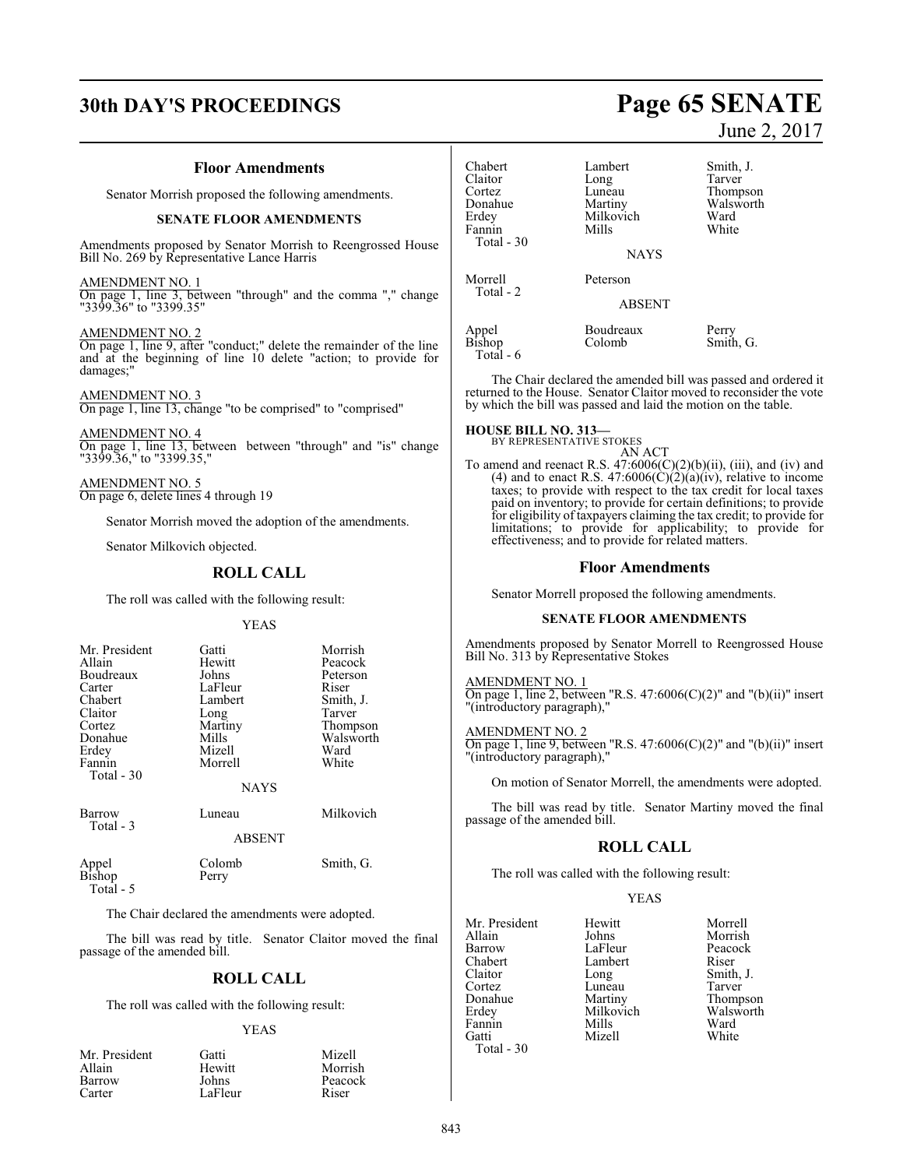# **30th DAY'S PROCEEDINGS Page 65 SENATE**

# **Floor Amendments**

Senator Morrish proposed the following amendments.

# **SENATE FLOOR AMENDMENTS**

Amendments proposed by Senator Morrish to Reengrossed House Bill No. 269 by Representative Lance Harris

AMENDMENT NO. 1 On page 1, line 3, between "through" and the comma "," change

"3399.36" to "3399.35"

AMENDMENT NO. 2 On page 1, line 9, after "conduct;" delete the remainder of the line and at the beginning of line 10 delete "action; to provide for damages;"

AMENDMENT NO. 3 On page 1, line 13, change "to be comprised" to "comprised"

AMENDMENT NO. 4 On page 1, line 13, between between "through" and "is" change "3399.36," to "3399.35,"

AMENDMENT NO. 5 On page 6, delete lines 4 through 19

Senator Morrish moved the adoption of the amendments.

Senator Milkovich objected.

# **ROLL CALL**

The roll was called with the following result:

#### YEAS

| Mr. President<br>Allain<br>Boudreaux<br>Carter<br>Chabert<br>Claitor<br>Cortez<br>Donahue<br>Erdey<br>Fannin<br>Total $-30$ | Gatti<br>Hewitt<br>Johns<br>LaFleur<br>Lambert<br>Long<br>Martiny<br>Mills<br>Mizell<br>Morrell<br><b>NAYS</b> | Morrish<br>Peacock<br>Peterson<br>Riser<br>Smith, J.<br>Tarver<br>Thompson<br>Walsworth<br>Ward<br>White |
|-----------------------------------------------------------------------------------------------------------------------------|----------------------------------------------------------------------------------------------------------------|----------------------------------------------------------------------------------------------------------|
| Barrow<br>Total - 3                                                                                                         | Luneau<br><b>ABSENT</b>                                                                                        | Milkovich                                                                                                |
| Appel<br>Bishop                                                                                                             | Colomb<br>Perry                                                                                                | Smith, G.                                                                                                |

Total - 5

The Chair declared the amendments were adopted.

The bill was read by title. Senator Claitor moved the final passage of the amended bill.

# **ROLL CALL**

The roll was called with the following result:

#### YEAS

| Mr. President | Gatti   | Mizell  |
|---------------|---------|---------|
| Allain        | Hewitt  | Morrish |
| Barrow        | Johns   | Peacock |
| Carter        | LaFleur | Riser   |

# June 2, 2017

| Chabert<br>Claitor<br>Cortez<br>Donahue<br>Erdey<br>Fannin<br>Total - 30 | Lambert<br>Long<br>Luneau<br>Martiny<br>Milkovich<br>Mills<br><b>NAYS</b> | Smith, J.<br>Tarver<br>Thompson<br>Walsworth<br>Ward<br>White |
|--------------------------------------------------------------------------|---------------------------------------------------------------------------|---------------------------------------------------------------|
| Morrell                                                                  | Peterson                                                                  |                                                               |
| Total - 2                                                                | <b>ABSENT</b>                                                             |                                                               |
| Appel<br>Bishop<br>Total - 6                                             | Boudreaux<br>Colomb                                                       | Perry<br>Smith, G.                                            |

The Chair declared the amended bill was passed and ordered it returned to the House. Senator Claitor moved to reconsider the vote by which the bill was passed and laid the motion on the table.

# **HOUSE BILL NO. 313—** BY REPRESENTATIVE STOKES

AN ACT To amend and reenact R.S.  $47:6006(C)(2)(b)(ii)$ , (iii), and (iv) and (4) and to enact R.S. 47:6006( $\dot{C}$ )( $\dot{2}$ )( $\dot{a}$ )( $\dot{iv}$ ), relative to income taxes; to provide with respect to the tax credit for local taxes paid on inventory; to provide for certain definitions; to provide for eligibility of taxpayers claiming the tax credit; to provide for limitations; to provide for applicability; to provide for effectiveness; and to provide for related matters.

# **Floor Amendments**

Senator Morrell proposed the following amendments.

## **SENATE FLOOR AMENDMENTS**

Amendments proposed by Senator Morrell to Reengrossed House Bill No. 313 by Representative Stokes

### AMENDMENT NO. 1 On page 1, line 2, between "R.S.  $47:6006(C)(2)$ " and "(b)(ii)" insert "(introductory paragraph),

AMENDMENT NO. 2 On page 1, line 9, between "R.S. 47:6006(C)(2)" and "(b)(ii)" insert "(introductory paragraph),"

On motion of Senator Morrell, the amendments were adopted.

The bill was read by title. Senator Martiny moved the final passage of the amended bill.

# **ROLL CALL**

The roll was called with the following result:

# YEAS

Mr. President Hewitt Morrell<br>Allain Johns Morrish Allain Johns Morrish Chabert Lamb<br>Claitor Long Claitor Long Smith, J. Cortez Luneau<br>Donahue Martiny Donahue Martiny Thompson<br>
Erdey Milkovich Walsworth Fannin Mills Ward<br>Gatti Mizell White Mizell Total - 30

LaFleur Peacock<br>Lambert Riser Milkovich Walsworth<br>
Mills Ward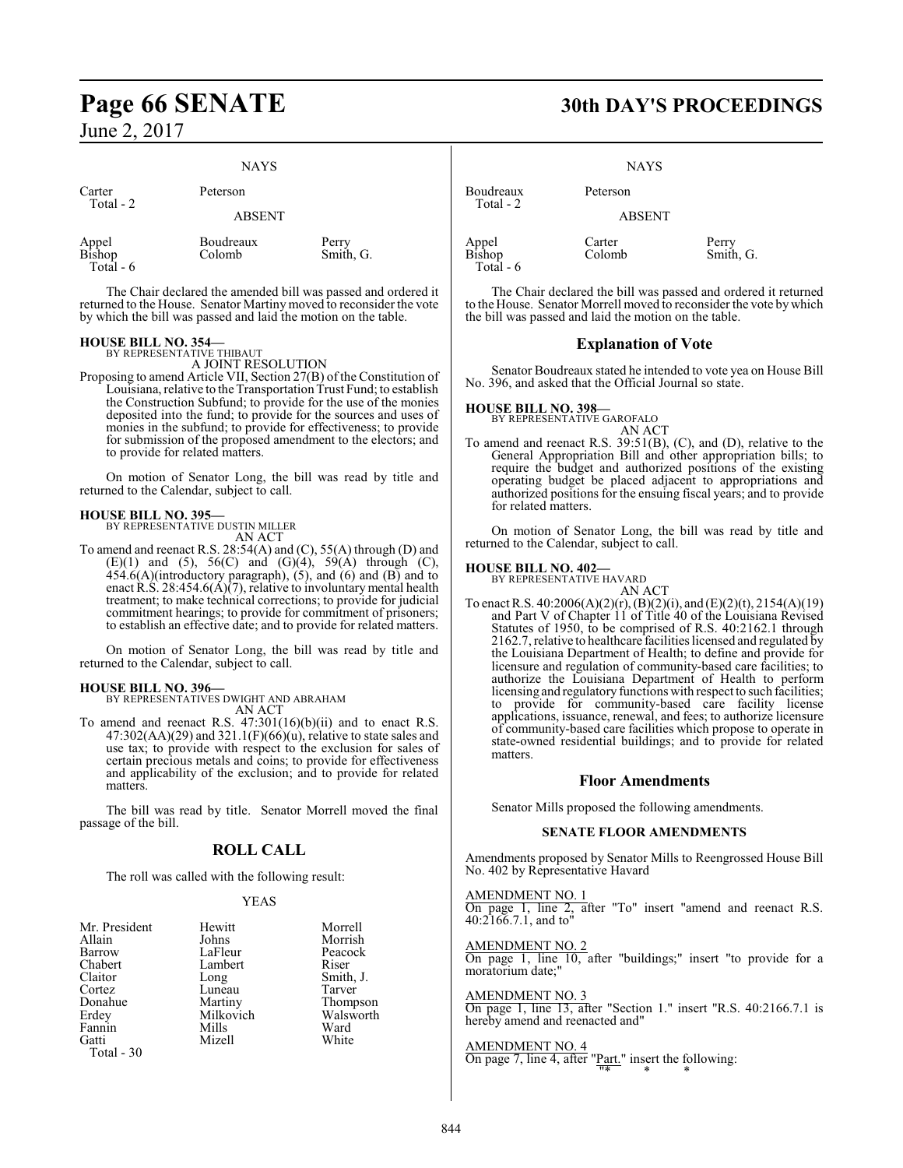# NAYS

| Carter                       | Peterson            |                    |  |
|------------------------------|---------------------|--------------------|--|
| Total - 2                    | <b>ABSENT</b>       |                    |  |
| Appel<br>Bishop<br>Total - 6 | Boudreaux<br>Colomb | Perry<br>Smith, G. |  |

The Chair declared the amended bill was passed and ordered it returned to the House. Senator Martiny moved to reconsider the vote by which the bill was passed and laid the motion on the table.

# **HOUSE BILL NO. 354—**

BY REPRESENTATIVE THIBAUT A JOINT RESOLUTION

Proposing to amend Article VII, Section 27(B) of the Constitution of Louisiana, relative to the Transportation Trust Fund; to establish the Construction Subfund; to provide for the use of the monies deposited into the fund; to provide for the sources and uses of monies in the subfund; to provide for effectiveness; to provide for submission of the proposed amendment to the electors; and to provide for related matters.

On motion of Senator Long, the bill was read by title and returned to the Calendar, subject to call.

**HOUSE BILL NO. 395—** BY REPRESENTATIVE DUSTIN MILLER AN ACT

To amend and reenact R.S. 28:54(A) and (C), 55(A) through (D) and (E)(1) and (5), 56(C) and (G)(4), 59(A) through (C),  $454.6(A)$ (introductory paragraph),  $(5)$ , and  $(6)$  and  $(B)$  and to enact R.S. 28:454.6(A)(7), relative to involuntary mental health treatment; to make technical corrections; to provide for judicial commitment hearings; to provide for commitment of prisoners; to establish an effective date; and to provide for related matters.

On motion of Senator Long, the bill was read by title and returned to the Calendar, subject to call.

# **HOUSE BILL NO. 396—**

BY REPRESENTATIVES DWIGHT AND ABRAHAM AN ACT

To amend and reenact R.S.  $47:301(16)(b)(ii)$  and to enact R.S.  $47:302(AA)(29)$  and  $321.1(F)(66)(u)$ , relative to state sales and use tax; to provide with respect to the exclusion for sales of certain precious metals and coins; to provide for effectiveness and applicability of the exclusion; and to provide for related matters.

The bill was read by title. Senator Morrell moved the final passage of the bill.

# **ROLL CALL**

The roll was called with the following result:

# YEAS

| Mr. President | Hewitt    | Morrell   |
|---------------|-----------|-----------|
| Allain        | Johns     | Morrish   |
| Barrow        | LaFleur   | Peacock   |
| Chabert       | Lambert   | Riser     |
| Claitor       | Long      | Smith, J. |
| Cortez        | Luneau    | Tarver    |
| Donahue       | Martiny   | Thompson  |
| Erdey         | Milkovich | Walsworth |
| Fannin        | Mills     | Ward      |
| Gatti         | Mizell    | White     |
| Total - 30    |           |           |

# **Page 66 SENATE 30th DAY'S PROCEEDINGS**

**NAYS** 

Boudreaux Peterson

ABSENT

Appel Carter<br>Bishop Colom

Total - 2

Total - 6

Carter Perry<br>Colomb Smith, G.

The Chair declared the bill was passed and ordered it returned to the House. Senator Morrell moved to reconsider the vote bywhich the bill was passed and laid the motion on the table.

# **Explanation of Vote**

Senator Boudreaux stated he intended to vote yea on House Bill No. 396, and asked that the Official Journal so state.

# **HOUSE BILL NO. 398—**

BY REPRESENTATIVE GAROFALO AN ACT

To amend and reenact R.S. 39:51(B), (C), and (D), relative to the General Appropriation Bill and other appropriation bills; to require the budget and authorized positions of the existing operating budget be placed adjacent to appropriations and authorized positions for the ensuing fiscal years; and to provide for related matters.

On motion of Senator Long, the bill was read by title and returned to the Calendar, subject to call.

# **HOUSE BILL NO. 402—**

BY REPRESENTATIVE HAVARD

AN ACT To enact R.S.  $40:2006(A)(2)(r)$ ,  $(B)(2)(i)$ , and  $(E)(2)(t)$ ,  $2154(A)(19)$ and Part V of Chapter 11 of Title 40 of the Louisiana Revised Statutes of 1950, to be comprised of R.S. 40:2162.1 through 2162.7, relative to healthcare facilities licensed and regulated by the Louisiana Department of Health; to define and provide for licensure and regulation of community-based care facilities; to authorize the Louisiana Department of Health to perform licensing and regulatory functions with respect to such facilities; to provide for community-based care facility license applications, issuance, renewal, and fees; to authorize licensure of community-based care facilities which propose to operate in state-owned residential buildings; and to provide for related matters.

# **Floor Amendments**

Senator Mills proposed the following amendments.

# **SENATE FLOOR AMENDMENTS**

Amendments proposed by Senator Mills to Reengrossed House Bill No. 402 by Representative Havard

AMENDMENT NO. 1 On page 1, line 2, after "To" insert "amend and reenact R.S. 40:2166.7.1, and to"

AMENDMENT NO. 2 On page 1, line 10, after "buildings;" insert "to provide for a moratorium date;"

AMENDMENT NO. 3 On page 1, line 13, after "Section 1." insert "R.S. 40:2166.7.1 is hereby amend and reenacted and"

AMENDMENT NO. 4 On page 7, line 4, after "Part." insert the following: "\* \* \*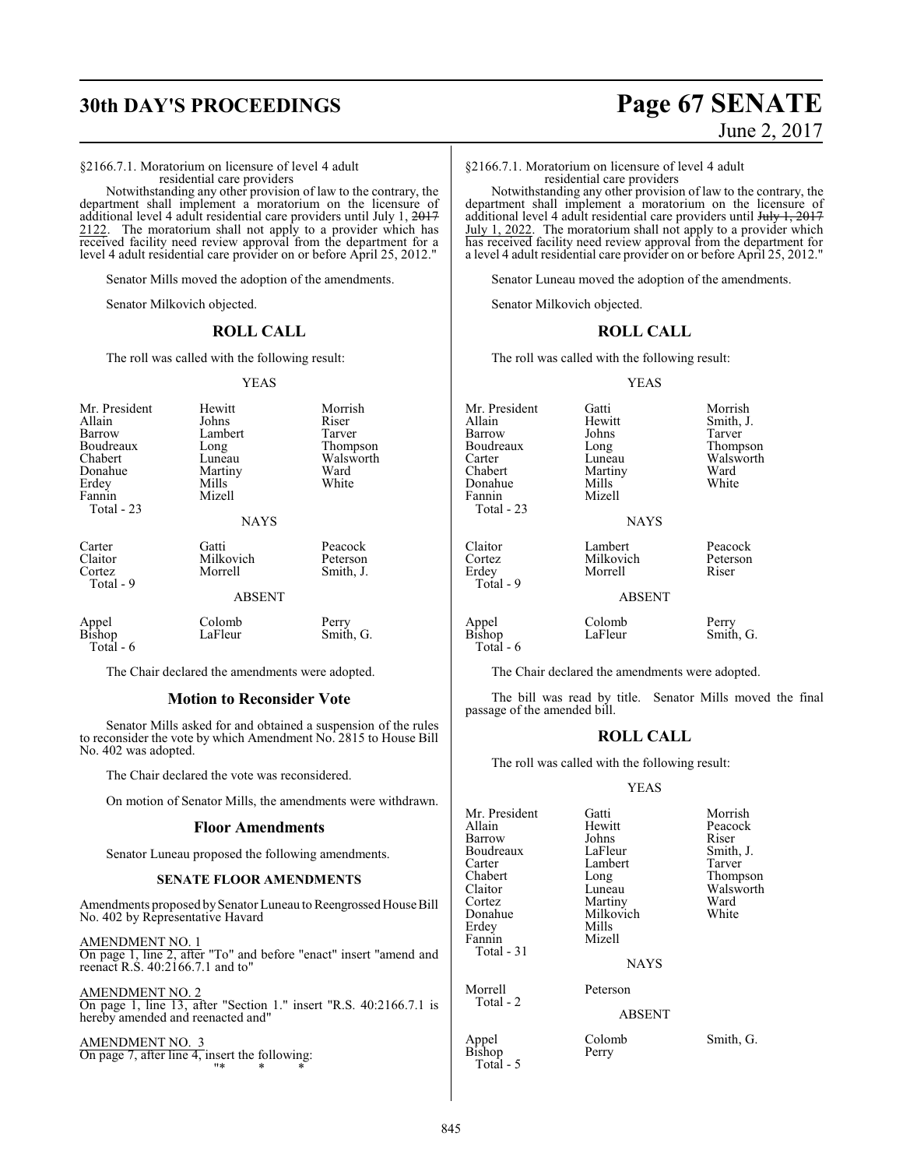§2166.7.1. Moratorium on licensure of level 4 adult residential care providers

Notwithstanding any other provision of law to the contrary, the department shall implement a moratorium on the licensure of additional level 4 adult residential care providers until July 1, <del>2017</del> 2122. The moratorium shall not apply to a provider which has received facility need review approval from the department for a level 4 adult residential care provider on or before April 25, 2012."

Senator Mills moved the adoption of the amendments.

Senator Milkovich objected.

# **ROLL CALL**

The roll was called with the following result:

#### YEAS

| Mr. President<br>Allain<br>Barrow<br>Boudreaux<br>Chabert<br>Donahue<br>Erdey<br>Fannin<br>Total - 23 | Hewitt<br>Johns<br>Lambert<br>Long<br>Luneau<br>Martiny<br>Mills<br>Mizell<br><b>NAYS</b> | Morrish<br>Riser<br>Tarver<br>Thompson<br>Walsworth<br>Ward<br>White |
|-------------------------------------------------------------------------------------------------------|-------------------------------------------------------------------------------------------|----------------------------------------------------------------------|
| Carter<br>Claitor<br>Cortez<br>Total - 9                                                              | Gatti<br>Milkovich<br>Morrell<br><b>ABSENT</b>                                            | Peacock<br>Peterson<br>Smith, J.                                     |
| Appel<br>Bishop<br>Total - 6                                                                          | Colomb<br>LaFleur                                                                         | Perry<br>Smith, G.                                                   |

The Chair declared the amendments were adopted.

# **Motion to Reconsider Vote**

Senator Mills asked for and obtained a suspension of the rules to reconsider the vote by which Amendment No. 2815 to House Bill No. 402 was adopted.

The Chair declared the vote was reconsidered.

On motion of Senator Mills, the amendments were withdrawn.

## **Floor Amendments**

Senator Luneau proposed the following amendments.

## **SENATE FLOOR AMENDMENTS**

Amendments proposed by Senator Luneau to Reengrossed House Bill No. 402 by Representative Havard

AMENDMENT NO. 1 On page 1, line 2, after "To" and before "enact" insert "amend and reenact R.S. 40:2166.7.1 and to"

AMENDMENT NO. 2 On page 1, line 13, after "Section 1." insert "R.S. 40:2166.7.1 is hereby amended and reenacted and"

AMENDMENT NO. On page 7, after line 4, insert the following: "\* \* \*

# **30th DAY'S PROCEEDINGS Page 67 SENATE** June 2, 2017

§2166.7.1. Moratorium on licensure of level 4 adult residential care providers

Notwithstanding any other provision of law to the contrary, the department shall implement a moratorium on the licensure of additional level 4 adult residential care providers until July 1, 2017 July 1, 2022. The moratorium shall not apply to a provider which has received facility need review approval from the department for a level 4 adult residential care provider on or before April 25, 2012."

Senator Luneau moved the adoption of the amendments.

Senator Milkovich objected.

# **ROLL CALL**

The roll was called with the following result:

YEAS

| Mr. President<br>Allain<br>Barrow<br>Boudreaux<br>Carter | Gatti<br>Hewitt<br>Johns<br>Long<br>Luneau       | Morrish<br>Smith, J.<br>Tarver<br>Thompson<br>Walsworth |
|----------------------------------------------------------|--------------------------------------------------|---------------------------------------------------------|
| Chabert<br>Donahue<br>Fannin<br>Total - 23               | Martiny<br>Mills<br>Mizell<br><b>NAYS</b>        | Ward<br>White                                           |
| Claitor<br>Cortez<br>Erdey<br>Total - 9                  | Lambert<br>Milkovich<br>Morrell<br><b>ABSENT</b> | Peacock<br>Peterson<br>Riser                            |
| Appel                                                    | Colomb                                           | Perry                                                   |

# **SENT**

Bishop LaFleur Smith, G. Total - 6

The Chair declared the amendments were adopted.

The bill was read by title. Senator Mills moved the final passage of the amended bill.

# **ROLL CALL**

The roll was called with the following result:

#### YEAS

| Mr. President<br>Allain<br>Barrow<br>Boudreaux<br>Carter<br>Chabert<br>Claitor<br>Cortez<br>Donahue<br>Erdey<br>Fannin<br>Total $-31$ | Gatti<br>Hewitt<br>Johns<br>LaFleur<br>Lambert<br>Long<br>Luneau<br>Martiny<br>Milkovich<br>Mills<br>Mizell<br><b>NAYS</b> | Morrish<br>Peacock<br>Riser<br>Smith, J.<br>Tarver<br>Thompson<br>Walsworth<br>Ward<br>White |
|---------------------------------------------------------------------------------------------------------------------------------------|----------------------------------------------------------------------------------------------------------------------------|----------------------------------------------------------------------------------------------|
| Morrell<br>Total - 2                                                                                                                  | Peterson<br><b>ABSENT</b>                                                                                                  |                                                                                              |
| Appel<br>Bishop                                                                                                                       | Colomb<br>Perry                                                                                                            | Smith, G.                                                                                    |

Perry

Total - 5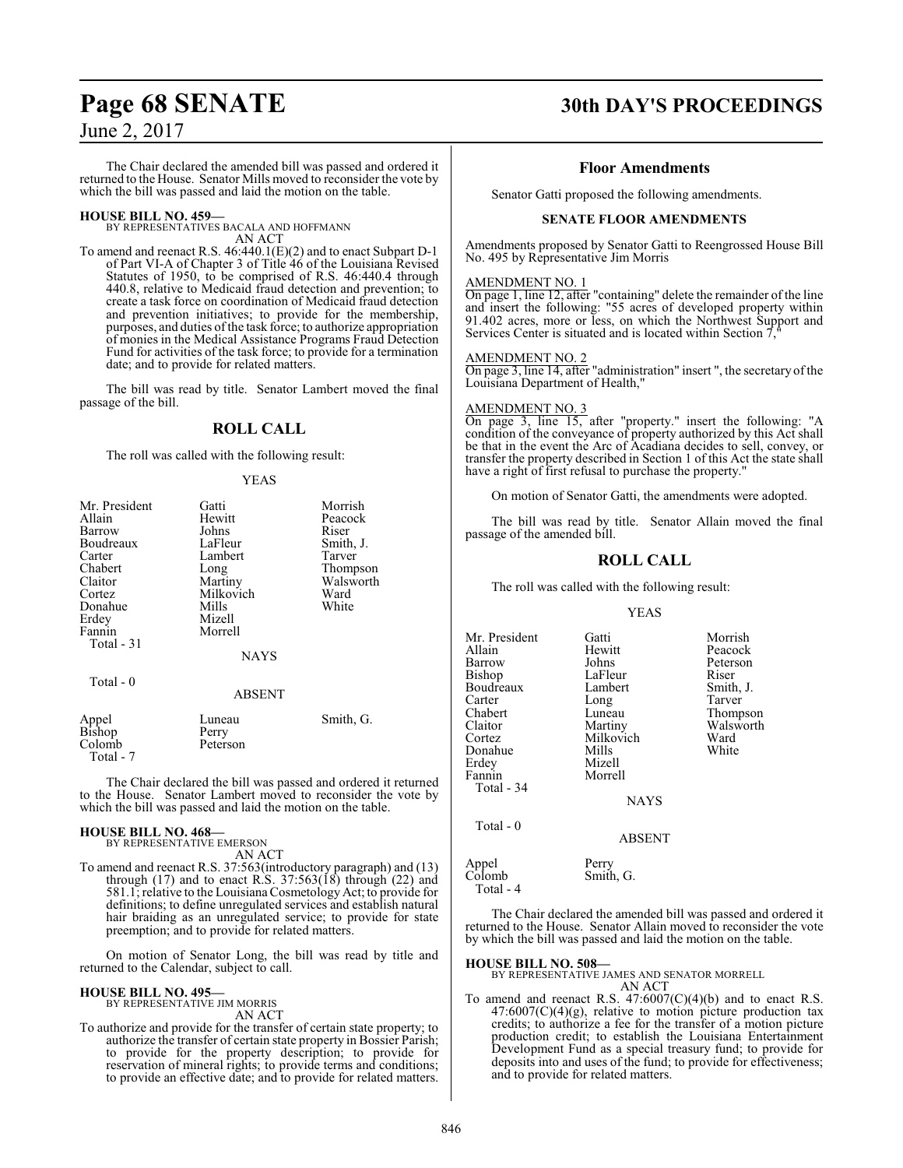The Chair declared the amended bill was passed and ordered it returned to the House. Senator Mills moved to reconsider the vote by which the bill was passed and laid the motion on the table.

# **HOUSE BILL NO. 459—**

BY REPRESENTATIVES BACALA AND HOFFMANN AN ACT

To amend and reenact R.S. 46:440.1(E)(2) and to enact Subpart D-1 of Part VI-A of Chapter 3 of Title 46 of the Louisiana Revised Statutes of 1950, to be comprised of R.S. 46:440.4 through 440.8, relative to Medicaid fraud detection and prevention; to create a task force on coordination of Medicaid fraud detection and prevention initiatives; to provide for the membership, purposes, and duties ofthe task force; to authorize appropriation of monies in the Medical Assistance Programs Fraud Detection Fund for activities of the task force; to provide for a termination date; and to provide for related matters.

The bill was read by title. Senator Lambert moved the final passage of the bill.

# **ROLL CALL**

The roll was called with the following result:

# YEAS

| Mr. President | Gatti       | Morrish   |
|---------------|-------------|-----------|
| Allain        | Hewitt      | Peacock   |
| Barrow        | Johns       | Riser     |
| Boudreaux     | LaFleur     | Smith, J. |
| Carter        | Lambert     | Tarver    |
| Chabert       | Long        | Thompson  |
| Claitor       | Martiny     | Walsworth |
| Cortez        | Milkovich   | Ward      |
| Donahue       | Mills       | White     |
| Erdey         | Mizell      |           |
| Fannin        | Morrell     |           |
| Total - 31    |             |           |
|               | <b>NAYS</b> |           |
| Total - 0     |             |           |
|               | ABSENT      |           |
| Appel         | Luneau      | Smith, G. |
| <b>Bishop</b> | Perry       |           |
| Colomb        | Peterson    |           |

 Total - 7 The Chair declared the bill was passed and ordered it returned to the House. Senator Lambert moved to reconsider the vote by

# **HOUSE BILL NO. 468—**

BY REPRESENTATIVE EMERSON AN ACT

which the bill was passed and laid the motion on the table.

To amend and reenact R.S. 37:563(introductory paragraph) and (13) through  $(17)$  and to enact R.S. 37:563 $(18)$  through  $(22)$  and 581.1; relative to the Louisiana Cosmetology Act; to provide for definitions; to define unregulated services and establish natural hair braiding as an unregulated service; to provide for state preemption; and to provide for related matters.

On motion of Senator Long, the bill was read by title and returned to the Calendar, subject to call.

# **HOUSE BILL NO. 495—**

BY REPRESENTATIVE JIM MORRIS AN ACT

To authorize and provide for the transfer of certain state property; to authorize the transfer of certain state property in Bossier Parish; to provide for the property description; to provide for reservation of mineral rights; to provide terms and conditions; to provide an effective date; and to provide for related matters.

# **Page 68 SENATE 30th DAY'S PROCEEDINGS**

# **Floor Amendments**

Senator Gatti proposed the following amendments.

# **SENATE FLOOR AMENDMENTS**

Amendments proposed by Senator Gatti to Reengrossed House Bill No. 495 by Representative Jim Morris

# AMENDMENT NO. 1

On page 1, line 12, after "containing" delete the remainder of the line and insert the following: "55 acres of developed property within 91.402 acres, more or less, on which the Northwest Support and Services Center is situated and is located within Section 7

AMENDMENT NO. 2

On page 3, line 14, after "administration" insert ", the secretary of the Louisiana Department of Health,"

# AMENDMENT NO. 3

On page 3, line 15, after "property." insert the following: "A condition of the conveyance of property authorized by this Act shall be that in the event the Arc of Acadiana decides to sell, convey, or transfer the property described in Section 1 of this Act the state shall have a right of first refusal to purchase the property.

On motion of Senator Gatti, the amendments were adopted.

The bill was read by title. Senator Allain moved the final passage of the amended bill.

# **ROLL CALL**

The roll was called with the following result:

# YEAS

| Mr. President | Gatti         | Morrish               |
|---------------|---------------|-----------------------|
| Allain        | Hewitt        | Peacock               |
| Barrow        | Johns         | Peterson              |
| Bishop        | LaFleur       | Riser                 |
| Boudreaux     | Lambert       | Smith, J.             |
| Carter        | Long          | Tarver                |
| Chabert       | Luneau        |                       |
| Claitor       |               | Thompson<br>Walsworth |
|               | Martiny       |                       |
| Cortez        | Milkovich     | Ward                  |
| Donahue       | Mills         | White                 |
| Erdey         | Mizell        |                       |
| Fannin        | Morrell       |                       |
| Total - 34    |               |                       |
|               | <b>NAYS</b>   |                       |
| Total - 0     |               |                       |
|               | <b>ABSENT</b> |                       |
| Appel         | Perry         |                       |
| Colomb        | Smith, G.     |                       |
| Total - 4     |               |                       |

The Chair declared the amended bill was passed and ordered it returned to the House. Senator Allain moved to reconsider the vote by which the bill was passed and laid the motion on the table.

# **HOUSE BILL NO. 508—**

BY REPRESENTATIVE JAMES AND SENATOR MORRELL AN ACT

To amend and reenact R.S. 47:6007(C)(4)(b) and to enact R.S.  $47:6007(C)(4)(g)$ , relative to motion picture production tax credits; to authorize a fee for the transfer of a motion picture production credit; to establish the Louisiana Entertainment Development Fund as a special treasury fund; to provide for deposits into and uses of the fund; to provide for effectiveness; and to provide for related matters.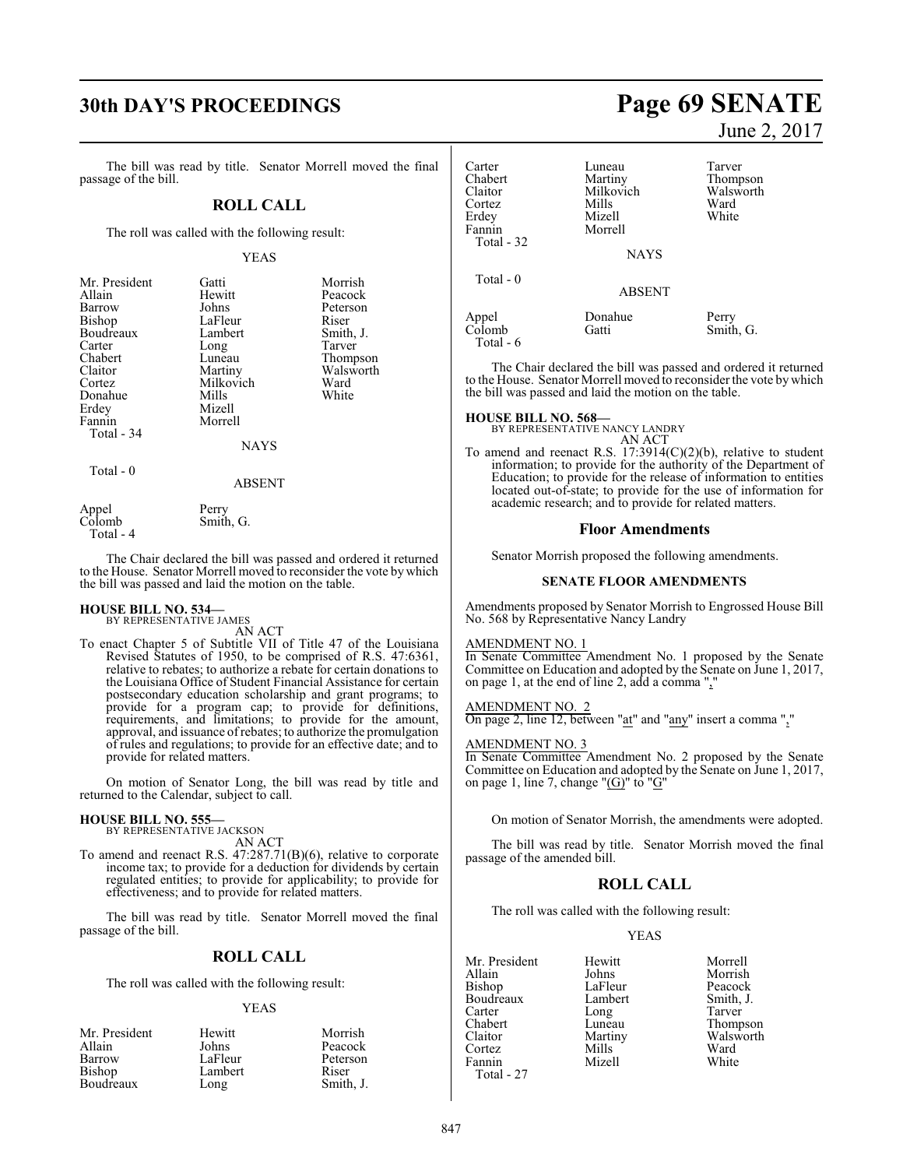# **30th DAY'S PROCEEDINGS Page 69 SENATE**

The bill was read by title. Senator Morrell moved the final passage of the bill.

# **ROLL CALL**

The roll was called with the following result:

# YEAS

| Mr. President | Gatti       | Morrish   |
|---------------|-------------|-----------|
| Allain        | Hewitt      | Peacock   |
| Barrow        | Johns       | Peterson  |
| Bishop        | LaFleur     | Riser     |
| Boudreaux     | Lambert     | Smith, J. |
| Carter        | Long        | Tarver    |
| Chabert       | Luneau      | Thompson  |
| Claitor       | Martiny     | Walsworth |
| Cortez        | Milkovich   | Ward      |
| Donahue       | Mills       | White     |
| Erdey         | Mizell      |           |
| Fannin        | Morrell     |           |
| Total - 34    |             |           |
|               | <b>NAYS</b> |           |
| Total $-0$    |             |           |
|               | ABSENT      |           |

Appel Perry<br>Colomb Smith

Total - 4

The Chair declared the bill was passed and ordered it returned to the House. Senator Morrell moved to reconsider the vote by which the bill was passed and laid the motion on the table.

# **HOUSE BILL NO. 534—** BY REPRESENTATIVE JAMES

AN ACT

Smith, G.

To enact Chapter 5 of Subtitle VII of Title 47 of the Louisiana Revised Statutes of 1950, to be comprised of R.S. 47:6361, relative to rebates; to authorize a rebate for certain donations to the Louisiana Office of Student Financial Assistance for certain postsecondary education scholarship and grant programs; to provide for a program cap; to provide for definitions, requirements, and limitations; to provide for the amount, approval, and issuance ofrebates; to authorize the promulgation of rules and regulations; to provide for an effective date; and to provide for related matters.

On motion of Senator Long, the bill was read by title and returned to the Calendar, subject to call.

# **HOUSE BILL NO. 555—** BY REPRESENTATIVE JACKSON

AN ACT

To amend and reenact R.S. 47:287.71(B)(6), relative to corporate income tax; to provide for a deduction for dividends by certain regulated entities; to provide for applicability; to provide for effectiveness; and to provide for related matters.

The bill was read by title. Senator Morrell moved the final passage of the bill.

# **ROLL CALL**

The roll was called with the following result:

## YEAS

| Mr. President | Hewitt  | Morrish   |
|---------------|---------|-----------|
| Allain        | Johns   | Peacock   |
| Barrow        | LaFleur | Peterson  |
| Bishop        | Lambert | Riser     |
| Boudreaux     | Long    | Smith, J. |

June 2, 2017

| Carter<br>Chabert<br>Claitor<br>Cortez<br>Erdey<br>Fannin<br>Total - 32 | Luneau<br>Martiny<br>Milkovich<br>Mills<br>Mizell<br>Morrell | Tarver<br>Thompson<br>Walsworth<br>Ward<br>White |
|-------------------------------------------------------------------------|--------------------------------------------------------------|--------------------------------------------------|
| Total - 0                                                               | <b>NAYS</b><br><b>ABSENT</b>                                 |                                                  |
| Appel<br>Colomb<br>Total - 6                                            | Donahue<br>Gatti                                             | Perry<br>Smith, G.                               |

The Chair declared the bill was passed and ordered it returned to the House. Senator Morrell moved to reconsider the vote by which the bill was passed and laid the motion on the table.

# **HOUSE BILL NO. 568—** BY REPRESENTATIVE NANCY LANDRY

AN ACT

To amend and reenact R.S. 17:3914(C)(2)(b), relative to student information; to provide for the authority of the Department of Education; to provide for the release of information to entities located out-of-state; to provide for the use of information for academic research; and to provide for related matters.

# **Floor Amendments**

Senator Morrish proposed the following amendments.

## **SENATE FLOOR AMENDMENTS**

Amendments proposed by Senator Morrish to Engrossed House Bill No. 568 by Representative Nancy Landry

# AMENDMENT NO. 1

In Senate Committee Amendment No. 1 proposed by the Senate Committee on Education and adopted by the Senate on June 1, 2017, on page 1, at the end of line 2, add a comma ","

## AMENDMENT NO. 2

On page 2, line 12, between "at" and "any" insert a comma ","

# AMENDMENT NO. 3

In Senate Committee Amendment No. 2 proposed by the Senate Committee on Education and adopted by the Senate on June 1, 2017, on page 1, line 7, change " $(G)$ " to " $G$ "

On motion of Senator Morrish, the amendments were adopted.

The bill was read by title. Senator Morrish moved the final passage of the amended bill.

# **ROLL CALL**

The roll was called with the following result:

# YEAS

Mr. President Hewitt Morrell Bishop LaFleur Peacock<br>Boudreaux Lambert Smith, J. Boudreaux Lamb<br>Carter Long Carter Long Tarver<br>
Chabert Luneau Thomp Chabert Luneau Thompson<br>Claitor Martiny Walsworth Claitor Martiny Walsworth<br>Cortez Mills Ward Cortez Mills Ward Fannin Mizell White Total - 27

**The Julie Search Morrish**<br>
LaFleur Peacock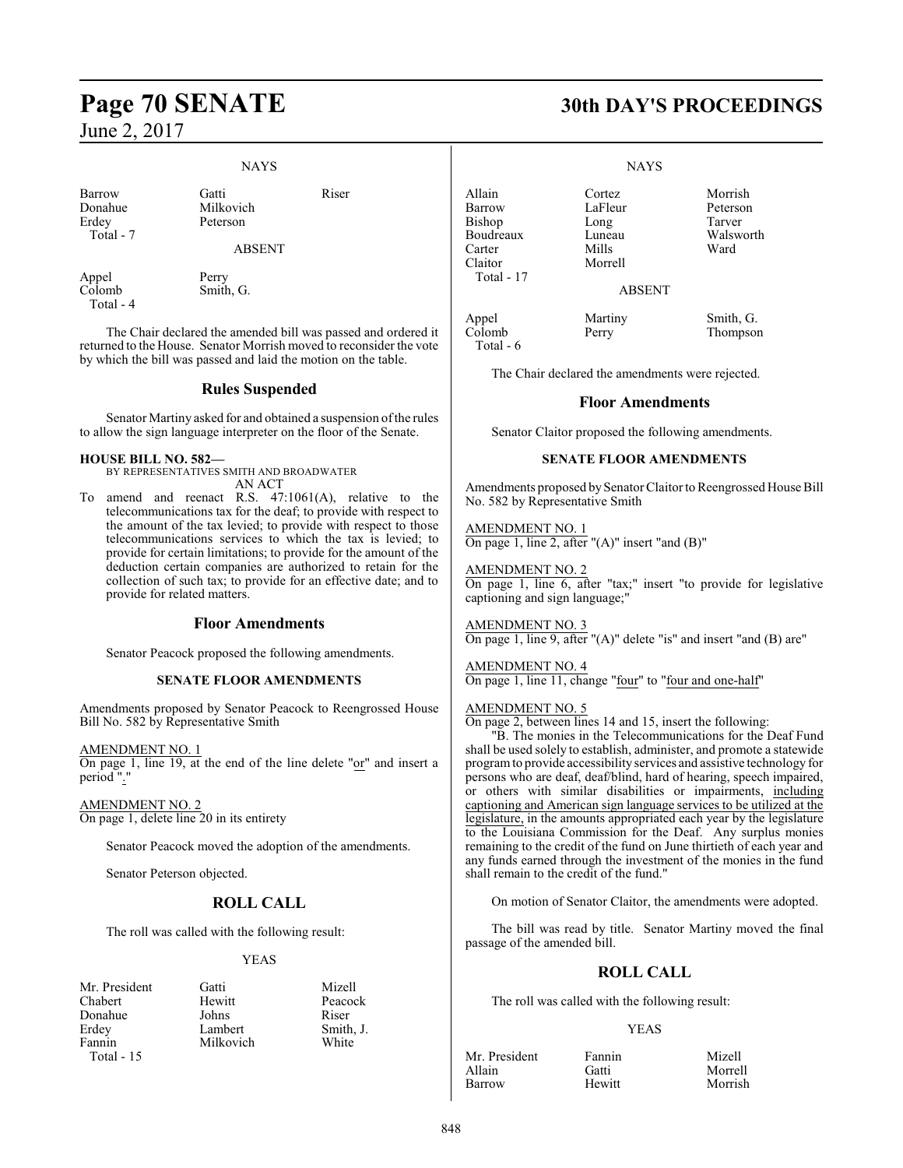# NAYS

| Barrow    | Gatti     | Riser |
|-----------|-----------|-------|
| Donahue   | Milkovich |       |
| Erdev     | Peterson  |       |
| Total - 7 |           |       |

Milkovich

ABSENT

Appel Perry<br>Colomb Smith Total - 4

Smith, G.

The Chair declared the amended bill was passed and ordered it returned to the House. Senator Morrish moved to reconsider the vote by which the bill was passed and laid the motion on the table.

# **Rules Suspended**

Senator Martiny asked for and obtained a suspension of the rules to allow the sign language interpreter on the floor of the Senate.

# **HOUSE BILL NO. 582—**

BY REPRESENTATIVES SMITH AND BROADWATER AN ACT

To amend and reenact R.S. 47:1061(A), relative to the telecommunications tax for the deaf; to provide with respect to the amount of the tax levied; to provide with respect to those telecommunications services to which the tax is levied; to provide for certain limitations; to provide for the amount of the deduction certain companies are authorized to retain for the collection of such tax; to provide for an effective date; and to provide for related matters.

# **Floor Amendments**

Senator Peacock proposed the following amendments.

# **SENATE FLOOR AMENDMENTS**

Amendments proposed by Senator Peacock to Reengrossed House Bill No. 582 by Representative Smith

AMENDMENT NO. 1 On page 1, line 19, at the end of the line delete "or" and insert a period ".."

AMENDMENT NO. 2 On page 1, delete line 20 in its entirety

Senator Peacock moved the adoption of the amendments.

Senator Peterson objected.

# **ROLL CALL**

The roll was called with the following result:

# YEAS

| Mr. President | Gatti     | Mizell |
|---------------|-----------|--------|
| Chabert       | Hewitt    | Peaco  |
| Donahue       | Johns     | Riser  |
| Erdey         | Lambert   | Smith. |
| Fannin        | Milkovich | White  |
| Total $-15$   |           |        |

Peacock<br>Riser

Smith, J.<br>White

# **Page 70 SENATE 30th DAY'S PROCEEDINGS**

## **NAYS**

Allain Cortez Morrish Bishop Long Tarver<br>Boudreaux Luneau Walsworth Boudreaux Luneau Walsworth<br>Carter Mills Ward Carter Mills Ward Claitor Morrell Total - 17

LaFleur Petersc<br>Long Tarver

ABSENT

Appel Martiny Smith, G.<br>
Colomb Perry Thompson Total - 6

Perry Thompson

The Chair declared the amendments were rejected.

# **Floor Amendments**

Senator Claitor proposed the following amendments.

# **SENATE FLOOR AMENDMENTS**

Amendments proposed by Senator Claitor to Reengrossed House Bill No. 582 by Representative Smith

AMENDMENT NO. 1 On page 1, line 2, after "(A)" insert "and (B)"

AMENDMENT NO. 2 On page 1, line 6, after "tax;" insert "to provide for legislative captioning and sign language;"

AMENDMENT NO. 3 On page 1, line 9, after "(A)" delete "is" and insert "and (B) are"

# AMENDMENT NO. 4

On page 1, line 11, change "four" to "four and one-half"

# AMENDMENT NO. 5

On page 2, between lines 14 and 15, insert the following:

"B. The monies in the Telecommunications for the Deaf Fund shall be used solely to establish, administer, and promote a statewide programto provide accessibility services and assistive technology for persons who are deaf, deaf/blind, hard of hearing, speech impaired, or others with similar disabilities or impairments, including captioning and American sign language services to be utilized at the legislature, in the amounts appropriated each year by the legislature to the Louisiana Commission for the Deaf. Any surplus monies remaining to the credit of the fund on June thirtieth of each year and any funds earned through the investment of the monies in the fund shall remain to the credit of the fund."

On motion of Senator Claitor, the amendments were adopted.

The bill was read by title. Senator Martiny moved the final passage of the amended bill.

# **ROLL CALL**

The roll was called with the following result:

# YEAS

| Mr. President | Fannin | Mizell  |
|---------------|--------|---------|
| Allain        | Gatti  | Morrell |
| Barrow        | Hewitt | Morrish |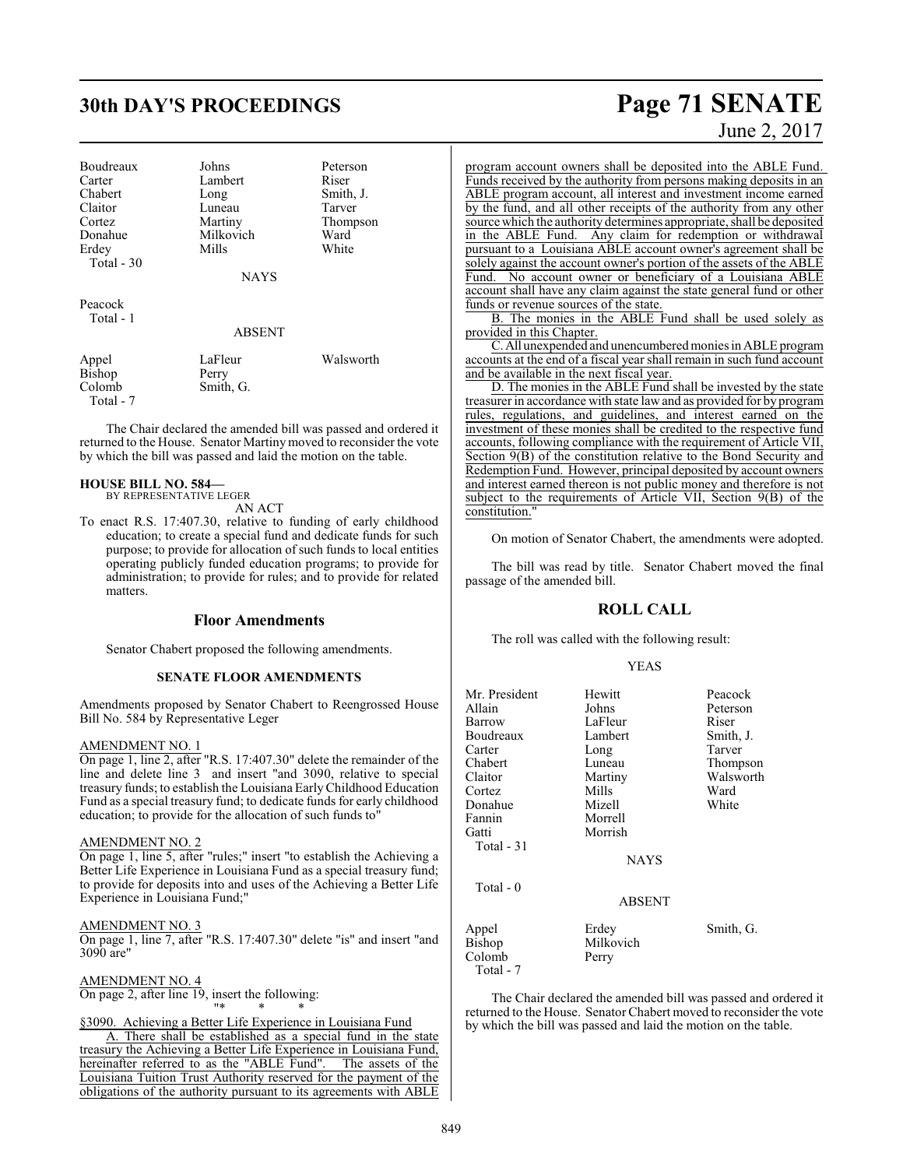# **30th DAY'S PROCEEDINGS Page 71 SENATE**

| Boudreaux  | Johns       | Peterson  |
|------------|-------------|-----------|
| Carter     | Lambert     | Riser     |
| Chabert    | Long        | Smith, J. |
| Claitor    | Luneau      | Tarver    |
| Cortez     | Martiny     | Thompson  |
| Donahue    | Milkovich   | Ward      |
| Erdey      | Mills       | White     |
| Total - 30 |             |           |
|            | <b>NAYS</b> |           |
| Peacock    |             |           |
| Total - 1  |             |           |
|            | ARSENT      |           |

| Appel     | LaFleur   | Walsworth |
|-----------|-----------|-----------|
| Bishop    | Perry     |           |
| Colomb    | Smith, G. |           |
| Total - 7 |           |           |

The Chair declared the amended bill was passed and ordered it returned to the House. Senator Martinymoved to reconsider the vote by which the bill was passed and laid the motion on the table.

# **HOUSE BILL NO. 584—**

BY REPRESENTATIVE LEGER AN ACT

To enact R.S. 17:407.30, relative to funding of early childhood education; to create a special fund and dedicate funds for such purpose; to provide for allocation of such funds to local entities operating publicly funded education programs; to provide for administration; to provide for rules; and to provide for related matters.

# **Floor Amendments**

Senator Chabert proposed the following amendments.

# **SENATE FLOOR AMENDMENTS**

Amendments proposed by Senator Chabert to Reengrossed House Bill No. 584 by Representative Leger

# AMENDMENT NO. 1

On page 1, line 2, after "R.S. 17:407.30" delete the remainder of the line and delete line 3 and insert "and 3090, relative to special treasury funds; to establish the Louisiana EarlyChildhood Education Fund as a special treasury fund; to dedicate funds for early childhood education; to provide for the allocation of such funds to"

# AMENDMENT NO. 2

On page 1, line 5, after "rules;" insert "to establish the Achieving a Better Life Experience in Louisiana Fund as a special treasury fund; to provide for deposits into and uses of the Achieving a Better Life Experience in Louisiana Fund;"

# AMENDMENT NO. 3

On page 1, line 7, after "R.S. 17:407.30" delete "is" and insert "and 3090 are"

AMENDMENT NO. 4 On page 2, after line 19, insert the following:

# "\* \* \* §3090. Achieving a Better Life Experience in Louisiana Fund

A. There shall be established as a special fund in the state treasury the Achieving a Better Life Experience in Louisiana Fund, hereinafter referred to as the "ABLE Fund". The assets of the Louisiana Tuition Trust Authority reserved for the payment of the obligations of the authority pursuant to its agreements with ABLE

# June 2, 2017

program account owners shall be deposited into the ABLE Fund. Funds received by the authority from persons making deposits in an ABLE program account, all interest and investment income earned by the fund, and all other receipts of the authority from any other source which the authority determines appropriate, shall be deposited in the ABLE Fund. Any claim for redemption or withdrawal pursuant to a Louisiana ABLE account owner's agreement shall be solely against the account owner's portion of the assets of the ABLE Fund. No account owner or beneficiary of a Louisiana ABLE account shall have any claim against the state general fund or other funds or revenue sources of the state.

B. The monies in the ABLE Fund shall be used solely as provided in this Chapter.

C.All unexpended and unencumberedmonies in ABLE program accounts at the end of a fiscal year shall remain in such fund account and be available in the next fiscal year.

D. The monies in the ABLE Fund shall be invested by the state treasurer in accordance with state lawand as provided for by program rules, regulations, and guidelines, and interest earned on the investment of these monies shall be credited to the respective fund accounts, following compliance with the requirement of Article VII, Section 9(B) of the constitution relative to the Bond Security and Redemption Fund. However, principal deposited by account owners and interest earned thereon is not public money and therefore is not subject to the requirements of Article VII, Section 9(B) of the constitution.'

On motion of Senator Chabert, the amendments were adopted.

The bill was read by title. Senator Chabert moved the final passage of the amended bill.

# **ROLL CALL**

The roll was called with the following result:

# YEAS

| Mr. President<br>Allain<br>Barrow                   | Hewitt<br>Johns<br>LaFleur                           | Peacock<br>Peterson<br>Riser                 |
|-----------------------------------------------------|------------------------------------------------------|----------------------------------------------|
| Boudreaux<br>Carter<br>Chabert<br>Claitor           | Lambert<br>Long<br>Luneau<br>Martiny                 | Smith, J.<br>Tarver<br>Thompson<br>Walsworth |
| Cortez<br>Donahue<br>Fannin<br>Gatti<br>Total $-31$ | Mills<br>Mizell<br>Morrell<br>Morrish<br><b>NAYS</b> | Ward<br>White                                |
| Total $-0$                                          | <b>ABSENT</b>                                        |                                              |
| Appel<br><b>Bishop</b><br>Colomb<br>Total - 7       | Erdey<br>Milkovich<br>Perry                          | Smith, G.                                    |

The Chair declared the amended bill was passed and ordered it returned to the House. Senator Chabert moved to reconsider the vote by which the bill was passed and laid the motion on the table.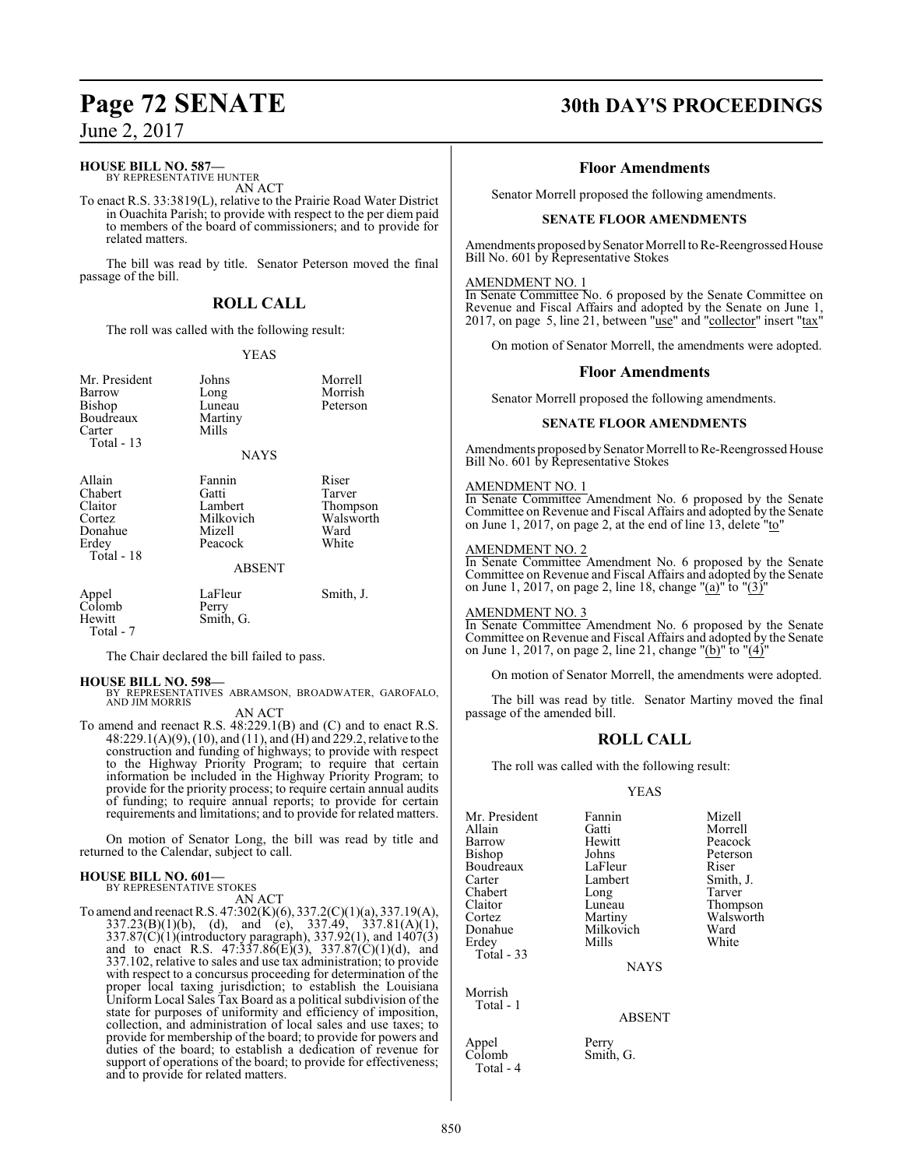# **HOUSE BILL NO. 587—**

BY REPRESENTATIVE HUNTER AN ACT

To enact R.S. 33:3819(L), relative to the Prairie Road Water District in Ouachita Parish; to provide with respect to the per diem paid to members of the board of commissioners; and to provide for related matters.

The bill was read by title. Senator Peterson moved the final passage of the bill.

# **ROLL CALL**

The roll was called with the following result:

# YEAS

| Mr. President<br>Barrow<br>Bishop<br>Boudreaux<br>Carter<br>Total $-13$  | Johns<br>Long<br>Luneau<br>Martiny<br>Mills<br><b>NAYS</b>   | Morrell<br>Morrish<br>Peterson                            |
|--------------------------------------------------------------------------|--------------------------------------------------------------|-----------------------------------------------------------|
| Allain<br>Chabert<br>Claitor<br>Cortez<br>Donahue<br>Erdey<br>Total - 18 | Fannin<br>Gatti<br>Lambert<br>Milkovich<br>Mizell<br>Peacock | Riser<br>Tarver<br>Thompson<br>Walsworth<br>Ward<br>White |

# ABSENT

| Appel<br>Colomb<br>Hewitt | LaFleur<br>Perry<br>Smith, G. | Smith, J. |
|---------------------------|-------------------------------|-----------|
| Total - 7                 |                               |           |

The Chair declared the bill failed to pass.

## **HOUSE BILL NO. 598—**

BY REPRESENTATIVES ABRAMSON, BROADWATER, GAROFALO, AND JIM MORRIS AN ACT

To amend and reenact R.S. 48:229.1(B) and (C) and to enact R.S. 48:229.1(A)(9), (10), and (11), and (H) and 229.2, relative to the construction and funding of highways; to provide with respect to the Highway Priority Program; to require that certain information be included in the Highway Priority Program; to provide for the priority process; to require certain annual audits of funding; to require annual reports; to provide for certain requirements and limitations; and to provide for related matters.

On motion of Senator Long, the bill was read by title and returned to the Calendar, subject to call.

# **HOUSE BILL NO. 601—**

BY REPRESENTATIVE STOKES AN ACT

To amend and reenact R.S. 47:302(K)(6), 337.2(C)(1)(a), 337.19(A),  $337.23(B)(1)(b)$ , (d), and (e),  $337.49$ ,  $337.81(A)(1)$ , 337.87(C)(1)(introductory paragraph), 337.92(1), and 1407(3) and to enact R.S.  $47:337.86(E)(3)$ ,  $337.87(C)(1)(d)$ , and 337.102, relative to sales and use tax administration; to provide with respect to a concursus proceeding for determination of the proper local taxing jurisdiction; to establish the Louisiana Uniform Local Sales Tax Board as a political subdivision of the state for purposes of uniformity and efficiency of imposition, collection, and administration of local sales and use taxes; to provide for membership of the board; to provide for powers and duties of the board; to establish a dedication of revenue for support of operations of the board; to provide for effectiveness; and to provide for related matters.

# **Page 72 SENATE 30th DAY'S PROCEEDINGS**

# **Floor Amendments**

Senator Morrell proposed the following amendments.

# **SENATE FLOOR AMENDMENTS**

Amendments proposed by Senator Morrell to Re-Reengrossed House Bill No. 601 by Representative Stokes

# AMENDMENT NO. 1

In Senate Committee No. 6 proposed by the Senate Committee on Revenue and Fiscal Affairs and adopted by the Senate on June 1, 2017, on page 5, line 21, between " $use$ " and "collector" insert " $tax$ "

On motion of Senator Morrell, the amendments were adopted.

# **Floor Amendments**

Senator Morrell proposed the following amendments.

# **SENATE FLOOR AMENDMENTS**

Amendments proposed by Senator Morrell to Re-Reengrossed House Bill No. 601 by Representative Stokes

# AMENDMENT NO. 1

In Senate Committee Amendment No. 6 proposed by the Senate Committee on Revenue and Fiscal Affairs and adopted by the Senate on June 1, 2017, on page 2, at the end of line 13, delete "to"

# AMENDMENT NO. 2

In Senate Committee Amendment No. 6 proposed by the Senate Committee on Revenue and Fiscal Affairs and adopted by the Senate on June 1, 2017, on page 2, line 18, change "(a)" to " $(3)$ "

## AMENDMENT NO. 3

In Senate Committee Amendment No. 6 proposed by the Senate Committee on Revenue and Fiscal Affairs and adopted by the Senate on June 1, 2017, on page 2, line 21, change "(b)" to "(4)"

On motion of Senator Morrell, the amendments were adopted.

The bill was read by title. Senator Martiny moved the final passage of the amended bill.

# **ROLL CALL**

The roll was called with the following result:

# YEAS

| Mr. President | Fannin    | Mizell    |
|---------------|-----------|-----------|
| Allain        | Gatti     | Morrell   |
| Barrow        | Hewitt    | Peacock   |
| Bishop        | Johns     | Peterson  |
| Boudreaux     | LaFleur   | Riser     |
| Carter        | Lambert   | Smith, J. |
| Chabert       | Long      | Tarver    |
| Claitor       | Luneau    | Thompson  |
| Cortez        | Martiny   | Walsworth |
| Donahue       | Milkovich | Ward      |
| Erdey         | Mills     | White     |
| $Total - 33$  |           |           |

Morrish Total - 1

Total - 4

NAYS

# ABSENT

Appel Perry<br>Colomb Smith Smith, G.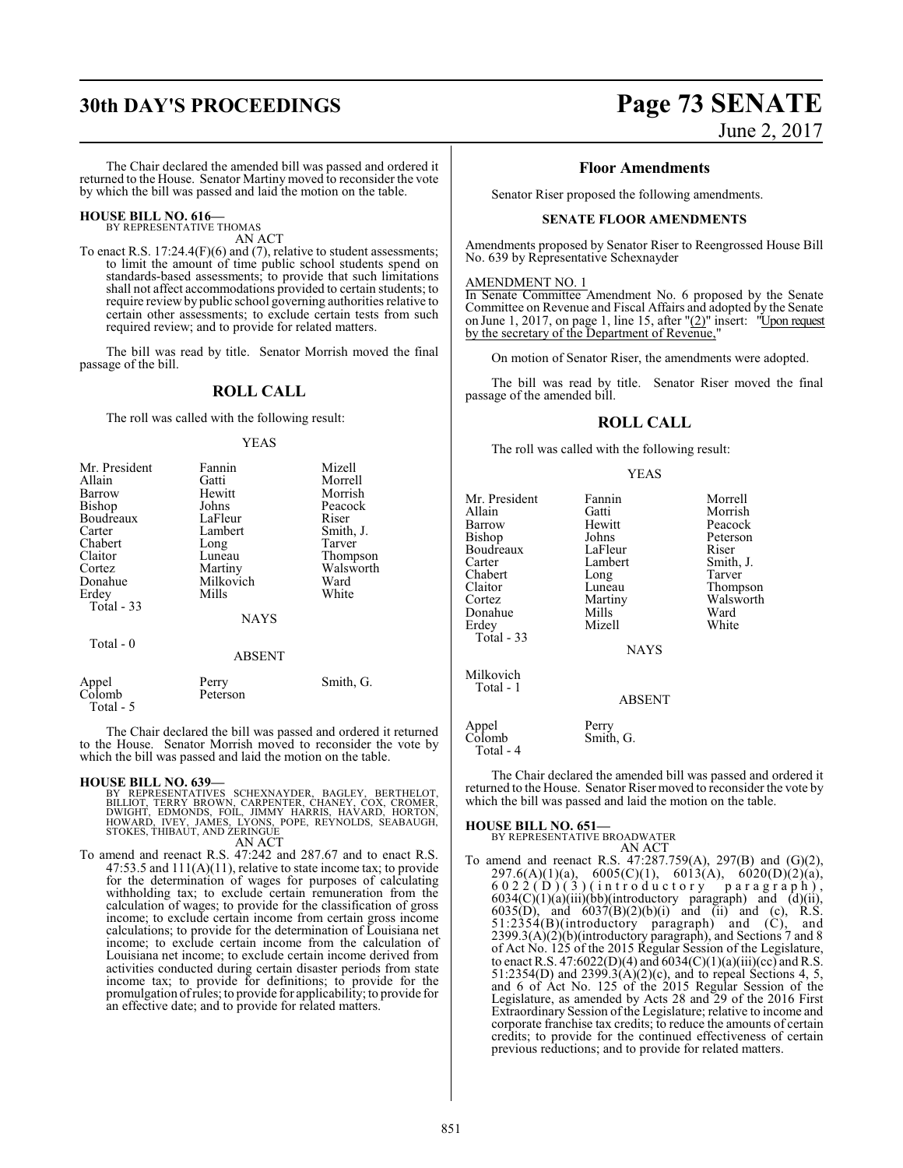# **30th DAY'S PROCEEDINGS Page 73 SENATE**

June 2, 2017

The Chair declared the amended bill was passed and ordered it returned to the House. Senator Martiny moved to reconsider the vote by which the bill was passed and laid the motion on the table.

# **HOUSE BILL NO. 616—** BY REPRESENTATIVE THOMAS

AN ACT

To enact R.S. 17:24.4(F)(6) and (7), relative to student assessments; to limit the amount of time public school students spend on standards-based assessments; to provide that such limitations shall not affect accommodations provided to certain students; to require reviewby public school governing authorities relative to certain other assessments; to exclude certain tests from such required review; and to provide for related matters.

The bill was read by title. Senator Morrish moved the final passage of the bill.

### **ROLL CALL**

The roll was called with the following result:

#### YEAS

| Mr. President | Fannin      | Mizell    |
|---------------|-------------|-----------|
| Allain        | Gatti       | Morrell   |
| Barrow        | Hewitt      | Morrish   |
| <b>Bishop</b> | Johns       | Peacock   |
| Boudreaux     | LaFleur     | Riser     |
| Carter        | Lambert     | Smith, J. |
| Chabert       | Long        | Tarver    |
| Claitor       | Luneau      | Thompson  |
| Cortez        | Martiny     | Walsworth |
| Donahue       | Milkovich   | Ward      |
| Erdey         | Mills       | White     |
| Total - 33    |             |           |
|               | <b>NAYS</b> |           |
| Total - 0     |             |           |
|               | ABSENT      |           |

| Appel<br>Colomb | Perry<br>Peterson | Smith, G. |
|-----------------|-------------------|-----------|
| Total - 5       |                   |           |

The Chair declared the bill was passed and ordered it returned to the House. Senator Morrish moved to reconsider the vote by which the bill was passed and laid the motion on the table.

#### **HOUSE BILL NO. 639—**

- BY REPRESENTATIVES SCHEXNAYDER, BAGLEY, BERTHELOT,<br>BILLIOT, TERRY BROWN, CARPENTER, CHANEY, COX, CROMER,<br>DWIGHT, EDMONDS, FOIL, JIMMY HARRIS, HAVARD, HORTON,<br>HOWARD, IVEY, JAMES, LYONS, POPE, REYNOLDS, SEABAUGH, STOKES, THIBAUT, AND ZERINGUE AN ACT
- To amend and reenact R.S. 47:242 and 287.67 and to enact R.S. 47:53.5 and 111(A)(11), relative to state income tax; to provide for the determination of wages for purposes of calculating withholding tax; to exclude certain remuneration from the calculation of wages; to provide for the classification of gross income; to exclude certain income from certain gross income calculations; to provide for the determination of Louisiana net income; to exclude certain income from the calculation of Louisiana net income; to exclude certain income derived from activities conducted during certain disaster periods from state income tax; to provide for definitions; to provide for the promulgation ofrules; to provide for applicability; to provide for an effective date; and to provide for related matters.

### **Floor Amendments**

Senator Riser proposed the following amendments.

#### **SENATE FLOOR AMENDMENTS**

Amendments proposed by Senator Riser to Reengrossed House Bill No. 639 by Representative Schexnayder

#### AMENDMENT NO. 1

In Senate Committee Amendment No. 6 proposed by the Senate Committee on Revenue and Fiscal Affairs and adopted by the Senate on June 1, 2017, on page 1, line 15, after " $(2)$ " insert: "Upon request by the secretary of the Department of Revenue,'

On motion of Senator Riser, the amendments were adopted.

The bill was read by title. Senator Riser moved the final passage of the amended bill.

### **ROLL CALL**

The roll was called with the following result:

#### YEAS

| Mr. President<br>Allain<br>Barrow<br>Bishop<br>Boudreaux<br>Carter<br>Chabert<br>Claitor<br>Cortez<br>Donahue<br>Erdev<br>Total - 33 | Fannin<br>Gatti<br>Hewitt<br>Johns<br>LaFleur<br>Lambert<br>Long<br>Luneau<br>Martiny<br>Mills<br>Mizell<br><b>NAYS</b> | Morrell<br>Morrish<br>Peacock<br>Peterson<br>Riser<br>Smith, J.<br>Tarver<br>Thompson<br>Walsworth<br>Ward<br>White |
|--------------------------------------------------------------------------------------------------------------------------------------|-------------------------------------------------------------------------------------------------------------------------|---------------------------------------------------------------------------------------------------------------------|
| Milkovich<br>Total - 1                                                                                                               | <b>ABSENT</b>                                                                                                           |                                                                                                                     |
| Appel<br>Colomb<br>Total - 4                                                                                                         | Perry<br>Smith, G.                                                                                                      |                                                                                                                     |

The Chair declared the amended bill was passed and ordered it returned to the House. Senator Riser moved to reconsider the vote by which the bill was passed and laid the motion on the table.

**HOUSE BILL NO. 651—** BY REPRESENTATIVE BROADWATER AN ACT

To amend and reenact R.S. 47:287.759(A), 297(B) and (G)(2), 297.6(A)(1)(a), 6005(C)(1), 6013(A), 6020(D)(2)(a),  $6022(D)(3)$  (introductory paragraph),  $6034(C)(1)(a)(iii)(bb)(intractory paragraph)$  and  $(d)(ii)$ , 6035(D), and  $6037(B)(2)(b)(i)$  and (ii) and (c), R.S. 51:2354(B)(introductory paragraph) and (C), and 2399.3(A)(2)(b)(introductory paragraph), and Sections 7 and 8 of Act No. 125 of the 2015 Regular Session of the Legislature, to enact R.S. 47:6022(D)(4) and 6034(C)(1)(a)(iii)(cc) and R.S. 51:2354(D) and 2399.3(A)(2)(c), and to repeal Sections 4, 5, and 6 of Act No. 125 of the 2015 Regular Session of the Legislature, as amended by Acts 28 and 29 of the 2016 First Extraordinary Session ofthe Legislature; relative to income and corporate franchise tax credits; to reduce the amounts of certain credits; to provide for the continued effectiveness of certain previous reductions; and to provide for related matters.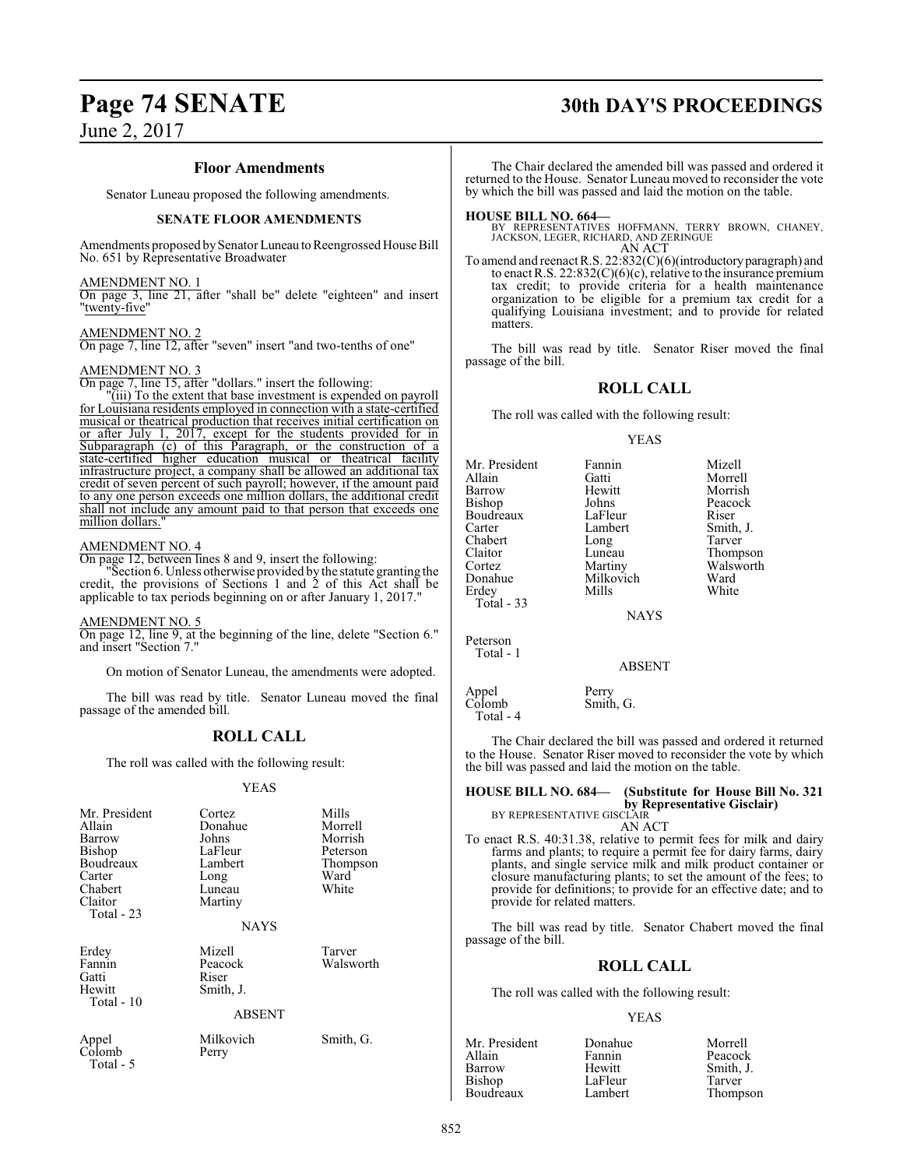# **Page 74 SENATE 30th DAY'S PROCEEDINGS**

#### **Floor Amendments**

Senator Luneau proposed the following amendments.

#### **SENATE FLOOR AMENDMENTS**

Amendments proposed by Senator Luneau to Reengrossed House Bill No. 651 by Representative Broadwater

#### AMENDMENT NO. 1

On page 3, line 21, after "shall be" delete "eighteen" and insert "twenty-five"

#### AMENDMENT NO. 2

On page 7, line 12, after "seven" insert "and two-tenths of one"

#### AMENDMENT NO. 3

On page 7, line 15, after "dollars." insert the following:

"(iii) To the extent that base investment is expended on payroll for Louisiana residents employed in connection with a state-certified musical or theatrical production that receives initial certification on or after July 1, 2017, except for the students provided for in Subparagraph (c) of this Paragraph, or the construction of a state-certified higher education musical or theatrical facility infrastructure project, a company shall be allowed an additional tax credit of seven percent of such payroll; however, if the amount paid to any one person exceeds one million dollars, the additional credit shall not include any amount paid to that person that exceeds one million dollars.

#### AMENDMENT NO. 4

On page 12, between lines 8 and 9, insert the following:

"Section 6. Unless otherwise provided by the statute granting the credit, the provisions of Sections 1 and 2 of this Act shall be applicable to tax periods beginning on or after January 1, 2017."

#### AMENDMENT NO. 5

On page 12, line 9, at the beginning of the line, delete "Section 6." and insert "Section 7."

On motion of Senator Luneau, the amendments were adopted.

The bill was read by title. Senator Luneau moved the final passage of the amended bill.

#### **ROLL CALL**

The roll was called with the following result:

#### YEAS

| Mr. President<br>Allain<br>Barrow<br>Bishop<br>Boudreaux<br>Carter<br>Chabert<br>Claitor<br>Total $-23$ | Cortez<br>Donahue<br>Johns<br>LaFleur<br>Lambert<br>Long<br>Luneau<br>Martiny<br><b>NAYS</b> | Mills<br>Morrell<br>Morrish<br>Peterson<br>Thompson<br>Ward<br>White |
|---------------------------------------------------------------------------------------------------------|----------------------------------------------------------------------------------------------|----------------------------------------------------------------------|
| Erdey<br>Fannin<br>Gatti<br>Hewitt<br>Total - 10                                                        | Mizell<br>Peacock<br>Riser<br>Smith, J.<br><b>ABSENT</b>                                     | Tarver<br>Walsworth                                                  |
| Appel<br>Colomb                                                                                         | Milkovich<br>Perry                                                                           | Smith, G.                                                            |

Total - 5

The Chair declared the amended bill was passed and ordered it returned to the House. Senator Luneau moved to reconsider the vote by which the bill was passed and laid the motion on the table.

#### **HOUSE BILL NO. 664—**

BY REPRESENTATIVES HOFFMANN, TERRY BROWN, CHANEY, JACKSON, LEGER, RICHARD, AND ZERINGUE AN ACT

To amend and reenact R.S. 22:832(C)(6)(introductoryparagraph) and to enact R.S.  $22:832(C)(6)(c)$ , relative to the insurance premium tax credit; to provide criteria for a health maintenance organization to be eligible for a premium tax credit for a qualifying Louisiana investment; and to provide for related matters.

The bill was read by title. Senator Riser moved the final passage of the bill.

#### **ROLL CALL**

The roll was called with the following result:

YEAS

| Mr. President | Fannin      | Mizell    |
|---------------|-------------|-----------|
| Allain        | Gatti       | Morrell   |
| Barrow        | Hewitt      | Morrish   |
| <b>Bishop</b> | Johns       | Peacock   |
| Boudreaux     | LaFleur     | Riser     |
| Carter        | Lambert     | Smith, J. |
| Chabert       | Long        | Tarver    |
| Claitor       | Luneau      | Thompson  |
| Cortez        | Martiny     | Walsworth |
| Donahue       | Milkovich   | Ward      |
| Erdey         | Mills       | White     |
| Total - 33    |             |           |
|               | <b>NAYS</b> |           |

Peterson Total - 1

ABSENT

Appel Perry<br>Colomb Smith Smith, G. Total - 4

The Chair declared the bill was passed and ordered it returned to the House. Senator Riser moved to reconsider the vote by which the bill was passed and laid the motion on the table.

### **HOUSE BILL NO. 684— (Substitute for House Bill No. 321 by Representative Gisclair)**<br>BY REPRESENTATIVE GISCLAIR

AN ACT

To enact R.S. 40:31.38, relative to permit fees for milk and dairy farms and plants; to require a permit fee for dairy farms, dairy plants, and single service milk and milk product container or closure manufacturing plants; to set the amount of the fees; to provide for definitions; to provide for an effective date; and to provide for related matters.

The bill was read by title. Senator Chabert moved the final passage of the bill.

### **ROLL CALL**

The roll was called with the following result:

#### YEAS

| Mr. President | Donahue | Morrell   |
|---------------|---------|-----------|
| Allain        | Fannin  | Peacock   |
| Barrow        | Hewitt  | Smith, J. |
| Bishop        | LaFleur | Tarver    |
| Boudreaux     | Lambert |           |
|               |         | Thompson  |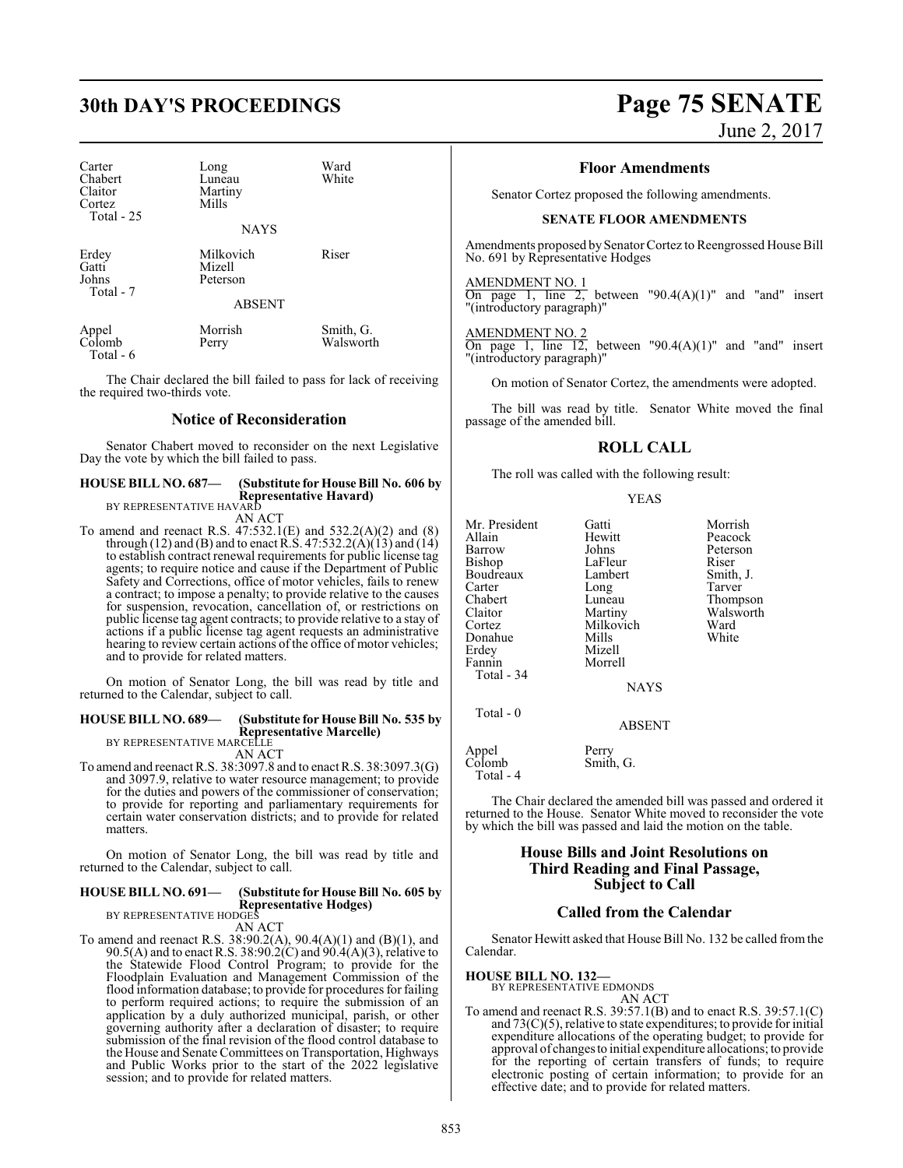# **30th DAY'S PROCEEDINGS Page 75 SENATE**

Total - 6

| Carter<br>Chabert<br>Claitor<br>Cortez<br>Total $-25$ | Long<br>Luneau<br>Martiny<br>Mills<br><b>NAYS</b> | Ward<br>White          |
|-------------------------------------------------------|---------------------------------------------------|------------------------|
| Erdey<br>Gatti<br>Johns<br>Total - 7                  | Milkovich<br>Mizell<br>Peterson<br><b>ABSENT</b>  | Riser                  |
| Appel<br>Colomb                                       | Morrish<br>Perry                                  | Smith, G.<br>Walsworth |

The Chair declared the bill failed to pass for lack of receiving the required two-thirds vote.

#### **Notice of Reconsideration**

Senator Chabert moved to reconsider on the next Legislative Day the vote by which the bill failed to pass.

#### **HOUSE BILL NO. 687— (Substitute for House Bill No. 606 by Representative Havard)** BY REPRESENTATIVE HAVARD

AN ACT

To amend and reenact R.S. 47:532.1(E) and 532.2(A)(2) and (8) through (12) and (B) and to enact R.S. 47:532.2(A)(13) and (14) to establish contract renewal requirements for public license tag agents; to require notice and cause if the Department of Public Safety and Corrections, office of motor vehicles, fails to renew a contract; to impose a penalty; to provide relative to the causes for suspension, revocation, cancellation of, or restrictions on public license tag agent contracts; to provide relative to a stay of actions if a public license tag agent requests an administrative hearing to review certain actions of the office of motor vehicles; and to provide for related matters.

On motion of Senator Long, the bill was read by title and returned to the Calendar, subject to call.

### **HOUSE BILL NO. 689— (Substitute for House Bill No. 535 by Representative Marcelle)** BY REPRESENTATIVE MARCELLE

AN ACT

To amend and reenact R.S. 38:3097.8 and to enact R.S. 38:3097.3(G) and 3097.9, relative to water resource management; to provide for the duties and powers of the commissioner of conservation; to provide for reporting and parliamentary requirements for certain water conservation districts; and to provide for related matters.

On motion of Senator Long, the bill was read by title and returned to the Calendar, subject to call.

### **HOUSE BILL NO. 691— (Substitute for House Bill No. 605 by Representative Hodges)** BY REPRESENTATIVE HODGES

AN ACT

To amend and reenact R.S. 38:90.2(A), 90.4(A)(1) and (B)(1), and 90.5(A) and to enact R.S. 38:90.2(C) and 90.4(A)(3), relative to the Statewide Flood Control Program; to provide for the Floodplain Evaluation and Management Commission of the flood information database; to provide for procedures for failing to perform required actions; to require the submission of an application by a duly authorized municipal, parish, or other governing authority after a declaration of disaster; to require submission of the final revision of the flood control database to the House and Senate Committees on Transportation, Highways and Public Works prior to the start of the 2022 legislative session; and to provide for related matters.

June 2, 2017

#### **Floor Amendments**

Senator Cortez proposed the following amendments.

#### **SENATE FLOOR AMENDMENTS**

Amendments proposed by Senator Cortez to Reengrossed House Bill No. 691 by Representative Hodges

#### AMENDMENT NO. 1

On page 1, line 2, between "90.4 $(A)(1)$ " and "and" insert "(introductory paragraph)"

#### AMENDMENT NO. 2

On page 1, line 12, between "90.4 $(A)(1)$ " and "and" insert "(introductory paragraph)"

On motion of Senator Cortez, the amendments were adopted.

The bill was read by title. Senator White moved the final passage of the amended bill.

#### **ROLL CALL**

The roll was called with the following result:

#### YEAS

| Mr. President<br>Allain<br>Barrow<br>Bishop<br>Boudreaux<br>Carter<br>Chabert<br>Claitor<br>Cortez | Gatti<br>Hewitt<br>Johns<br>LaFleur<br>Lambert<br>Long<br>Luneau<br>Martiny<br>Milkovich | Morrish<br>Peacock<br>Peterson<br>Riser<br>Smith, J.<br>Tarver<br>Thompson<br>Walsworth<br>Ward |
|----------------------------------------------------------------------------------------------------|------------------------------------------------------------------------------------------|-------------------------------------------------------------------------------------------------|
| Donahue                                                                                            | Mills                                                                                    | White                                                                                           |
| Erdey                                                                                              | Mizell                                                                                   |                                                                                                 |
| Fannin<br>Total - 34                                                                               | Morrell                                                                                  |                                                                                                 |
|                                                                                                    | <b>NAYS</b>                                                                              |                                                                                                 |
| Total - 0                                                                                          |                                                                                          |                                                                                                 |
|                                                                                                    | <b>ABSENT</b>                                                                            |                                                                                                 |
| Appel<br>Colomb                                                                                    | Perry<br>Smith, G.                                                                       |                                                                                                 |

Total - 4

The Chair declared the amended bill was passed and ordered it returned to the House. Senator White moved to reconsider the vote by which the bill was passed and laid the motion on the table.

### **House Bills and Joint Resolutions on Third Reading and Final Passage, Subject to Call**

#### **Called from the Calendar**

Senator Hewitt asked that House Bill No. 132 be called fromthe Calendar.

#### **HOUSE BILL NO. 132—**

BY REPRESENTATIVE EDMONDS AN ACT

To amend and reenact R.S. 39:57.1(B) and to enact R.S. 39:57.1(C) and  $73(C)(5)$ , relative to state expenditures; to provide for initial expenditure allocations of the operating budget; to provide for approval of changesto initial expenditure allocations; to provide for the reporting of certain transfers of funds; to require electronic posting of certain information; to provide for an effective date; and to provide for related matters.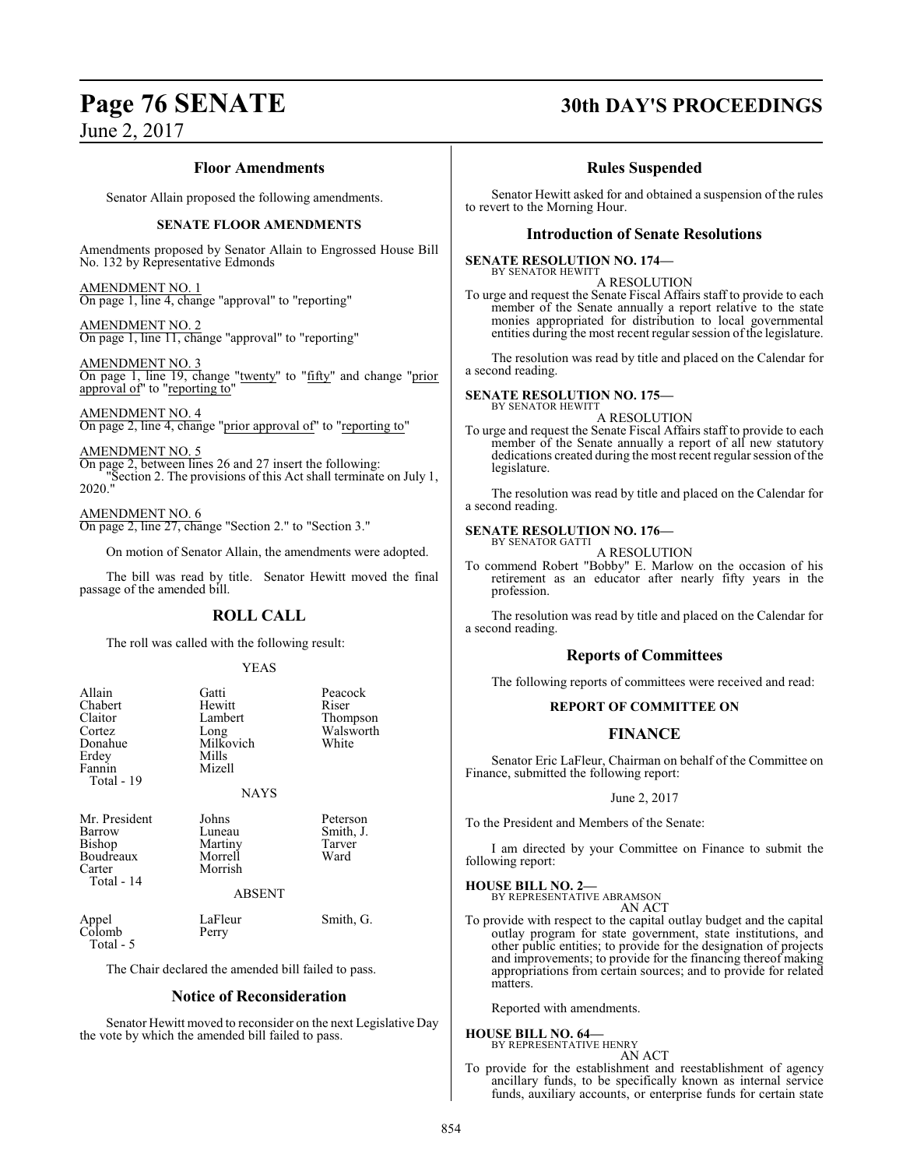# **Page 76 SENATE 30th DAY'S PROCEEDINGS**

### **Floor Amendments**

Senator Allain proposed the following amendments.

#### **SENATE FLOOR AMENDMENTS**

Amendments proposed by Senator Allain to Engrossed House Bill No. 132 by Representative Edmonds

AMENDMENT NO. 1 On page 1, line 4, change "approval" to "reporting"

AMENDMENT NO. 2 On page 1, line 11, change "approval" to "reporting"

AMENDMENT NO. 3 On page 1, line 19, change "twenty" to "fifty" and change "prior approval of" to "reporting to"

AMENDMENT NO. 4 On page 2, line 4, change "prior approval of" to "reporting to"

AMENDMENT NO. 5<br>On page 2, between lines 26 and 27 insert the following: On page 2, between lines 26 and 27 insert the following: "Section 2. The provisions of this Act shall terminate on July 1, 2020."

AMENDMENT NO. 6 On page 2, line 27, change "Section 2." to "Section 3."

On motion of Senator Allain, the amendments were adopted.

The bill was read by title. Senator Hewitt moved the final passage of the amended bill.

### **ROLL CALL**

The roll was called with the following result:

#### YEAS

| Allain<br>Chabert<br>Claitor<br>Cortez<br>Donahue<br>Erdey<br>Fannin<br>Total - 19 | Gatti<br>Hewitt<br>Lambert<br>Long<br>Milkovich<br>Mills<br>Mizell<br><b>NAYS</b> | Peacock<br>Riser<br>Thompson<br>Walsworth<br>White |  |
|------------------------------------------------------------------------------------|-----------------------------------------------------------------------------------|----------------------------------------------------|--|
| Mr. President<br>Barrow<br>Bishop<br>Boudreaux<br>Carter<br>Total - 14             | Johns<br>Luneau<br>Martiny<br>Morrell<br>Morrish<br><b>ABSENT</b>                 | Peterson<br>Smith, J.<br>Tarver<br>Ward            |  |
| Appel<br>Colomb<br>Total - 5                                                       | LaFleur<br>Perry                                                                  | Smith, G.                                          |  |
| The Chair declared the amended bill failed to pass.                                |                                                                                   |                                                    |  |
| <b>Notice of Reconsideration</b>                                                   |                                                                                   |                                                    |  |

Senator Hewitt moved to reconsider on the next Legislative Day the vote by which the amended bill failed to pass.

### **Rules Suspended**

Senator Hewitt asked for and obtained a suspension of the rules to revert to the Morning Hour.

#### **Introduction of Senate Resolutions**

#### **SENATE RESOLUTION NO. 174—** BY SENATOR HEWITT

A RESOLUTION

To urge and request the Senate Fiscal Affairs staff to provide to each member of the Senate annually a report relative to the state monies appropriated for distribution to local governmental entities during the most recent regular session of the legislature.

The resolution was read by title and placed on the Calendar for a second reading.

#### **SENATE RESOLUTION NO. 175—** BY SENATOR HEWITT

A RESOLUTION

To urge and request the Senate Fiscal Affairs staff to provide to each member of the Senate annually a report of all new statutory dedications created during the most recent regular session of the legislature.

The resolution was read by title and placed on the Calendar for a second reading.

#### **SENATE RESOLUTION NO. 176—** BY SENATOR GATTI

A RESOLUTION

To commend Robert "Bobby" E. Marlow on the occasion of his retirement as an educator after nearly fifty years in the profession.

The resolution was read by title and placed on the Calendar for a second reading.

#### **Reports of Committees**

The following reports of committees were received and read:

#### **REPORT OF COMMITTEE ON**

### **FINANCE**

Senator Eric LaFleur, Chairman on behalf of the Committee on Finance, submitted the following report:

June 2, 2017

To the President and Members of the Senate:

I am directed by your Committee on Finance to submit the following report:

# **HOUSE BILL NO. 2—** BY REPRESENTATIVE ABRAMSON

AN ACT

To provide with respect to the capital outlay budget and the capital outlay program for state government, state institutions, and other public entities; to provide for the designation of projects and improvements; to provide for the financing thereof making appropriations from certain sources; and to provide for related matters.

Reported with amendments.

# **HOUSE BILL NO. 64—** BY REPRESENTATIVE HENRY

AN ACT

To provide for the establishment and reestablishment of agency ancillary funds, to be specifically known as internal service funds, auxiliary accounts, or enterprise funds for certain state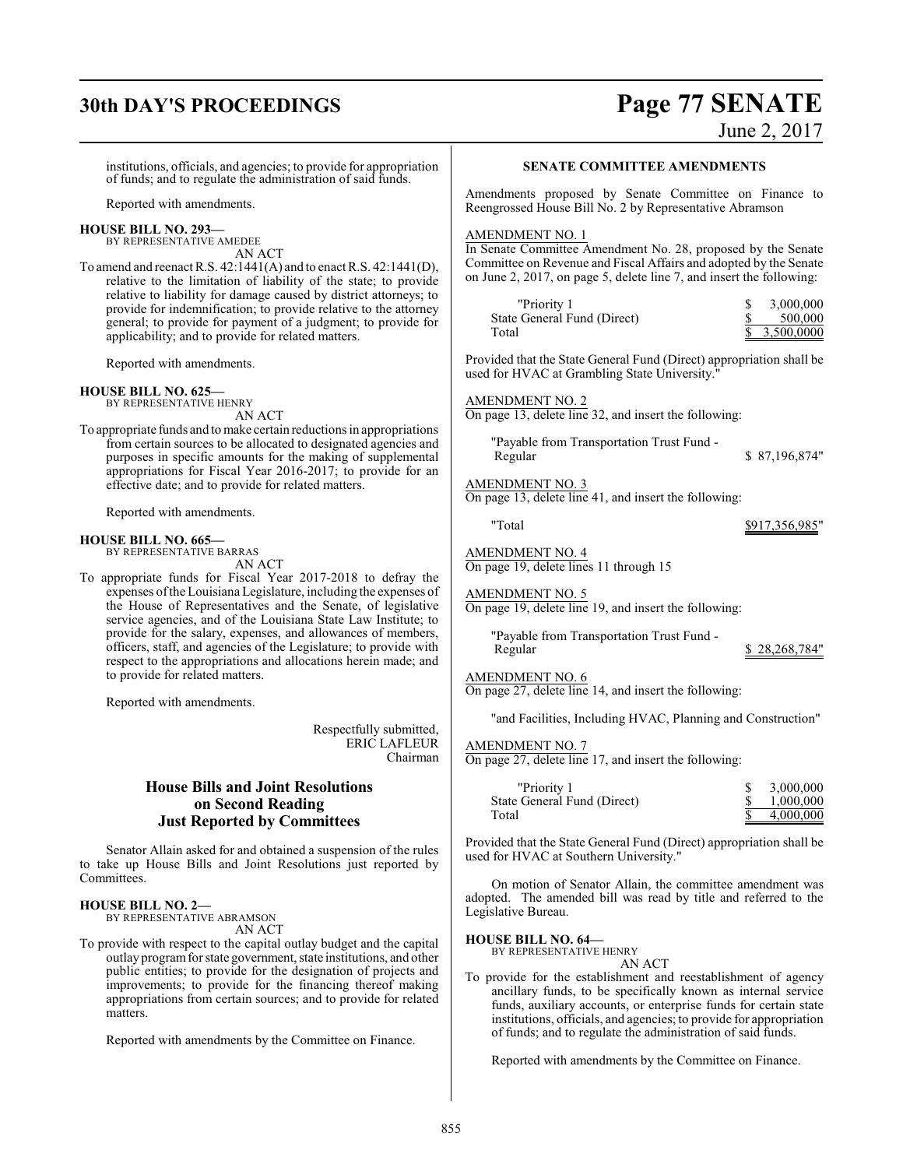# **30th DAY'S PROCEEDINGS Page 77 SENATE**

June 2, 2017

institutions, officials, and agencies; to provide for appropriation of funds; and to regulate the administration of said funds.

Reported with amendments.

#### **HOUSE BILL NO. 293—**

BY REPRESENTATIVE AMEDEE AN ACT

To amend and reenact R.S. 42:1441(A) and to enact R.S. 42:1441(D), relative to the limitation of liability of the state; to provide relative to liability for damage caused by district attorneys; to provide for indemnification; to provide relative to the attorney general; to provide for payment of a judgment; to provide for applicability; and to provide for related matters.

Reported with amendments.

#### **HOUSE BILL NO. 625—**

BY REPRESENTATIVE HENRY AN ACT

To appropriate funds and tomake certain reductions in appropriations from certain sources to be allocated to designated agencies and purposes in specific amounts for the making of supplemental appropriations for Fiscal Year 2016-2017; to provide for an effective date; and to provide for related matters.

Reported with amendments.

#### **HOUSE BILL NO. 665—**

BY REPRESENTATIVE BARRAS AN ACT

To appropriate funds for Fiscal Year 2017-2018 to defray the expenses ofthe Louisiana Legislature, including the expenses of the House of Representatives and the Senate, of legislative service agencies, and of the Louisiana State Law Institute; to provide for the salary, expenses, and allowances of members, officers, staff, and agencies of the Legislature; to provide with respect to the appropriations and allocations herein made; and to provide for related matters.

Reported with amendments.

Respectfully submitted, ERIC LAFLEUR Chairman

### **House Bills and Joint Resolutions on Second Reading Just Reported by Committees**

Senator Allain asked for and obtained a suspension of the rules to take up House Bills and Joint Resolutions just reported by Committees.

#### **HOUSE BILL NO. 2—**

BY REPRESENTATIVE ABRAMSON AN ACT

To provide with respect to the capital outlay budget and the capital outlay program for state government, state institutions, and other public entities; to provide for the designation of projects and improvements; to provide for the financing thereof making appropriations from certain sources; and to provide for related matters.

Reported with amendments by the Committee on Finance.

#### **SENATE COMMITTEE AMENDMENTS**

Amendments proposed by Senate Committee on Finance to Reengrossed House Bill No. 2 by Representative Abramson

#### AMENDMENT NO. 1

In Senate Committee Amendment No. 28, proposed by the Senate Committee on Revenue and Fiscal Affairs and adopted by the Senate on June 2, 2017, on page 5, delete line 7, and insert the following:

| "Priority 1                 | 3,000,000    |
|-----------------------------|--------------|
| State General Fund (Direct) | 500,000      |
| Total                       | \$3,500,0000 |

Provided that the State General Fund (Direct) appropriation shall be used for HVAC at Grambling State University."

AMENDMENT NO. 2

On page 13, delete line 32, and insert the following:

"Payable from Transportation Trust Fund -

AMENDMENT NO. 3

On page 13, delete line 41, and insert the following:

"Total \$917,356,985"

Regular \$ 87,196,874"

AMENDMENT NO. 4 On page 19, delete lines 11 through 15

AMENDMENT NO. 5

On page 19, delete line 19, and insert the following:

"Payable from Transportation Trust Fund -

\$ 28,268,784"

#### AMENDMENT NO. 6

On page 27, delete line 14, and insert the following:

"and Facilities, Including HVAC, Planning and Construction"

#### AMENDMENT NO. 7

On page 27, delete line 17, and insert the following:

| "Priority 1                 | 3,000,000 |
|-----------------------------|-----------|
| State General Fund (Direct) | 1,000,000 |
| Total                       | 4,000,000 |

Provided that the State General Fund (Direct) appropriation shall be used for HVAC at Southern University."

On motion of Senator Allain, the committee amendment was adopted. The amended bill was read by title and referred to the Legislative Bureau.

#### **HOUSE BILL NO. 64—**

BY REPRESENTATIVE HENRY AN ACT

To provide for the establishment and reestablishment of agency ancillary funds, to be specifically known as internal service funds, auxiliary accounts, or enterprise funds for certain state institutions, officials, and agencies; to provide for appropriation of funds; and to regulate the administration of said funds.

Reported with amendments by the Committee on Finance.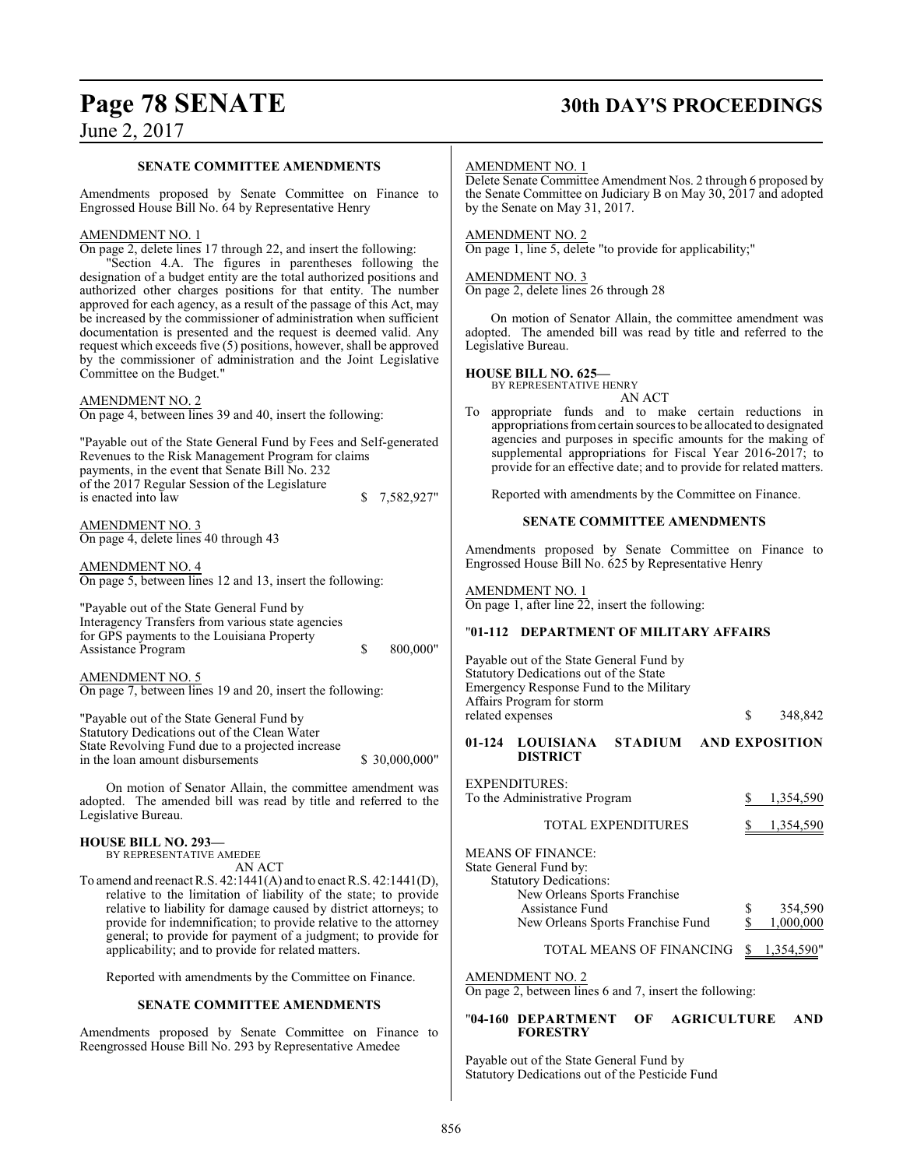# **Page 78 SENATE 30th DAY'S PROCEEDINGS**

## June 2, 2017

#### **SENATE COMMITTEE AMENDMENTS**

Amendments proposed by Senate Committee on Finance to Engrossed House Bill No. 64 by Representative Henry

#### AMENDMENT NO. 1

On page 2, delete lines 17 through 22, and insert the following:

"Section 4.A. The figures in parentheses following the designation of a budget entity are the total authorized positions and authorized other charges positions for that entity. The number approved for each agency, as a result of the passage of this Act, may be increased by the commissioner of administration when sufficient documentation is presented and the request is deemed valid. Any request which exceeds five (5) positions, however, shall be approved by the commissioner of administration and the Joint Legislative Committee on the Budget."

#### AMENDMENT NO. 2

On page 4, between lines 39 and 40, insert the following:

"Payable out of the State General Fund by Fees and Self-generated Revenues to the Risk Management Program for claims payments, in the event that Senate Bill No. 232 of the 2017 Regular Session of the Legislature is enacted into law \$ 7,582,927"

AMENDMENT NO. 3 On page 4, delete lines 40 through 43

AMENDMENT NO. 4 On page 5, between lines 12 and 13, insert the following:

"Payable out of the State General Fund by Interagency Transfers from various state agencies for GPS payments to the Louisiana Property Assistance Program  $$800,000"$ 

AMENDMENT NO. 5 On page 7, between lines 19 and 20, insert the following:

"Payable out of the State General Fund by Statutory Dedications out of the Clean Water State Revolving Fund due to a projected increase in the loan amount disbursements  $$ 30,000,000"$ 

On motion of Senator Allain, the committee amendment was adopted. The amended bill was read by title and referred to the Legislative Bureau.

### **HOUSE BILL NO. 293—**

BY REPRESENTATIVE AMEDEE AN ACT

To amend and reenact R.S. 42:1441(A) and to enact R.S. 42:1441(D), relative to the limitation of liability of the state; to provide relative to liability for damage caused by district attorneys; to provide for indemnification; to provide relative to the attorney general; to provide for payment of a judgment; to provide for applicability; and to provide for related matters.

Reported with amendments by the Committee on Finance.

#### **SENATE COMMITTEE AMENDMENTS**

Amendments proposed by Senate Committee on Finance to Reengrossed House Bill No. 293 by Representative Amedee

#### AMENDMENT NO. 1

Delete Senate Committee Amendment Nos. 2 through 6 proposed by the Senate Committee on Judiciary B on May 30, 2017 and adopted by the Senate on May 31, 2017.

#### AMENDMENT NO. 2

On page 1, line 5, delete "to provide for applicability;"

#### AMENDMENT NO. 3

On page 2, delete lines 26 through 28

On motion of Senator Allain, the committee amendment was adopted. The amended bill was read by title and referred to the Legislative Bureau.

#### **HOUSE BILL NO. 625—**

BY REPRESENTATIVE HENRY

AN ACT

To appropriate funds and to make certain reductions in appropriations fromcertain sources to be allocated to designated agencies and purposes in specific amounts for the making of supplemental appropriations for Fiscal Year 2016-2017; to provide for an effective date; and to provide for related matters.

Reported with amendments by the Committee on Finance.

#### **SENATE COMMITTEE AMENDMENTS**

Amendments proposed by Senate Committee on Finance to Engrossed House Bill No. 625 by Representative Henry

AMENDMENT NO. 1 On page 1, after line 22, insert the following:

#### "**01-112 DEPARTMENT OF MILITARY AFFAIRS**

Payable out of the State General Fund by Statutory Dedications out of the State Emergency Response Fund to the Military Affairs Program for storm related expenses  $\qquad$  \$ 348,842

#### **01-124 LOUISIANA STADIUM AND EXPOSITION DISTRICT**

| <b>EXPENDITURES:</b><br>To the Administrative Program                               | 1,354,590 |
|-------------------------------------------------------------------------------------|-----------|
| <b>TOTAL EXPENDITURES</b>                                                           | 1,354,590 |
| <b>MEANS OF FINANCE:</b><br>State General Fund by:<br><b>Statutory Dedications:</b> |           |
| New Orleans Sports Franchise                                                        |           |
| Assistance Fund                                                                     | 354,590   |
| New Orleans Sports Franchise Fund                                                   | 1.000.000 |

TOTAL MEANS OF FINANCING \$ 1,354,590"

### AMENDMENT NO. 2

On page 2, between lines 6 and 7, insert the following:

#### "**04-160 DEPARTMENT OF AGRICULTURE AND FORESTRY**

Payable out of the State General Fund by Statutory Dedications out of the Pesticide Fund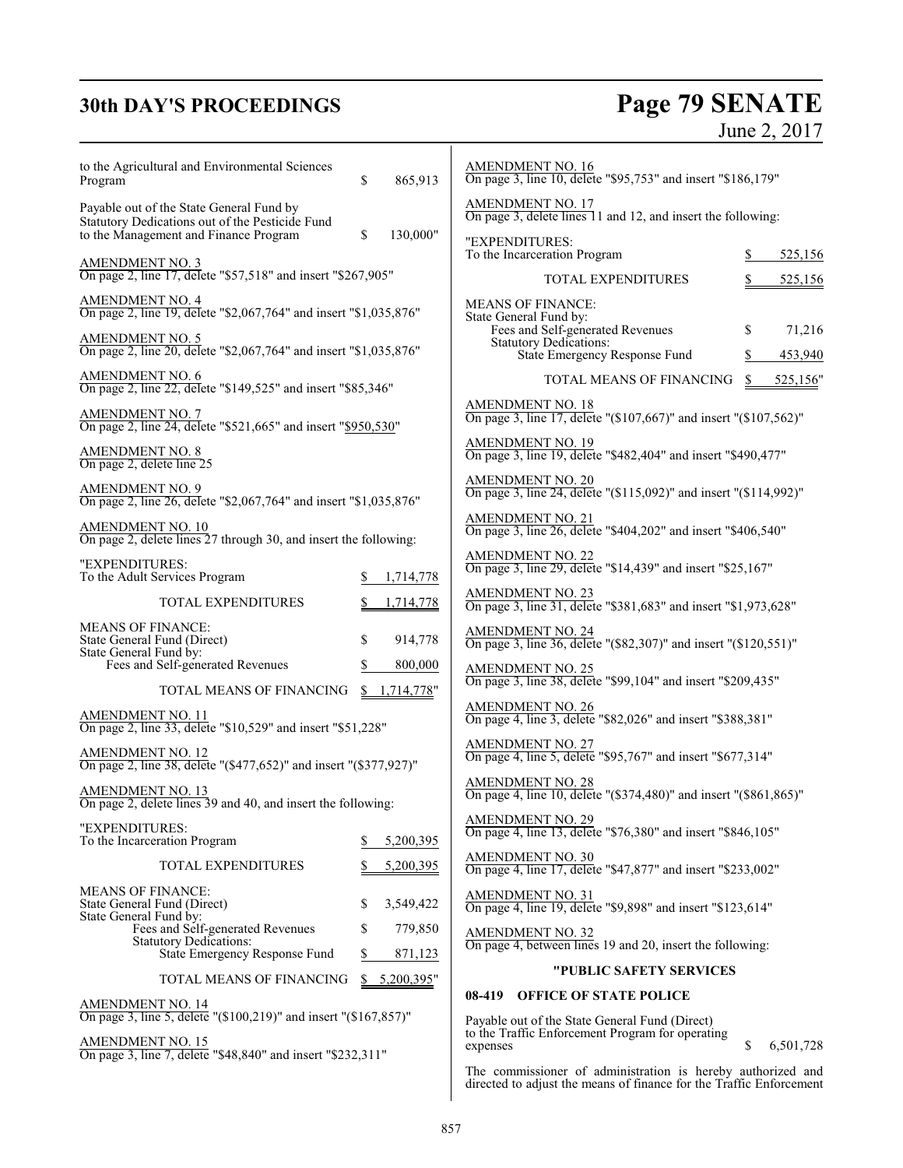# **30th DAY'S PROCEEDINGS Page 79 SENATE** June 2, 2017

| to the Agricultural and Environmental Sciences<br>Program                                                                            | \$                                                                                       | 865,913                 | AMENDMENT NO. 16<br>On page 3, line 10, delete "\$95,753" and insert "\$186,179"                                |          |                   |
|--------------------------------------------------------------------------------------------------------------------------------------|------------------------------------------------------------------------------------------|-------------------------|-----------------------------------------------------------------------------------------------------------------|----------|-------------------|
| Payable out of the State General Fund by<br>Statutory Dedications out of the Pesticide Fund<br>to the Management and Finance Program | \$                                                                                       | 130,000"                | <b>AMENDMENT NO. 17</b><br>On page 3, delete lines 11 and 12, and insert the following:                         |          |                   |
|                                                                                                                                      |                                                                                          |                         | "EXPENDITURES:<br>To the Incarceration Program                                                                  | S        | 525,156           |
| AMENDMENT NO. 3<br>On page 2, line 17, delete "\$57,518" and insert "\$267,905"                                                      |                                                                                          |                         | TOTAL EXPENDITURES                                                                                              |          | 525,156           |
| AMENDMENT NO. 4<br>On page 2, line 19, delete "\$2,067,764" and insert "\$1,035,876"                                                 |                                                                                          |                         | <b>MEANS OF FINANCE:</b><br>State General Fund by:                                                              |          |                   |
| AMENDMENT NO. 5<br>On page 2, line 20, delete "\$2,067,764" and insert "\$1,035,876"                                                 |                                                                                          |                         | Fees and Self-generated Revenues<br>Statutory Dedications:<br>State Emergency Response Fund                     | \$<br>\$ | 71,216<br>453,940 |
| AMENDMENT NO. 6<br>On page 2, line 22, delete "\$149,525" and insert "\$85,346"                                                      |                                                                                          |                         | TOTAL MEANS OF FINANCING                                                                                        | \$       | 525,156"          |
| AMENDMENT NO. 7<br>On page 2, line 24, delete "\$521,665" and insert "\$950,530"                                                     |                                                                                          |                         | <b>AMENDMENT NO. 18</b><br>On page 3, line 17, delete "(\$107,667)" and insert "(\$107,562)"                    |          |                   |
| AMENDMENT NO. 8<br>On page 2, delete line 25                                                                                         |                                                                                          |                         | AMENDMENT NO. 19<br>On page 3, line 19, delete "\$482,404" and insert "\$490,477"                               |          |                   |
| <b>AMENDMENT NO. 9</b><br>On page 2, line 26, delete "\$2,067,764" and insert "\$1,035,876"                                          |                                                                                          |                         | AMENDMENT NO. 20<br>On page 3, line 24, delete "(\$115,092)" and insert "(\$114,992)"                           |          |                   |
| AMENDMENT NO. 10<br>On page 2, delete lines 27 through 30, and insert the following:                                                 | <b>AMENDMENT NO. 21</b><br>On page 3, line 26, delete "\$404,202" and insert "\$406,540" |                         |                                                                                                                 |          |                   |
| "EXPENDITURES:<br>To the Adult Services Program                                                                                      |                                                                                          | 1,714,778               | AMENDMENT NO. 22<br>On page 3, line 29, delete "\$14,439" and insert "\$25,167"                                 |          |                   |
| <b>TOTAL EXPENDITURES</b>                                                                                                            |                                                                                          | 1,714,778               | AMENDMENT NO. 23<br>On page 3, line 31, delete "\$381,683" and insert "\$1,973,628"                             |          |                   |
| <b>MEANS OF FINANCE:</b><br>State General Fund (Direct)<br>State General Fund by:<br>Fees and Self-generated Revenues                | \$<br>S                                                                                  | 914,778<br>800,000      | <b>AMENDMENT NO. 24</b><br>On page 3, line 36, delete "(\$82,307)" and insert "(\$120,551)"<br>AMENDMENT NO. 25 |          |                   |
| TOTAL MEANS OF FINANCING                                                                                                             |                                                                                          | \$1,714,778"            | On page 3, line 38, delete "\$99,104" and insert "\$209,435"                                                    |          |                   |
| AMENDMENT NO. 11<br>On page 2, line 33, delete "\$10,529" and insert "\$51,228"                                                      |                                                                                          |                         | AMENDMENT NO. 26<br>On page 4, line 3, delete "\$82,026" and insert "\$388,381"                                 |          |                   |
| AMENDMENT NO. 12<br>On page 2, line 38, delete "(\$477,652)" and insert "(\$377,927)"                                                |                                                                                          |                         | AMENDMENT NO. 27<br>On page 4, line 5, delete "\$95,767" and insert "\$677,314"                                 |          |                   |
| AMENDMENT NO. 13<br>On page 2, delete lines 39 and 40, and insert the following:                                                     |                                                                                          |                         | AMENDMENT NO. 28<br>On page 4, line 10, delete "(\$374,480)" and insert "(\$861,865)"                           |          |                   |
| "EXPENDITURES:<br>To the Incarceration Program                                                                                       |                                                                                          | 5,200,395               | <b>AMENDMENT NO. 29</b><br>On page 4, line 13, delete "\$76,380" and insert "\$846,105"                         |          |                   |
| <b>TOTAL EXPENDITURES</b>                                                                                                            |                                                                                          | 5,200,395               | AMENDMENT NO. 30<br>On page 4, line 17, delete "\$47,877" and insert "\$233,002"                                |          |                   |
| <b>MEANS OF FINANCE:</b><br>State General Fund (Direct)<br>State General Fund by:                                                    | \$                                                                                       | 3,549,422               | AMENDMENT NO. 31<br>On page 4, line 19, delete "\$9,898" and insert "\$123,614"                                 |          |                   |
| Fees and Self-generated Revenues<br><b>Statutory Dedications:</b>                                                                    | S                                                                                        | 779,850                 | <b>AMENDMENT NO. 32</b><br>On page 4, between lines 19 and 20, insert the following:                            |          |                   |
| State Emergency Response Fund<br>TOTAL MEANS OF FINANCING                                                                            | \$                                                                                       | 871,123<br>\$5,200,395" | "PUBLIC SAFETY SERVICES                                                                                         |          |                   |
| <b>AMENDMENT NO. 14</b>                                                                                                              |                                                                                          |                         | 08-419 OFFICE OF STATE POLICE                                                                                   |          |                   |
| On page 3, line 5, delete "(\$100,219)" and insert "(\$167,857)"<br>AMENDMENT NO. 15                                                 |                                                                                          |                         | Payable out of the State General Fund (Direct)<br>to the Traffic Enforcement Program for operating              | \$       |                   |
| On page 3, line 7, delete "\$48,840" and insert "\$232,311"                                                                          |                                                                                          |                         | expenses<br>The commissioner of administration is hereby authorized and                                         |          | 6,501,728         |

directed to adjust the means of finance for the Traffic Enforcement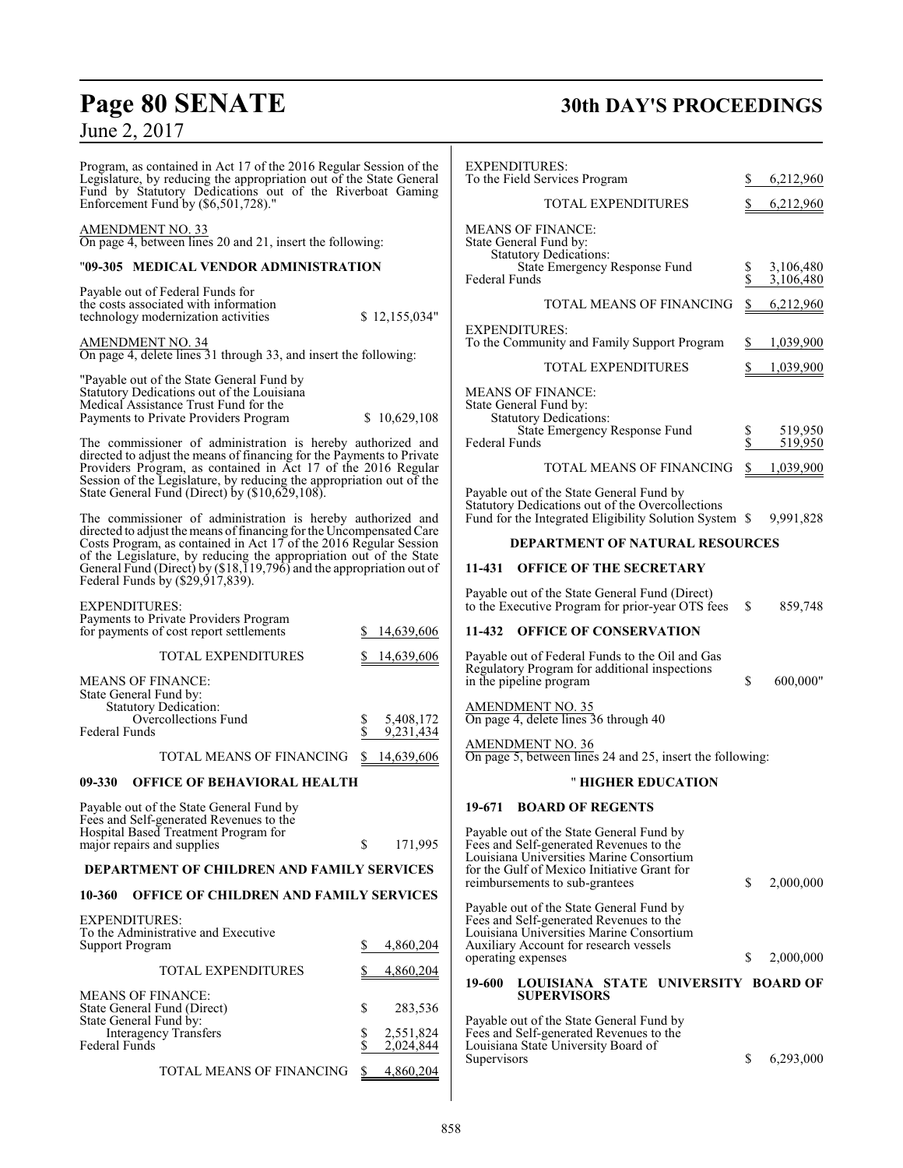Program, as contained in Act 17 of the 2016 Regular Session of the Legislature, by reducing the appropriation out of the State General Fund by Statutory Dedications out of the Riverboat Gaming Enforcement Fund by (\$6,501,728)."

#### AMENDMENT NO. 33

On page 4, between lines 20 and 21, insert the following:

### "**09-305 MEDICAL VENDOR ADMINISTRATION**

| Payable out of Federal Funds for                                             |               |
|------------------------------------------------------------------------------|---------------|
| the costs associated with information<br>technology modernization activities | \$12,155,034" |
|                                                                              |               |

AMENDMENT NO. 34 On page 4, delete lines 31 through 33, and insert the following:

"Payable out of the State General Fund by Statutory Dedications out of the Louisiana Medical Assistance Trust Fund for the Payments to Private Providers Program \$ 10,629,108

The commissioner of administration is hereby authorized and directed to adjust the means of financing for the Payments to Private Providers Program, as contained in Act 17 of the 2016 Regular Session of the Legislature, by reducing the appropriation out of the State General Fund (Direct) by (\$10,629,108).

The commissioner of administration is hereby authorized and directed to adjust the means of financing for the Uncompensated Care Costs Program, as contained in Act 17 of the 2016 Regular Session of the Legislature, by reducing the appropriation out of the State General Fund (Direct) by (\$18,119,796) and the appropriation out of Federal Funds by (\$29,917,839).

EXPENDITURES: Payments to Private Providers Program for payments of cost report settlements  $$14,639,60$ 

| <b>TOTAL EXPENDITURES</b>                            | 14,639,606 |
|------------------------------------------------------|------------|
| <b>MEANS OF FINANCE:</b><br>State General Fund by:   |            |
| <b>Statutory Dedication:</b><br>Overcollections Fund | 5,408,172  |
| Federal Funds                                        | 9.231.434  |

TOTAL MEANS OF FINANCING \$14,639,606

#### **09-330 OFFICE OF BEHAVIORAL HEALTH**

| Payable out of the State General Fund by |         |
|------------------------------------------|---------|
| Fees and Self-generated Revenues to the  |         |
| Hospital Based Treatment Program for     |         |
| major repairs and supplies               | 171.995 |

#### **DEPARTMENT OF CHILDREN AND FAMILY SERVICES**

#### **10-360 OFFICE OF CHILDREN AND FAMILY SERVICES**

| <b>EXPENDITURES:</b><br>To the Administrative and Executive<br>Support Program    |   | 4,860,204              |
|-----------------------------------------------------------------------------------|---|------------------------|
| <b>TOTAL EXPENDITURES</b>                                                         |   | 4,860,204              |
| <b>MEANS OF FINANCE:</b><br>State General Fund (Direct)<br>State General Fund by: | S | 283,536                |
| <b>Interagency Transfers</b><br><b>Federal Funds</b>                              |   | 2,551,824<br>2,024,844 |
| TOTAL MEANS OF FINANCING                                                          |   |                        |

# **Page 80 SENATE 30th DAY'S PROCEEDINGS**

| e<br>al             | <b>EXPENDITURES:</b><br>To the Field Services Program                                                                                                                                                            | \$       | 6,212,960              |
|---------------------|------------------------------------------------------------------------------------------------------------------------------------------------------------------------------------------------------------------|----------|------------------------|
| g                   | <b>TOTAL EXPENDITURES</b>                                                                                                                                                                                        | \$       | 6,212,960              |
|                     | <b>MEANS OF FINANCE:</b><br>State General Fund by:<br><b>Statutory Dedications:</b><br>State Emergency Response Fund<br>Federal Funds                                                                            | \$<br>\$ | 3,106,480<br>3,106,480 |
|                     | TOTAL MEANS OF FINANCING                                                                                                                                                                                         | \$       | 6,212,960              |
| ľ                   | <b>EXPENDITURES:</b><br>To the Community and Family Support Program                                                                                                                                              | S.       | 1,039,900              |
|                     | <b>TOTAL EXPENDITURES</b>                                                                                                                                                                                        | S.       | 1,039,900              |
| 8<br>d              | <b>MEANS OF FINANCE:</b><br>State General Fund by:<br><b>Statutory Dedications:</b><br>State Emergency Response Fund<br>Federal Funds                                                                            | \$<br>\$ | 519,950<br>519,950     |
| te<br>ìΓ            | TOTAL MEANS OF FINANCING                                                                                                                                                                                         | \$       | 1,039,900              |
| e<br>d              | Payable out of the State General Fund by<br>Statutory Dedications out of the Overcollections<br>Fund for the Integrated Eligibility Solution System \$                                                           |          | 9.991.828              |
| e<br>n              | DEPARTMENT OF NATURAL RESOURCES                                                                                                                                                                                  |          |                        |
| æ<br>ρf             | <b>OFFICE OF THE SECRETARY</b><br>11-431                                                                                                                                                                         |          |                        |
|                     | Payable out of the State General Fund (Direct)<br>to the Executive Program for prior-year OTS fees                                                                                                               | S.       | 859,748                |
| <u>6</u>            | <b>OFFICE OF CONSERVATION</b><br>11-432                                                                                                                                                                          |          |                        |
| $\frac{6}{5}$       | Payable out of Federal Funds to the Oil and Gas<br>Regulatory Program for additional inspections<br>in the pipeline program                                                                                      | \$       | 600,000"               |
| $\frac{2}{4}$       | AMENDMENT NO. 35<br>On page 4, delete lines 36 through 40                                                                                                                                                        |          |                        |
| $\frac{6}{5}$       | <b>AMENDMENT NO. 36</b><br>On page 5, between lines 24 and 25, insert the following:                                                                                                                             |          |                        |
|                     | " HIGHER EDUCATION                                                                                                                                                                                               |          |                        |
|                     | 19-671<br><b>BOARD OF REGENTS</b>                                                                                                                                                                                |          |                        |
| 5                   | Payable out of the State General Fund by<br>Fees and Self-generated Revenues to the<br>Louisiana Universities Marine Consortium<br>for the Gulf of Mexico Initiative Grant for<br>reimbursements to sub-grantees | \$       | 2,000,000              |
| s<br>$\overline{4}$ | Payable out of the State General Fund by<br>Fees and Self-generated Revenues to the<br>Louisiana Universities Marine Consortium<br>Auxiliary Account for research vessels<br>operating expenses                  | S        | 2,000,000              |
| $\overline{4}$      | 19-600<br>LOUISIANA STATE UNIVERSITY BOARD OF                                                                                                                                                                    |          |                        |
| 6                   | <b>SUPERVISORS</b>                                                                                                                                                                                               |          |                        |
| 4<br>$\overline{4}$ | Payable out of the State General Fund by<br>Fees and Self-generated Revenues to the<br>Louisiana State University Board of<br>Supervisors                                                                        | S        | 6,293,000              |
|                     |                                                                                                                                                                                                                  |          |                        |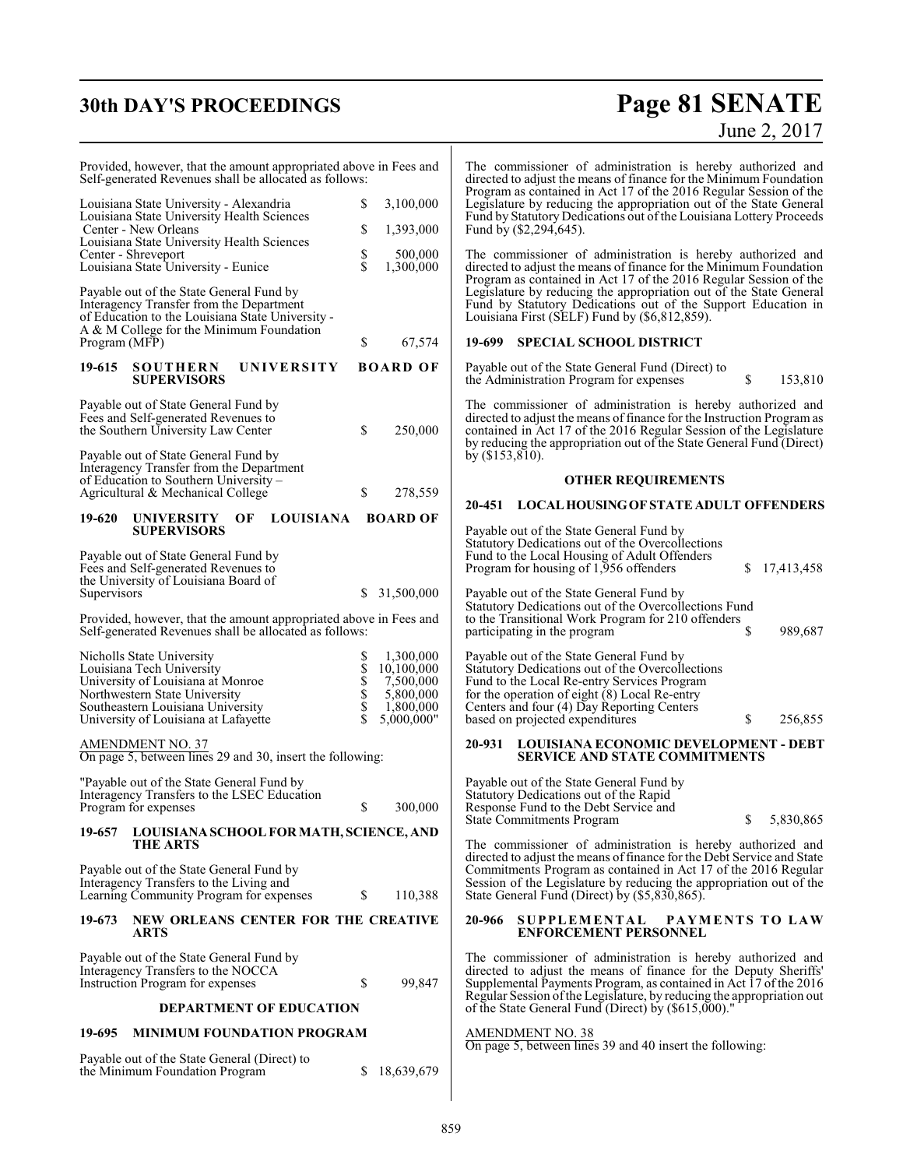# **30th DAY'S PROCEEDINGS**

# **Page 81 SENATE**<br>June 2, 2017

| Provided, however, that the amount appropriated above in Fees and<br>Self-generated Revenues shall be allocated as follows:                                                          |                                                                                      | The commissioner of administration is hereby authorized and<br>directed to adjust the means of finance for the Minimum Foundation<br>Program as contained in Act 17 of the 2016 Regular Session of the                                                                              |
|--------------------------------------------------------------------------------------------------------------------------------------------------------------------------------------|--------------------------------------------------------------------------------------|-------------------------------------------------------------------------------------------------------------------------------------------------------------------------------------------------------------------------------------------------------------------------------------|
| Louisiana State University - Alexandria<br>Louisiana State University Health Sciences<br>Center - New Orleans<br>Louisiana State University Health Sciences                          | \$<br>3,100,000<br>\$<br>1,393,000                                                   | Legislature by reducing the appropriation out of the State General<br>Fund by Statutory Dedications out of the Louisiana Lottery Proceeds<br>Fund by (\$2,294,645).                                                                                                                 |
| Center - Shreveport<br>Louisiana State University - Eunice                                                                                                                           | \$<br>\$<br>500,000<br>1,300,000                                                     | The commissioner of administration is hereby authorized and<br>directed to adjust the means of finance for the Minimum Foundation<br>Program as contained in Act 17 of the 2016 Regular Session of the                                                                              |
| Payable out of the State General Fund by<br>Interagency Transfer from the Department<br>of Education to the Louisiana State University -<br>A & M College for the Minimum Foundation |                                                                                      | Legislature by reducing the appropriation out of the State General<br>Fund by Statutory Dedications out of the Support Education in<br>Louisiana First (SELF) Fund by (\$6,812,859).                                                                                                |
| Program (MFP)                                                                                                                                                                        | \$<br>67,574                                                                         | 19-699 SPECIAL SCHOOL DISTRICT                                                                                                                                                                                                                                                      |
| <b>SOUTHERN</b><br>UNIVERSITY<br>19-615<br><b>SUPERVISORS</b>                                                                                                                        | <b>BOARD OF</b>                                                                      | Payable out of the State General Fund (Direct) to<br>\$<br>153,810<br>the Administration Program for expenses                                                                                                                                                                       |
| Payable out of State General Fund by<br>Fees and Self-generated Revenues to<br>the Southern University Law Center                                                                    | \$<br>250,000                                                                        | The commissioner of administration is hereby authorized and<br>directed to adjust the means of finance for the Instruction Program as<br>contained in Act 17 of the 2016 Regular Session of the Legislature<br>by reducing the appropriation out of the State General Fund (Direct) |
| Payable out of State General Fund by<br>Interagency Transfer from the Department                                                                                                     |                                                                                      | by $(\$153,\$10)$ .                                                                                                                                                                                                                                                                 |
| of Education to Southern University -<br>Agricultural & Mechanical College                                                                                                           | \$<br>278,559                                                                        | <b>OTHER REQUIREMENTS</b>                                                                                                                                                                                                                                                           |
| <b>LOUISIANA</b><br><b>UNIVERSITY</b><br>OF<br>19-620                                                                                                                                | <b>BOARD OF</b>                                                                      | 20-451 LOCAL HOUSING OF STATE ADULT OFFENDERS                                                                                                                                                                                                                                       |
| <b>SUPERVISORS</b><br>Payable out of State General Fund by                                                                                                                           |                                                                                      | Payable out of the State General Fund by<br>Statutory Dedications out of the Overcollections<br>Fund to the Local Housing of Adult Offenders                                                                                                                                        |
| Fees and Self-generated Revenues to<br>the University of Louisiana Board of                                                                                                          |                                                                                      | Program for housing of 1,956 offenders<br>\$<br>17,413,458                                                                                                                                                                                                                          |
| Supervisors                                                                                                                                                                          | \$31,500,000                                                                         | Payable out of the State General Fund by<br>Statutory Dedications out of the Overcollections Fund                                                                                                                                                                                   |
| Provided, however, that the amount appropriated above in Fees and<br>Self-generated Revenues shall be allocated as follows:                                                          |                                                                                      | to the Transitional Work Program for 210 offenders<br>\$<br>989,687<br>participating in the program                                                                                                                                                                                 |
| Nicholls State University<br>Louisiana Tech University<br>University of Louisiana at Monroe<br>Northwestern State University<br>Southeastern Louisiana University                    | 1,300,000<br>\$<br><b>SSSSS</b><br>10,100,000<br>7,500,000<br>5,800,000<br>1,800,000 | Payable out of the State General Fund by<br>Statutory Dedications out of the Overcollections<br>Fund to the Local Re-entry Services Program<br>for the operation of eight (8) Local Re-entry<br>Centers and four (4) Day Reporting Centers                                          |
| University of Louisiana at Lafayette                                                                                                                                                 | 5,000,000"                                                                           | based on projected expenditures<br>\$<br>256,855                                                                                                                                                                                                                                    |
| AMENDMENT NO. 37<br>On page 5, between lines 29 and 30, insert the following:                                                                                                        |                                                                                      | <b>LOUISIANA ECONOMIC DEVELOPMENT - DEBT</b><br>20-931<br><b>SERVICE AND STATE COMMITMENTS</b>                                                                                                                                                                                      |
| "Payable out of the State General Fund by<br>Interagency Transfers to the LSEC Education<br>Program for expenses                                                                     | \$<br>300,000                                                                        | Payable out of the State General Fund by<br>Statutory Dedications out of the Rapid<br>Response Fund to the Debt Service and<br>\$<br>5,830,865<br>State Commitments Program                                                                                                         |
| LOUISIANA SCHOOL FOR MATH, SCIENCE, AND<br>19-657<br><b>THE ARTS</b>                                                                                                                 |                                                                                      | The commissioner of administration is hereby authorized and                                                                                                                                                                                                                         |
| Payable out of the State General Fund by<br>Interagency Transfers to the Living and<br>Learning Community Program for expenses                                                       | \$<br>110,388                                                                        | directed to adjust the means of finance for the Debt Service and State<br>Commitments Program as contained in Act 17 of the 2016 Regular<br>Session of the Legislature by reducing the appropriation out of the<br>State General Fund (Direct) by (\$5,830,865).                    |
| NEW ORLEANS CENTER FOR THE CREATIVE<br>19-673<br>ARTS                                                                                                                                |                                                                                      | <b>SUPPLEMENTAL</b><br>PAYMENTS TO LAW<br>20-966<br><b>ENFORCEMENT PERSONNEL</b>                                                                                                                                                                                                    |
| Payable out of the State General Fund by<br>Interagency Transfers to the NOCCA<br>Instruction Program for expenses                                                                   | \$<br>99,847                                                                         | The commissioner of administration is hereby authorized and<br>directed to adjust the means of finance for the Deputy Sheriffs'<br>Supplemental Payments Program, as contained in Act 17 of the 2016<br>Regular Session of the Legislature, by reducing the appropriation out       |
| <b>DEPARTMENT OF EDUCATION</b>                                                                                                                                                       |                                                                                      | of the State General Fund (Direct) by (\$615,000)."                                                                                                                                                                                                                                 |
| 19-695<br><b>MINIMUM FOUNDATION PROGRAM</b>                                                                                                                                          |                                                                                      | <b>AMENDMENT NO. 38</b><br>On page 5, between lines 39 and 40 insert the following:                                                                                                                                                                                                 |
| Payable out of the State General (Direct) to<br>the Minimum Foundation Program                                                                                                       | 18,639,679<br>S                                                                      |                                                                                                                                                                                                                                                                                     |
|                                                                                                                                                                                      |                                                                                      |                                                                                                                                                                                                                                                                                     |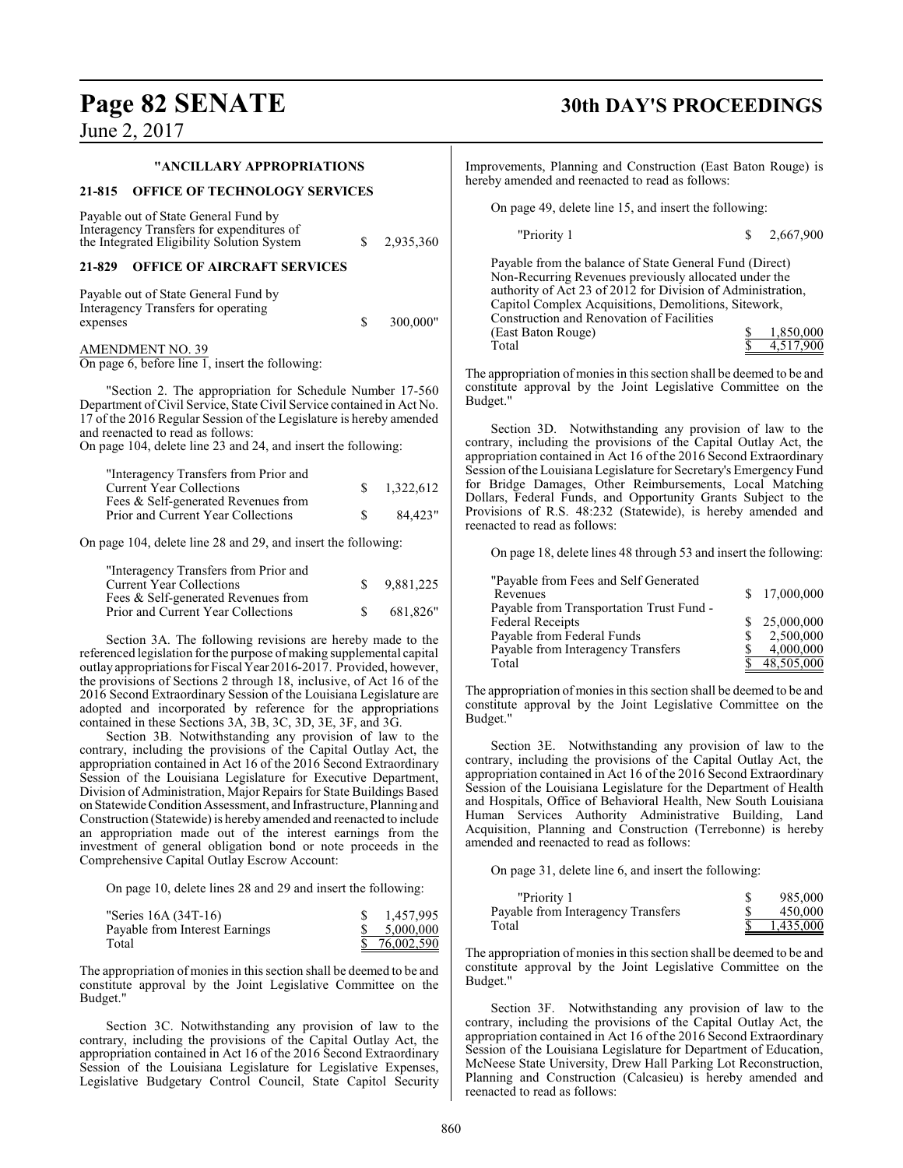#### **"ANCILLARY APPROPRIATIONS**

#### **21-815 OFFICE OF TECHNOLOGY SERVICES**

Payable out of State General Fund by Interagency Transfers for expenditures of the Integrated Eligibility Solution System  $$ 2,935,360$ 

**21-829 OFFICE OF AIRCRAFT SERVICES**

Payable out of State General Fund by Interagency Transfers for operating  $$ 300,000"$ 

AMENDMENT NO. 39

On page 6, before line 1, insert the following:

"Section 2. The appropriation for Schedule Number 17-560 Department of Civil Service, State Civil Service contained in Act No. 17 of the 2016 Regular Session of the Legislature is hereby amended and reenacted to read as follows:

On page 104, delete line 23 and 24, and insert the following:

| "Interagency Transfers from Prior and |           |
|---------------------------------------|-----------|
| <b>Current Year Collections</b>       | 1.322.612 |
| Fees & Self-generated Revenues from   |           |
| Prior and Current Year Collections    | 84.423"   |
|                                       |           |

On page 104, delete line 28 and 29, and insert the following:

| "Interagency Transfers from Prior and |    |           |
|---------------------------------------|----|-----------|
| <b>Current Year Collections</b>       | S. | 9,881,225 |
| Fees & Self-generated Revenues from   |    |           |
| Prior and Current Year Collections    |    | 681.826"  |

Section 3A. The following revisions are hereby made to the referenced legislation for the purpose of making supplemental capital outlay appropriations for FiscalYear 2016-2017. Provided, however, the provisions of Sections 2 through 18, inclusive, of Act 16 of the 2016 Second Extraordinary Session of the Louisiana Legislature are adopted and incorporated by reference for the appropriations contained in these Sections 3A, 3B, 3C, 3D, 3E, 3F, and 3G.

Section 3B. Notwithstanding any provision of law to the contrary, including the provisions of the Capital Outlay Act, the appropriation contained in Act 16 of the 2016 Second Extraordinary Session of the Louisiana Legislature for Executive Department, Division of Administration, Major Repairs for State Buildings Based on StatewideCondition Assessment, and Infrastructure, Planning and Construction (Statewide) is hereby amended and reenacted to include an appropriation made out of the interest earnings from the investment of general obligation bond or note proceeds in the Comprehensive Capital Outlay Escrow Account:

On page 10, delete lines 28 and 29 and insert the following:

| "Series 16A (34T-16)           | 1,457,995  |
|--------------------------------|------------|
| Payable from Interest Earnings | 5.000.000  |
| Total                          | 76,002,590 |

The appropriation of monies in this section shall be deemed to be and constitute approval by the Joint Legislative Committee on the Budget."

Section 3C. Notwithstanding any provision of law to the contrary, including the provisions of the Capital Outlay Act, the appropriation contained in Act 16 of the 2016 Second Extraordinary Session of the Louisiana Legislature for Legislative Expenses, Legislative Budgetary Control Council, State Capitol Security

# **Page 82 SENATE 30th DAY'S PROCEEDINGS**

Improvements, Planning and Construction (East Baton Rouge) is hereby amended and reenacted to read as follows:

On page 49, delete line 15, and insert the following:

"Priority 1 \$ 2,667,900

| Payable from the balance of State General Fund (Direct)     |           |
|-------------------------------------------------------------|-----------|
| Non-Recurring Revenues previously allocated under the       |           |
| authority of Act 23 of 2012 for Division of Administration, |           |
| Capitol Complex Acquisitions, Demolitions, Sitework,        |           |
| Construction and Renovation of Facilities                   |           |
| (East Baton Rouge)                                          | 1.850,000 |
| Total                                                       | 4.517.900 |

The appropriation of monies in this section shall be deemed to be and constitute approval by the Joint Legislative Committee on the Budget."

Section 3D. Notwithstanding any provision of law to the contrary, including the provisions of the Capital Outlay Act, the appropriation contained in Act 16 of the 2016 Second Extraordinary Session ofthe Louisiana Legislature for Secretary's Emergency Fund for Bridge Damages, Other Reimbursements, Local Matching Dollars, Federal Funds, and Opportunity Grants Subject to the Provisions of R.S. 48:232 (Statewide), is hereby amended and reenacted to read as follows:

On page 18, delete lines 48 through 53 and insert the following:

| "Payable from Fees and Self Generated    |              |
|------------------------------------------|--------------|
| Revenues                                 | 17,000,000   |
| Payable from Transportation Trust Fund - |              |
| <b>Federal Receipts</b>                  | \$25,000,000 |
| Payable from Federal Funds               | 2,500,000    |
| Payable from Interagency Transfers       | 4,000,000    |
| Total                                    | 48,505,000   |

The appropriation of monies in this section shall be deemed to be and constitute approval by the Joint Legislative Committee on the Budget."

Section 3E. Notwithstanding any provision of law to the contrary, including the provisions of the Capital Outlay Act, the appropriation contained in Act 16 of the 2016 Second Extraordinary Session of the Louisiana Legislature for the Department of Health and Hospitals, Office of Behavioral Health, New South Louisiana Human Services Authority Administrative Building, Land Acquisition, Planning and Construction (Terrebonne) is hereby amended and reenacted to read as follows:

On page 31, delete line 6, and insert the following:

| "Priority 1                        | 985,000   |
|------------------------------------|-----------|
| Payable from Interagency Transfers | 450,000   |
| Total                              | 1.435,000 |

The appropriation of monies in this section shall be deemed to be and constitute approval by the Joint Legislative Committee on the Budget."

Section 3F. Notwithstanding any provision of law to the contrary, including the provisions of the Capital Outlay Act, the appropriation contained in Act 16 of the 2016 Second Extraordinary Session of the Louisiana Legislature for Department of Education, McNeese State University, Drew Hall Parking Lot Reconstruction, Planning and Construction (Calcasieu) is hereby amended and reenacted to read as follows: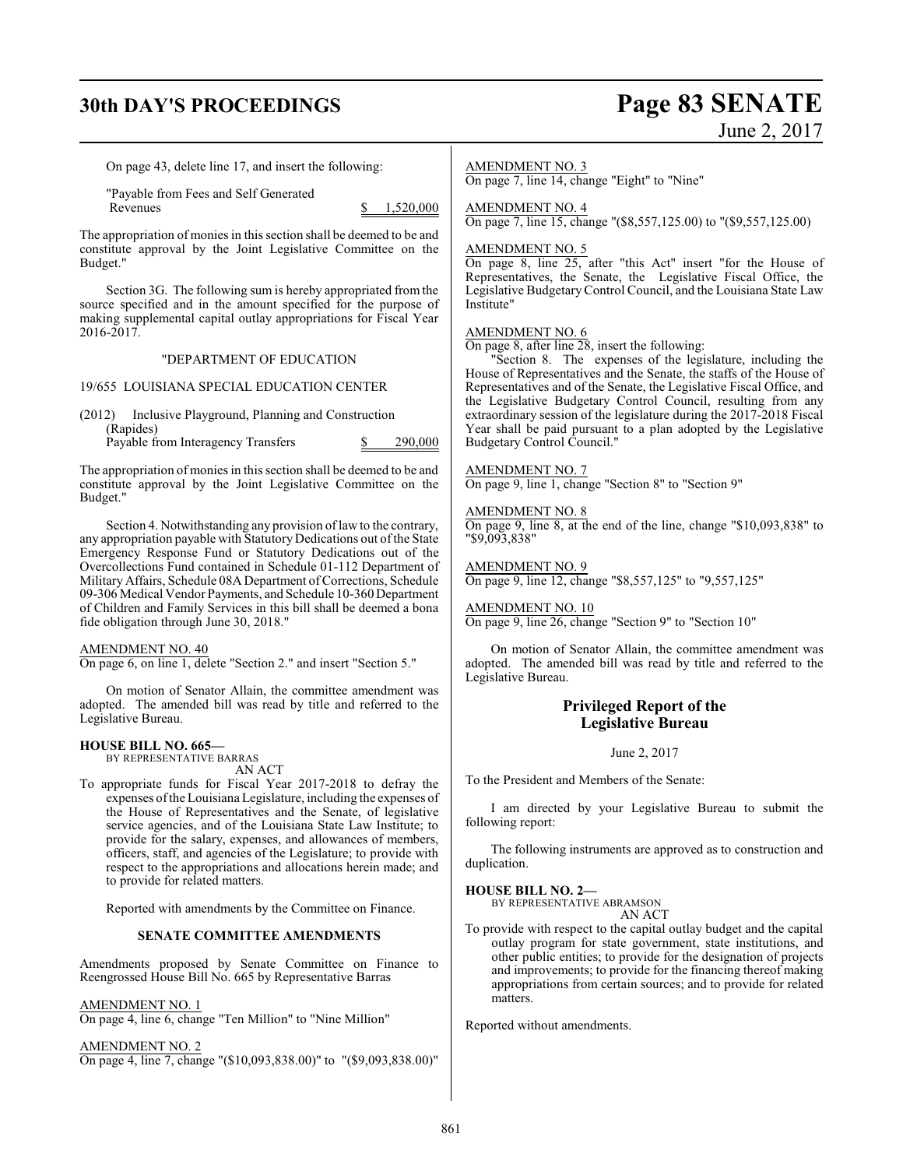# **30th DAY'S PROCEEDINGS Page 83 SENATE**

# June 2, 2017

On page 43, delete line 17, and insert the following:

"Payable from Fees and Self Generated

 $$ 1,520,000$ 

The appropriation of monies in this section shall be deemed to be and constitute approval by the Joint Legislative Committee on the Budget."

Section 3G. The following sum is hereby appropriated from the source specified and in the amount specified for the purpose of making supplemental capital outlay appropriations for Fiscal Year 2016-2017.

#### "DEPARTMENT OF EDUCATION

19/655 LOUISIANA SPECIAL EDUCATION CENTER

(2012) Inclusive Playground, Planning and Construction (Rapides)

Payable from Interagency Transfers \$ 290,000

The appropriation of monies in this section shall be deemed to be and constitute approval by the Joint Legislative Committee on the Budget."

Section 4. Notwithstanding any provision of law to the contrary, any appropriation payable with Statutory Dedications out of the State Emergency Response Fund or Statutory Dedications out of the Overcollections Fund contained in Schedule 01-112 Department of Military Affairs, Schedule 08A Department of Corrections, Schedule 09-306 Medical Vendor Payments, and Schedule 10-360 Department of Children and Family Services in this bill shall be deemed a bona fide obligation through June 30, 2018."

#### AMENDMENT NO. 40

On page 6, on line 1, delete "Section 2." and insert "Section 5."

On motion of Senator Allain, the committee amendment was adopted. The amended bill was read by title and referred to the Legislative Bureau.

#### **HOUSE BILL NO. 665—**

BY REPRESENTATIVE BARRAS AN ACT

To appropriate funds for Fiscal Year 2017-2018 to defray the expenses ofthe Louisiana Legislature, including the expenses of the House of Representatives and the Senate, of legislative service agencies, and of the Louisiana State Law Institute; to provide for the salary, expenses, and allowances of members, officers, staff, and agencies of the Legislature; to provide with respect to the appropriations and allocations herein made; and to provide for related matters.

Reported with amendments by the Committee on Finance.

#### **SENATE COMMITTEE AMENDMENTS**

Amendments proposed by Senate Committee on Finance to Reengrossed House Bill No. 665 by Representative Barras

#### AMENDMENT NO. 1

On page 4, line 6, change "Ten Million" to "Nine Million"

AMENDMENT NO. 2 On page 4, line 7, change "(\$10,093,838.00)" to "(\$9,093,838.00)"

#### AMENDMENT NO. 3

On page 7, line 14, change "Eight" to "Nine"

### AMENDMENT NO. 4

On page 7, line 15, change "(\$8,557,125.00) to "(\$9,557,125.00)

#### AMENDMENT NO. 5

On page 8, line 25, after "this Act" insert "for the House of Representatives, the Senate, the Legislative Fiscal Office, the Legislative Budgetary Control Council, and the Louisiana State Law Institute"

#### AMENDMENT NO. 6

On page 8, after line 28, insert the following:

'Section 8. The expenses of the legislature, including the House of Representatives and the Senate, the staffs of the House of Representatives and of the Senate, the Legislative Fiscal Office, and the Legislative Budgetary Control Council, resulting from any extraordinary session of the legislature during the 2017-2018 Fiscal Year shall be paid pursuant to a plan adopted by the Legislative Budgetary Control Council."

#### AMENDMENT NO. 7

On page 9, line 1, change "Section 8" to "Section 9"

#### AMENDMENT NO. 8

On page 9, line 8, at the end of the line, change "\$10,093,838" to "\$9,093,838"

#### AMENDMENT NO. 9

On page 9, line 12, change "\$8,557,125" to "9,557,125"

#### AMENDMENT NO. 10

On page 9, line 26, change "Section 9" to "Section 10"

On motion of Senator Allain, the committee amendment was adopted. The amended bill was read by title and referred to the Legislative Bureau.

### **Privileged Report of the Legislative Bureau**

June 2, 2017

To the President and Members of the Senate:

I am directed by your Legislative Bureau to submit the following report:

The following instruments are approved as to construction and duplication.

#### **HOUSE BILL NO. 2—**

BY REPRESENTATIVE ABRAMSON AN ACT

To provide with respect to the capital outlay budget and the capital outlay program for state government, state institutions, and other public entities; to provide for the designation of projects and improvements; to provide for the financing thereof making appropriations from certain sources; and to provide for related matters.

Reported without amendments.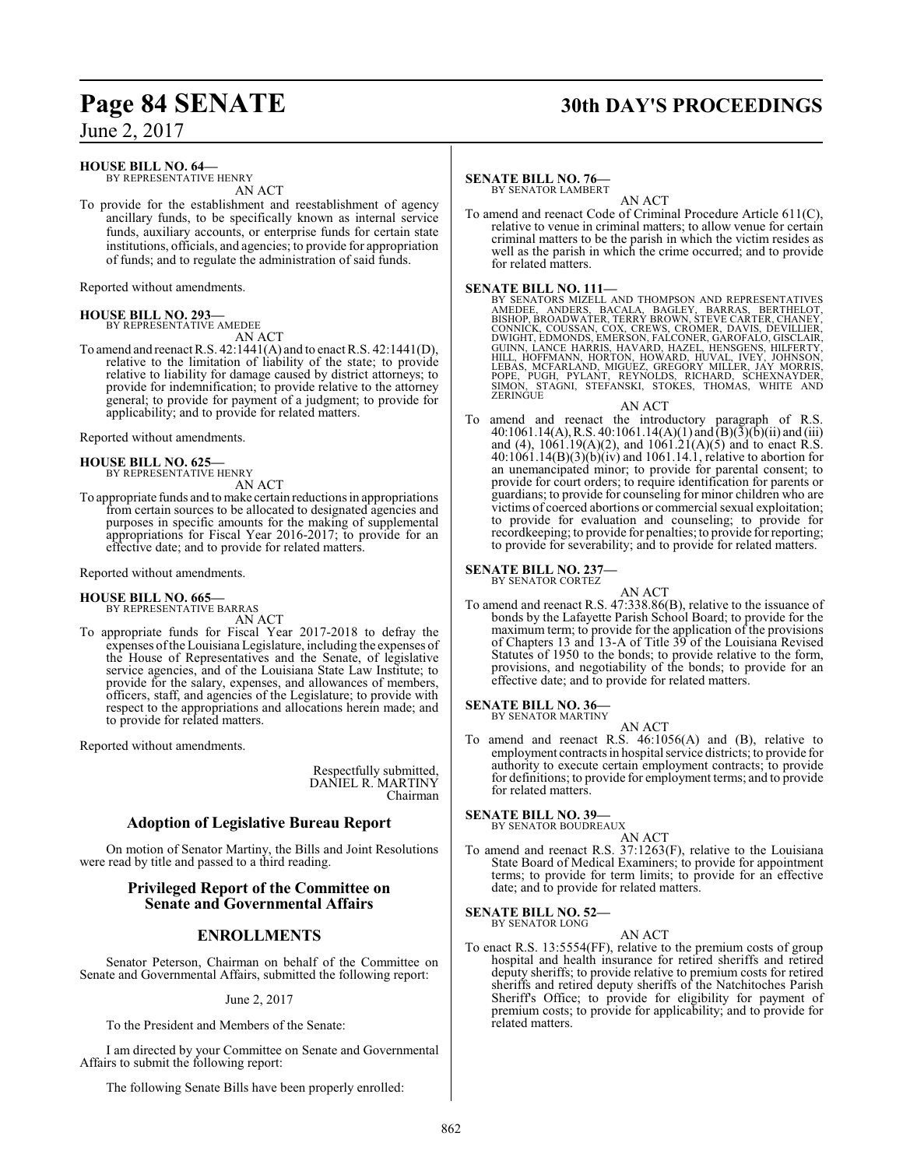# **Page 84 SENATE 30th DAY'S PROCEEDINGS**

June 2, 2017

### **HOUSE BILL NO. 64—**

BY REPRESENTATIVE HENRY AN ACT

To provide for the establishment and reestablishment of agency ancillary funds, to be specifically known as internal service funds, auxiliary accounts, or enterprise funds for certain state institutions, officials, and agencies; to provide for appropriation of funds; and to regulate the administration of said funds.

Reported without amendments.

#### **HOUSE BILL NO. 293—** BY REPRESENTATIVE AMEDEE

AN ACT

To amend and reenact R.S. 42:1441(A) and to enact R.S. 42:1441(D), relative to the limitation of liability of the state; to provide relative to liability for damage caused by district attorneys; to provide for indemnification; to provide relative to the attorney general; to provide for payment of a judgment; to provide for applicability; and to provide for related matters.

Reported without amendments.

#### **HOUSE BILL NO. 625—**

BY REPRESENTATIVE HENRY AN ACT

To appropriate funds and tomake certain reductions in appropriations from certain sources to be allocated to designated agencies and purposes in specific amounts for the making of supplemental appropriations for Fiscal Year 2016-2017; to provide for an effective date; and to provide for related matters.

Reported without amendments.

# **HOUSE BILL NO. 665—** BY REPRESENTATIVE BARRAS AN ACT

To appropriate funds for Fiscal Year 2017-2018 to defray the expenses ofthe Louisiana Legislature, including the expenses of the House of Representatives and the Senate, of legislative service agencies, and of the Louisiana State Law Institute; to provide for the salary, expenses, and allowances of members, officers, staff, and agencies of the Legislature; to provide with respect to the appropriations and allocations herein made; and to provide for related matters.

Reported without amendments.

Respectfully submitted, DANIEL R. MARTINY Chairman

### **Adoption of Legislative Bureau Report**

On motion of Senator Martiny, the Bills and Joint Resolutions were read by title and passed to a third reading.

### **Privileged Report of the Committee on Senate and Governmental Affairs**

### **ENROLLMENTS**

Senator Peterson, Chairman on behalf of the Committee on Senate and Governmental Affairs, submitted the following report:

June 2, 2017

To the President and Members of the Senate:

I am directed by your Committee on Senate and Governmental Affairs to submit the following report:

The following Senate Bills have been properly enrolled:

#### **SENATE BILL NO. 76—** BY SENATOR LAMBERT

AN ACT To amend and reenact Code of Criminal Procedure Article 611(C), relative to venue in criminal matters; to allow venue for certain criminal matters to be the parish in which the victim resides as well as the parish in which the crime occurred; and to provide for related matters.

**SENATE BILL NO. 111—**<br>BY SENATORS MIZELL AND THOMPSON AND REPRESENTATIVES<br>AMEDEE, ANDERS, BACALA, BAGLEY, BARRAS, BERTHELOT,<br>BISHOP, BROADWATER, TERRY BROWN, STEVE CARTER, CHANEY,<br>CONNICK, COUSSAN, COX, CREWS, CROMER, DAV

#### AN ACT

To amend and reenact the introductory paragraph of R.S. 40:1061.14(A), R.S. 40:1061.14(A)(1) and  $\overline{(B)(3)}$ (b)(ii) and (iii) and (4),  $1061.19(A)(2)$ , and  $1061.21(A)(5)$  and to enact R.S. 40:1061.14(B)(3)(b)(iv) and 1061.14.1, relative to abortion for an unemancipated minor; to provide for parental consent; to provide for court orders; to require identification for parents or guardians; to provide for counseling for minor children who are victims of coerced abortions or commercial sexual exploitation; to provide for evaluation and counseling; to provide for recordkeeping; to provide for penalties; to provide for reporting; to provide for severability; and to provide for related matters.

# **SENATE BILL NO. 237—** BY SENATOR CORTEZ

AN ACT

To amend and reenact R.S. 47:338.86(B), relative to the issuance of bonds by the Lafayette Parish School Board; to provide for the maximum term; to provide for the application of the provisions of Chapters 13 and 13-A of Title 39 of the Louisiana Revised Statutes of 1950 to the bonds; to provide relative to the form, provisions, and negotiability of the bonds; to provide for an effective date; and to provide for related matters.

# **SENATE BILL NO. 36—**<br>BY SENATOR MARTINY

AN ACT

To amend and reenact R.S. 46:1056(A) and (B), relative to employment contracts in hospital service districts; to provide for authority to execute certain employment contracts; to provide for definitions; to provide for employment terms; and to provide for related matters.

# **SENATE BILL NO. 39—**<br>BY SENATOR BOUDREAUX

AN ACT

To amend and reenact R.S. 37:1263(F), relative to the Louisiana State Board of Medical Examiners; to provide for appointment terms; to provide for term limits; to provide for an effective date; and to provide for related matters.

# **SENATE BILL NO. 52-**<br>BY SENATOR LONG

AN ACT

To enact R.S. 13:5554(FF), relative to the premium costs of group hospital and health insurance for retired sheriffs and retired deputy sheriffs; to provide relative to premium costs for retired sheriffs and retired deputy sheriffs of the Natchitoches Parish Sheriff's Office; to provide for eligibility for payment of premium costs; to provide for applicability; and to provide for related matters.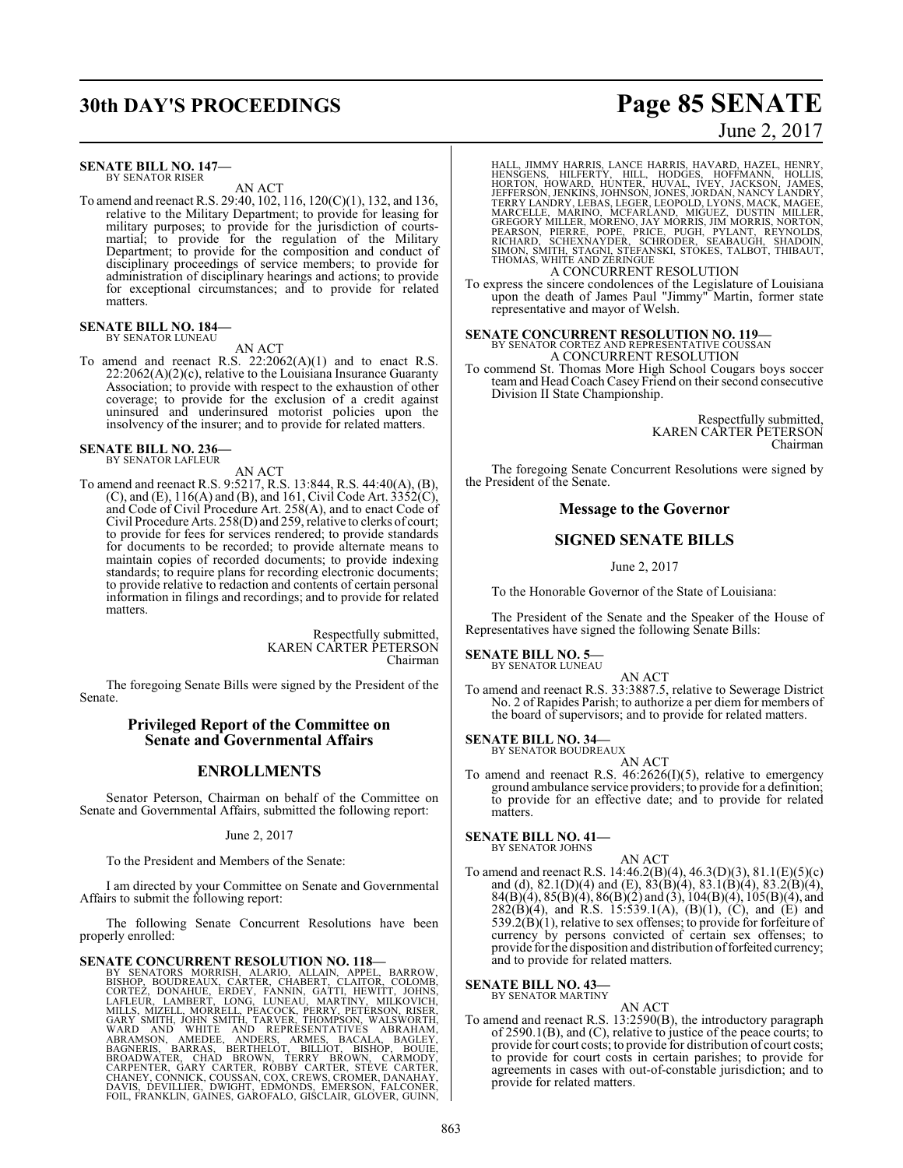# **30th DAY'S PROCEEDINGS Page 85 SENATE**

#### **SENATE BILL NO. 147—** BY SENATOR RISER

AN ACT

To amend and reenact R.S. 29:40, 102, 116, 120(C)(1), 132, and 136, relative to the Military Department; to provide for leasing for military purposes; to provide for the jurisdiction of courtsmartial; to provide for the regulation of the Military Department; to provide for the composition and conduct of disciplinary proceedings of service members; to provide for administration of disciplinary hearings and actions; to provide for exceptional circumstances; and to provide for related matters.

**SENATE BILL NO. 184—** BY SENATOR LUNEAU

#### AN ACT

To amend and reenact R.S. 22:2062(A)(1) and to enact R.S.  $22:2062(A)(2)(c)$ , relative to the Louisiana Insurance Guaranty Association; to provide with respect to the exhaustion of other coverage; to provide for the exclusion of a credit against uninsured and underinsured motorist policies upon the insolvency of the insurer; and to provide for related matters.

**SENATE BILL NO. 236—** BY SENATOR LAFLEUR

AN ACT

To amend and reenact R.S. 9:5217, R.S. 13:844, R.S. 44:40(A), (B), (C), and (E),  $116(A)$  and (B), and 161, Civil Code Art. 3352(C), and Code of Civil Procedure Art. 258(A), and to enact Code of Civil Procedure Arts. 258(D) and 259, relative to clerks of court; to provide for fees for services rendered; to provide standards for documents to be recorded; to provide alternate means to maintain copies of recorded documents; to provide indexing standards; to require plans for recording electronic documents; to provide relative to redaction and contents of certain personal information in filings and recordings; and to provide for related matters.

> Respectfully submitted, KAREN CARTER PETERSON Chairman

The foregoing Senate Bills were signed by the President of the Senate.

#### **Privileged Report of the Committee on Senate and Governmental Affairs**

### **ENROLLMENTS**

Senator Peterson, Chairman on behalf of the Committee on Senate and Governmental Affairs, submitted the following report:

June 2, 2017

To the President and Members of the Senate:

I am directed by your Committee on Senate and Governmental Affairs to submit the following report:

The following Senate Concurrent Resolutions have been properly enrolled:

SENATE CONCURRENT RESOLUTION NO. 118-<br>BY SENATORS MORRISH, ALARIO, ALLAIN, APPEL, BARROW,<br>BISHOP, BOUDREAUX, CARTER, CHABERT, CLAITOR, COLOMB,<br>CORTEZ, DONAHUE, ERDEY, FANNIN, GATTI, HEWITT, JOHNS,<br>LAFLEUR, LAMBERT, LONG, L FOIL, FRANKLIN, GAINES, GAROFALO, GISCLAIR, GLOVER, GUINN,

## June 2, 2017

HALL, JIMMY HARRIS, LANCE HARRIS, HAVARD, HAZEL, HENRY, HENSGENS, HILFERTY, HILL, HODGES, HOFFMANN, HOLLIS,<br>HORTON, HOWARD, HUNTER, HUVAL, IVEY, JACKSON, JAMES,<br>JEFFERSON, JENKINS, JOHNSON, JONES, JORDAN, NANCY LANDRY,<br>TERRY LANDRY, LEBAS, LEGER, LEOPOLD, LYONS, MACK, MAGEE,<br>MA A CONCURRENT RESOLUTION

To express the sincere condolences of the Legislature of Louisiana upon the death of James Paul "Jimmy" Martin, former state representative and mayor of Welsh.

### **SENATE CONCURRENT RESOLUTION NO. 119—** BY SENATOR CORTEZ AND REPRESENTATIVE COUSSAN A CONCURRENT RESOLUTION

To commend St. Thomas More High School Cougars boys soccer teamand Head Coach Casey Friend on their second consecutive Division II State Championship.

> Respectfully submitted, KAREN CARTER PETERSON Chairman

The foregoing Senate Concurrent Resolutions were signed by the President of the Senate.

#### **Message to the Governor**

### **SIGNED SENATE BILLS**

June 2, 2017

To the Honorable Governor of the State of Louisiana:

The President of the Senate and the Speaker of the House of Representatives have signed the following Senate Bills:

# **SENATE BILL NO. 5—** BY SENATOR LUNEAU

AN ACT

To amend and reenact R.S. 33:3887.5, relative to Sewerage District No. 2 of Rapides Parish; to authorize a per diem for members of the board of supervisors; and to provide for related matters.

**SENATE BILL NO. 34—** BY SENATOR BOUDREAUX

AN ACT

To amend and reenact R.S. 46:2626(I)(5), relative to emergency ground ambulance service providers; to provide for a definition; to provide for an effective date; and to provide for related matters.

**SENATE BILL NO. 41—**

- BY SENATOR JOHNS
- AN ACT To amend and reenact R.S. 14:46.2(B)(4), 46.3(D)(3), 81.1(E)(5)(c) and (d),  $82.1(D)(4)$  and (E),  $83(B)(4)$ ,  $83.1(B)(4)$ ,  $83.2(B)(4)$ , 84(B)(4), 85(B)(4), 86(B)(2) and (3), 104(B)(4), 105(B)(4), and  $282(B)(4)$ , and R.S. 15:539.1(A), (B)(1), (C), and (E) and  $539.2(B)(1)$ , relative to sex offenses; to provide for forfeiture of currency by persons convicted of certain sex offenses; to provide for the disposition and distribution of forfeited currency; and to provide for related matters.

#### **SENATE BILL NO. 43—** BY SENATOR MARTINY

AN ACT To amend and reenact R.S. 13:2590(B), the introductory paragraph of 2590.1(B), and (C), relative to justice of the peace courts; to provide for court costs; to provide for distribution of court costs; to provide for court costs in certain parishes; to provide for agreements in cases with out-of-constable jurisdiction; and to provide for related matters.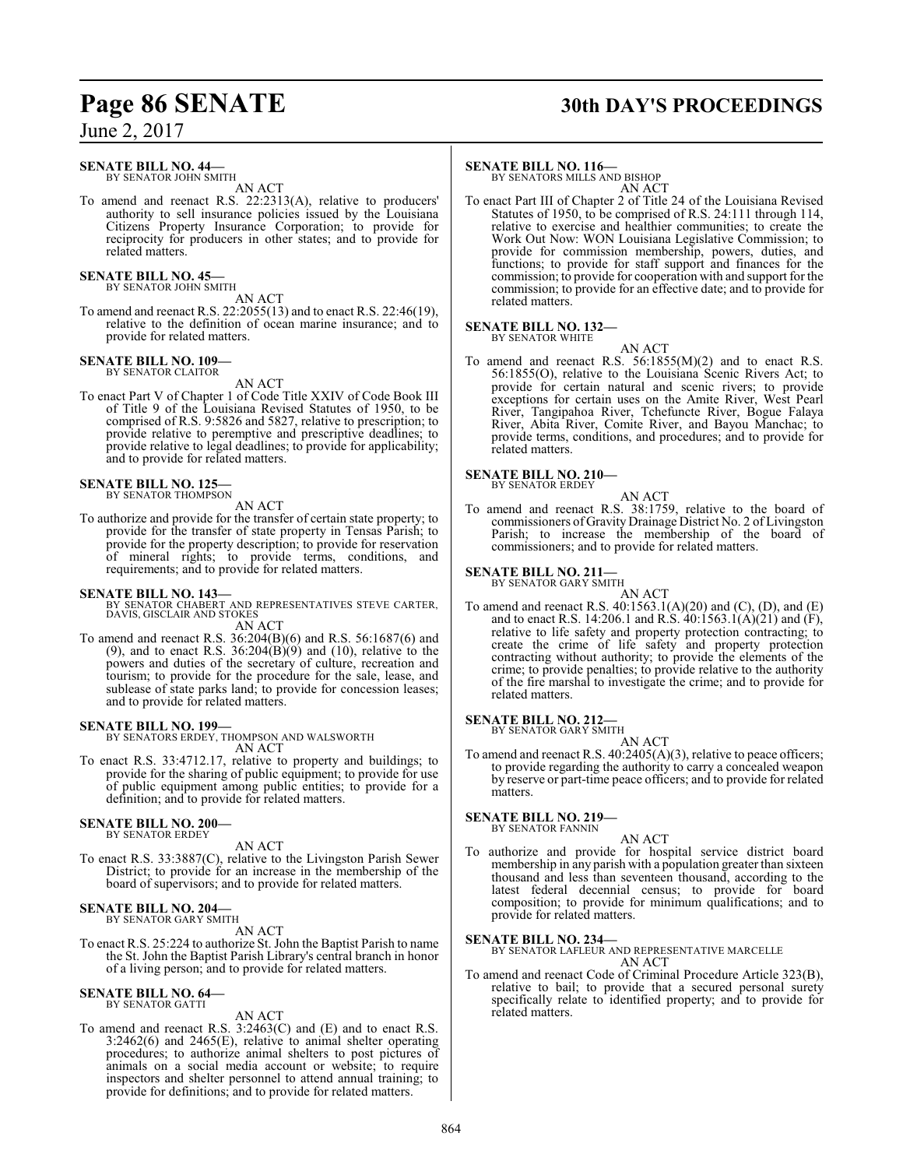### **SENATE BILL NO. 44—**

BY SENATOR JOHN SMITH AN ACT

To amend and reenact R.S. 22:2313(A), relative to producers' authority to sell insurance policies issued by the Louisiana Citizens Property Insurance Corporation; to provide for reciprocity for producers in other states; and to provide for related matters.

#### **SENATE BILL NO. 45—** BY SENATOR JOHN SMITH

AN ACT

To amend and reenact R.S. 22:2055(13) and to enact R.S. 22:46(19), relative to the definition of ocean marine insurance; and to provide for related matters.

#### **SENATE BILL NO. 109—** BY SENATOR CLAITOR

AN ACT

To enact Part V of Chapter 1 of Code Title XXIV of Code Book III of Title 9 of the Louisiana Revised Statutes of 1950, to be comprised of R.S. 9:5826 and 5827, relative to prescription; to provide relative to peremptive and prescriptive deadlines; to provide relative to legal deadlines; to provide for applicability; and to provide for related matters.

# **SENATE BILL NO. 125—** BY SENATOR THOMPSON

AN ACT

To authorize and provide for the transfer of certain state property; to provide for the transfer of state property in Tensas Parish; to provide for the property description; to provide for reservation of mineral rights; to provide terms, conditions, and requirements; and to provide for related matters.

**SENATE BILL NO. 143—** BY SENATOR CHABERT AND REPRESENTATIVES STEVE CARTER, DAVIS, GISCLAIR AND STOKES AN ACT

To amend and reenact R.S. 36:204(B)(6) and R.S. 56:1687(6) and (9), and to enact R.S.  $36:204(B)(9)$  and (10), relative to the powers and duties of the secretary of culture, recreation and tourism; to provide for the procedure for the sale, lease, and sublease of state parks land; to provide for concession leases; and to provide for related matters.

#### **SENATE BILL NO. 199—**

BY SENATORS ERDEY, THOMPSON AND WALSWORTH AN ACT

To enact R.S. 33:4712.17, relative to property and buildings; to provide for the sharing of public equipment; to provide for use of public equipment among public entities; to provide for a definition; and to provide for related matters.

#### **SENATE BILL NO. 200—** BY SENATOR ERDEY

AN ACT

To enact R.S. 33:3887(C), relative to the Livingston Parish Sewer District; to provide for an increase in the membership of the board of supervisors; and to provide for related matters.

# **SENATE BILL NO. 204—** BY SENATOR GARY SMITH

AN ACT

To enact R.S. 25:224 to authorize St. John the Baptist Parish to name the St. John the Baptist Parish Library's central branch in honor of a living person; and to provide for related matters.

#### **SENATE BILL NO. 64—** BY SENATOR GATTI

AN ACT

To amend and reenact R.S. 3:2463(C) and (E) and to enact R.S. 3:2462(6) and 2465(E), relative to animal shelter operating procedures; to authorize animal shelters to post pictures of animals on a social media account or website; to require inspectors and shelter personnel to attend annual training; to provide for definitions; and to provide for related matters.

# **Page 86 SENATE 30th DAY'S PROCEEDINGS**

#### **SENATE BILL NO. 116—**

BY SENATORS MILLS AND BISHOP AN ACT

To enact Part III of Chapter 2 of Title 24 of the Louisiana Revised Statutes of 1950, to be comprised of R.S. 24:111 through 114, relative to exercise and healthier communities; to create the Work Out Now: WON Louisiana Legislative Commission; to provide for commission membership, powers, duties, and functions; to provide for staff support and finances for the commission; to provide for cooperation with and support for the commission; to provide for an effective date; and to provide for related matters.

#### **SENATE BILL NO. 132—** BY SENATOR WHITE

AN ACT

To amend and reenact R.S. 56:1855(M)(2) and to enact R.S. 56:1855(O), relative to the Louisiana Scenic Rivers Act; to provide for certain natural and scenic rivers; to provide exceptions for certain uses on the Amite River, West Pearl River, Tangipahoa River, Tchefuncte River, Bogue Falaya River, Abita River, Comite River, and Bayou Manchac; to provide terms, conditions, and procedures; and to provide for related matters.

#### **SENATE BILL NO. 210—** BY SENATOR ERDEY

- AN ACT
- To amend and reenact R.S. 38:1759, relative to the board of commissioners of Gravity Drainage District No. 2 of Livingston Parish; to increase the membership of the board of commissioners; and to provide for related matters.

#### **SENATE BILL NO. 211—** BY SENATOR GARY SMITH

AN ACT To amend and reenact R.S. 40:1563.1(A)(20) and (C), (D), and (E) and to enact R.S. 14:206.1 and R.S. 40:1563.1(A)(21) and (F), relative to life safety and property protection contracting; to create the crime of life safety and property protection contracting without authority; to provide the elements of the crime; to provide penalties; to provide relative to the authority of the fire marshal to investigate the crime; and to provide for related matters.

### **SENATE BILL NO. 212—**

BY SENATOR GARY SMITH AN ACT

To amend and reenact R.S. 40:2405(A)(3), relative to peace officers; to provide regarding the authority to carry a concealed weapon by reserve or part-time peace officers; and to provide for related matters.

#### **SENATE BILL NO. 219—** BY SENATOR FANNIN

AN ACT

To authorize and provide for hospital service district board membership in any parish with a population greater than sixteen thousand and less than seventeen thousand, according to the latest federal decennial census; to provide for board composition; to provide for minimum qualifications; and to provide for related matters.

**SENATE BILL NO. 234—** BY SENATOR LAFLEUR AND REPRESENTATIVE MARCELLE AN ACT

To amend and reenact Code of Criminal Procedure Article 323(B), relative to bail; to provide that a secured personal surety specifically relate to identified property; and to provide for related matters.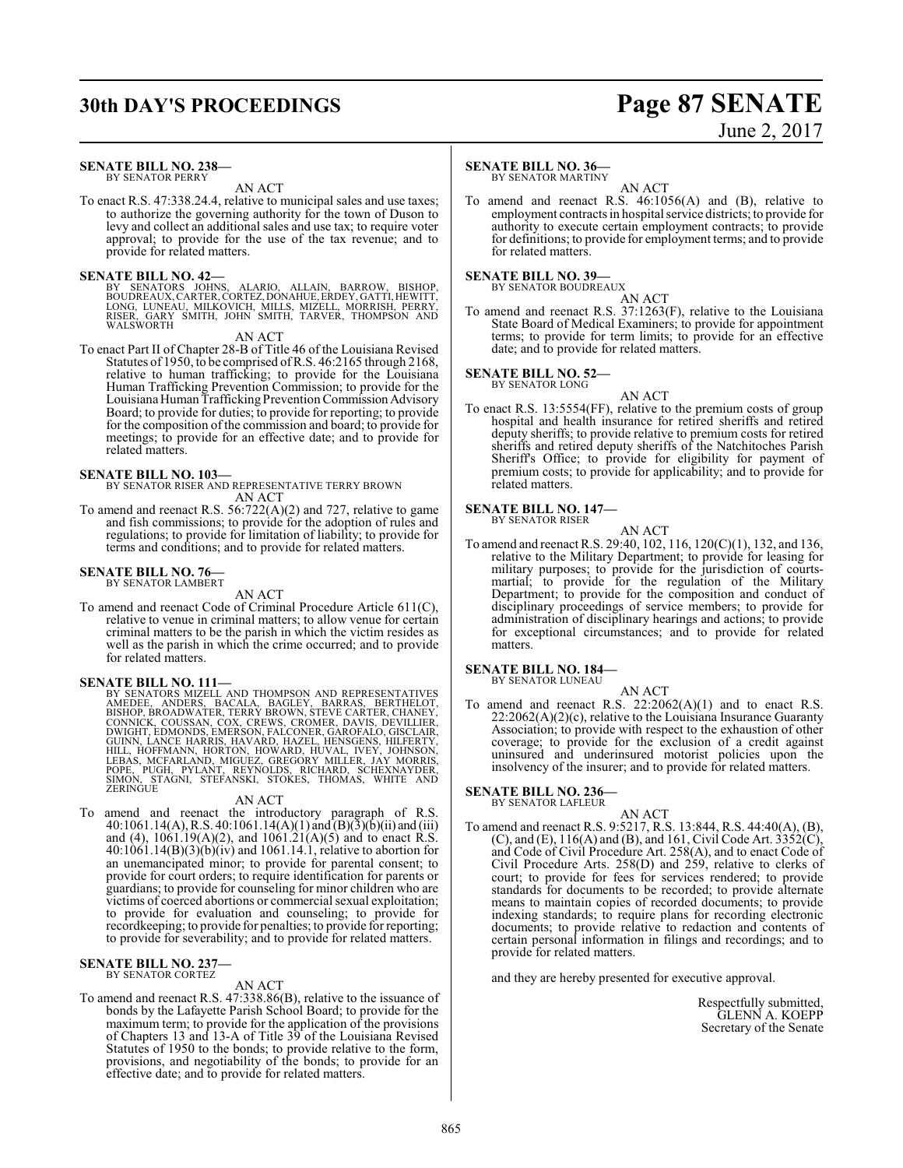# **30th DAY'S PROCEEDINGS Page 87 SENATE**

#### **SENATE BILL NO. 238—** BY SENATOR PERRY

AN ACT

To enact R.S. 47:338.24.4, relative to municipal sales and use taxes; to authorize the governing authority for the town of Duson to levy and collect an additional sales and use tax; to require voter approval; to provide for the use of the tax revenue; and to provide for related matters.

#### **SENATE BILL NO. 42—**

BY SENATORS JOHNS, ALARIO, ALLAIN, BARROW, BISHOP,<br>BOUDREAUX,CARTER,CORTEZ,DONAHUE,ERDEY,GATTI,HEWITT,<br>LONG,LUNEAU,MILKOVICH,MILLS,MIZELL,MORRISH,PERRY,<br>KISER,GARY SMITH,JOHN SMITH,TARVER,THOMPSON AND WALSWORTH

#### AN ACT

To enact Part II of Chapter 28-B of Title 46 of the Louisiana Revised Statutes of 1950, to be comprised ofR.S. 46:2165 through 2168, relative to human trafficking; to provide for the Louisiana Human Trafficking Prevention Commission; to provide for the Louisiana Human Trafficking Prevention Commission Advisory Board; to provide for duties; to provide for reporting; to provide for the composition of the commission and board; to provide for meetings; to provide for an effective date; and to provide for related matters.

#### **SENATE BILL NO. 103—**

BY SENATOR RISER AND REPRESENTATIVE TERRY BROWN AN ACT

To amend and reenact R.S. 56:722(A)(2) and 727, relative to game and fish commissions; to provide for the adoption of rules and regulations; to provide for limitation of liability; to provide for terms and conditions; and to provide for related matters.

#### **SENATE BILL NO. 76—** BY SENATOR LAMBERT

AN ACT

To amend and reenact Code of Criminal Procedure Article 611(C), relative to venue in criminal matters; to allow venue for certain criminal matters to be the parish in which the victim resides as well as the parish in which the crime occurred; and to provide for related matters.

**SENATE BILL NO. 111—**<br>BY SENATORS MIZELL AND THOMPSON AND REPRESENTATIVES BY SENATORS MIZELL AND THOMPSON AND REPRESENTATIVES<br>AMEDEE, ANDERS, BACALA, BAGLEY, BARRAS, BERTHELOT,<br>BISHOP, BROADWATER, TERRY BROWN, STEVE CARTER, CHANEY,<br>CONNICK, COUSSAN, COX, CREWS, CROMER, DAVIS, DEVILLIER,<br>DWIGHT,

#### AN ACT

To amend and reenact the introductory paragraph of R.S. 40:1061.14(A), R.S. 40:1061.14(A)(1) and (B)(3)(b)(ii) and (iii) and (4), 1061.19(A)(2), and 1061.21(A)(5) and to enact R.S. 40:1061.14(B)(3)(b)(iv) and 1061.14.1, relative to abortion for an unemancipated minor; to provide for parental consent; to provide for court orders; to require identification for parents or guardians; to provide for counseling for minor children who are victims of coerced abortions or commercial sexual exploitation; to provide for evaluation and counseling; to provide for recordkeeping; to provide for penalties; to provide for reporting; to provide for severability; and to provide for related matters.

# **SENATE BILL NO. 237—** BY SENATOR CORTEZ

#### AN ACT

To amend and reenact R.S. 47:338.86(B), relative to the issuance of bonds by the Lafayette Parish School Board; to provide for the maximum term; to provide for the application of the provisions of Chapters 13 and 13-A of Title 39 of the Louisiana Revised Statutes of 1950 to the bonds; to provide relative to the form, provisions, and negotiability of the bonds; to provide for an effective date; and to provide for related matters.

#### **SENATE BILL NO. 36—**

BY SENATOR MARTINY

AN ACT To amend and reenact R.S. 46:1056(A) and (B), relative to employment contracts in hospital service districts; to provide for authority to execute certain employment contracts; to provide for definitions; to provide for employment terms; and to provide for related matters.

#### **SENATE BILL NO. 39—** BY SENATOR BOUDREAUX

AN ACT

To amend and reenact R.S. 37:1263(F), relative to the Louisiana State Board of Medical Examiners; to provide for appointment terms; to provide for term limits; to provide for an effective date; and to provide for related matters.

#### **SENATE BILL NO. 52—** BY SENATOR LONG

- AN ACT
- To enact R.S. 13:5554(FF), relative to the premium costs of group hospital and health insurance for retired sheriffs and retired deputy sheriffs; to provide relative to premium costs for retired sheriffs and retired deputy sheriffs of the Natchitoches Parish Sheriff's Office; to provide for eligibility for payment of premium costs; to provide for applicability; and to provide for related matters.

#### **SENATE BILL NO. 147—** BY SENATOR RISER

AN ACT

To amend and reenact R.S. 29:40, 102, 116, 120(C)(1), 132, and 136, relative to the Military Department; to provide for leasing for military purposes; to provide for the jurisdiction of courtsmartial; to provide for the regulation of the Military Department; to provide for the composition and conduct of disciplinary proceedings of service members; to provide for administration of disciplinary hearings and actions; to provide for exceptional circumstances; and to provide for related matters.

#### **SENATE BILL NO. 184—** BY SENATOR LUNEAU

AN ACT

To amend and reenact R.S.  $22:2062(A)(1)$  and to enact R.S.  $22:2062(A)(2)(c)$ , relative to the Louisiana Insurance Guaranty Association; to provide with respect to the exhaustion of other coverage; to provide for the exclusion of a credit against uninsured and underinsured motorist policies upon the insolvency of the insurer; and to provide for related matters.

# **SENATE BILL NO. 236—** BY SENATOR LAFLEUR

- AN ACT
- To amend and reenact R.S. 9:5217, R.S. 13:844, R.S. 44:40(A), (B), (C), and (E),  $116(A)$  and (B), and 161, Civil Code Art.  $3352(C)$ , and Code of Civil Procedure Art. 258(A), and to enact Code of Civil Procedure Arts. 258(D) and 259, relative to clerks of court; to provide for fees for services rendered; to provide standards for documents to be recorded; to provide alternate means to maintain copies of recorded documents; to provide indexing standards; to require plans for recording electronic documents; to provide relative to redaction and contents of certain personal information in filings and recordings; and to provide for related matters.

and they are hereby presented for executive approval.

Respectfully submitted, GLENN A. KOEPP Secretary of the Senate

# June 2, 2017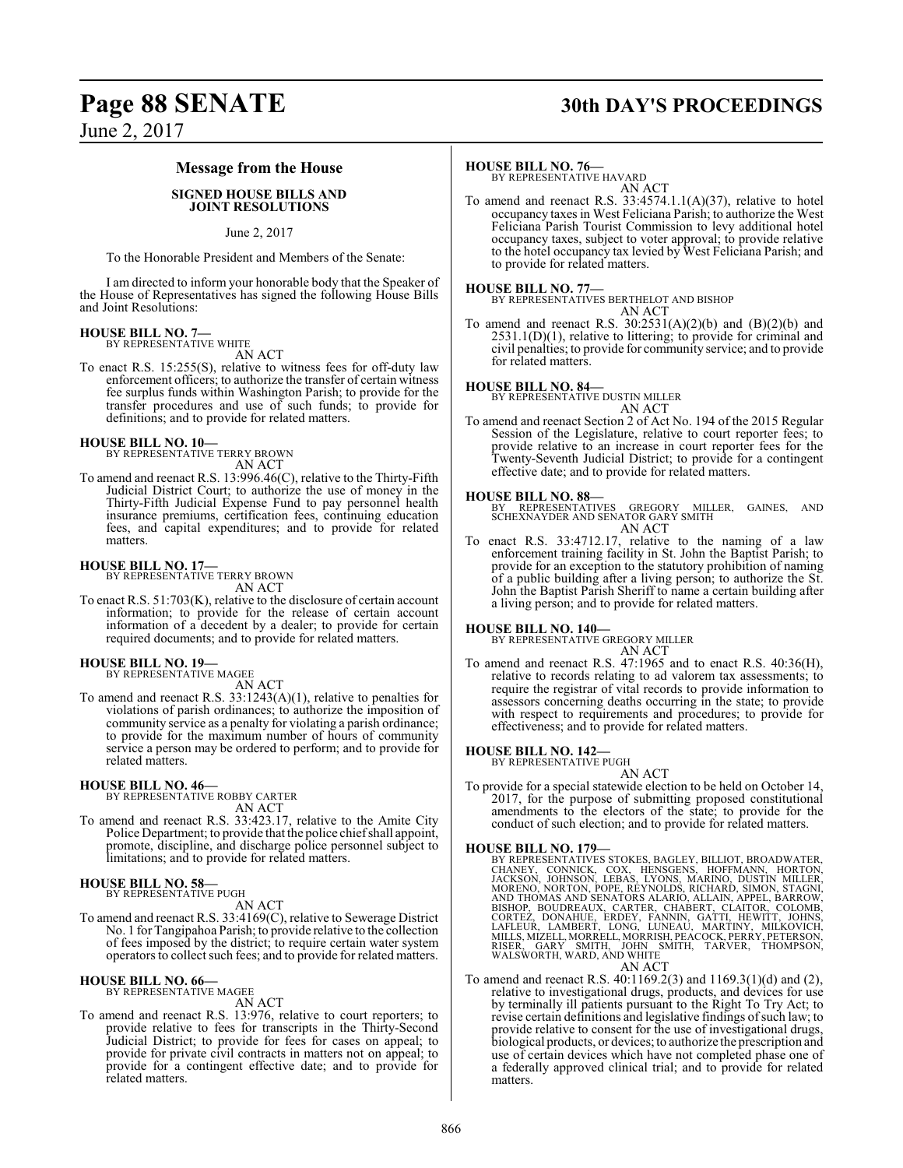# **Page 88 SENATE 30th DAY'S PROCEEDINGS**

June 2, 2017

#### **Message from the House**

#### **SIGNED HOUSE BILLS AND JOINT RESOLUTIONS**

#### June 2, 2017

To the Honorable President and Members of the Senate:

I am directed to inform your honorable body that the Speaker of the House of Representatives has signed the following House Bills and Joint Resolutions:

# **HOUSE BILL NO. 7—** BY REPRESENTATIVE WHITE

AN ACT

To enact R.S. 15:255(S), relative to witness fees for off-duty law enforcement officers; to authorize the transfer of certain witness fee surplus funds within Washington Parish; to provide for the transfer procedures and use of such funds; to provide for definitions; and to provide for related matters.

#### **HOUSE BILL NO. 10—**

BY REPRESENTATIVE TERRY BROWN AN ACT

To amend and reenact R.S. 13:996.46(C), relative to the Thirty-Fifth Judicial District Court; to authorize the use of money in the Thirty-Fifth Judicial Expense Fund to pay personnel health insurance premiums, certification fees, continuing education fees, and capital expenditures; and to provide for related matters.

#### **HOUSE BILL NO. 17—**

BY REPRESENTATIVE TERRY BROWN AN ACT

To enact R.S. 51:703(K), relative to the disclosure of certain account information; to provide for the release of certain account information of a decedent by a dealer; to provide for certain required documents; and to provide for related matters.

# **HOUSE BILL NO. 19—** BY REPRESENTATIVE MAGEE

AN ACT

To amend and reenact R.S. 33:1243(A)(1), relative to penalties for violations of parish ordinances; to authorize the imposition of community service as a penalty for violating a parish ordinance; to provide for the maximum number of hours of community service a person may be ordered to perform; and to provide for related matters.

#### **HOUSE BILL NO. 46—**

BY REPRESENTATIVE ROBBY CARTER AN ACT

To amend and reenact R.S. 33:423.17, relative to the Amite City Police Department; to provide that the police chief shall appoint, promote, discipline, and discharge police personnel subject to limitations; and to provide for related matters.

#### **HOUSE BILL NO. 58—** BY REPRESENTATIVE PUGH

AN ACT

To amend and reenact R.S. 33:4169(C), relative to Sewerage District No. 1 for Tangipahoa Parish; to provide relative to the collection of fees imposed by the district; to require certain water system operators to collect such fees; and to provide for related matters.

#### **HOUSE BILL NO. 66—** BY REPRESENTATIVE MAGEE

AN ACT

To amend and reenact R.S. 13:976, relative to court reporters; to provide relative to fees for transcripts in the Thirty-Second Judicial District; to provide for fees for cases on appeal; to provide for private civil contracts in matters not on appeal; to provide for a contingent effective date; and to provide for related matters.

#### **HOUSE BILL NO. 76—**

BY REPRESENTATIVE HAVARD AN ACT

To amend and reenact R.S. 33:4574.1.1(A)(37), relative to hotel occupancy taxes in West Feliciana Parish; to authorize the West Feliciana Parish Tourist Commission to levy additional hotel occupancy taxes, subject to voter approval; to provide relative to the hotel occupancy tax levied by West Feliciana Parish; and to provide for related matters.

**HOUSE BILL NO. 77—** BY REPRESENTATIVES BERTHELOT AND BISHOP AN ACT

To amend and reenact R.S.  $30:2531(A)(2)(b)$  and  $(B)(2)(b)$  and 2531.1(D)(1), relative to littering; to provide for criminal and civil penalties; to provide for community service; and to provide for related matters.

#### **HOUSE BILL NO. 84—**

BY REPRESENTATIVE DUSTIN MILLER AN ACT

To amend and reenact Section 2 of Act No. 194 of the 2015 Regular Session of the Legislature, relative to court reporter fees; to provide relative to an increase in court reporter fees for the Twenty-Seventh Judicial District; to provide for a contingent effective date; and to provide for related matters.

#### **HOUSE BILL NO. 88—**

BY REPRESENTATIVES GREGORY MILLER, GAINES, AND SCHEXNAYDER AND SENATOR GARY SMITH AN ACT

To enact R.S. 33:4712.17, relative to the naming of a law enforcement training facility in St. John the Baptist Parish; to provide for an exception to the statutory prohibition of naming of a public building after a living person; to authorize the St. John the Baptist Parish Sheriff to name a certain building after a living person; and to provide for related matters.

#### **HOUSE BILL NO. 140—**

BY REPRESENTATIVE GREGORY MILLER AN ACT

To amend and reenact R.S. 47:1965 and to enact R.S. 40:36(H), relative to records relating to ad valorem tax assessments; to require the registrar of vital records to provide information to assessors concerning deaths occurring in the state; to provide with respect to requirements and procedures; to provide for effectiveness; and to provide for related matters.

#### **HOUSE BILL NO. 142—**

BY REPRESENTATIVE PUGH AN ACT

To provide for a special statewide election to be held on October 14, 2017, for the purpose of submitting proposed constitutional amendments to the electors of the state; to provide for the conduct of such election; and to provide for related matters.

HOUSE BILL NO. 179-<br>BY REPRESENTATIVES STOKES, BAGLEY, BILLIOT, BROADWATER,<br>CHANEY, CONNICK, COX, HENSGENS, HOFFMANN, HORTON, JACKSON, JOHNSON, LEBAS, LYONS, MARINO, DUSTIN MILLER,<br>MORENO, NORTON, POPE, REYNOLDS, RICHARD, AN ACT

To amend and reenact R.S. 40:1169.2(3) and 1169.3(1)(d) and (2), relative to investigational drugs, products, and devices for use by terminally ill patients pursuant to the Right To Try Act; to revise certain definitions and legislative findings of such law; to provide relative to consent for the use of investigational drugs, biological products, or devices; to authorize the prescription and use of certain devices which have not completed phase one of a federally approved clinical trial; and to provide for related matters.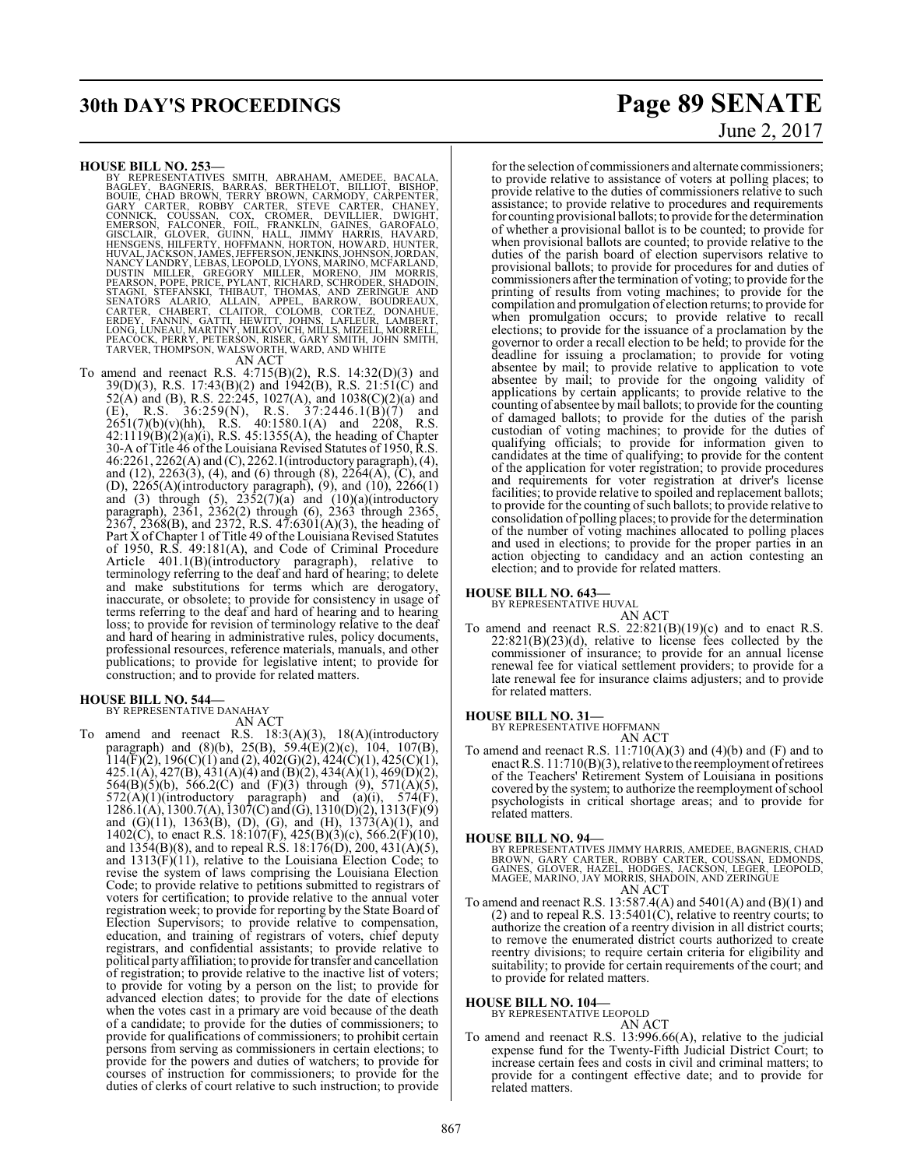# **30th DAY'S PROCEEDINGS Page 89 SENATE**

- HOUSE BILL NO. 253-<br>BY REPRESENTATIVES SMITH, ABRAHAM, AMEDEE, BACALA,<br>BAGLEY, BAGNERIS, BARRAS, BERTHELOT, BILLIOT, BISHOP,<br>BOUIE, CHAD BROWN, TERRY BROWN, CARMODY, CARPENTER,<br>GARY CARTER, ROBBY CARTER, STEVE CARTER, CHAN TARVER, THOMPSON, WALSWORTH, WARD, AND WHITE AN ACT
	-
- To amend and reenact R.S. 4:715(B)(2), R.S. 14:32(D)(3) and 39(D)(3), R.S. 17:43(B)(2) and 1942(B), R.S. 21:51(C) and 52(A) and (B), R.S. 22:245, 1027(A), and 1038(C)(2)(a) and (E), R.S. 36:259(N), R.S. 37:2446.1(B)(7) and  $2651(7)(b)(v)(hh)$ , R.S.  $40:1580.1(A)$  and  $2208$ , R.S. 42:1119(B)(2)(a)(i), R.S. 45:1355(A), the heading of Chapter 30-A of Title 46 of the Louisiana Revised Statutes of 1950, R.S. 46:2261, 2262(A) and (C), 2262.1(introductory paragraph), (4), and (12), 2263(3), (4), and (6) through (8), 2264(A), (C), and (D), 2265(A)(introductory paragraph), (9), and (10), 2266(1) and (3) through (5),  $2352(7)(a)$  and  $(10)(a)$ (introductory paragraph), 2361, 2362(2) through (6), 2363 through 2365,  $2367, 2368(B)$ , and  $2372, R.S. 47:6301(A)(3)$ , the heading of Part X of Chapter 1 of Title 49 of the Louisiana Revised Statutes of 1950, R.S. 49:181(A), and Code of Criminal Procedure Article 401.1(B)(introductory paragraph), relative to terminology referring to the deaf and hard of hearing; to delete and make substitutions for terms which are derogatory, inaccurate, or obsolete; to provide for consistency in usage of terms referring to the deaf and hard of hearing and to hearing loss; to provide for revision of terminology relative to the deaf and hard of hearing in administrative rules, policy documents, professional resources, reference materials, manuals, and other publications; to provide for legislative intent; to provide for construction; and to provide for related matters.

#### **HOUSE BILL NO. 544—**

BY REPRESENTATIVE DANAHAY

AN ACT To amend and reenact R.S. 18:3(A)(3), 18(A)(introductory paragraph) and (8)(b), 25(B), 59.4(E)(2)(c), 104, 107(B),  $114(F)(2)$ ,  $196(C)(1)$  and  $(2)$ ,  $402(G)(2)$ ,  $424(C)(1)$ ,  $425(C)(1)$ , 425.1(A), 427(B), 431(A)(4) and (B)(2), 434(A)(1), 469(D)(2), 564(B)(5)(b), 566.2(C) and (F)(3) through (9), 571(A)(5),  $572(A)(1)(introductory paragraph)$  and  $(a)(i)$ ,  $574(F)$ , 1286.1(A), 1300.7(A), 1307(C) and (G), 1310(D)(2), 1313(F)(9) and (G)(11), 1363(B), (D), (G), and (H), 1373(A)(1), and 1402(C), to enact R.S. 18:107(F), 425(B)(3)(c), 566.2(F)(10), and  $1354(B)(8)$ , and to repeal R.S.  $18:176(D)$ ,  $200, 431(A)(5)$ , and 1313(F)(11), relative to the Louisiana Election Code; to revise the system of laws comprising the Louisiana Election Code; to provide relative to petitions submitted to registrars of voters for certification; to provide relative to the annual voter registration week; to provide for reporting by the State Board of Election Supervisors; to provide relative to compensation, education, and training of registrars of voters, chief deputy registrars, and confidential assistants; to provide relative to political party affiliation; to provide for transfer and cancellation of registration; to provide relative to the inactive list of voters; to provide for voting by a person on the list; to provide for advanced election dates; to provide for the date of elections when the votes cast in a primary are void because of the death of a candidate; to provide for the duties of commissioners; to provide for qualifications of commissioners; to prohibit certain persons from serving as commissioners in certain elections; to provide for the powers and duties of watchers; to provide for courses of instruction for commissioners; to provide for the duties of clerks of court relative to such instruction; to provide

# June 2, 2017

for the selection of commissioners and alternate commissioners; to provide relative to assistance of voters at polling places; to provide relative to the duties of commissioners relative to such assistance; to provide relative to procedures and requirements for counting provisional ballots; to provide for the determination of whether a provisional ballot is to be counted; to provide for when provisional ballots are counted; to provide relative to the duties of the parish board of election supervisors relative to provisional ballots; to provide for procedures for and duties of commissioners after the termination of voting; to provide for the printing of results from voting machines; to provide for the compilation and promulgation of election returns; to provide for when promulgation occurs; to provide relative to recall elections; to provide for the issuance of a proclamation by the governor to order a recall election to be held; to provide for the deadline for issuing a proclamation; to provide for voting absentee by mail; to provide relative to application to vote absentee by mail; to provide for the ongoing validity of applications by certain applicants; to provide relative to the counting of absentee bymail ballots; to provide for the counting of damaged ballots; to provide for the duties of the parish custodian of voting machines; to provide for the duties of qualifying officials; to provide for information given to candidates at the time of qualifying; to provide for the content of the application for voter registration; to provide procedures and requirements for voter registration at driver's license facilities; to provide relative to spoiled and replacement ballots; to provide for the counting ofsuch ballots; to provide relative to consolidation of polling places; to provide for the determination of the number of voting machines allocated to polling places and used in elections; to provide for the proper parties in an action objecting to candidacy and an action contesting an election; and to provide for related matters.

#### **HOUSE BILL NO. 643—**

BY REPRESENTATIVE HUVAL

AN ACT To amend and reenact R.S.  $22:821(B)(19)(c)$  and to enact R.S. 22:821(B)(23)(d), relative to license fees collected by the commissioner of insurance; to provide for an annual license renewal fee for viatical settlement providers; to provide for a late renewal fee for insurance claims adjusters; and to provide for related matters.

#### **HOUSE BILL NO. 31—**

BY REPRESENTATIVE HOFFMANN AN ACT

To amend and reenact R.S.  $11:710(A)(3)$  and  $(4)(b)$  and  $(F)$  and to enact R.S. 11:710(B)(3), relative to the reemployment ofretirees of the Teachers' Retirement System of Louisiana in positions covered by the system; to authorize the reemployment of school psychologists in critical shortage areas; and to provide for related matters.

#### **HOUSE BILL NO. 94—**

BY REPRESENTATIVES JIMMY HARRIS, AMEDEE, BAGNERIS, CHAD<br>BROWN, GARY CARTER, ROBBY CARTER, COUSSAN, EDMONDS,<br>GAINES, GLOVER, HAZEL, HODGES, JACKSON, LEGER, LEOPOLD,<br>MAGEE, MARINO, JAY MORRIS, SHADOIN, AND ZERINGUE AN ACT

To amend and reenact R.S. 13:587.4(A) and 5401(A) and (B)(1) and (2) and to repeal R.S. 13:5401(C), relative to reentry courts; to authorize the creation of a reentry division in all district courts; to remove the enumerated district courts authorized to create reentry divisions; to require certain criteria for eligibility and suitability; to provide for certain requirements of the court; and to provide for related matters.

# **HOUSE BILL NO. 104—** BY REPRESENTATIVE LEOPOLD

#### AN ACT

To amend and reenact R.S. 13:996.66(A), relative to the judicial expense fund for the Twenty-Fifth Judicial District Court; to increase certain fees and costs in civil and criminal matters; to provide for a contingent effective date; and to provide for related matters.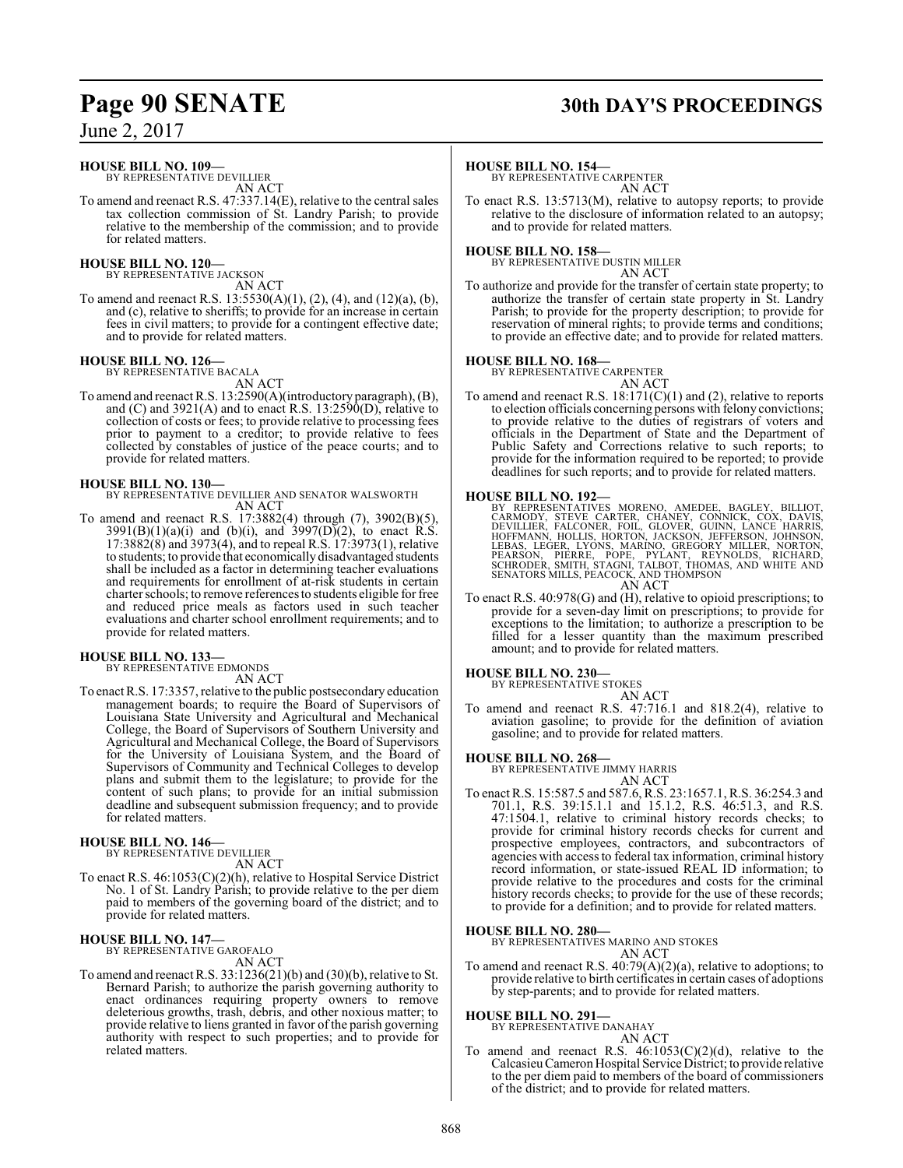#### **HOUSE BILL NO. 109—**

BY REPRESENTATIVE DEVILLIER AN ACT

To amend and reenact R.S. 47:337.14(E), relative to the central sales tax collection commission of St. Landry Parish; to provide relative to the membership of the commission; and to provide for related matters.

#### **HOUSE BILL NO. 120—**

BY REPRESENTATIVE JACKSON AN ACT

To amend and reenact R.S. 13:5530(A)(1), (2), (4), and (12)(a), (b), and (c), relative to sheriffs; to provide for an increase in certain fees in civil matters; to provide for a contingent effective date; and to provide for related matters.

#### **HOUSE BILL NO. 126—**

BY REPRESENTATIVE BACALA

AN ACT To amend and reenact R.S. 13:2590(A)(introductory paragraph), (B), and (C) and  $3921(A)$  and to enact R.S.  $13:2590(D)$ , relative to collection of costs or fees; to provide relative to processing fees prior to payment to a creditor; to provide relative to fees collected by constables of justice of the peace courts; and to provide for related matters.

**HOUSE BILL NO. 130—** BY REPRESENTATIVE DEVILLIER AND SENATOR WALSWORTH AN ACT

To amend and reenact R.S. 17:3882(4) through (7), 3902(B)(5),  $3991(B)(1)(a)(i)$  and (b)(i), and  $3997(D)(2)$ , to enact R.S. 17:3882(8) and 3973(4), and to repeal R.S. 17:3973(1), relative to students; to provide that economicallydisadvantaged students shall be included as a factor in determining teacher evaluations and requirements for enrollment of at-risk students in certain charter schools; to remove references to students eligible for free and reduced price meals as factors used in such teacher evaluations and charter school enrollment requirements; and to provide for related matters.

#### **HOUSE BILL NO. 133—**

BY REPRESENTATIVE EDMONDS

AN ACT

To enact R.S. 17:3357, relative to the public postsecondary education management boards; to require the Board of Supervisors of Louisiana State University and Agricultural and Mechanical College, the Board of Supervisors of Southern University and Agricultural and Mechanical College, the Board of Supervisors for the University of Louisiana System, and the Board of Supervisors of Community and Technical Colleges to develop plans and submit them to the legislature; to provide for the content of such plans; to provide for an initial submission deadline and subsequent submission frequency; and to provide for related matters.

# **HOUSE BILL NO. 146—** BY REPRESENTATIVE DEVILLIER

AN ACT

To enact R.S. 46:1053(C)(2)(h), relative to Hospital Service District No. 1 of St. Landry Parish; to provide relative to the per diem paid to members of the governing board of the district; and to provide for related matters.

# **HOUSE BILL NO. 147—** BY REPRESENTATIVE GAROFALO

AN ACT

To amend and reenact R.S. 33:1236(21)(b) and (30)(b), relative to St. Bernard Parish; to authorize the parish governing authority to enact ordinances requiring property owners to remove deleterious growths, trash, debris, and other noxious matter; to provide relative to liens granted in favor of the parish governing authority with respect to such properties; and to provide for related matters.

# **Page 90 SENATE 30th DAY'S PROCEEDINGS**

#### **HOUSE BILL NO. 154—**

BY REPRESENTATIVE CARPENTER AN ACT

To enact R.S. 13:5713(M), relative to autopsy reports; to provide relative to the disclosure of information related to an autopsy; and to provide for related matters.

**HOUSE BILL NO. 158—** BY REPRESENTATIVE DUSTIN MILLER AN ACT

To authorize and provide for the transfer of certain state property; to authorize the transfer of certain state property in St. Landry Parish; to provide for the property description; to provide for reservation of mineral rights; to provide terms and conditions; to provide an effective date; and to provide for related matters.

#### **HOUSE BILL NO. 168—**

BY REPRESENTATIVE CARPENTER

AN ACT To amend and reenact R.S. 18:171(C)(1) and (2), relative to reports to election officials concerning persons with felony convictions; to provide relative to the duties of registrars of voters and officials in the Department of State and the Department of Public Safety and Corrections relative to such reports; to provide for the information required to be reported; to provide deadlines for such reports; and to provide for related matters.

#### **HOUSE BILL NO. 192—**

- BY REPRESENTATIVES MORENO, AMEDEE, BAGLEY, BILLIOT, CARMODY, STEVE CARTER, CHANEY, CONNICK, COX, DAVIS, DEVILLIER, FALCONER, FOIL, GLOVER, GUINN, LANCE HARRIS, LEGEAS, LEGEAS, LEGEAS, LEGEAS, LEGEAS, LEGEAS, LEGEAS, LEGEA,
- To enact R.S. 40:978(G) and (H), relative to opioid prescriptions; to provide for a seven-day limit on prescriptions; to provide for exceptions to the limitation; to authorize a prescription to be filled for a lesser quantity than the maximum prescribed amount; and to provide for related matters.

#### **HOUSE BILL NO. 230—**

BY REPRESENTATIVE STOKES AN ACT

To amend and reenact R.S. 47:716.1 and 818.2(4), relative to aviation gasoline; to provide for the definition of aviation gasoline; and to provide for related matters.

#### **HOUSE BILL NO. 268—**

BY REPRESENTATIVE JIMMY HARRIS

AN ACT To enact R.S. 15:587.5 and 587.6, R.S. 23:1657.1, R.S. 36:254.3 and 701.1, R.S. 39:15.1.1 and 15.1.2, R.S. 46:51.3, and R.S. 47:1504.1, relative to criminal history records checks; to provide for criminal history records checks for current and prospective employees, contractors, and subcontractors of agencies with access to federal tax information, criminal history record information, or state-issued REAL ID information; to provide relative to the procedures and costs for the criminal history records checks; to provide for the use of these records; to provide for a definition; and to provide for related matters.

**HOUSE BILL NO. 280—**

BY REPRESENTATIVES MARINO AND STOKES

AN ACT

To amend and reenact R.S. 40:79(A)(2)(a), relative to adoptions; to provide relative to birth certificates in certain cases of adoptions by step-parents; and to provide for related matters.

### **HOUSE BILL NO. 291—**

BY REPRESENTATIVE DANAHAY AN ACT

To amend and reenact R.S.  $46:1053(C)(2)(d)$ , relative to the CalcasieuCameron Hospital Service District; to provide relative to the per diem paid to members of the board of commissioners of the district; and to provide for related matters.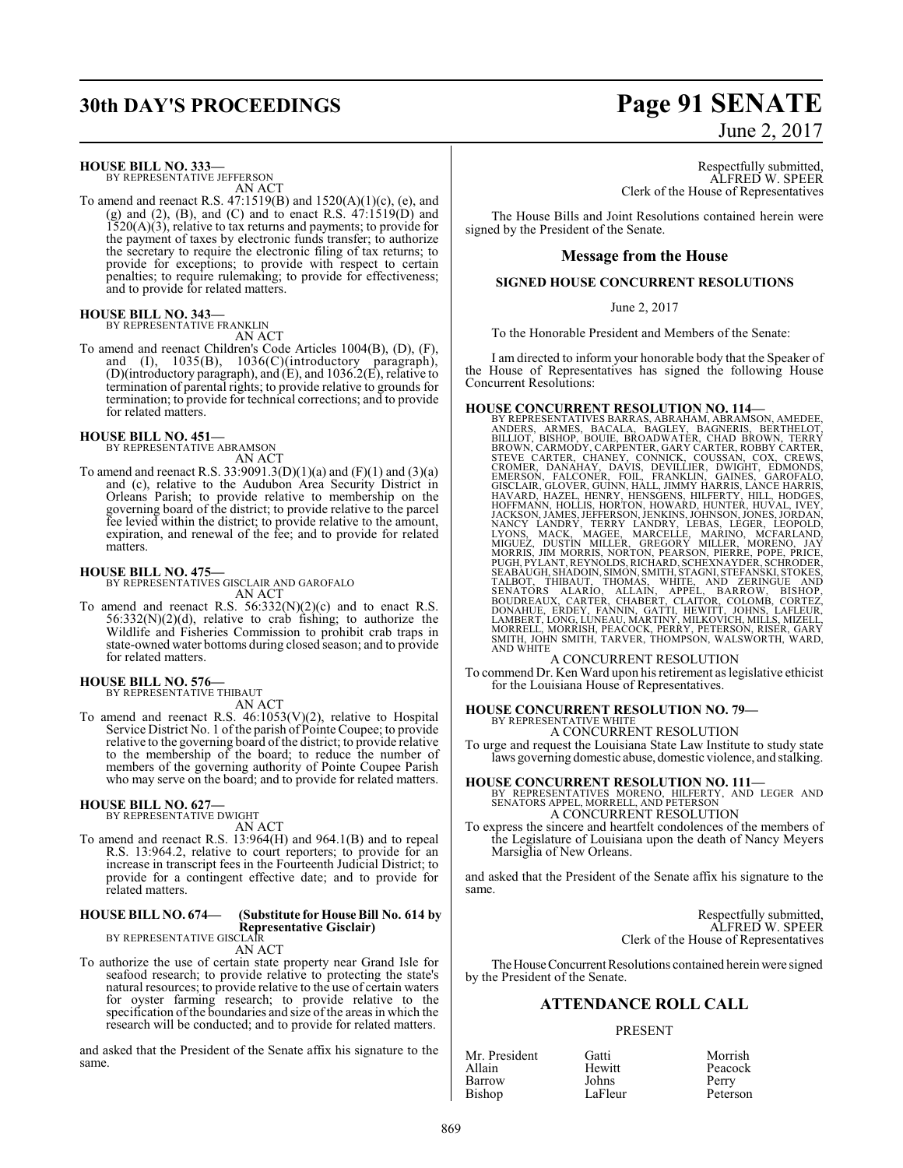# **30th DAY'S PROCEEDINGS Page 91 SENATE**

#### **HOUSE BILL NO. 333—**

BY REPRESENTATIVE JEFFERSON AN ACT

To amend and reenact R.S. 47:1519(B) and 1520(A)(1)(c), (e), and (g) and (2), (B), and (C) and to enact R.S.  $47:1519(D)$  and 1520(A)(3), relative to tax returns and payments; to provide for the payment of taxes by electronic funds transfer; to authorize the secretary to require the electronic filing of tax returns; to provide for exceptions; to provide with respect to certain penalties; to require rulemaking; to provide for effectiveness; and to provide for related matters.

#### **HOUSE BILL NO. 343—**

BY REPRESENTATIVE FRANKLIN

AN ACT To amend and reenact Children's Code Articles 1004(B), (D), (F), and (I), 1035(B), 1036(C)(introductory paragraph), (D)(introductory paragraph), and (E), and 1036.2(E), relative to termination of parental rights; to provide relative to grounds for termination; to provide for technical corrections; and to provide for related matters.

#### **HOUSE BILL NO. 451—** BY REPRESENTATIVE ABRAMSON

AN ACT

To amend and reenact R.S. 33:9091.3(D)(1)(a) and (F)(1) and (3)(a) and (c), relative to the Audubon Area Security District in Orleans Parish; to provide relative to membership on the governing board of the district; to provide relative to the parcel fee levied within the district; to provide relative to the amount, expiration, and renewal of the fee; and to provide for related matters.

#### **HOUSE BILL NO. 475—**

BY REPRESENTATIVES GISCLAIR AND GAROFALO AN ACT

To amend and reenact R.S.  $56:332(N)(2)(c)$  and to enact R.S.  $56:332(N)(2)(d)$ , relative to crab fishing; to authorize the Wildlife and Fisheries Commission to prohibit crab traps in state-owned water bottoms during closed season; and to provide for related matters.

#### **HOUSE BILL NO. 576—** BY REPRESENTATIVE THIBAUT

AN ACT

To amend and reenact R.S. 46:1053(V)(2), relative to Hospital Service District No. 1 of the parish of Pointe Coupee; to provide relative to the governing board of the district; to provide relative to the membership of the board; to reduce the number of members of the governing authority of Pointe Coupee Parish who may serve on the board; and to provide for related matters.

#### **HOUSE BILL NO. 627—**

BY REPRESENTATIVE DWIGHT AN ACT

To amend and reenact R.S. 13:964(H) and 964.1(B) and to repeal R.S. 13:964.2, relative to court reporters; to provide for an increase in transcript fees in the Fourteenth Judicial District; to provide for a contingent effective date; and to provide for related matters.

#### **HOUSE BILL NO. 674— (Substitute for House Bill No. 614 by Representative Gisclair)** BY REPRESENTATIVE GISCLAIR

AN ACT

To authorize the use of certain state property near Grand Isle for seafood research; to provide relative to protecting the state's natural resources; to provide relative to the use of certain waters for oyster farming research; to provide relative to the specification ofthe boundaries and size of the areas in which the research will be conducted; and to provide for related matters.

and asked that the President of the Senate affix his signature to the same.

## June 2, 2017

Respectfully submitted, ALFRED W. SPEER Clerk of the House of Representatives

The House Bills and Joint Resolutions contained herein were signed by the President of the Senate.

#### **Message from the House**

#### **SIGNED HOUSE CONCURRENT RESOLUTIONS**

#### June 2, 2017

To the Honorable President and Members of the Senate:

I am directed to inform your honorable body that the Speaker of the House of Representatives has signed the following House Concurrent Resolutions:

HOUSE CONCURRENT RESOLUTION NO. 114-<br>BY REPRESENTATIVES BARRAS, ABRAHAM, ABRAMSON, AMEDEE,<br>ANDERS, ARMES, BACALA, BAGLEY, BAGNENIS, BERTHELOT,<br>BILLIOT, BISHOP, BOUIE, BROADWATER, CHAD BROWN, TERRY<br>BROWN, CARMODY, CARPENTER AND WHITE A CONCURRENT RESOLUTION

To commend Dr. Ken Ward upon his retirement as legislative ethicist for the Louisiana House of Representatives.

# **HOUSE CONCURRENT RESOLUTION NO. 79—** BY REPRESENTATIVE WHITE

A CONCURRENT RESOLUTION

To urge and request the Louisiana State Law Institute to study state laws governing domestic abuse, domestic violence, and stalking.

#### **HOUSE CONCURRENT RESOLUTION NO. 111—**

BY REPRESENTATIVES MORENO, HILFERTY, AND LEGER AND SENATORS APPEL, MORRELL, AND PETERSON A CONCURRENT RESOLUTION

To express the sincere and heartfelt condolences of the members of the Legislature of Louisiana upon the death of Nancy Meyers Marsiglia of New Orleans.

and asked that the President of the Senate affix his signature to the same.

> Respectfully submitted, ALFRED W. SPEER Clerk of the House of Representatives

The House Concurrent Resolutions contained herein were signed by the President of the Senate.

### **ATTENDANCE ROLL CALL**

#### PRESENT

| Mr. President | Gatti   | Morrish  |
|---------------|---------|----------|
| Allain        | Hewitt  | Peacock  |
| Barrow        | Johns   | Perry    |
| Bishop        | LaFleur | Peterson |